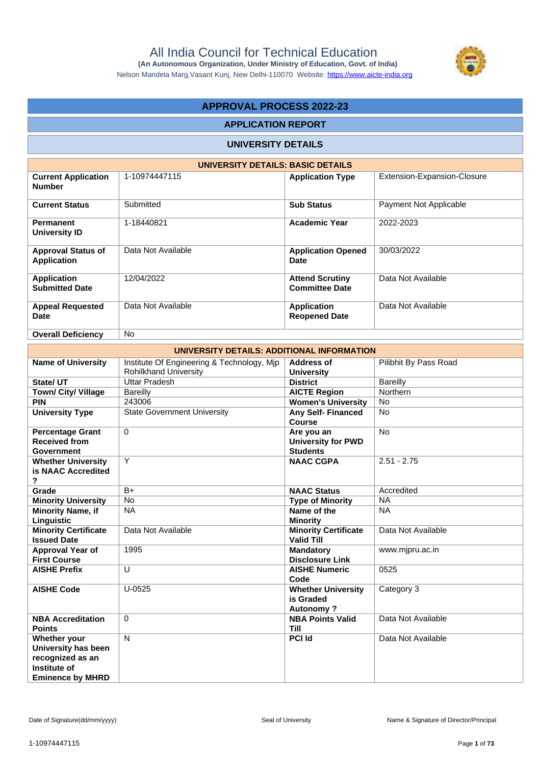

Nelson Mandela Marg,Vasant Kunj, New Delhi-110070 Website: https://www.aicte-india.org

# **APPROVAL PROCESS 2022-23**

#### **APPLICATION REPORT**

### **UNIVERSITY DETAILS**

| UNIVERSITY DETAILS: BASIC DETAILS               |                    |                                                 |                             |  |  |  |  |
|-------------------------------------------------|--------------------|-------------------------------------------------|-----------------------------|--|--|--|--|
| <b>Current Application</b><br><b>Number</b>     | 1-10974447115      | <b>Application Type</b>                         | Extension-Expansion-Closure |  |  |  |  |
| <b>Current Status</b>                           | Submitted          | <b>Sub Status</b>                               | Payment Not Applicable      |  |  |  |  |
| <b>Permanent</b><br><b>University ID</b>        | 1-18440821         | <b>Academic Year</b>                            | 2022-2023                   |  |  |  |  |
| <b>Approval Status of</b><br><b>Application</b> | Data Not Available | <b>Application Opened</b><br>Date               | 30/03/2022                  |  |  |  |  |
| <b>Application</b><br><b>Submitted Date</b>     | 12/04/2022         | <b>Attend Scrutiny</b><br><b>Committee Date</b> | Data Not Available          |  |  |  |  |
| <b>Appeal Requested</b><br><b>Date</b>          | Data Not Available | <b>Application</b><br><b>Reopened Date</b>      | Data Not Available          |  |  |  |  |
| <b>Overall Deficiency</b>                       | <b>No</b>          |                                                 |                             |  |  |  |  |

| UNIVERSITY DETAILS: ADDITIONAL INFORMATION                                                         |                                                                            |                                                            |                       |  |  |  |  |
|----------------------------------------------------------------------------------------------------|----------------------------------------------------------------------------|------------------------------------------------------------|-----------------------|--|--|--|--|
| <b>Name of University</b>                                                                          | Institute Of Engineering & Technology, Mjp<br><b>Rohilkhand University</b> | Address of<br><b>University</b>                            | Pilibhit By Pass Road |  |  |  |  |
| State/ UT                                                                                          | Uttar Pradesh                                                              | <b>District</b>                                            | <b>Bareilly</b>       |  |  |  |  |
| Town/ City/ Village                                                                                | <b>Bareilly</b>                                                            | <b>AICTE Region</b>                                        | Northern              |  |  |  |  |
| <b>PIN</b>                                                                                         | 243006                                                                     | <b>Women's University</b>                                  | <b>No</b>             |  |  |  |  |
| <b>University Type</b>                                                                             | <b>State Government University</b>                                         | <b>Any Self-Financed</b><br>Course                         | <b>No</b>             |  |  |  |  |
| <b>Percentage Grant</b><br><b>Received from</b><br><b>Government</b>                               | $\Omega$                                                                   | Are you an<br><b>University for PWD</b><br><b>Students</b> | <b>No</b>             |  |  |  |  |
| <b>Whether University</b><br>is NAAC Accredited<br>?                                               | Y                                                                          | <b>NAAC CGPA</b>                                           | $2.51 - 2.75$         |  |  |  |  |
| Grade                                                                                              | $B+$                                                                       | <b>NAAC Status</b>                                         | Accredited            |  |  |  |  |
| <b>Minority University</b>                                                                         | No                                                                         | <b>Type of Minority</b>                                    | <b>NA</b>             |  |  |  |  |
| <b>Minority Name, if</b><br>Linguistic                                                             | <b>NA</b>                                                                  | Name of the<br><b>Minority</b>                             | <b>NA</b>             |  |  |  |  |
| <b>Minority Certificate</b><br><b>Issued Date</b>                                                  | Data Not Available                                                         | <b>Minority Certificate</b><br><b>Valid Till</b>           | Data Not Available    |  |  |  |  |
| Approval Year of<br><b>First Course</b>                                                            | 1995                                                                       | <b>Mandatory</b><br><b>Disclosure Link</b>                 | www.mjpru.ac.in       |  |  |  |  |
| <b>AISHE Prefix</b>                                                                                | U                                                                          | <b>AISHE Numeric</b><br>Code                               | 0525                  |  |  |  |  |
| <b>AISHE Code</b>                                                                                  | $U-0525$                                                                   | <b>Whether University</b><br>is Graded<br><b>Autonomy?</b> | Category 3            |  |  |  |  |
| <b>NBA Accreditation</b><br><b>Points</b>                                                          | $\Omega$                                                                   | <b>NBA Points Valid</b><br><b>Till</b>                     | Data Not Available    |  |  |  |  |
| Whether your<br>University has been<br>recognized as an<br>Institute of<br><b>Eminence by MHRD</b> | $\mathsf{N}$                                                               | <b>PCI Id</b>                                              | Data Not Available    |  |  |  |  |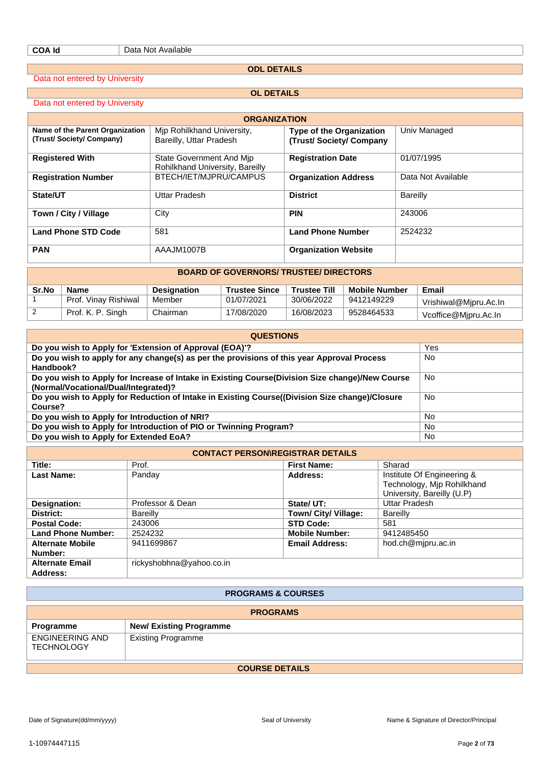#### **ODL DETAILS**

**OL DETAILS**

Data not entered by University

Data not entered by University

| Data flut efficied by University                           |                                                             |                                                    |                    |  |  |  |  |
|------------------------------------------------------------|-------------------------------------------------------------|----------------------------------------------------|--------------------|--|--|--|--|
|                                                            | <b>ORGANIZATION</b>                                         |                                                    |                    |  |  |  |  |
| Name of the Parent Organization<br>(Trust/Society/Company) | Mip Rohilkhand University,<br>Bareilly, Uttar Pradesh       | Type of the Organization<br>(Trust/Society/Company | Univ Managed       |  |  |  |  |
| <b>Registered With</b>                                     | State Government And Mip<br>Rohilkhand University, Bareilly | <b>Registration Date</b>                           | 01/07/1995         |  |  |  |  |
| <b>Registration Number</b>                                 | BTECH/IET/MJPRU/CAMPUS                                      | <b>Organization Address</b>                        | Data Not Available |  |  |  |  |
| State/UT                                                   | Uttar Pradesh                                               | <b>District</b>                                    | Bareilly           |  |  |  |  |
| Town / City / Village                                      | City                                                        | <b>PIN</b>                                         | 243006             |  |  |  |  |
| <b>Land Phone STD Code</b>                                 | 581                                                         | <b>Land Phone Number</b>                           | 2524232            |  |  |  |  |
| <b>PAN</b>                                                 | AAAJM1007B                                                  | <b>Organization Website</b>                        |                    |  |  |  |  |
|                                                            | <b>BOARD OF GOVERNORS/ TRUSTEF/ DIRECTORS</b>               |                                                    |                    |  |  |  |  |

| 89/11P 91 99/15/119/19/1199155-01115919119 |                      |                    |                      |                     |                      |                       |
|--------------------------------------------|----------------------|--------------------|----------------------|---------------------|----------------------|-----------------------|
| Sr.No                                      | Name                 | <b>Designation</b> | <b>Trustee Since</b> | <b>Trustee Till</b> | <b>Mobile Number</b> | Email                 |
|                                            | Prof. Vinay Rishiwal | Member             | 01/07/2021           | 30/06/2022          | 9412149229           | Vrishiwal@Mjpru.Ac.In |
|                                            | Prof. K. P. Singh    | Chairman           | 17/08/2020           | 16/08/2023          | 9528464533           | Vcoffice@Mipru.Ac.In  |

| <b>QUESTIONS</b>                                                                                                                        |           |  |  |  |
|-----------------------------------------------------------------------------------------------------------------------------------------|-----------|--|--|--|
| Do you wish to Apply for 'Extension of Approval (EOA)'?                                                                                 | Yes       |  |  |  |
| Do you wish to apply for any change(s) as per the provisions of this year Approval Process<br>Handbook?                                 | No        |  |  |  |
| Do you wish to Apply for Increase of Intake in Existing Course(Division Size change)/New Course<br>(Normal/Vocational/Dual/Integrated)? | No        |  |  |  |
| Do you wish to Apply for Reduction of Intake in Existing Course((Division Size change)/Closure<br>Course?                               | No        |  |  |  |
| Do you wish to Apply for Introduction of NRI?                                                                                           | <b>No</b> |  |  |  |
| Do you wish to Apply for Introduction of PIO or Twinning Program?                                                                       | No        |  |  |  |
| Do you wish to Apply for Extended EoA?                                                                                                  | No        |  |  |  |

| <b>CONTACT PERSON\REGISTRAR DETAILS</b> |                          |                       |                            |  |  |  |
|-----------------------------------------|--------------------------|-----------------------|----------------------------|--|--|--|
| Title:                                  | Prof.                    | <b>First Name:</b>    | Sharad                     |  |  |  |
| Last Name:                              | Panday                   | Address:              | Institute Of Engineering & |  |  |  |
|                                         |                          |                       | Technology, Mjp Rohilkhand |  |  |  |
|                                         |                          |                       | University, Bareilly (U.P) |  |  |  |
| Designation:                            | Professor & Dean         | State/ UT:            | <b>Uttar Pradesh</b>       |  |  |  |
| District:                               | <b>Bareilly</b>          | Town/ City/ Village:  | <b>Bareilly</b>            |  |  |  |
| <b>Postal Code:</b>                     | 243006                   | <b>STD Code:</b>      | 581                        |  |  |  |
| <b>Land Phone Number:</b>               | 2524232                  | <b>Mobile Number:</b> | 9412485450                 |  |  |  |
| <b>Alternate Mobile</b>                 | 9411699867               | <b>Email Address:</b> | hod.ch@mjpru.ac.in         |  |  |  |
| Number:                                 |                          |                       |                            |  |  |  |
| <b>Alternate Email</b>                  | rickyshobhna@yahoo.co.in |                       |                            |  |  |  |
| Address:                                |                          |                       |                            |  |  |  |

# **PROGRAMS & COURSES**

| <b>PROGRAMS</b>                      |                                |  |  |
|--------------------------------------|--------------------------------|--|--|
| Programme                            | <b>New/ Existing Programme</b> |  |  |
| ENGINEERING AND<br><b>TECHNOLOGY</b> | <b>Existing Programme</b>      |  |  |
| <b>COURSE DETAILS</b>                |                                |  |  |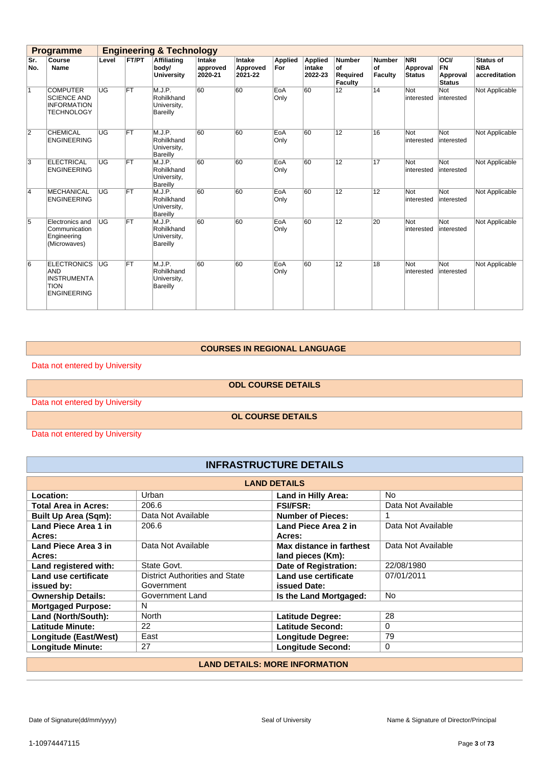|                | <b>Programme</b>                                                                            |           |           | <b>Engineering &amp; Technology</b>                    |                               |                               |                       |                                     |                                                   |                                |                                         |                                                       |                                                 |
|----------------|---------------------------------------------------------------------------------------------|-----------|-----------|--------------------------------------------------------|-------------------------------|-------------------------------|-----------------------|-------------------------------------|---------------------------------------------------|--------------------------------|-----------------------------------------|-------------------------------------------------------|-------------------------------------------------|
| Sr.<br>No.     | Course<br>Name                                                                              | Level     | FT/PT     | <b>Affiliating</b><br>body/<br><b>University</b>       | Intake<br>approved<br>2020-21 | Intake<br>Approved<br>2021-22 | <b>Applied</b><br>For | <b>Applied</b><br>intake<br>2022-23 | <b>Number</b><br>of<br>Required<br><b>Faculty</b> | <b>Number</b><br>of<br>Faculty | <b>NRI</b><br>Approval<br><b>Status</b> | <b>OCI/</b><br><b>FN</b><br>Approval<br><b>Status</b> | <b>Status of</b><br><b>NBA</b><br>accreditation |
| $\overline{1}$ | <b>COMPUTER</b><br><b>SCIENCE AND</b><br><b>INFORMATION</b><br><b>TECHNOLOGY</b>            | UG        | FT        | M.J.P.<br>Rohilkhand<br>University,<br>Bareilly        | 60                            | 60                            | EoA<br>Only           | 60                                  | 12                                                | 14                             | Not<br>interested                       | <b>Not</b><br>interested                              | Not Applicable                                  |
| $\overline{2}$ | <b>CHEMICAL</b><br><b>ENGINEERING</b>                                                       | UG        | FT        | M.J.P.<br>Rohilkhand<br>University,<br>Bareilly        | 60                            | 60                            | EoA<br>Only           | 60                                  | 12                                                | 16                             | Not<br>interested                       | Not<br>interested                                     | Not Applicable                                  |
| 3              | ELECTRICAL<br><b>ENGINEERING</b>                                                            | UG        | <b>FT</b> | M.J.P.<br>Rohilkhand<br>University,<br><b>Bareilly</b> | 60                            | 60                            | EoA<br>Only           | 60                                  | 12                                                | 17                             | Not<br>interested                       | Not<br>interested                                     | Not Applicable                                  |
| $\overline{4}$ | <b>MECHANICAL</b><br><b>ENGINEERING</b>                                                     | UG        | FT        | M.J.P.<br>Rohilkhand<br>University,<br>Bareilly        | 60                            | 60                            | EoA<br>Only           | 60                                  | 12                                                | 12                             | Not<br>interested                       | Not<br>interested                                     | Not Applicable                                  |
| 5              | Electronics and<br>Communication<br>Engineering<br>(Microwaves)                             | UG        | FT        | M.J.P.<br>Rohilkhand<br>University,<br>Bareilly        | 60                            | 60                            | EoA<br>Only           | 60                                  | 12                                                | 20                             | Not<br>interested                       | Not<br>interested                                     | Not Applicable                                  |
| 6              | <b>ELECTRONICS</b><br><b>AND</b><br><b>INSTRUMENTA</b><br><b>TION</b><br><b>ENGINEERING</b> | <b>UG</b> | FT        | M.J.P.<br>Rohilkhand<br>University,<br>Bareilly        | 60                            | 60                            | EoA<br>Only           | 60                                  | 12                                                | 18                             | Not<br>interested                       | Not<br>interested                                     | Not Applicable                                  |

#### **COURSES IN REGIONAL LANGUAGE**

Data not entered by University

**ODL COURSE DETAILS**

Data not entered by University

**OL COURSE DETAILS**

Data not entered by University

# **INFRASTRUCTURE DETAILS**

| <b>LAND DETAILS</b>                   |                                       |                            |                    |  |  |  |
|---------------------------------------|---------------------------------------|----------------------------|--------------------|--|--|--|
| Location:                             | Urban                                 | <b>Land in Hilly Area:</b> | No.                |  |  |  |
| <b>Total Area in Acres:</b>           | 206.6                                 | <b>FSI/FSR:</b>            | Data Not Available |  |  |  |
| <b>Built Up Area (Sqm):</b>           | Data Not Available                    | <b>Number of Pieces:</b>   |                    |  |  |  |
| Land Piece Area 1 in                  | 206.6                                 | Land Piece Area 2 in       | Data Not Available |  |  |  |
| Acres:                                |                                       | Acres:                     |                    |  |  |  |
| Land Piece Area 3 in                  | Data Not Available                    | Max distance in farthest   | Data Not Available |  |  |  |
| Acres:                                |                                       | land pieces (Km):          |                    |  |  |  |
| Land registered with:                 | State Govt.                           | Date of Registration:      | 22/08/1980         |  |  |  |
| Land use certificate                  | <b>District Authorities and State</b> | Land use certificate       | 07/01/2011         |  |  |  |
| issued by:                            | Government                            | <b>issued Date:</b>        |                    |  |  |  |
| <b>Ownership Details:</b>             | Government Land                       | Is the Land Mortgaged:     | <b>No</b>          |  |  |  |
| <b>Mortgaged Purpose:</b>             | N                                     |                            |                    |  |  |  |
| Land (North/South):                   | North                                 | <b>Latitude Degree:</b>    | 28                 |  |  |  |
| <b>Latitude Minute:</b>               | 22                                    | Latitude Second:           | $\Omega$           |  |  |  |
| Longitude (East/West)                 | East                                  | <b>Longitude Degree:</b>   | 79                 |  |  |  |
| <b>Longitude Minute:</b>              | 27                                    | <b>Longitude Second:</b>   | 0                  |  |  |  |
| <b>LAND DETAILS: MORE INFORMATION</b> |                                       |                            |                    |  |  |  |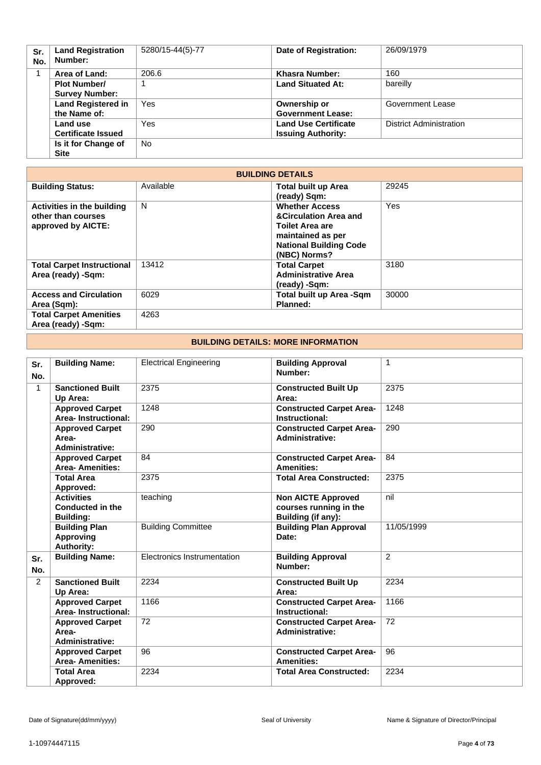| Sr.<br>No. | <b>Land Registration</b><br>Number: | 5280/15-44(5)-77 | <b>Date of Registration:</b> | 26/09/1979                     |
|------------|-------------------------------------|------------------|------------------------------|--------------------------------|
|            | Area of Land:                       | 206.6            | Khasra Number:               | 160                            |
|            | <b>Plot Number/</b>                 |                  | <b>Land Situated At:</b>     | bareilly                       |
|            | <b>Survey Number:</b>               |                  |                              |                                |
|            | <b>Land Registered in</b>           | Yes              | Ownership or                 | Government Lease               |
|            | the Name of:                        |                  | <b>Government Lease:</b>     |                                |
|            | Land use                            | Yes              | <b>Land Use Certificate</b>  | <b>District Administration</b> |
|            | <b>Certificate Issued</b>           |                  | <b>Issuing Authority:</b>    |                                |
|            | Is it for Change of                 | <b>No</b>        |                              |                                |
|            | <b>Site</b>                         |                  |                              |                                |

| <b>BUILDING DETAILS</b>                                                       |           |                                                                                                                                                           |       |  |  |  |
|-------------------------------------------------------------------------------|-----------|-----------------------------------------------------------------------------------------------------------------------------------------------------------|-------|--|--|--|
| <b>Building Status:</b>                                                       | Available | <b>Total built up Area</b><br>(ready) Sqm:                                                                                                                | 29245 |  |  |  |
| <b>Activities in the building</b><br>other than courses<br>approved by AICTE: | N         | <b>Whether Access</b><br><b>&amp;Circulation Area and</b><br><b>Toilet Area are</b><br>maintained as per<br><b>National Building Code</b><br>(NBC) Norms? | Yes   |  |  |  |
| <b>Total Carpet Instructional</b><br>Area (ready) -Sqm:                       | 13412     | <b>Total Carpet</b><br><b>Administrative Area</b><br>(ready) -Sqm:                                                                                        | 3180  |  |  |  |
| <b>Access and Circulation</b><br>Area (Sqm):                                  | 6029      | <b>Total built up Area -Sqm</b><br>Planned:                                                                                                               | 30000 |  |  |  |
| <b>Total Carpet Amenities</b><br>Area (ready) -Sqm:                           | 4263      |                                                                                                                                                           |       |  |  |  |

#### **BUILDING DETAILS: MORE INFORMATION**

| Sr.<br>No.     | <b>Building Name:</b>                                         | <b>Electrical Engineering</b> | <b>Building Approval</b><br>Number:                                       | $\mathbf{1}$ |
|----------------|---------------------------------------------------------------|-------------------------------|---------------------------------------------------------------------------|--------------|
| $\mathbf{1}$   | <b>Sanctioned Built</b><br>Up Area:                           | 2375                          | <b>Constructed Built Up</b><br>Area:                                      | 2375         |
|                | <b>Approved Carpet</b><br>Area-Instructional:                 | 1248                          | <b>Constructed Carpet Area-</b><br>Instructional:                         | 1248         |
|                | <b>Approved Carpet</b><br>Area-<br><b>Administrative:</b>     | 290                           | <b>Constructed Carpet Area-</b><br><b>Administrative:</b>                 | 290          |
|                | <b>Approved Carpet</b><br><b>Area-Amenities:</b>              | 84                            | <b>Constructed Carpet Area-</b><br><b>Amenities:</b>                      | 84           |
|                | <b>Total Area</b><br>Approved:                                | 2375                          | <b>Total Area Constructed:</b>                                            | 2375         |
|                | <b>Activities</b><br>Conducted in the<br><b>Building:</b>     | teaching                      | <b>Non AICTE Approved</b><br>courses running in the<br>Building (if any): | nil          |
|                | <b>Building Plan</b><br><b>Approving</b><br><b>Authority:</b> | <b>Building Committee</b>     | <b>Building Plan Approval</b><br>Date:                                    | 11/05/1999   |
| Sr.<br>No.     | <b>Building Name:</b>                                         | Electronics Instrumentation   | <b>Building Approval</b><br>Number:                                       | 2            |
| $\overline{2}$ | <b>Sanctioned Built</b><br>Up Area:                           | 2234                          | <b>Constructed Built Up</b><br>Area:                                      | 2234         |
|                | <b>Approved Carpet</b><br>Area-Instructional:                 | 1166                          | <b>Constructed Carpet Area-</b><br>Instructional:                         | 1166         |
|                | <b>Approved Carpet</b><br>Area-<br><b>Administrative:</b>     | 72                            | <b>Constructed Carpet Area-</b><br><b>Administrative:</b>                 | 72           |
|                | <b>Approved Carpet</b><br><b>Area-Amenities:</b>              | 96                            | <b>Constructed Carpet Area-</b><br><b>Amenities:</b>                      | 96           |
|                | <b>Total Area</b><br>Approved:                                | 2234                          | <b>Total Area Constructed:</b>                                            | 2234         |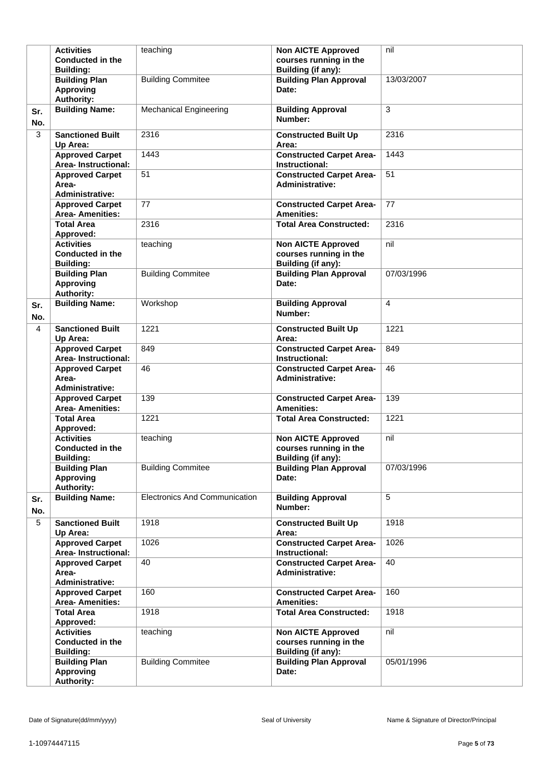|            | <b>Activities</b><br><b>Conducted in the</b><br><b>Building:</b> | teaching                             | <b>Non AICTE Approved</b><br>courses running in the<br>Building (if any): | nil        |
|------------|------------------------------------------------------------------|--------------------------------------|---------------------------------------------------------------------------|------------|
|            | <b>Building Plan</b><br><b>Approving</b><br><b>Authority:</b>    | <b>Building Commitee</b>             | <b>Building Plan Approval</b><br>Date:                                    | 13/03/2007 |
| Sr.<br>No. | <b>Building Name:</b>                                            | <b>Mechanical Engineering</b>        | <b>Building Approval</b><br>Number:                                       | 3          |
| 3          | <b>Sanctioned Built</b><br>Up Area:                              | 2316                                 | <b>Constructed Built Up</b><br>Area:                                      | 2316       |
|            | <b>Approved Carpet</b><br><b>Area-Instructional:</b>             | 1443                                 | <b>Constructed Carpet Area-</b><br>Instructional:                         | 1443       |
|            | <b>Approved Carpet</b><br>Area-<br><b>Administrative:</b>        | 51                                   | <b>Constructed Carpet Area-</b><br><b>Administrative:</b>                 | 51         |
|            | <b>Approved Carpet</b><br><b>Area-Amenities:</b>                 | 77                                   | <b>Constructed Carpet Area-</b><br><b>Amenities:</b>                      | 77         |
|            | <b>Total Area</b><br>Approved:                                   | 2316                                 | <b>Total Area Constructed:</b>                                            | 2316       |
|            | <b>Activities</b><br><b>Conducted in the</b><br><b>Building:</b> | teaching                             | <b>Non AICTE Approved</b><br>courses running in the<br>Building (if any): | nil        |
|            | <b>Building Plan</b><br><b>Approving</b><br><b>Authority:</b>    | <b>Building Commitee</b>             | <b>Building Plan Approval</b><br>Date:                                    | 07/03/1996 |
| Sr.<br>No. | <b>Building Name:</b>                                            | Workshop                             | <b>Building Approval</b><br>Number:                                       | 4          |
| 4          | <b>Sanctioned Built</b><br>Up Area:                              | 1221                                 | <b>Constructed Built Up</b><br>Area:                                      | 1221       |
|            | <b>Approved Carpet</b><br><b>Area-Instructional:</b>             | 849                                  | <b>Constructed Carpet Area-</b><br>Instructional:                         | 849        |
|            | <b>Approved Carpet</b><br>Area-<br><b>Administrative:</b>        | 46                                   | <b>Constructed Carpet Area-</b><br><b>Administrative:</b>                 | 46         |
|            | <b>Approved Carpet</b><br><b>Area-Amenities:</b>                 | 139                                  | <b>Constructed Carpet Area-</b><br><b>Amenities:</b>                      | 139        |
|            | <b>Total Area</b><br>Approved:                                   | 1221                                 | <b>Total Area Constructed:</b>                                            | 1221       |
|            | <b>Activities</b><br><b>Conducted in the</b><br><b>Building:</b> | teaching                             | <b>Non AICTE Approved</b><br>courses running in the<br>Building (if any): | nil        |
|            | <b>Building Plan</b><br><b>Approving</b><br><b>Authority:</b>    | <b>Building Commitee</b>             | <b>Building Plan Approval</b><br>Date:                                    | 07/03/1996 |
| Sr.<br>No. | <b>Building Name:</b>                                            | <b>Electronics And Communication</b> | <b>Building Approval</b><br>Number:                                       | 5          |
| 5          | <b>Sanctioned Built</b><br>Up Area:                              | 1918                                 | <b>Constructed Built Up</b><br>Area:                                      | 1918       |
|            | <b>Approved Carpet</b><br>Area-Instructional:                    | 1026                                 | <b>Constructed Carpet Area-</b><br>Instructional:                         | 1026       |
|            | <b>Approved Carpet</b><br>Area-<br><b>Administrative:</b>        | 40                                   | <b>Constructed Carpet Area-</b><br><b>Administrative:</b>                 | 40         |
|            | <b>Approved Carpet</b><br><b>Area-Amenities:</b>                 | 160                                  | <b>Constructed Carpet Area-</b><br><b>Amenities:</b>                      | 160        |
|            | <b>Total Area</b><br>Approved:                                   | 1918                                 | <b>Total Area Constructed:</b>                                            | 1918       |
|            | <b>Activities</b><br><b>Conducted in the</b><br><b>Building:</b> | teaching                             | <b>Non AICTE Approved</b><br>courses running in the<br>Building (if any): | nil        |
|            | <b>Building Plan</b><br><b>Approving</b><br><b>Authority:</b>    | <b>Building Commitee</b>             | <b>Building Plan Approval</b><br>Date:                                    | 05/01/1996 |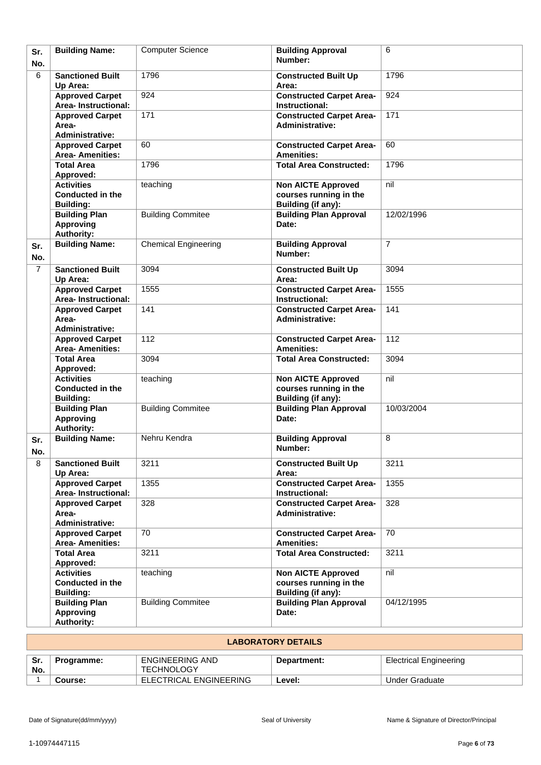| Sr.<br>No.     | <b>Building Name:</b>                                            | <b>Computer Science</b>     | <b>Building Approval</b><br>Number:                                              | 6              |
|----------------|------------------------------------------------------------------|-----------------------------|----------------------------------------------------------------------------------|----------------|
| 6              | <b>Sanctioned Built</b><br>Up Area:                              | 1796                        | <b>Constructed Built Up</b><br>Area:                                             | 1796           |
|                | <b>Approved Carpet</b><br><b>Area-Instructional:</b>             | 924                         | <b>Constructed Carpet Area-</b><br>Instructional:                                | 924            |
|                | <b>Approved Carpet</b><br>Area-<br><b>Administrative:</b>        | 171                         | <b>Constructed Carpet Area-</b><br><b>Administrative:</b>                        | 171            |
|                | <b>Approved Carpet</b><br><b>Area-Amenities:</b>                 | 60                          | <b>Constructed Carpet Area-</b><br><b>Amenities:</b>                             | 60             |
|                | <b>Total Area</b><br>Approved:                                   | 1796                        | <b>Total Area Constructed:</b>                                                   | 1796           |
|                | <b>Activities</b><br><b>Conducted in the</b><br><b>Building:</b> | teaching                    | <b>Non AICTE Approved</b><br>courses running in the<br>Building (if any):        | nil            |
|                | <b>Building Plan</b><br><b>Approving</b><br>Authority:           | <b>Building Commitee</b>    | <b>Building Plan Approval</b><br>Date:                                           | 12/02/1996     |
| Sr.<br>No.     | <b>Building Name:</b>                                            | <b>Chemical Engineering</b> | <b>Building Approval</b><br>Number:                                              | $\overline{7}$ |
| $\overline{7}$ | <b>Sanctioned Built</b><br>Up Area:                              | 3094                        | <b>Constructed Built Up</b><br>Area:                                             | 3094           |
|                | <b>Approved Carpet</b><br>Area-Instructional:                    | 1555                        | <b>Constructed Carpet Area-</b><br>Instructional:                                | 1555           |
|                | <b>Approved Carpet</b><br>Area-<br><b>Administrative:</b>        | 141                         | <b>Constructed Carpet Area-</b><br><b>Administrative:</b>                        | 141            |
|                | <b>Approved Carpet</b><br><b>Area- Amenities:</b>                | 112                         | <b>Constructed Carpet Area-</b><br><b>Amenities:</b>                             | 112            |
|                | <b>Total Area</b><br>Approved:                                   | 3094                        | <b>Total Area Constructed:</b>                                                   | 3094           |
|                | <b>Activities</b><br><b>Conducted in the</b><br><b>Building:</b> | teaching                    | <b>Non AICTE Approved</b><br>courses running in the<br><b>Building (if any):</b> | nil            |
|                | <b>Building Plan</b><br><b>Approving</b><br><b>Authority:</b>    | <b>Building Commitee</b>    | <b>Building Plan Approval</b><br>Date:                                           | 10/03/2004     |
| Sr.<br>No.     | <b>Building Name:</b>                                            | Nehru Kendra                | <b>Building Approval</b><br>Number:                                              | 8              |
| 8              | <b>Sanctioned Built</b><br>Up Area:                              | 3211                        | <b>Constructed Built Up</b><br>Area:                                             | 3211           |
|                | <b>Approved Carpet</b><br>Area-Instructional:                    | 1355                        | <b>Constructed Carpet Area-</b><br>Instructional:                                | 1355           |
|                | <b>Approved Carpet</b><br>Area-<br><b>Administrative:</b>        | 328                         | <b>Constructed Carpet Area-</b><br><b>Administrative:</b>                        | 328            |
|                | <b>Approved Carpet</b><br><b>Area- Amenities:</b>                | 70                          | <b>Constructed Carpet Area-</b><br><b>Amenities:</b>                             | 70             |
|                | <b>Total Area</b><br>Approved:                                   | 3211                        | <b>Total Area Constructed:</b>                                                   | 3211           |
|                | <b>Activities</b><br><b>Conducted in the</b><br><b>Building:</b> | teaching                    | <b>Non AICTE Approved</b><br>courses running in the<br>Building (if any):        | nil            |
|                | <b>Building Plan</b><br><b>Approving</b><br><b>Authority:</b>    | <b>Building Commitee</b>    | <b>Building Plan Approval</b><br>Date:                                           | 04/12/1995     |

| <b>LABORATORY DETAILS</b> |            |                                      |             |                               |
|---------------------------|------------|--------------------------------------|-------------|-------------------------------|
| Sr.<br>No.                | Programme: | ENGINEERING AND<br><b>TECHNOLOGY</b> | Department: | <b>Electrical Engineering</b> |
|                           | Course:    | ELECTRICAL ENGINEERING               | Level:      | Under Graduate                |

'n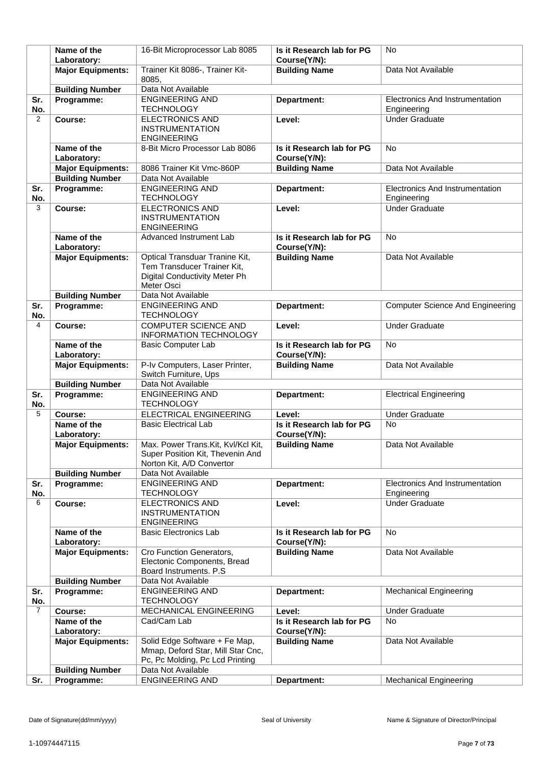|                | Name of the<br>Laboratory:                         | 16-Bit Microprocessor Lab 8085                                                                                      | Is it Research lab for PG<br>Course(Y/N): | No                                                    |
|----------------|----------------------------------------------------|---------------------------------------------------------------------------------------------------------------------|-------------------------------------------|-------------------------------------------------------|
|                | <b>Major Equipments:</b>                           | Trainer Kit 8086-, Trainer Kit-                                                                                     | <b>Building Name</b>                      | Data Not Available                                    |
|                |                                                    | 8085.                                                                                                               |                                           |                                                       |
|                | <b>Building Number</b>                             | Data Not Available                                                                                                  |                                           |                                                       |
| Sr.<br>No.     | Programme:                                         | <b>ENGINEERING AND</b><br><b>TECHNOLOGY</b>                                                                         | Department:                               | Electronics And Instrumentation<br>Engineering        |
| 2              | Course:                                            | <b>ELECTRONICS AND</b><br><b>INSTRUMENTATION</b><br><b>ENGINEERING</b>                                              | Level:                                    | <b>Under Graduate</b>                                 |
|                | Name of the                                        | 8-Bit Micro Processor Lab 8086                                                                                      | Is it Research lab for PG                 | <b>No</b>                                             |
|                | Laboratory:                                        | 8086 Trainer Kit Vmc-860P                                                                                           | Course(Y/N):<br><b>Building Name</b>      | Data Not Available                                    |
|                | <b>Major Equipments:</b><br><b>Building Number</b> | Data Not Available                                                                                                  |                                           |                                                       |
| Sr.            | Programme:                                         | <b>ENGINEERING AND</b>                                                                                              | Department:                               | Electronics And Instrumentation                       |
| No.            |                                                    | <b>TECHNOLOGY</b>                                                                                                   |                                           | Engineering                                           |
| 3              | Course:                                            | <b>ELECTRONICS AND</b><br><b>INSTRUMENTATION</b><br><b>ENGINEERING</b>                                              | Level:                                    | <b>Under Graduate</b>                                 |
|                | Name of the<br>Laboratory:                         | Advanced Instrument Lab                                                                                             | Is it Research lab for PG<br>Course(Y/N): | <b>No</b>                                             |
|                | <b>Major Equipments:</b>                           | Optical Transduar Tranine Kit,<br>Tem Transducer Trainer Kit,<br><b>Digital Conductivity Meter Ph</b><br>Meter Osci | <b>Building Name</b>                      | Data Not Available                                    |
|                | <b>Building Number</b>                             | Data Not Available                                                                                                  |                                           |                                                       |
| Sr.<br>No.     | Programme:                                         | <b>ENGINEERING AND</b><br><b>TECHNOLOGY</b>                                                                         | Department:                               | <b>Computer Science And Engineering</b>               |
| 4              | Course:                                            | <b>COMPUTER SCIENCE AND</b><br>INFORMATION TECHNOLOGY                                                               | Level:                                    | <b>Under Graduate</b>                                 |
|                | Name of the<br>Laboratory:                         | <b>Basic Computer Lab</b>                                                                                           | Is it Research lab for PG<br>Course(Y/N): | <b>No</b>                                             |
|                | <b>Major Equipments:</b>                           | P-Iv Computers, Laser Printer,<br>Switch Furniture, Ups                                                             | <b>Building Name</b>                      | Data Not Available                                    |
|                | <b>Building Number</b>                             | Data Not Available                                                                                                  |                                           |                                                       |
| Sr.<br>No.     | Programme:                                         | <b>ENGINEERING AND</b><br><b>TECHNOLOGY</b>                                                                         | Department:                               | <b>Electrical Engineering</b>                         |
| 5              | Course:                                            | ELECTRICAL ENGINEERING                                                                                              | Level:                                    | <b>Under Graduate</b>                                 |
|                | Name of the                                        | <b>Basic Electrical Lab</b>                                                                                         | Is it Research lab for PG                 | <b>No</b>                                             |
|                | Laboratory:                                        |                                                                                                                     | Course(Y/N):                              |                                                       |
|                | <b>Major Equipments:</b>                           | Max. Power Trans. Kit, Kvl/Kcl Kit,<br>Super Position Kit, Thevenin And<br>Norton Kit, A/D Convertor                | <b>Building Name</b>                      | Data Not Available                                    |
|                | <b>Building Number</b>                             | Data Not Available                                                                                                  |                                           |                                                       |
| Sr.<br>No.     | Programme:                                         | <b>ENGINEERING AND</b><br><b>TECHNOLOGY</b>                                                                         | Department:                               | <b>Electronics And Instrumentation</b><br>Engineering |
| 6              | Course:                                            | <b>ELECTRONICS AND</b><br><b>INSTRUMENTATION</b><br><b>ENGINEERING</b>                                              | Level:                                    | <b>Under Graduate</b>                                 |
|                | Name of the<br>Laboratory:                         | <b>Basic Electronics Lab</b>                                                                                        | Is it Research lab for PG<br>Course(Y/N): | <b>No</b>                                             |
|                | <b>Major Equipments:</b>                           | Cro Function Generators,<br>Electonic Components, Bread<br>Board Instruments. P.S.                                  | <b>Building Name</b>                      | Data Not Available                                    |
|                | <b>Building Number</b>                             | Data Not Available                                                                                                  |                                           |                                                       |
| Sr.<br>No.     | Programme:                                         | <b>ENGINEERING AND</b><br><b>TECHNOLOGY</b>                                                                         | Department:                               | <b>Mechanical Engineering</b>                         |
| $\overline{7}$ | Course:                                            | MECHANICAL ENGINEERING                                                                                              | Level:                                    | <b>Under Graduate</b>                                 |
|                | Name of the<br>Laboratory:                         | Cad/Cam Lab                                                                                                         | Is it Research lab for PG<br>Course(Y/N): | <b>No</b>                                             |
|                | <b>Major Equipments:</b>                           | Solid Edge Software + Fe Map,                                                                                       | <b>Building Name</b>                      | Data Not Available                                    |
|                |                                                    | Mmap, Deford Star, Mill Star Cnc,<br>Pc, Pc Molding, Pc Lcd Printing                                                |                                           |                                                       |
|                | <b>Building Number</b>                             | Data Not Available                                                                                                  |                                           |                                                       |
| Sr.            | Programme:                                         | <b>ENGINEERING AND</b>                                                                                              | Department:                               | <b>Mechanical Engineering</b>                         |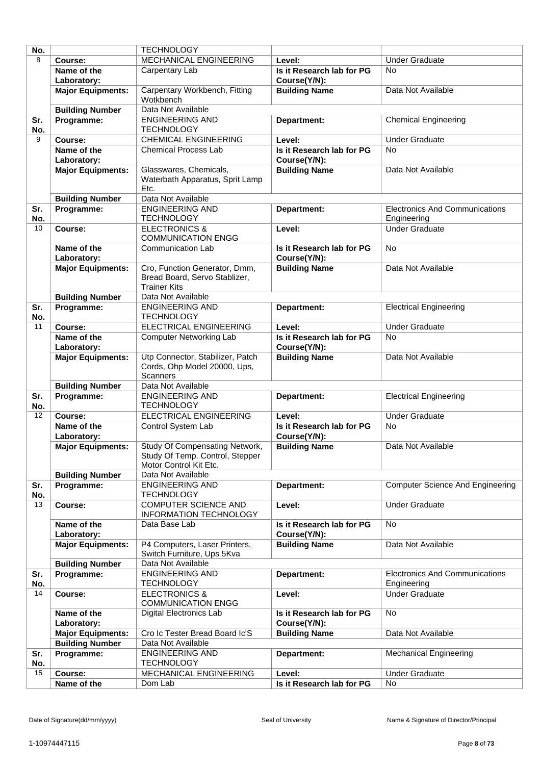| No. |                          | <b>TECHNOLOGY</b>                               |                           |                                         |
|-----|--------------------------|-------------------------------------------------|---------------------------|-----------------------------------------|
| 8   | Course:                  | MECHANICAL ENGINEERING                          | Level:                    | <b>Under Graduate</b>                   |
|     | Name of the              | Carpentary Lab                                  | Is it Research lab for PG | <b>No</b>                               |
|     | Laboratory:              |                                                 | Course(Y/N):              |                                         |
|     | <b>Major Equipments:</b> | Carpentary Workbench, Fitting                   | <b>Building Name</b>      | Data Not Available                      |
|     |                          | Wotkbench                                       |                           |                                         |
|     | <b>Building Number</b>   | Data Not Available                              |                           |                                         |
| Sr. | Programme:               | <b>ENGINEERING AND</b>                          | Department:               | <b>Chemical Engineering</b>             |
| No. |                          | <b>TECHNOLOGY</b>                               |                           |                                         |
| 9   | Course:                  | <b>CHEMICAL ENGINEERING</b>                     | Level:                    | <b>Under Graduate</b>                   |
|     | Name of the              | <b>Chemical Process Lab</b>                     | Is it Research lab for PG | <b>No</b>                               |
|     | Laboratory:              |                                                 | Course(Y/N):              |                                         |
|     | <b>Major Equipments:</b> | Glasswares, Chemicals,                          | <b>Building Name</b>      | Data Not Available                      |
|     |                          | Waterbath Apparatus, Sprit Lamp<br>Etc.         |                           |                                         |
|     | <b>Building Number</b>   | Data Not Available                              |                           |                                         |
| Sr. | Programme:               | <b>ENGINEERING AND</b>                          | Department:               | <b>Electronics And Communications</b>   |
| No. |                          | <b>TECHNOLOGY</b>                               |                           | Engineering                             |
| 10  | Course:                  | <b>ELECTRONICS &amp;</b>                        | Level:                    | <b>Under Graduate</b>                   |
|     |                          | <b>COMMUNICATION ENGG</b>                       |                           |                                         |
|     | Name of the              | Communication Lab                               | Is it Research lab for PG | <b>No</b>                               |
|     | Laboratory:              |                                                 | Course(Y/N):              |                                         |
|     | <b>Major Equipments:</b> | Cro, Function Generator, Dmm,                   | <b>Building Name</b>      | Data Not Available                      |
|     |                          | Bread Board, Servo Stablizer,                   |                           |                                         |
|     |                          | <b>Trainer Kits</b>                             |                           |                                         |
|     | <b>Building Number</b>   | Data Not Available                              |                           |                                         |
| Sr. | Programme:               | <b>ENGINEERING AND</b>                          | Department:               | <b>Electrical Engineering</b>           |
| No. |                          | <b>TECHNOLOGY</b>                               |                           |                                         |
| 11  | Course:                  | ELECTRICAL ENGINEERING                          | Level:                    | <b>Under Graduate</b>                   |
|     | Name of the              | Computer Networking Lab                         | Is it Research lab for PG | <b>No</b>                               |
|     | Laboratory:              |                                                 | Course(Y/N):              |                                         |
|     | <b>Major Equipments:</b> | Utp Connector, Stabilizer, Patch                | <b>Building Name</b>      | Data Not Available                      |
|     |                          | Cords, Ohp Model 20000, Ups,<br><b>Scanners</b> |                           |                                         |
|     | <b>Building Number</b>   | Data Not Available                              |                           |                                         |
| Sr. | Programme:               | <b>ENGINEERING AND</b>                          | Department:               | <b>Electrical Engineering</b>           |
| No. |                          | <b>TECHNOLOGY</b>                               |                           |                                         |
| 12  | Course:                  | <b>ELECTRICAL ENGINEERING</b>                   | Level:                    | <b>Under Graduate</b>                   |
|     | Name of the              | Control System Lab                              | Is it Research lab for PG | <b>No</b>                               |
|     | Laboratory:              |                                                 | Course(Y/N):              |                                         |
|     | <b>Major Equipments:</b> | Study Of Compensating Network,                  | <b>Building Name</b>      | Data Not Available                      |
|     |                          | Study Of Temp. Control, Stepper                 |                           |                                         |
|     |                          | Motor Control Kit Etc.                          |                           |                                         |
|     | <b>Building Number</b>   | Data Not Available                              |                           |                                         |
| Sr. | Programme:               | <b>ENGINEERING AND</b>                          | Department:               | <b>Computer Science And Engineering</b> |
| No. |                          | <b>TECHNOLOGY</b>                               |                           |                                         |
| 13  | Course:                  | COMPUTER SCIENCE AND                            | Level:                    | <b>Under Graduate</b>                   |
|     | Name of the              | INFORMATION TECHNOLOGY<br>Data Base Lab         | Is it Research lab for PG | No                                      |
|     | Laboratory:              |                                                 | Course(Y/N):              |                                         |
|     | <b>Major Equipments:</b> | P4 Computers, Laser Printers,                   | <b>Building Name</b>      | Data Not Available                      |
|     |                          | Switch Furniture, Ups 5Kva                      |                           |                                         |
|     | <b>Building Number</b>   | Data Not Available                              |                           |                                         |
| Sr. | Programme:               | <b>ENGINEERING AND</b>                          | Department:               | <b>Electronics And Communications</b>   |
| No. |                          | <b>TECHNOLOGY</b>                               |                           | Engineering                             |
| 14  | Course:                  | <b>ELECTRONICS &amp;</b>                        | Level:                    | <b>Under Graduate</b>                   |
|     |                          | <b>COMMUNICATION ENGG</b>                       |                           |                                         |
|     | Name of the              | <b>Digital Electronics Lab</b>                  | Is it Research lab for PG | <b>No</b>                               |
|     | Laboratory:              |                                                 | Course(Y/N):              |                                         |
|     | <b>Major Equipments:</b> | Cro Ic Tester Bread Board Ic'S                  | <b>Building Name</b>      | Data Not Available                      |
|     | <b>Building Number</b>   | Data Not Available                              |                           |                                         |
| Sr. | Programme:               | <b>ENGINEERING AND</b>                          | Department:               | <b>Mechanical Engineering</b>           |
| No. |                          | <b>TECHNOLOGY</b>                               |                           |                                         |
| 15  | Course:                  | MECHANICAL ENGINEERING                          | Level:                    | <b>Under Graduate</b>                   |
|     | Name of the              | Dom Lab                                         | Is it Research lab for PG | No                                      |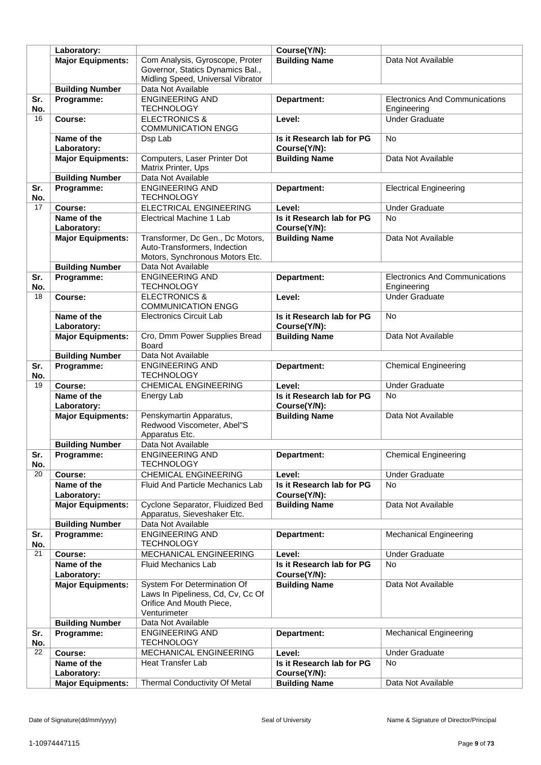|           | Laboratory:              |                                             | Course(Y/N):                        |                                       |
|-----------|--------------------------|---------------------------------------------|-------------------------------------|---------------------------------------|
|           | <b>Major Equipments:</b> | Com Analysis, Gyroscope, Proter             | <b>Building Name</b>                | Data Not Available                    |
|           |                          | Governor, Statics Dynamics Bal.,            |                                     |                                       |
|           |                          | Midling Speed, Universal Vibrator           |                                     |                                       |
|           | <b>Building Number</b>   | Data Not Available                          |                                     |                                       |
| Sr.       | Programme:               | <b>ENGINEERING AND</b>                      | Department:                         | <b>Electronics And Communications</b> |
| No.       |                          | <b>TECHNOLOGY</b>                           |                                     | Engineering                           |
| 16        | Course:                  | <b>ELECTRONICS &amp;</b>                    | Level:                              | <b>Under Graduate</b>                 |
|           |                          | <b>COMMUNICATION ENGG</b>                   |                                     |                                       |
|           | Name of the              | Dsp Lab                                     | Is it Research lab for PG           | <b>No</b>                             |
|           | Laboratory:              |                                             | Course(Y/N):                        |                                       |
|           | <b>Major Equipments:</b> | Computers, Laser Printer Dot                | <b>Building Name</b>                | Data Not Available                    |
|           |                          | Matrix Printer, Ups                         |                                     |                                       |
|           | <b>Building Number</b>   | Data Not Available                          |                                     |                                       |
| Sr.       | Programme:               | <b>ENGINEERING AND</b>                      | Department:                         | <b>Electrical Engineering</b>         |
| No.       |                          | <b>TECHNOLOGY</b>                           |                                     |                                       |
| 17        | Course:                  | ELECTRICAL ENGINEERING                      | Level:                              | <b>Under Graduate</b>                 |
|           | Name of the              | Electrical Machine 1 Lab                    | Is it Research lab for PG           | <b>No</b>                             |
|           | Laboratory:              |                                             | Course(Y/N):                        |                                       |
|           | <b>Major Equipments:</b> | Transformer, Dc Gen., Dc Motors,            | <b>Building Name</b>                | Data Not Available                    |
|           |                          | Auto-Transformers, Indection                |                                     |                                       |
|           |                          | Motors, Synchronous Motors Etc.             |                                     |                                       |
|           | <b>Building Number</b>   | Data Not Available                          |                                     |                                       |
| Sr.       | Programme:               | <b>ENGINEERING AND</b>                      | Department:                         | <b>Electronics And Communications</b> |
| No.       |                          | <b>TECHNOLOGY</b>                           |                                     | Engineering                           |
| 18        | Course:                  | <b>ELECTRONICS &amp;</b>                    | Level:                              | <b>Under Graduate</b>                 |
|           |                          | <b>COMMUNICATION ENGG</b>                   |                                     |                                       |
|           | Name of the              | <b>Electronics Circuit Lab</b>              | Is it Research lab for PG           | No                                    |
|           | Laboratory:              |                                             | Course(Y/N):                        |                                       |
|           | <b>Major Equipments:</b> | Cro, Dmm Power Supplies Bread               | <b>Building Name</b>                | Data Not Available                    |
|           |                          | Board                                       |                                     |                                       |
|           | <b>Building Number</b>   | Data Not Available                          |                                     |                                       |
| Sr.       | Programme:               | <b>ENGINEERING AND</b><br><b>TECHNOLOGY</b> | Department:                         | <b>Chemical Engineering</b>           |
| No.<br>19 | Course:                  | <b>CHEMICAL ENGINEERING</b>                 | Level:                              | <b>Under Graduate</b>                 |
|           | Name of the              | Energy Lab                                  | Is it Research lab for PG           | <b>No</b>                             |
|           | Laboratory:              |                                             | Course(Y/N):                        |                                       |
|           | <b>Major Equipments:</b> | Penskymartin Apparatus,                     | <b>Building Name</b>                | Data Not Available                    |
|           |                          | Redwood Viscometer, Abel"S                  |                                     |                                       |
|           |                          | Apparatus Etc.                              |                                     |                                       |
|           | <b>Building Number</b>   | Data Not Available                          |                                     |                                       |
| Sr.       | Programme:               | <b>ENGINEERING AND</b>                      | Department:                         | <b>Chemical Engineering</b>           |
| No.       |                          | <b>TECHNOLOGY</b>                           |                                     |                                       |
| 20        | Course:                  | <b>CHEMICAL ENGINEERING</b>                 | Level:                              | <b>Under Graduate</b>                 |
|           | Name of the              | Fluid And Particle Mechanics Lab            | Is it Research lab for PG           | No                                    |
|           | Laboratory:              |                                             | Course(Y/N):                        |                                       |
|           | <b>Major Equipments:</b> | Cyclone Separator, Fluidized Bed            | <b>Building Name</b>                | Data Not Available                    |
|           |                          | Apparatus, Sieveshaker Etc.                 |                                     |                                       |
|           | <b>Building Number</b>   | Data Not Available                          |                                     |                                       |
| Sr.       | Programme:               | <b>ENGINEERING AND</b>                      | Department:                         | <b>Mechanical Engineering</b>         |
| No.       |                          | <b>TECHNOLOGY</b>                           |                                     |                                       |
| 21        | Course:                  | MECHANICAL ENGINEERING                      | Level:                              | <b>Under Graduate</b>                 |
|           | Name of the              | <b>Fluid Mechanics Lab</b>                  | Is it Research lab for PG           | <b>No</b>                             |
|           | Laboratory:              |                                             | Course(Y/N):                        |                                       |
|           | <b>Major Equipments:</b> | System For Determination Of                 | <b>Building Name</b>                | Data Not Available                    |
|           |                          | Laws In Pipeliness, Cd, Cv, Cc Of           |                                     |                                       |
|           |                          | Orifice And Mouth Piece,                    |                                     |                                       |
|           |                          | Venturimeter                                |                                     |                                       |
|           | <b>Building Number</b>   | Data Not Available                          |                                     |                                       |
| Sr.       | Programme:               | <b>ENGINEERING AND</b>                      | Department:                         | <b>Mechanical Engineering</b>         |
| No.<br>22 |                          | <b>TECHNOLOGY</b><br>MECHANICAL ENGINEERING |                                     | <b>Under Graduate</b>                 |
|           | Course:<br>Name of the   | Heat Transfer Lab                           | Level:<br>Is it Research lab for PG | <b>No</b>                             |
|           | Laboratory:              |                                             | Course(Y/N):                        |                                       |
|           | <b>Major Equipments:</b> | <b>Thermal Conductivity Of Metal</b>        | <b>Building Name</b>                | Data Not Available                    |
|           |                          |                                             |                                     |                                       |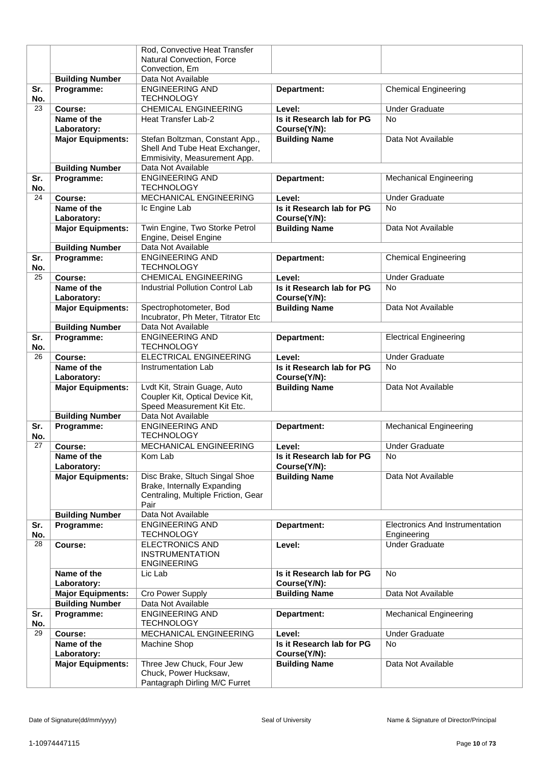|           |                          | Rod, Convective Heat Transfer       |                           |                                 |
|-----------|--------------------------|-------------------------------------|---------------------------|---------------------------------|
|           |                          | Natural Convection, Force           |                           |                                 |
|           |                          | Convection, Em                      |                           |                                 |
|           | <b>Building Number</b>   | Data Not Available                  |                           |                                 |
| Sr.       | Programme:               | <b>ENGINEERING AND</b>              | Department:               | <b>Chemical Engineering</b>     |
| No.       |                          | <b>TECHNOLOGY</b>                   |                           |                                 |
| 23        | Course:                  | <b>CHEMICAL ENGINEERING</b>         | Level:                    | <b>Under Graduate</b>           |
|           | Name of the              | Heat Transfer Lab-2                 | Is it Research lab for PG | <b>No</b>                       |
|           | Laboratory:              |                                     | Course(Y/N):              |                                 |
|           | <b>Major Equipments:</b> | Stefan Boltzman, Constant App.,     | <b>Building Name</b>      | Data Not Available              |
|           |                          | Shell And Tube Heat Exchanger,      |                           |                                 |
|           |                          | Emmisivity, Measurement App.        |                           |                                 |
|           | <b>Building Number</b>   | Data Not Available                  |                           |                                 |
| Sr.       | Programme:               | <b>ENGINEERING AND</b>              | Department:               | <b>Mechanical Engineering</b>   |
| No.       |                          | <b>TECHNOLOGY</b>                   |                           |                                 |
| 24        | Course:                  | MECHANICAL ENGINEERING              | Level:                    | <b>Under Graduate</b>           |
|           | Name of the              |                                     |                           |                                 |
|           |                          | Ic Engine Lab                       | Is it Research lab for PG | <b>No</b>                       |
|           | Laboratory:              |                                     | Course(Y/N):              |                                 |
|           | <b>Major Equipments:</b> | Twin Engine, Two Storke Petrol      | <b>Building Name</b>      | Data Not Available              |
|           |                          | Engine, Deisel Engine               |                           |                                 |
|           | <b>Building Number</b>   | Data Not Available                  |                           |                                 |
| Sr.       | Programme:               | <b>ENGINEERING AND</b>              | Department:               | <b>Chemical Engineering</b>     |
| No.       |                          | <b>TECHNOLOGY</b>                   |                           |                                 |
| 25        | Course:                  | <b>CHEMICAL ENGINEERING</b>         | Level:                    | <b>Under Graduate</b>           |
|           | Name of the              | Industrial Pollution Control Lab    | Is it Research lab for PG | <b>No</b>                       |
|           | Laboratory:              |                                     | Course(Y/N):              |                                 |
|           | <b>Major Equipments:</b> | Spectrophotometer, Bod              | <b>Building Name</b>      | Data Not Available              |
|           |                          | Incubrator, Ph Meter, Titrator Etc  |                           |                                 |
|           | <b>Building Number</b>   | Data Not Available                  |                           |                                 |
| Sr.       | Programme:               | <b>ENGINEERING AND</b>              | Department:               | <b>Electrical Engineering</b>   |
| No.       |                          | <b>TECHNOLOGY</b>                   |                           |                                 |
| 26        | Course:                  | <b>ELECTRICAL ENGINEERING</b>       | Level:                    | <b>Under Graduate</b>           |
|           | Name of the              | Instrumentation Lab                 | Is it Research lab for PG | <b>No</b>                       |
|           | Laboratory:              |                                     | Course(Y/N):              |                                 |
|           | <b>Major Equipments:</b> | Lvdt Kit, Strain Guage, Auto        | <b>Building Name</b>      | Data Not Available              |
|           |                          | Coupler Kit, Optical Device Kit,    |                           |                                 |
|           |                          | Speed Measurement Kit Etc.          |                           |                                 |
|           | <b>Building Number</b>   | Data Not Available                  |                           |                                 |
| Sr.       | Programme:               | <b>ENGINEERING AND</b>              | Department:               | <b>Mechanical Engineering</b>   |
| No.       |                          | <b>TECHNOLOGY</b>                   |                           |                                 |
| 27        | Course:                  | MECHANICAL ENGINEERING              | Level:                    | <b>Under Graduate</b>           |
|           | Name of the              | Kom Lab                             | Is it Research lab for PG | No                              |
|           | Laboratory:              |                                     | Course(Y/N):              |                                 |
|           | <b>Major Equipments:</b> | Disc Brake, Sltuch Singal Shoe      | <b>Building Name</b>      | Data Not Available              |
|           |                          | Brake, Internally Expanding         |                           |                                 |
|           |                          | Centraling, Multiple Friction, Gear |                           |                                 |
|           |                          | Pair                                |                           |                                 |
|           | <b>Building Number</b>   | Data Not Available                  |                           |                                 |
| Sr.       | Programme:               | <b>ENGINEERING AND</b>              | Department:               | Electronics And Instrumentation |
| No.       |                          | <b>TECHNOLOGY</b>                   |                           | Engineering                     |
| 28        | Course:                  | <b>ELECTRONICS AND</b>              | Level:                    | <b>Under Graduate</b>           |
|           |                          | <b>INSTRUMENTATION</b>              |                           |                                 |
|           |                          | <b>ENGINEERING</b>                  |                           |                                 |
|           | Name of the              | Lic Lab                             | Is it Research lab for PG | <b>No</b>                       |
|           | Laboratory:              |                                     | Course(Y/N):              |                                 |
|           | <b>Major Equipments:</b> | Cro Power Supply                    | <b>Building Name</b>      | Data Not Available              |
|           | <b>Building Number</b>   | Data Not Available                  |                           |                                 |
|           |                          | <b>ENGINEERING AND</b>              |                           |                                 |
| Sr.       | Programme:               | <b>TECHNOLOGY</b>                   | Department:               | <b>Mechanical Engineering</b>   |
| No.<br>29 |                          |                                     |                           |                                 |
|           | Course:                  | MECHANICAL ENGINEERING              | Level:                    | <b>Under Graduate</b>           |
|           | Name of the              | Machine Shop                        | Is it Research lab for PG | <b>No</b>                       |
|           | Laboratory:              |                                     | Course(Y/N):              |                                 |
|           | <b>Major Equipments:</b> | Three Jew Chuck, Four Jew           | <b>Building Name</b>      | Data Not Available              |
|           |                          | Chuck, Power Hucksaw,               |                           |                                 |
|           |                          | Pantagraph Dirling M/C Furret       |                           |                                 |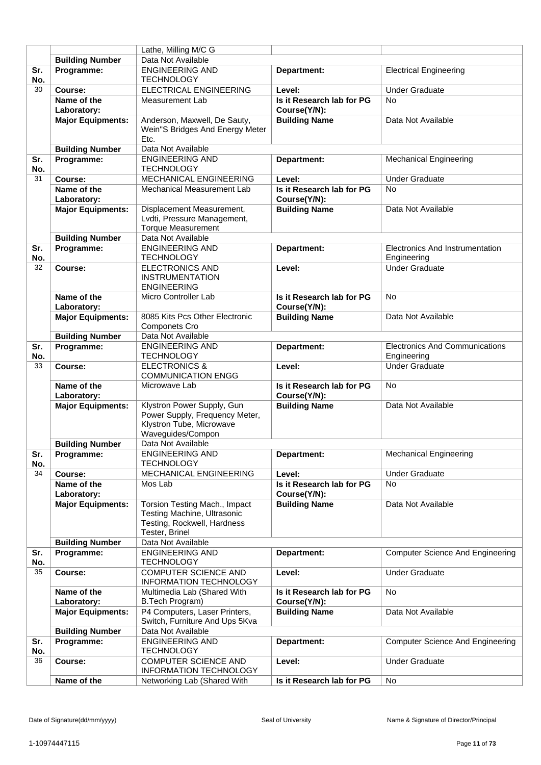|            |                            | Lathe, Milling M/C G                                                                                                 |                                           |                                                |
|------------|----------------------------|----------------------------------------------------------------------------------------------------------------------|-------------------------------------------|------------------------------------------------|
|            | <b>Building Number</b>     | Data Not Available                                                                                                   |                                           |                                                |
| Sr.        | Programme:                 | <b>ENGINEERING AND</b>                                                                                               | Department:                               | <b>Electrical Engineering</b>                  |
| No.        |                            | <b>TECHNOLOGY</b>                                                                                                    |                                           |                                                |
| 30         | Course:                    | ELECTRICAL ENGINEERING                                                                                               | Level:                                    | <b>Under Graduate</b>                          |
|            | Name of the<br>Laboratory: | Measurement Lab                                                                                                      | Is it Research lab for PG<br>Course(Y/N): | <b>No</b>                                      |
|            | <b>Major Equipments:</b>   | Anderson, Maxwell, De Sauty,<br>Wein"S Bridges And Energy Meter<br>Etc.                                              | <b>Building Name</b>                      | Data Not Available                             |
|            | <b>Building Number</b>     | Data Not Available                                                                                                   |                                           |                                                |
| Sr.<br>No. | Programme:                 | <b>ENGINEERING AND</b><br><b>TECHNOLOGY</b>                                                                          | Department:                               | <b>Mechanical Engineering</b>                  |
| 31         | Course:                    | MECHANICAL ENGINEERING                                                                                               | Level:                                    | <b>Under Graduate</b>                          |
|            | Name of the                | <b>Mechanical Measurement Lab</b>                                                                                    | Is it Research lab for PG                 | <b>No</b>                                      |
|            | Laboratory:                |                                                                                                                      | Course(Y/N):                              |                                                |
|            | <b>Major Equipments:</b>   | Displacement Measurement,<br>Lvdti, Pressure Management,<br><b>Torque Measurement</b>                                | <b>Building Name</b>                      | Data Not Available                             |
|            | <b>Building Number</b>     | Data Not Available                                                                                                   |                                           |                                                |
| Sr.<br>No. | Programme:                 | <b>ENGINEERING AND</b><br><b>TECHNOLOGY</b>                                                                          | Department:                               | Electronics And Instrumentation<br>Engineering |
| 32         | Course:                    | <b>ELECTRONICS AND</b><br><b>INSTRUMENTATION</b><br><b>ENGINEERING</b>                                               | Level:                                    | <b>Under Graduate</b>                          |
|            | Name of the<br>Laboratory: | Micro Controller Lab                                                                                                 | Is it Research lab for PG<br>Course(Y/N): | <b>No</b>                                      |
|            | <b>Major Equipments:</b>   | 8085 Kits Pcs Other Electronic<br><b>Componets Cro</b>                                                               | <b>Building Name</b>                      | Data Not Available                             |
|            | <b>Building Number</b>     | Data Not Available                                                                                                   |                                           |                                                |
| Sr.        | Programme:                 | <b>ENGINEERING AND</b>                                                                                               | Department:                               | <b>Electronics And Communications</b>          |
| No.        |                            | <b>TECHNOLOGY</b>                                                                                                    |                                           | Engineering                                    |
| 33         | Course:                    | <b>ELECTRONICS &amp;</b><br><b>COMMUNICATION ENGG</b>                                                                | Level:                                    | <b>Under Graduate</b>                          |
|            | Name of the<br>Laboratory: | Microwave Lab                                                                                                        | Is it Research lab for PG<br>Course(Y/N): | <b>No</b>                                      |
|            | <b>Major Equipments:</b>   | Klystron Power Supply, Gun<br>Power Supply, Frequency Meter,<br>Klystron Tube, Microwave<br>Waveguides/Compon        | <b>Building Name</b>                      | Data Not Available                             |
|            | <b>Building Number</b>     | Data Not Available                                                                                                   |                                           |                                                |
| Sr.<br>No. | Programme:                 | <b>ENGINEERING AND</b><br><b>TECHNOLOGY</b>                                                                          | Department:                               | <b>Mechanical Engineering</b>                  |
| 34         | Course:                    | MECHANICAL ENGINEERING                                                                                               | Level:                                    | <b>Under Graduate</b>                          |
|            | Name of the<br>Laboratory: | Mos Lab                                                                                                              | Is it Research lab for PG<br>Course(Y/N): | <b>No</b>                                      |
|            | <b>Major Equipments:</b>   | Torsion Testing Mach., Impact<br><b>Testing Machine, Ultrasonic</b><br>Testing, Rockwell, Hardness<br>Tester, Brinel | <b>Building Name</b>                      | Data Not Available                             |
|            | <b>Building Number</b>     | Data Not Available                                                                                                   |                                           |                                                |
| Sr.<br>No. | Programme:                 | <b>ENGINEERING AND</b><br><b>TECHNOLOGY</b>                                                                          | Department:                               | <b>Computer Science And Engineering</b>        |
| 35         | Course:                    | <b>COMPUTER SCIENCE AND</b><br><b>INFORMATION TECHNOLOGY</b>                                                         | Level:                                    | <b>Under Graduate</b>                          |
|            | Name of the<br>Laboratory: | Multimedia Lab (Shared With<br>B.Tech Program)                                                                       | Is it Research lab for PG<br>Course(Y/N): | No                                             |
|            | <b>Major Equipments:</b>   | P4 Computers, Laser Printers,<br>Switch, Furniture And Ups 5Kva                                                      | <b>Building Name</b>                      | Data Not Available                             |
|            | <b>Building Number</b>     | Data Not Available                                                                                                   |                                           |                                                |
| Sr.<br>No. | Programme:                 | <b>ENGINEERING AND</b><br><b>TECHNOLOGY</b>                                                                          | Department:                               | <b>Computer Science And Engineering</b>        |
| 36         | Course:                    | <b>COMPUTER SCIENCE AND</b><br><b>INFORMATION TECHNOLOGY</b>                                                         | Level:                                    | <b>Under Graduate</b>                          |
|            | Name of the                | Networking Lab (Shared With                                                                                          | Is it Research lab for PG                 | No                                             |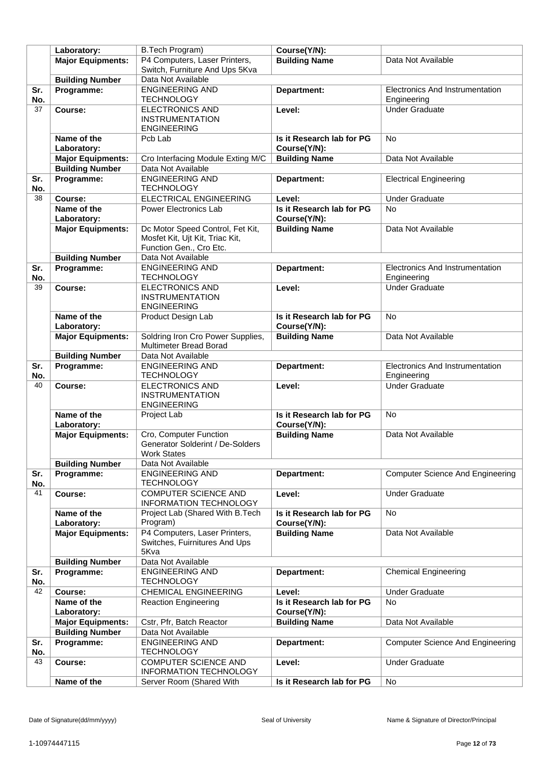|     | Laboratory:              | B.Tech Program)                                  | Course(Y/N):              |                                         |
|-----|--------------------------|--------------------------------------------------|---------------------------|-----------------------------------------|
|     | <b>Major Equipments:</b> | P4 Computers, Laser Printers,                    | <b>Building Name</b>      | Data Not Available                      |
|     |                          | Switch, Furniture And Ups 5Kva                   |                           |                                         |
|     | <b>Building Number</b>   | Data Not Available                               |                           |                                         |
|     |                          |                                                  |                           |                                         |
| Sr. | Programme:               | <b>ENGINEERING AND</b>                           | Department:               | <b>Electronics And Instrumentation</b>  |
| No. |                          | <b>TECHNOLOGY</b>                                |                           | Engineering                             |
| 37  | Course:                  | <b>ELECTRONICS AND</b>                           | Level:                    | <b>Under Graduate</b>                   |
|     |                          | <b>INSTRUMENTATION</b>                           |                           |                                         |
|     |                          | <b>ENGINEERING</b>                               |                           |                                         |
|     | Name of the              | Pcb Lab                                          | Is it Research lab for PG | <b>No</b>                               |
|     | Laboratory:              |                                                  | Course(Y/N):              |                                         |
|     | <b>Major Equipments:</b> | Cro Interfacing Module Exting M/C                | <b>Building Name</b>      | Data Not Available                      |
|     | <b>Building Number</b>   | Data Not Available                               |                           |                                         |
| Sr. | Programme:               | <b>ENGINEERING AND</b>                           | Department:               | <b>Electrical Engineering</b>           |
| No. |                          | <b>TECHNOLOGY</b>                                |                           |                                         |
| 38  | Course:                  | <b>ELECTRICAL ENGINEERING</b>                    | Level:                    | <b>Under Graduate</b>                   |
|     | Name of the              | Power Electronics Lab                            | Is it Research lab for PG | <b>No</b>                               |
|     |                          |                                                  |                           |                                         |
|     | Laboratory:              |                                                  | Course(Y/N):              |                                         |
|     | <b>Major Equipments:</b> | Dc Motor Speed Control, Fet Kit,                 | <b>Building Name</b>      | Data Not Available                      |
|     |                          | Mosfet Kit, Ujt Kit, Triac Kit,                  |                           |                                         |
|     |                          | Function Gen., Cro Etc.                          |                           |                                         |
|     | <b>Building Number</b>   | Data Not Available                               |                           |                                         |
| Sr. | Programme:               | <b>ENGINEERING AND</b>                           | Department:               | Electronics And Instrumentation         |
| No. |                          | <b>TECHNOLOGY</b>                                |                           | Engineering                             |
| 39  | Course:                  | <b>ELECTRONICS AND</b>                           | Level:                    | <b>Under Graduate</b>                   |
|     |                          | <b>INSTRUMENTATION</b>                           |                           |                                         |
|     |                          | <b>ENGINEERING</b>                               |                           |                                         |
|     | Name of the              | Product Design Lab                               | Is it Research lab for PG | <b>No</b>                               |
|     | Laboratory:              |                                                  | Course(Y/N):              |                                         |
|     | <b>Major Equipments:</b> | Soldring Iron Cro Power Supplies,                | <b>Building Name</b>      | Data Not Available                      |
|     |                          | Multimeter Bread Borad                           |                           |                                         |
|     | <b>Building Number</b>   | Data Not Available                               |                           |                                         |
| Sr. | Programme:               | <b>ENGINEERING AND</b>                           | Department:               | Electronics And Instrumentation         |
| No. |                          | <b>TECHNOLOGY</b>                                |                           | Engineering                             |
| 40  |                          |                                                  |                           |                                         |
|     | Course:                  | <b>ELECTRONICS AND</b><br><b>INSTRUMENTATION</b> | Level:                    | <b>Under Graduate</b>                   |
|     |                          |                                                  |                           |                                         |
|     |                          | <b>ENGINEERING</b>                               |                           |                                         |
|     | Name of the              | Project Lab                                      | Is it Research lab for PG | <b>No</b>                               |
|     | Laboratory:              |                                                  | Course(Y/N):              |                                         |
|     | <b>Major Equipments:</b> | Cro, Computer Function                           | <b>Building Name</b>      | Data Not Available                      |
|     |                          | Generator Solderint / De-Solders                 |                           |                                         |
|     |                          | Work States                                      |                           |                                         |
|     | <b>Building Number</b>   | Data Not Available                               |                           |                                         |
| Sr. | Programme:               | <b>ENGINEERING AND</b>                           | Department:               | <b>Computer Science And Engineering</b> |
| No. |                          | <b>TECHNOLOGY</b>                                |                           |                                         |
| 41  | Course:                  | COMPUTER SCIENCE AND                             | Level:                    | <b>Under Graduate</b>                   |
|     |                          | <b>INFORMATION TECHNOLOGY</b>                    |                           |                                         |
|     | Name of the              | Project Lab (Shared With B.Tech                  | Is it Research lab for PG | No                                      |
|     | Laboratory:              | Program)                                         | Course(Y/N):              |                                         |
|     | <b>Major Equipments:</b> | P4 Computers, Laser Printers,                    | <b>Building Name</b>      | Data Not Available                      |
|     |                          | Switches, Fuirnitures And Ups                    |                           |                                         |
|     |                          | 5Kva                                             |                           |                                         |
|     | <b>Building Number</b>   | Data Not Available                               |                           |                                         |
| Sr. | Programme:               | <b>ENGINEERING AND</b>                           | Department:               | <b>Chemical Engineering</b>             |
| No. |                          | <b>TECHNOLOGY</b>                                |                           |                                         |
| 42  | Course:                  | <b>CHEMICAL ENGINEERING</b>                      | Level:                    | <b>Under Graduate</b>                   |
|     | Name of the              | <b>Reaction Engineering</b>                      | Is it Research lab for PG | <b>No</b>                               |
|     |                          |                                                  |                           |                                         |
|     | Laboratory:              |                                                  | Course(Y/N):              |                                         |
|     | <b>Major Equipments:</b> | Cstr, Pfr, Batch Reactor                         | <b>Building Name</b>      | Data Not Available                      |
|     | <b>Building Number</b>   | Data Not Available                               |                           |                                         |
| Sr. | Programme:               | <b>ENGINEERING AND</b>                           | Department:               | <b>Computer Science And Engineering</b> |
| No. |                          | <b>TECHNOLOGY</b>                                |                           |                                         |
| 43  | Course:                  | <b>COMPUTER SCIENCE AND</b>                      | Level:                    | <b>Under Graduate</b>                   |
|     |                          | <b>INFORMATION TECHNOLOGY</b>                    |                           |                                         |
|     | Name of the              | Server Room (Shared With                         | Is it Research lab for PG | <b>No</b>                               |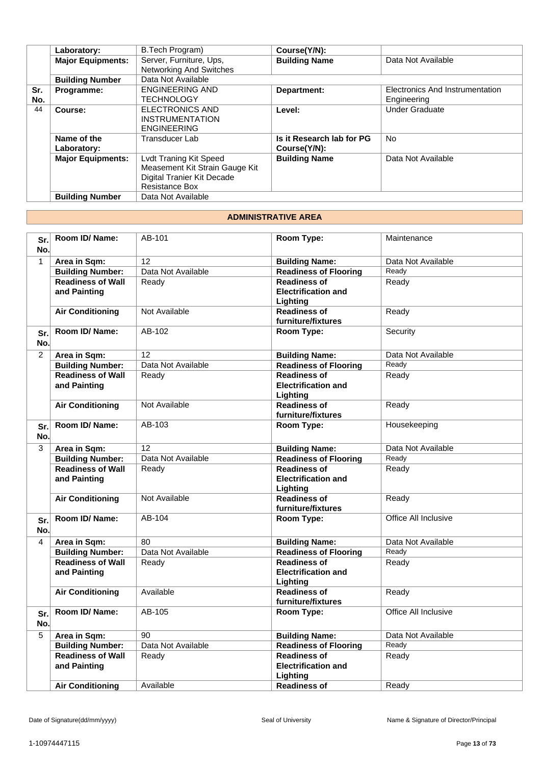|            | Laboratory:                | B.Tech Program)                                                                                                 | Course(Y/N):                              |                                                |
|------------|----------------------------|-----------------------------------------------------------------------------------------------------------------|-------------------------------------------|------------------------------------------------|
|            | <b>Major Equipments:</b>   | Server, Furniture, Ups,<br><b>Networking And Switches</b>                                                       | <b>Building Name</b>                      | Data Not Available                             |
|            | <b>Building Number</b>     | Data Not Available                                                                                              |                                           |                                                |
| Sr.<br>No. | Programme:                 | <b>ENGINEERING AND</b><br>TECHNOLOGY                                                                            | Department:                               | Electronics And Instrumentation<br>Engineering |
| 44         | Course:                    | <b>ELECTRONICS AND</b><br><b>INSTRUMENTATION</b><br><b>ENGINEERING</b>                                          | Level:                                    | <b>Under Graduate</b>                          |
|            | Name of the<br>Laboratory: | Transducer Lab                                                                                                  | Is it Research lab for PG<br>Course(Y/N): | <b>No</b>                                      |
|            | <b>Major Equipments:</b>   | Lvdt Traning Kit Speed<br>Measement Kit Strain Gauge Kit<br>Digital Tranier Kit Decade<br><b>Resistance Box</b> | <b>Building Name</b>                      | Data Not Available                             |
|            | <b>Building Number</b>     | Data Not Available                                                                                              |                                           |                                                |

#### **ADMINISTRATIVE AREA**

| Sr.<br>No.     | Room ID/ Name:                           | AB-101             | Room Type:                                                    | Maintenance          |
|----------------|------------------------------------------|--------------------|---------------------------------------------------------------|----------------------|
| $\mathbf{1}$   | Area in Sqm:                             | 12                 | <b>Building Name:</b>                                         | Data Not Available   |
|                | <b>Building Number:</b>                  | Data Not Available | <b>Readiness of Flooring</b>                                  | Ready                |
|                | <b>Readiness of Wall</b><br>and Painting | Ready              | <b>Readiness of</b><br><b>Electrification and</b>             | Ready                |
|                |                                          |                    | Lighting                                                      |                      |
|                | <b>Air Conditioning</b>                  | Not Available      | <b>Readiness of</b><br>furniture/fixtures                     | Ready                |
| Sr.<br>No.     | Room ID/Name:                            | AB-102             | Room Type:                                                    | Security             |
| $\overline{2}$ | Area in Sqm:                             | 12                 | <b>Building Name:</b>                                         | Data Not Available   |
|                | <b>Building Number:</b>                  | Data Not Available | <b>Readiness of Flooring</b>                                  | Ready                |
|                | <b>Readiness of Wall</b><br>and Painting | Ready              | <b>Readiness of</b><br><b>Electrification and</b><br>Lighting | Ready                |
|                | <b>Air Conditioning</b>                  | Not Available      | <b>Readiness of</b><br>furniture/fixtures                     | Ready                |
| Sr.<br>No.     | Room ID/ Name:                           | AB-103             | Room Type:                                                    | Housekeeping         |
| $\overline{3}$ | Area in Sqm:                             | 12                 | <b>Building Name:</b>                                         | Data Not Available   |
|                | <b>Building Number:</b>                  | Data Not Available | <b>Readiness of Flooring</b>                                  | Ready                |
|                | <b>Readiness of Wall</b><br>and Painting | Ready              | <b>Readiness of</b><br><b>Electrification and</b><br>Lighting | Ready                |
|                | <b>Air Conditioning</b>                  | Not Available      | <b>Readiness of</b><br>furniture/fixtures                     | Ready                |
| Sr.<br>No.     | Room ID/Name:                            | AB-104             | Room Type:                                                    | Office All Inclusive |
| 4              | Area in Sqm:                             | 80                 | <b>Building Name:</b>                                         | Data Not Available   |
|                | <b>Building Number:</b>                  | Data Not Available | <b>Readiness of Flooring</b>                                  | Ready                |
|                | <b>Readiness of Wall</b><br>and Painting | Ready              | <b>Readiness of</b><br><b>Electrification and</b><br>Lighting | Ready                |
|                | <b>Air Conditioning</b>                  | Available          | <b>Readiness of</b><br>furniture/fixtures                     | Ready                |
| Sr.<br>No.     | Room ID/ Name:                           | AB-105             | Room Type:                                                    | Office All Inclusive |
| 5              | Area in Sqm:                             | 90                 | <b>Building Name:</b>                                         | Data Not Available   |
|                | <b>Building Number:</b>                  | Data Not Available | <b>Readiness of Flooring</b>                                  | Ready                |
|                | <b>Readiness of Wall</b><br>and Painting | Ready              | <b>Readiness of</b><br><b>Electrification and</b><br>Lighting | Ready                |
|                | <b>Air Conditioning</b>                  | Available          | <b>Readiness of</b>                                           | Ready                |
|                |                                          |                    |                                                               |                      |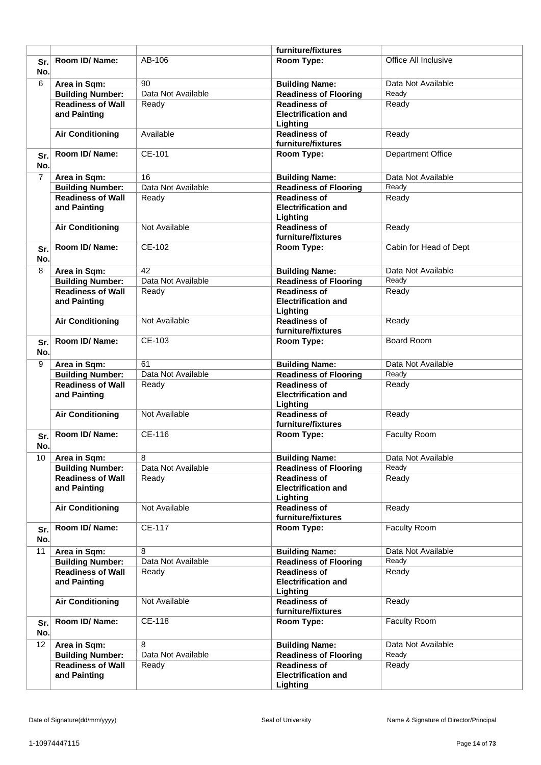|                |                                          |                    | furniture/fixtures                                            |                          |
|----------------|------------------------------------------|--------------------|---------------------------------------------------------------|--------------------------|
| Sr.<br>No.     | Room ID/ Name:                           | AB-106             | <b>Room Type:</b>                                             | Office All Inclusive     |
| 6              | Area in Sqm:                             | 90                 | <b>Building Name:</b>                                         | Data Not Available       |
|                | <b>Building Number:</b>                  | Data Not Available | <b>Readiness of Flooring</b>                                  | Ready                    |
|                | <b>Readiness of Wall</b>                 | Ready              | <b>Readiness of</b>                                           | Ready                    |
|                | and Painting                             |                    | <b>Electrification and</b><br>Lighting                        |                          |
|                | <b>Air Conditioning</b>                  | Available          | <b>Readiness of</b><br>furniture/fixtures                     | Ready                    |
| Sr.<br>No.     | Room ID/Name:                            | CE-101             | Room Type:                                                    | <b>Department Office</b> |
| $\overline{7}$ | Area in Sqm:                             | 16                 | <b>Building Name:</b>                                         | Data Not Available       |
|                | <b>Building Number:</b>                  | Data Not Available | <b>Readiness of Flooring</b>                                  | Ready                    |
|                | <b>Readiness of Wall</b><br>and Painting | Ready              | <b>Readiness of</b><br><b>Electrification and</b><br>Lighting | Ready                    |
|                | <b>Air Conditioning</b>                  | Not Available      | <b>Readiness of</b><br>furniture/fixtures                     | Ready                    |
| Sr.<br>No.     | Room ID/ Name:                           | CE-102             | Room Type:                                                    | Cabin for Head of Dept   |
| 8              | Area in Sqm:                             | 42                 | <b>Building Name:</b>                                         | Data Not Available       |
|                | <b>Building Number:</b>                  | Data Not Available | <b>Readiness of Flooring</b>                                  | Ready                    |
|                | <b>Readiness of Wall</b><br>and Painting | Ready              | <b>Readiness of</b><br><b>Electrification and</b><br>Lighting | Ready                    |
|                | <b>Air Conditioning</b>                  | Not Available      | <b>Readiness of</b><br>furniture/fixtures                     | Ready                    |
| Sr.<br>No.     | Room ID/Name:                            | CE-103             | Room Type:                                                    | <b>Board Room</b>        |
| 9              | Area in Sqm:                             | 61                 | <b>Building Name:</b>                                         | Data Not Available       |
|                | <b>Building Number:</b>                  | Data Not Available | <b>Readiness of Flooring</b>                                  | Ready                    |
|                | <b>Readiness of Wall</b><br>and Painting | Ready              | <b>Readiness of</b><br><b>Electrification and</b><br>Lighting | Ready                    |
|                | <b>Air Conditioning</b>                  | Not Available      | <b>Readiness of</b><br>furniture/fixtures                     | Ready                    |
| Sr.<br>No.     | Room ID/Name:                            | CE-116             | Room Type:                                                    | Faculty Room             |
| 10             | Area in Sqm:                             | 8                  | <b>Building Name:</b>                                         | Data Not Available       |
|                | <b>Building Number:</b>                  | Data Not Available | <b>Readiness of Flooring</b>                                  | Ready                    |
|                | <b>Readiness of Wall</b><br>and Painting | Ready              | <b>Readiness of</b><br><b>Electrification and</b><br>Lighting | Ready                    |
|                | <b>Air Conditioning</b>                  | Not Available      | <b>Readiness of</b><br>furniture/fixtures                     | Ready                    |
| Sr.<br>No.     | Room ID/Name:                            | <b>CE-117</b>      | Room Type:                                                    | Faculty Room             |
| 11             | Area in Sqm:                             | 8                  | <b>Building Name:</b>                                         | Data Not Available       |
|                | <b>Building Number:</b>                  | Data Not Available | <b>Readiness of Flooring</b>                                  | Ready                    |
|                | <b>Readiness of Wall</b><br>and Painting | Ready              | <b>Readiness of</b><br><b>Electrification and</b><br>Lighting | Ready                    |
|                | <b>Air Conditioning</b>                  | Not Available      | <b>Readiness of</b><br>furniture/fixtures                     | Ready                    |
| Sr.<br>No.     | Room ID/ Name:                           | CE-118             | Room Type:                                                    | Faculty Room             |
| 12             | Area in Sqm:                             | 8                  | <b>Building Name:</b>                                         | Data Not Available       |
|                | <b>Building Number:</b>                  | Data Not Available | <b>Readiness of Flooring</b>                                  | Ready                    |
|                | <b>Readiness of Wall</b><br>and Painting | Ready              | <b>Readiness of</b><br><b>Electrification and</b><br>Lighting | Ready                    |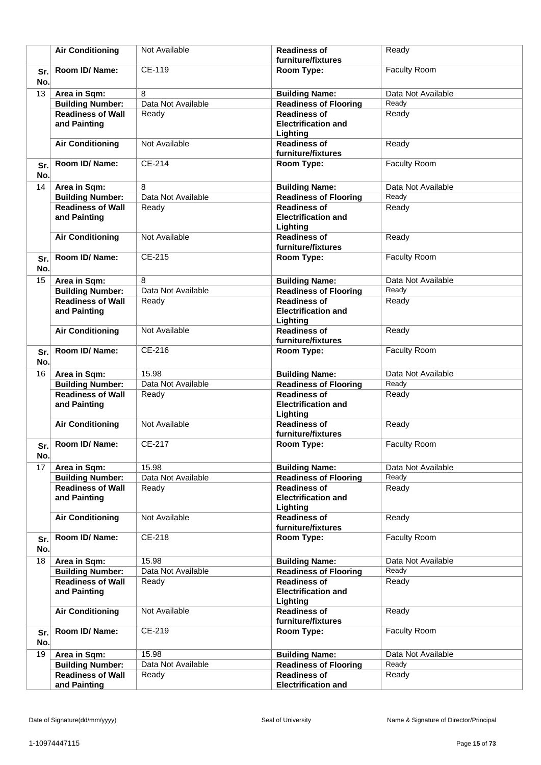|             | <b>Air Conditioning</b>                             | Not Available      | <b>Readiness of</b><br>furniture/fixtures                     | Ready               |
|-------------|-----------------------------------------------------|--------------------|---------------------------------------------------------------|---------------------|
| Sr.<br>No.  | Room ID/ Name:                                      | CE-119             | Room Type:                                                    | Faculty Room        |
| 13          | Area in Sqm:                                        | 8                  | <b>Building Name:</b>                                         | Data Not Available  |
|             | <b>Building Number:</b>                             | Data Not Available | <b>Readiness of Flooring</b>                                  | Ready               |
|             | <b>Readiness of Wall</b><br>and Painting            | Ready              | <b>Readiness of</b><br><b>Electrification and</b><br>Lighting | Ready               |
|             | <b>Air Conditioning</b>                             | Not Available      | <b>Readiness of</b><br>furniture/fixtures                     | Ready               |
| Sr.<br>No.  | Room ID/Name:                                       | CE-214             | Room Type:                                                    | Faculty Room        |
| 14          | Area in Sqm:                                        | 8                  | <b>Building Name:</b>                                         | Data Not Available  |
|             | <b>Building Number:</b>                             | Data Not Available | <b>Readiness of Flooring</b>                                  | Ready               |
|             | <b>Readiness of Wall</b><br>and Painting            | Ready              | <b>Readiness of</b><br><b>Electrification and</b><br>Lighting | Ready               |
|             | <b>Air Conditioning</b>                             | Not Available      | <b>Readiness of</b><br>furniture/fixtures                     | Ready               |
| Sr.<br>No.  | Room ID/Name:                                       | CE-215             | Room Type:                                                    | <b>Faculty Room</b> |
| 15          | Area in Sqm:                                        | 8                  | <b>Building Name:</b>                                         | Data Not Available  |
|             | <b>Building Number:</b>                             | Data Not Available | <b>Readiness of Flooring</b>                                  | Ready               |
|             | <b>Readiness of Wall</b><br>and Painting            | Ready              | <b>Readiness of</b><br><b>Electrification and</b><br>Lighting | Ready               |
|             | <b>Air Conditioning</b>                             | Not Available      | <b>Readiness of</b><br>furniture/fixtures                     | Ready               |
| Sr.<br>No.  | Room ID/Name:                                       | CE-216             | Room Type:                                                    | Faculty Room        |
| 16          | Area in Sqm:                                        | 15.98              | <b>Building Name:</b>                                         | Data Not Available  |
|             | <b>Building Number:</b><br><b>Readiness of Wall</b> | Data Not Available | <b>Readiness of Flooring</b><br><b>Readiness of</b>           | Ready               |
|             | and Painting                                        | Ready              | <b>Electrification and</b><br>Lighting                        | Ready               |
|             | <b>Air Conditioning</b>                             | Not Available      | <b>Readiness of</b><br>furniture/fixtures                     | Ready               |
| Sr.l<br>No. | Room ID/ Name:                                      | CE-217             | Room Type:                                                    | <b>Faculty Room</b> |
| 17          | Area in Sqm:                                        | 15.98              | <b>Building Name:</b>                                         | Data Not Available  |
|             | <b>Building Number:</b>                             | Data Not Available | <b>Readiness of Flooring</b>                                  | Ready               |
|             | <b>Readiness of Wall</b><br>and Painting            | Ready              | <b>Readiness of</b><br><b>Electrification and</b><br>Lighting | Ready               |
|             | <b>Air Conditioning</b>                             | Not Available      | <b>Readiness of</b><br>furniture/fixtures                     | Ready               |
| Sr.<br>No.  | Room ID/Name:                                       | CE-218             | Room Type:                                                    | <b>Faculty Room</b> |
| 18          | Area in Sqm:                                        | 15.98              | <b>Building Name:</b>                                         | Data Not Available  |
|             | <b>Building Number:</b>                             | Data Not Available | <b>Readiness of Flooring</b>                                  | Ready               |
|             | <b>Readiness of Wall</b><br>and Painting            | Ready              | <b>Readiness of</b><br><b>Electrification and</b><br>Lighting | Ready               |
|             | <b>Air Conditioning</b>                             | Not Available      | <b>Readiness of</b><br>furniture/fixtures                     | Ready               |
| Sr.<br>No.  | Room ID/Name:                                       | CE-219             | Room Type:                                                    | Faculty Room        |
| 19          | Area in Sqm:                                        | 15.98              | <b>Building Name:</b>                                         | Data Not Available  |
|             | <b>Building Number:</b>                             | Data Not Available | <b>Readiness of Flooring</b>                                  | Ready               |
|             | <b>Readiness of Wall</b>                            | Ready              | <b>Readiness of</b>                                           | Ready               |
|             | and Painting                                        |                    | <b>Electrification and</b>                                    |                     |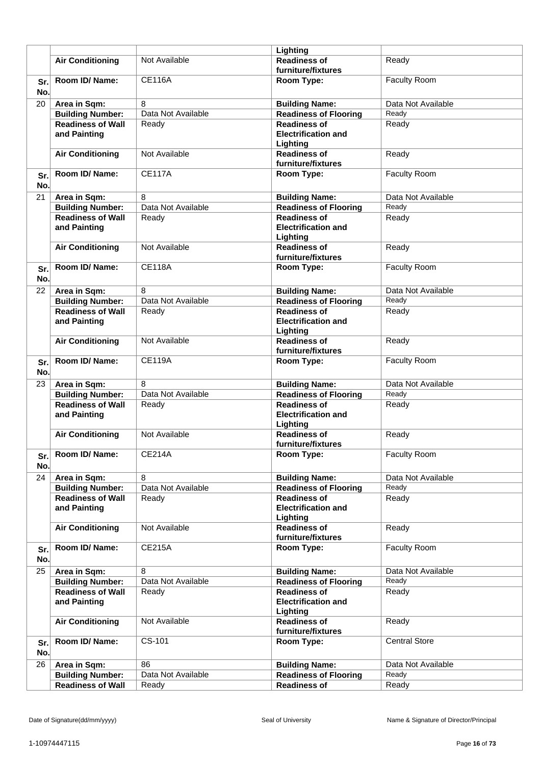|            |                                          |                    | Lighting                                                      |                      |
|------------|------------------------------------------|--------------------|---------------------------------------------------------------|----------------------|
|            | <b>Air Conditioning</b>                  | Not Available      | <b>Readiness of</b><br>furniture/fixtures                     | Ready                |
| Sr.<br>No. | Room ID/Name:                            | <b>CE116A</b>      | Room Type:                                                    | Faculty Room         |
| 20         | Area in Sqm:                             | 8                  | <b>Building Name:</b>                                         | Data Not Available   |
|            | <b>Building Number:</b>                  | Data Not Available | <b>Readiness of Flooring</b>                                  | Ready                |
|            | <b>Readiness of Wall</b>                 | Ready              | <b>Readiness of</b>                                           | Ready                |
|            | and Painting                             |                    | <b>Electrification and</b><br>Lighting                        |                      |
|            | <b>Air Conditioning</b>                  | Not Available      | <b>Readiness of</b><br>furniture/fixtures                     | Ready                |
| Sr.<br>No. | Room ID/Name:                            | <b>CE117A</b>      | Room Type:                                                    | Faculty Room         |
| 21         | Area in Sqm:                             | 8                  | <b>Building Name:</b>                                         | Data Not Available   |
|            | <b>Building Number:</b>                  | Data Not Available | <b>Readiness of Flooring</b>                                  | Ready                |
|            | <b>Readiness of Wall</b><br>and Painting | Ready              | <b>Readiness of</b><br><b>Electrification and</b><br>Lighting | Ready                |
|            | <b>Air Conditioning</b>                  | Not Available      | <b>Readiness of</b><br>furniture/fixtures                     | Ready                |
| Sr.<br>No. | Room ID/ Name:                           | <b>CF118A</b>      | Room Type:                                                    | <b>Faculty Room</b>  |
| 22         | Area in Sqm:                             | 8                  | <b>Building Name:</b>                                         | Data Not Available   |
|            | <b>Building Number:</b>                  | Data Not Available | <b>Readiness of Flooring</b>                                  | Ready                |
|            | <b>Readiness of Wall</b>                 | Ready              | <b>Readiness of</b>                                           | Ready                |
|            | and Painting                             |                    | <b>Electrification and</b><br>Lighting                        |                      |
|            | <b>Air Conditioning</b>                  | Not Available      | <b>Readiness of</b><br>furniture/fixtures                     | Ready                |
| Sr.<br>No. | Room ID/Name:                            | <b>CE119A</b>      | Room Type:                                                    | Faculty Room         |
| 23         | Area in Sqm:                             | 8                  | <b>Building Name:</b>                                         | Data Not Available   |
|            | <b>Building Number:</b>                  | Data Not Available | <b>Readiness of Flooring</b>                                  | Ready                |
|            | <b>Readiness of Wall</b><br>and Painting | Ready              | <b>Readiness of</b><br><b>Electrification and</b><br>Lighting | Ready                |
|            | <b>Air Conditioning</b>                  | Not Available      | <b>Readiness of</b><br>furniture/fixtures                     | Ready                |
| Sr.<br>No. | Room ID/ Name:                           | <b>CE214A</b>      | Room Type:                                                    | <b>Faculty Room</b>  |
| 24         | Area in Sqm:                             | 8                  | <b>Building Name:</b>                                         | Data Not Available   |
|            | <b>Building Number:</b>                  | Data Not Available | <b>Readiness of Flooring</b>                                  | Ready                |
|            | <b>Readiness of Wall</b><br>and Painting | Ready              | <b>Readiness of</b><br><b>Electrification and</b><br>Lighting | Ready                |
|            | <b>Air Conditioning</b>                  | Not Available      | <b>Readiness of</b><br>furniture/fixtures                     | Ready                |
| Sr.<br>No. | Room ID/ Name:                           | <b>CE215A</b>      | Room Type:                                                    | Faculty Room         |
| 25         | Area in Sqm:                             | 8                  | <b>Building Name:</b>                                         | Data Not Available   |
|            | <b>Building Number:</b>                  | Data Not Available | <b>Readiness of Flooring</b>                                  | Ready                |
|            | <b>Readiness of Wall</b>                 | Ready              | <b>Readiness of</b>                                           | Ready                |
|            | and Painting                             |                    | <b>Electrification and</b><br>Lighting                        |                      |
|            | <b>Air Conditioning</b>                  | Not Available      | <b>Readiness of</b><br>furniture/fixtures                     | Ready                |
| Sr.<br>No. | Room ID/ Name:                           | CS-101             | Room Type:                                                    | <b>Central Store</b> |
| 26         | Area in Sqm:                             | 86                 | <b>Building Name:</b>                                         | Data Not Available   |
|            | <b>Building Number:</b>                  | Data Not Available | <b>Readiness of Flooring</b>                                  | Ready                |
|            | <b>Readiness of Wall</b>                 | Ready              | <b>Readiness of</b>                                           | Ready                |
|            |                                          |                    |                                                               |                      |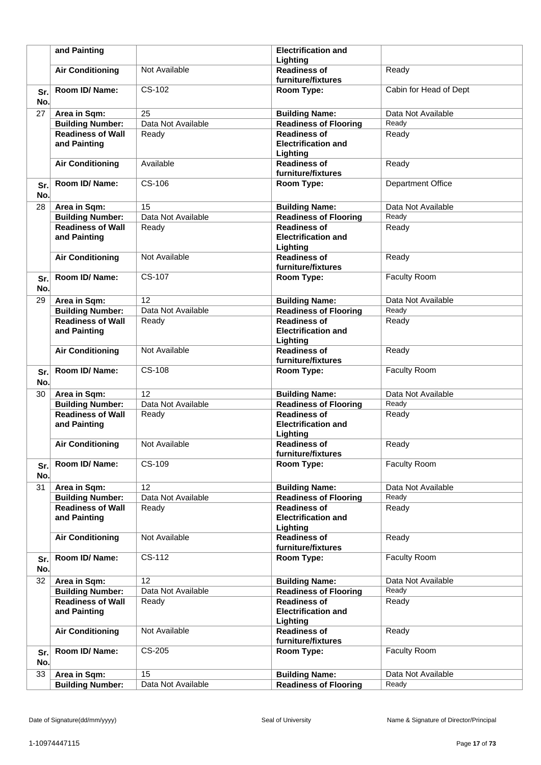|     | and Painting             |                    | <b>Electrification and</b><br>Lighting    |                          |
|-----|--------------------------|--------------------|-------------------------------------------|--------------------------|
|     | <b>Air Conditioning</b>  | Not Available      | <b>Readiness of</b>                       | Ready                    |
|     |                          |                    | furniture/fixtures                        |                          |
| Sr. | Room ID/Name:            | CS-102             | Room Type:                                | Cabin for Head of Dept   |
| No. |                          |                    |                                           |                          |
| 27  | Area in Sqm:             | 25                 | <b>Building Name:</b>                     | Data Not Available       |
|     | <b>Building Number:</b>  | Data Not Available | <b>Readiness of Flooring</b>              | Ready                    |
|     | <b>Readiness of Wall</b> | Ready              | <b>Readiness of</b>                       | Ready                    |
|     | and Painting             |                    | <b>Electrification and</b>                |                          |
|     |                          |                    | Lighting                                  |                          |
|     | <b>Air Conditioning</b>  | Available          | <b>Readiness of</b>                       | Ready                    |
|     |                          |                    | furniture/fixtures                        |                          |
| Sr. | Room ID/Name:            | CS-106             | Room Type:                                | <b>Department Office</b> |
| No. |                          |                    |                                           |                          |
| 28  | Area in Sqm:             | 15                 | <b>Building Name:</b>                     | Data Not Available       |
|     | <b>Building Number:</b>  | Data Not Available | <b>Readiness of Flooring</b>              | Ready                    |
|     | <b>Readiness of Wall</b> | Ready              | <b>Readiness of</b>                       | Ready                    |
|     | and Painting             |                    | <b>Electrification and</b>                |                          |
|     |                          |                    | Lighting                                  |                          |
|     | <b>Air Conditioning</b>  | Not Available      | <b>Readiness of</b>                       | Ready                    |
|     |                          |                    | furniture/fixtures                        |                          |
| Sr. | Room ID/Name:            | CS-107             | Room Type:                                | Faculty Room             |
| No. |                          |                    |                                           |                          |
| 29  | Area in Sqm:             | 12                 | <b>Building Name:</b>                     | Data Not Available       |
|     | <b>Building Number:</b>  | Data Not Available | <b>Readiness of Flooring</b>              | Ready                    |
|     | <b>Readiness of Wall</b> | Ready              | <b>Readiness of</b>                       | Ready                    |
|     | and Painting             |                    | <b>Electrification and</b>                |                          |
|     |                          |                    | Lighting                                  |                          |
|     | <b>Air Conditioning</b>  | Not Available      | <b>Readiness of</b>                       | Ready                    |
|     |                          |                    | furniture/fixtures                        |                          |
| Sr. | Room ID/Name:            | CS-108             | Room Type:                                | Faculty Room             |
| No. |                          |                    |                                           |                          |
| 30  | Area in Sqm:             | 12                 | <b>Building Name:</b>                     | Data Not Available       |
|     | <b>Building Number:</b>  | Data Not Available | <b>Readiness of Flooring</b>              | Ready                    |
|     | <b>Readiness of Wall</b> | Ready              | <b>Readiness of</b>                       | Ready                    |
|     | and Painting             |                    | <b>Electrification and</b>                |                          |
|     |                          |                    | Lighting                                  |                          |
|     | <b>Air Conditioning</b>  | Not Available      | <b>Readiness of</b>                       | Ready                    |
|     |                          |                    | furniture/fixtures                        |                          |
| Sr. | Room ID/Name:            | CS-109             | Room Type:                                | Faculty Room             |
| No. |                          |                    |                                           |                          |
| 31  | Area in Sqm:             | 12                 | <b>Building Name:</b>                     | Data Not Available       |
|     | <b>Building Number:</b>  | Data Not Available | <b>Readiness of Flooring</b>              | Ready                    |
|     | <b>Readiness of Wall</b> | Ready              | <b>Readiness of</b>                       | Ready                    |
|     | and Painting             |                    | <b>Electrification and</b>                |                          |
|     |                          |                    | Lighting                                  |                          |
|     | <b>Air Conditioning</b>  | Not Available      | <b>Readiness of</b><br>furniture/fixtures | Ready                    |
|     | Room ID/ Name:           | CS-112             |                                           | Faculty Room             |
| Sr. |                          |                    | Room Type:                                |                          |
| No. |                          |                    |                                           |                          |
| 32  | Area in Sqm:             | $\overline{12}$    | <b>Building Name:</b>                     | Data Not Available       |
|     | <b>Building Number:</b>  | Data Not Available | <b>Readiness of Flooring</b>              | Ready                    |
|     | <b>Readiness of Wall</b> | Ready              | <b>Readiness of</b>                       | Ready                    |
|     | and Painting             |                    | <b>Electrification and</b>                |                          |
|     | <b>Air Conditioning</b>  | Not Available      | Lighting<br><b>Readiness of</b>           | Ready                    |
|     |                          |                    | furniture/fixtures                        |                          |
| Sr. | Room ID/ Name:           | CS-205             | Room Type:                                | Faculty Room             |
| No. |                          |                    |                                           |                          |
|     |                          | $\overline{15}$    |                                           |                          |
| 33  | Area in Sqm:             |                    | <b>Building Name:</b>                     | Data Not Available       |
|     | <b>Building Number:</b>  | Data Not Available | <b>Readiness of Flooring</b>              | Ready                    |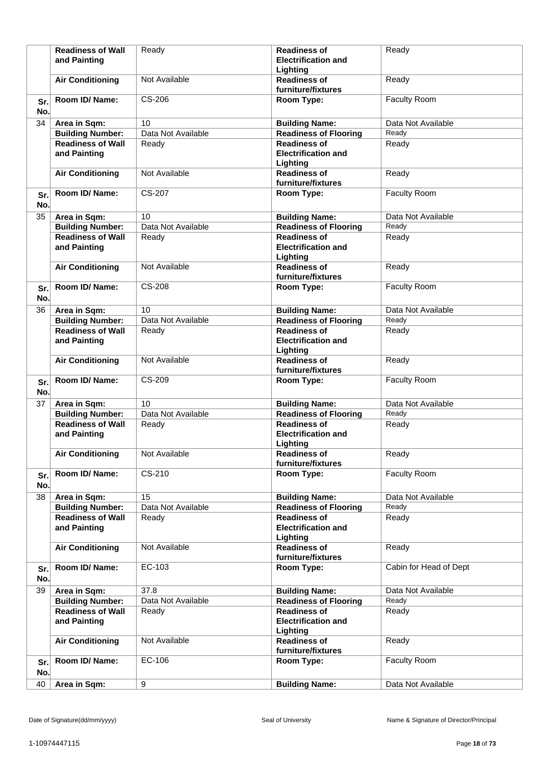|            | <b>Readiness of Wall</b><br>and Painting | Ready              | <b>Readiness of</b><br><b>Electrification and</b><br>Lighting | Ready                  |
|------------|------------------------------------------|--------------------|---------------------------------------------------------------|------------------------|
|            | <b>Air Conditioning</b>                  | Not Available      | <b>Readiness of</b><br>furniture/fixtures                     | Ready                  |
| Sr.<br>No. | Room ID/Name:                            | CS-206             | Room Type:                                                    | Faculty Room           |
| 34         | Area in Sqm:                             | 10                 | <b>Building Name:</b>                                         | Data Not Available     |
|            | <b>Building Number:</b>                  | Data Not Available | <b>Readiness of Flooring</b>                                  | Ready                  |
|            | <b>Readiness of Wall</b><br>and Painting | Ready              | <b>Readiness of</b><br><b>Electrification and</b><br>Lighting | Ready                  |
|            | <b>Air Conditioning</b>                  | Not Available      | <b>Readiness of</b><br>furniture/fixtures                     | Ready                  |
| Sr.<br>No. | Room ID/Name:                            | CS-207             | Room Type:                                                    | Faculty Room           |
| 35         | Area in Sqm:                             | 10                 | <b>Building Name:</b>                                         | Data Not Available     |
|            | <b>Building Number:</b>                  | Data Not Available | <b>Readiness of Flooring</b>                                  | Ready                  |
|            | <b>Readiness of Wall</b><br>and Painting | Ready              | <b>Readiness of</b><br><b>Electrification and</b><br>Lighting | Ready                  |
|            | <b>Air Conditioning</b>                  | Not Available      | <b>Readiness of</b><br>furniture/fixtures                     | Ready                  |
| Sr.<br>No. | Room ID/Name:                            | CS-208             | Room Type:                                                    | Faculty Room           |
| 36         | Area in Sqm:                             | 10                 | <b>Building Name:</b>                                         | Data Not Available     |
|            | <b>Building Number:</b>                  | Data Not Available | <b>Readiness of Flooring</b>                                  | Ready                  |
|            | <b>Readiness of Wall</b><br>and Painting | Ready              | <b>Readiness of</b><br><b>Electrification and</b><br>Lighting | Ready                  |
|            | <b>Air Conditioning</b>                  | Not Available      | <b>Readiness of</b><br>furniture/fixtures                     | Ready                  |
| Sr.<br>No. | Room ID/Name:                            | CS-209             | Room Type:                                                    | Faculty Room           |
| 37         | Area in Sqm:                             | 10                 | <b>Building Name:</b>                                         | Data Not Available     |
|            | <b>Building Number:</b>                  | Data Not Available | <b>Readiness of Flooring</b>                                  | Ready                  |
|            | <b>Readiness of Wall</b><br>and Painting | Ready              | <b>Readiness of</b><br><b>Electrification and</b><br>Lighting | Ready                  |
|            | <b>Air Conditioning</b>                  | Not Available      | <b>Readiness of</b><br>furniture/fixtures                     | Ready                  |
| Sr.<br>No. | Room ID/Name:                            | CS-210             | Room Type:                                                    | Faculty Room           |
| 38         | Area in Sqm:                             | 15                 | <b>Building Name:</b>                                         | Data Not Available     |
|            | <b>Building Number:</b>                  | Data Not Available | <b>Readiness of Flooring</b>                                  | Ready                  |
|            | <b>Readiness of Wall</b><br>and Painting | Ready              | <b>Readiness of</b><br><b>Electrification and</b><br>Lighting | Ready                  |
|            | <b>Air Conditioning</b>                  | Not Available      | <b>Readiness of</b><br>furniture/fixtures                     | Ready                  |
| Sr.<br>No. | Room ID/Name:                            | EC-103             | Room Type:                                                    | Cabin for Head of Dept |
| 39         | Area in Sqm:                             | 37.8               | <b>Building Name:</b>                                         | Data Not Available     |
|            | <b>Building Number:</b>                  | Data Not Available | <b>Readiness of Flooring</b>                                  | Ready                  |
|            | <b>Readiness of Wall</b><br>and Painting | Ready              | <b>Readiness of</b><br><b>Electrification and</b><br>Lighting | Ready                  |
|            | <b>Air Conditioning</b>                  | Not Available      | <b>Readiness of</b><br>furniture/fixtures                     | Ready                  |
| Sr.<br>No. | Room ID/Name:                            | EC-106             | Room Type:                                                    | <b>Faculty Room</b>    |
| 40         | Area in Sqm:                             | 9                  | <b>Building Name:</b>                                         | Data Not Available     |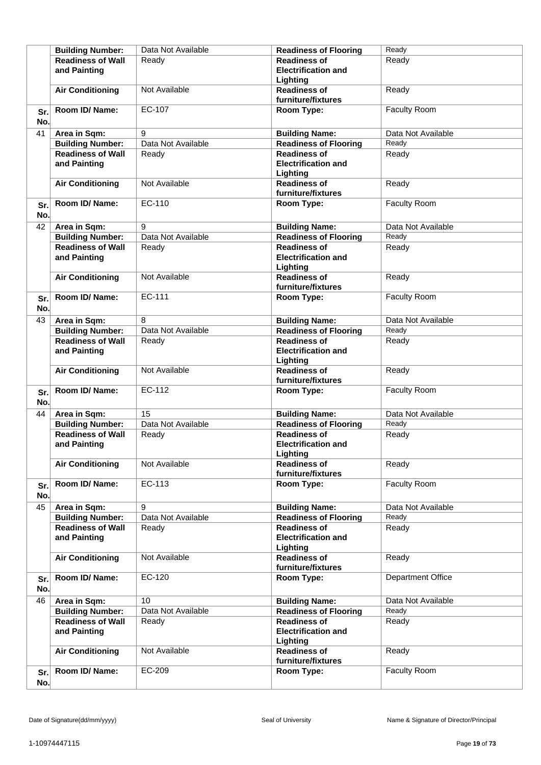|            | <b>Building Number:</b>                  | Data Not Available | <b>Readiness of Flooring</b>                                  | Ready               |
|------------|------------------------------------------|--------------------|---------------------------------------------------------------|---------------------|
|            | <b>Readiness of Wall</b><br>and Painting | Ready              | <b>Readiness of</b><br><b>Electrification and</b><br>Lighting | Ready               |
|            | <b>Air Conditioning</b>                  | Not Available      | <b>Readiness of</b><br>furniture/fixtures                     | Ready               |
| Sr.<br>No. | Room ID/Name:                            | EC-107             | Room Type:                                                    | Faculty Room        |
| 41         | Area in Sqm:                             | 9                  | <b>Building Name:</b>                                         | Data Not Available  |
|            | <b>Building Number:</b>                  | Data Not Available | <b>Readiness of Flooring</b>                                  | Ready               |
|            | <b>Readiness of Wall</b><br>and Painting | Ready              | <b>Readiness of</b><br><b>Electrification and</b><br>Lighting | Ready               |
|            | <b>Air Conditioning</b>                  | Not Available      | <b>Readiness of</b><br>furniture/fixtures                     | Ready               |
| Sr.<br>No. | Room ID/Name:                            | EC-110             | Room Type:                                                    | <b>Faculty Room</b> |
| 42         | Area in Sqm:                             | 9                  | <b>Building Name:</b>                                         | Data Not Available  |
|            | <b>Building Number:</b>                  | Data Not Available | <b>Readiness of Flooring</b>                                  | Ready               |
|            | <b>Readiness of Wall</b><br>and Painting | Ready              | <b>Readiness of</b><br><b>Electrification and</b><br>Lighting | Ready               |
|            | <b>Air Conditioning</b>                  | Not Available      | <b>Readiness of</b><br>furniture/fixtures                     | Ready               |
| Sr.<br>No. | Room ID/Name:                            | EC-111             | Room Type:                                                    | <b>Faculty Room</b> |
| 43         | Area in Sqm:                             | 8                  | <b>Building Name:</b>                                         | Data Not Available  |
|            | <b>Building Number:</b>                  | Data Not Available | <b>Readiness of Flooring</b>                                  | Ready               |
|            | <b>Readiness of Wall</b><br>and Painting | Ready              | <b>Readiness of</b><br><b>Electrification and</b><br>Lighting | Ready               |
|            | <b>Air Conditioning</b>                  | Not Available      | <b>Readiness of</b><br>furniture/fixtures                     | Ready               |
| Sr.<br>No. | Room ID/Name:                            | EC-112             | Room Type:                                                    | Faculty Room        |
| 44         | Area in Sqm:                             | $\overline{15}$    | <b>Building Name:</b>                                         | Data Not Available  |
|            | <b>Building Number:</b>                  | Data Not Available | <b>Readiness of Flooring</b>                                  | Ready               |
|            | <b>Readiness of Wall</b><br>and Painting | Ready              | <b>Readiness of</b><br><b>Electrification and</b><br>Lighting | Ready               |
|            | <b>Air Conditioning</b>                  | Not Available      | <b>Readiness of</b><br>furniture/fixtures                     | Ready               |
| Sr.<br>No. | Room ID/ Name:                           | EC-113             | Room Type:                                                    | Faculty Room        |
| 45         | Area in Sqm:                             | 9                  | <b>Building Name:</b>                                         | Data Not Available  |
|            | <b>Building Number:</b>                  | Data Not Available | <b>Readiness of Flooring</b>                                  | Ready               |
|            | <b>Readiness of Wall</b><br>and Painting | Ready              | <b>Readiness of</b><br><b>Electrification and</b><br>Lighting | Ready               |
|            | <b>Air Conditioning</b>                  | Not Available      | <b>Readiness of</b><br>furniture/fixtures                     | Ready               |
| Sr.<br>No. | Room ID/ Name:                           | EC-120             | Room Type:                                                    | Department Office   |
| 46         | Area in Sqm:                             | 10                 | <b>Building Name:</b>                                         | Data Not Available  |
|            | <b>Building Number:</b>                  | Data Not Available | <b>Readiness of Flooring</b>                                  | Ready               |
|            | <b>Readiness of Wall</b><br>and Painting | Ready              | <b>Readiness of</b><br><b>Electrification and</b><br>Lighting | Ready               |
|            | <b>Air Conditioning</b>                  | Not Available      | <b>Readiness of</b><br>furniture/fixtures                     | Ready               |
| Sr.<br>No. | Room ID/ Name:                           | EC-209             | Room Type:                                                    | Faculty Room        |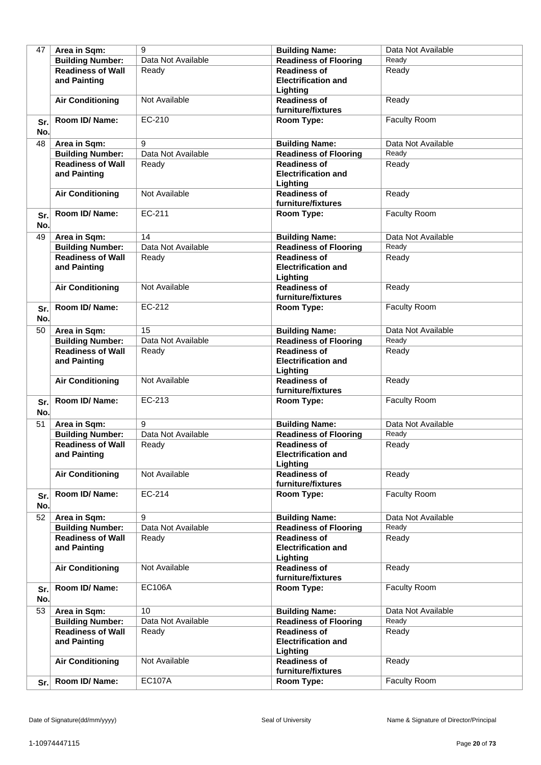| 47  | Area in Sqm:             | 9                  | <b>Building Name:</b>        | Data Not Available  |
|-----|--------------------------|--------------------|------------------------------|---------------------|
|     | <b>Building Number:</b>  | Data Not Available | <b>Readiness of Flooring</b> | Readv               |
|     | <b>Readiness of Wall</b> | Ready              | <b>Readiness of</b>          | Ready               |
|     | and Painting             |                    | <b>Electrification and</b>   |                     |
|     |                          |                    | Lighting                     |                     |
|     |                          | Not Available      | <b>Readiness of</b>          | Ready               |
|     | <b>Air Conditioning</b>  |                    |                              |                     |
|     |                          |                    | furniture/fixtures           |                     |
| Sr. | Room ID/ Name:           | EC-210             | Room Type:                   | Faculty Room        |
| No. |                          |                    |                              |                     |
| 48  | Area in Sqm:             | 9                  | <b>Building Name:</b>        | Data Not Available  |
|     | <b>Building Number:</b>  | Data Not Available | <b>Readiness of Flooring</b> | Ready               |
|     | <b>Readiness of Wall</b> | Ready              | <b>Readiness of</b>          | Ready               |
|     | and Painting             |                    | <b>Electrification and</b>   |                     |
|     |                          |                    | Lighting                     |                     |
|     | <b>Air Conditioning</b>  | Not Available      | <b>Readiness of</b>          | Ready               |
|     |                          |                    | furniture/fixtures           |                     |
|     | Room ID/ Name:           | EC-211             | Room Type:                   | Faculty Room        |
| Sr. |                          |                    |                              |                     |
| No. |                          |                    |                              |                     |
| 49  | Area in Sqm:             | 14                 | <b>Building Name:</b>        | Data Not Available  |
|     | <b>Building Number:</b>  | Data Not Available | <b>Readiness of Flooring</b> | Ready               |
|     | <b>Readiness of Wall</b> | Ready              | <b>Readiness of</b>          | Ready               |
|     | and Painting             |                    | <b>Electrification and</b>   |                     |
|     |                          |                    | Lighting                     |                     |
|     | <b>Air Conditioning</b>  | Not Available      | <b>Readiness of</b>          | Ready               |
|     |                          |                    | furniture/fixtures           |                     |
| Sr. | Room ID/Name:            | EC-212             | Room Type:                   | Faculty Room        |
| No. |                          |                    |                              |                     |
| 50  | Area in Sqm:             | 15                 | <b>Building Name:</b>        | Data Not Available  |
|     | <b>Building Number:</b>  | Data Not Available | <b>Readiness of Flooring</b> | Ready               |
|     | <b>Readiness of Wall</b> |                    | <b>Readiness of</b>          |                     |
|     |                          | Ready              |                              | Ready               |
|     | and Painting             |                    | <b>Electrification and</b>   |                     |
|     |                          |                    | Lighting                     |                     |
|     | <b>Air Conditioning</b>  | Not Available      | <b>Readiness of</b>          | Ready               |
|     | Room ID/ Name:           | EC-213             | furniture/fixtures           |                     |
| Sr. |                          |                    | Room Type:                   | Faculty Room        |
| No. |                          |                    |                              |                     |
| 51  | Area in Sqm:             | 9                  | <b>Building Name:</b>        | Data Not Available  |
|     | <b>Building Number:</b>  | Data Not Available | <b>Readiness of Flooring</b> | Ready               |
|     | <b>Readiness of Wall</b> | Ready              | <b>Readiness of</b>          | Ready               |
|     | and Painting             |                    | <b>Electrification and</b>   |                     |
|     |                          |                    | Lighting                     |                     |
|     | <b>Air Conditioning</b>  | Not Available      | <b>Readiness of</b>          | Ready               |
|     |                          |                    | furniture/fixtures           |                     |
| Sr. | Room ID/Name:            | EC-214             | Room Type:                   | <b>Faculty Room</b> |
| No. |                          |                    |                              |                     |
| 52  | Area in Sqm:             | 9                  | <b>Building Name:</b>        | Data Not Available  |
|     | <b>Building Number:</b>  | Data Not Available | <b>Readiness of Flooring</b> | Ready               |
|     | <b>Readiness of Wall</b> | Ready              | <b>Readiness of</b>          | Ready               |
|     | and Painting             |                    | <b>Electrification and</b>   |                     |
|     |                          |                    | Lighting                     |                     |
|     | <b>Air Conditioning</b>  | Not Available      | <b>Readiness of</b>          | Ready               |
|     |                          |                    | furniture/fixtures           |                     |
|     | Room ID/ Name:           | <b>EC106A</b>      | Room Type:                   | Faculty Room        |
| Sr. |                          |                    |                              |                     |
| No. |                          |                    |                              |                     |
| 53  | Area in Sqm:             | 10                 | <b>Building Name:</b>        | Data Not Available  |
|     | <b>Building Number:</b>  | Data Not Available | <b>Readiness of Flooring</b> | Ready               |
|     | <b>Readiness of Wall</b> | Ready              | <b>Readiness of</b>          | Ready               |
|     | and Painting             |                    | <b>Electrification and</b>   |                     |
|     |                          |                    | Lighting                     |                     |
|     | <b>Air Conditioning</b>  | Not Available      | <b>Readiness of</b>          | Ready               |
|     |                          |                    | furniture/fixtures           |                     |
| Sr. | Room ID/Name:            | <b>EC107A</b>      | Room Type:                   | Faculty Room        |
|     |                          |                    |                              |                     |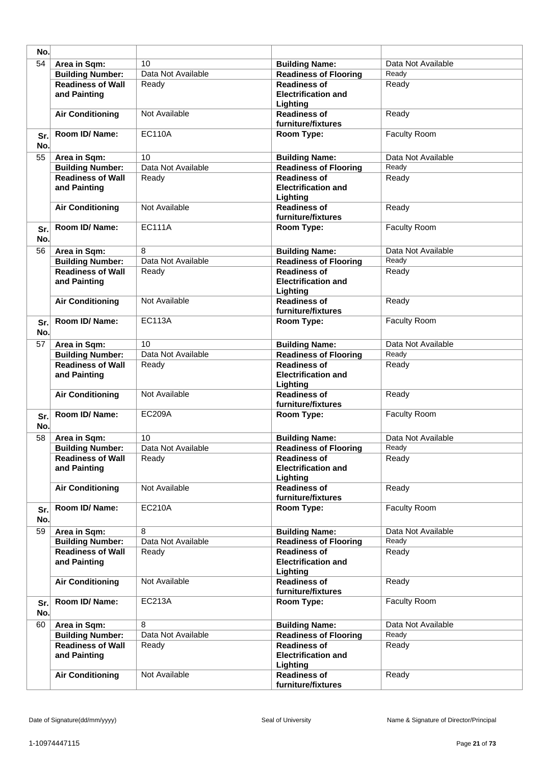| No.        |                                          |                    |                                                               |                    |
|------------|------------------------------------------|--------------------|---------------------------------------------------------------|--------------------|
| 54         | Area in Sqm:                             | 10                 | <b>Building Name:</b>                                         | Data Not Available |
|            | <b>Building Number:</b>                  | Data Not Available | <b>Readiness of Flooring</b>                                  | Ready              |
|            | <b>Readiness of Wall</b><br>and Painting | Ready              | <b>Readiness of</b><br><b>Electrification and</b><br>Lighting | Ready              |
|            | <b>Air Conditioning</b>                  | Not Available      | <b>Readiness of</b><br>furniture/fixtures                     | Ready              |
| Sr.<br>No. | Room ID/Name:                            | <b>EC110A</b>      | Room Type:                                                    | Faculty Room       |
| 55         | Area in Sqm:                             | 10                 | <b>Building Name:</b>                                         | Data Not Available |
|            | <b>Building Number:</b>                  | Data Not Available | <b>Readiness of Flooring</b>                                  | Ready              |
|            | <b>Readiness of Wall</b><br>and Painting | Ready              | <b>Readiness of</b><br><b>Electrification and</b><br>Lighting | Ready              |
|            | <b>Air Conditioning</b>                  | Not Available      | <b>Readiness of</b><br>furniture/fixtures                     | Ready              |
| Sr.<br>No. | Room ID/Name:                            | <b>EC111A</b>      | Room Type:                                                    | Faculty Room       |
| 56         | Area in Sqm:                             | 8                  | <b>Building Name:</b>                                         | Data Not Available |
|            | <b>Building Number:</b>                  | Data Not Available | <b>Readiness of Flooring</b>                                  | Ready              |
|            | <b>Readiness of Wall</b><br>and Painting | Ready              | <b>Readiness of</b><br><b>Electrification and</b><br>Lighting | Ready              |
|            | <b>Air Conditioning</b>                  | Not Available      | <b>Readiness of</b><br>furniture/fixtures                     | Ready              |
| Sr.<br>No. | Room ID/Name:                            | <b>EC113A</b>      | Room Type:                                                    | Faculty Room       |
| 57         | Area in Sqm:                             | 10                 | <b>Building Name:</b>                                         | Data Not Available |
|            | <b>Building Number:</b>                  | Data Not Available | <b>Readiness of Flooring</b>                                  | Ready              |
|            | <b>Readiness of Wall</b><br>and Painting | Ready              | <b>Readiness of</b><br><b>Electrification and</b><br>Lighting | Ready              |
|            | <b>Air Conditioning</b>                  | Not Available      | <b>Readiness of</b><br>furniture/fixtures                     | Ready              |
| Sr.<br>No. | Room ID/ Name:                           | <b>EC209A</b>      | Room Type:                                                    | Faculty Room       |
| 58         | Area in Sqm:                             | 10                 | <b>Building Name:</b>                                         | Data Not Available |
|            | <b>Building Number:</b>                  | Data Not Available | <b>Readiness of Flooring</b>                                  | Ready              |
|            | <b>Readiness of Wall</b><br>and Painting | Ready              | <b>Readiness of</b><br><b>Electrification and</b><br>Lighting | Ready              |
|            | <b>Air Conditioning</b>                  | Not Available      | <b>Readiness of</b><br>furniture/fixtures                     | Ready              |
| Sr.<br>No. | Room ID/Name:                            | <b>EC210A</b>      | Room Type:                                                    | Faculty Room       |
| 59         | Area in Sqm:                             | 8                  | <b>Building Name:</b>                                         | Data Not Available |
|            | <b>Building Number:</b>                  | Data Not Available | <b>Readiness of Flooring</b>                                  | Ready              |
|            | <b>Readiness of Wall</b><br>and Painting | Ready              | <b>Readiness of</b><br><b>Electrification and</b><br>Lighting | Ready              |
|            | <b>Air Conditioning</b>                  | Not Available      | <b>Readiness of</b><br>furniture/fixtures                     | Ready              |
| Sr.<br>No. | Room ID/ Name:                           | EC213A             | Room Type:                                                    | Faculty Room       |
| 60         | Area in Sqm:                             | 8                  | <b>Building Name:</b>                                         | Data Not Available |
|            | <b>Building Number:</b>                  | Data Not Available | <b>Readiness of Flooring</b>                                  | Ready              |
|            | <b>Readiness of Wall</b><br>and Painting | Ready              | <b>Readiness of</b><br><b>Electrification and</b><br>Lighting | Ready              |
|            | <b>Air Conditioning</b>                  | Not Available      | <b>Readiness of</b><br>furniture/fixtures                     | Ready              |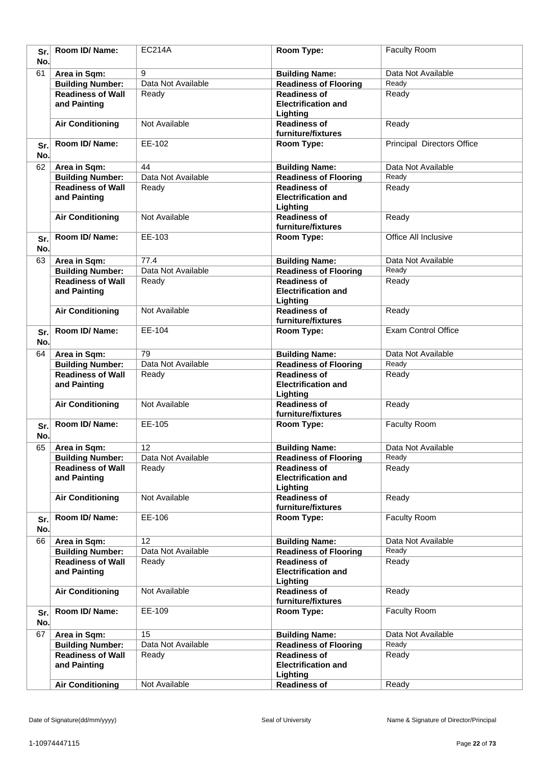| Sr.<br>No. | Room ID/ Name:                           | <b>EC214A</b>      | Room Type:                                                    | Faculty Room                      |
|------------|------------------------------------------|--------------------|---------------------------------------------------------------|-----------------------------------|
| 61         | Area in Sqm:                             | 9                  | <b>Building Name:</b>                                         | Data Not Available                |
|            | <b>Building Number:</b>                  | Data Not Available | <b>Readiness of Flooring</b>                                  | Ready                             |
|            | <b>Readiness of Wall</b>                 | Ready              | <b>Readiness of</b>                                           | Ready                             |
|            | and Painting                             |                    | <b>Electrification and</b><br>Lighting                        |                                   |
|            | <b>Air Conditioning</b>                  | Not Available      | <b>Readiness of</b><br>furniture/fixtures                     | Ready                             |
| Sr.<br>No. | Room ID/ Name:                           | EE-102             | Room Type:                                                    | <b>Principal Directors Office</b> |
| 62         | Area in Sqm:                             | 44                 | <b>Building Name:</b>                                         | Data Not Available                |
|            | <b>Building Number:</b>                  | Data Not Available | <b>Readiness of Flooring</b>                                  | Ready                             |
|            | <b>Readiness of Wall</b>                 | Ready              | <b>Readiness of</b>                                           | Ready                             |
|            | and Painting                             |                    | <b>Electrification and</b><br>Lighting                        |                                   |
|            | <b>Air Conditioning</b>                  | Not Available      | <b>Readiness of</b><br>furniture/fixtures                     | Ready                             |
| Sr.<br>No. | Room ID/Name:                            | EE-103             | Room Type:                                                    | Office All Inclusive              |
| 63         | Area in Sqm:                             | 77.4               | <b>Building Name:</b>                                         | Data Not Available                |
|            | <b>Building Number:</b>                  | Data Not Available | <b>Readiness of Flooring</b>                                  | Ready                             |
|            | <b>Readiness of Wall</b><br>and Painting | Ready              | <b>Readiness of</b><br><b>Electrification and</b><br>Lighting | Ready                             |
|            | <b>Air Conditioning</b>                  | Not Available      | <b>Readiness of</b>                                           | Ready                             |
| Sr.        | Room ID/Name:                            | EE-104             | furniture/fixtures<br>Room Type:                              | <b>Exam Control Office</b>        |
| No.        |                                          |                    |                                                               |                                   |
| 64         | Area in Sqm:                             | 79                 | <b>Building Name:</b>                                         | Data Not Available                |
|            | <b>Building Number:</b>                  | Data Not Available | <b>Readiness of Flooring</b>                                  | Ready                             |
|            | <b>Readiness of Wall</b><br>and Painting | Ready              | <b>Readiness of</b><br><b>Electrification and</b><br>Lighting | Ready                             |
|            | <b>Air Conditioning</b>                  | Not Available      | <b>Readiness of</b><br>furniture/fixtures                     | Ready                             |
| Sr.<br>No. | Room ID/Name:                            | EE-105             | Room Type:                                                    | Faculty Room                      |
| 65         | Area in Sqm:                             | 12                 | <b>Building Name:</b>                                         | Data Not Available                |
|            | <b>Building Number:</b>                  | Data Not Available | <b>Readiness of Flooring</b>                                  | Ready                             |
|            | <b>Readiness of Wall</b><br>and Painting | Ready              | <b>Readiness of</b><br><b>Electrification and</b>             | Ready                             |
|            | <b>Air Conditioning</b>                  | Not Available      | Lighting<br><b>Readiness of</b>                               | Ready                             |
|            |                                          |                    | furniture/fixtures                                            |                                   |
| Sr.<br>No. | Room ID/Name:                            | EE-106             | Room Type:                                                    | Faculty Room                      |
| 66         | Area in Sqm:                             | 12                 | <b>Building Name:</b>                                         | Data Not Available                |
|            | <b>Building Number:</b>                  | Data Not Available | <b>Readiness of Flooring</b>                                  | Ready                             |
|            | <b>Readiness of Wall</b><br>and Painting | Ready              | <b>Readiness of</b><br><b>Electrification and</b><br>Lighting | Ready                             |
|            | <b>Air Conditioning</b>                  | Not Available      | <b>Readiness of</b><br>furniture/fixtures                     | Ready                             |
| Sr.<br>No. | Room ID/Name:                            | EE-109             | Room Type:                                                    | Faculty Room                      |
| 67         | Area in Sqm:                             | 15                 | <b>Building Name:</b>                                         | Data Not Available                |
|            | <b>Building Number:</b>                  | Data Not Available | <b>Readiness of Flooring</b>                                  | Ready                             |
|            | <b>Readiness of Wall</b><br>and Painting | Ready              | <b>Readiness of</b><br><b>Electrification and</b><br>Lighting | Ready                             |
|            | <b>Air Conditioning</b>                  | Not Available      | <b>Readiness of</b>                                           | Ready                             |
|            |                                          |                    |                                                               |                                   |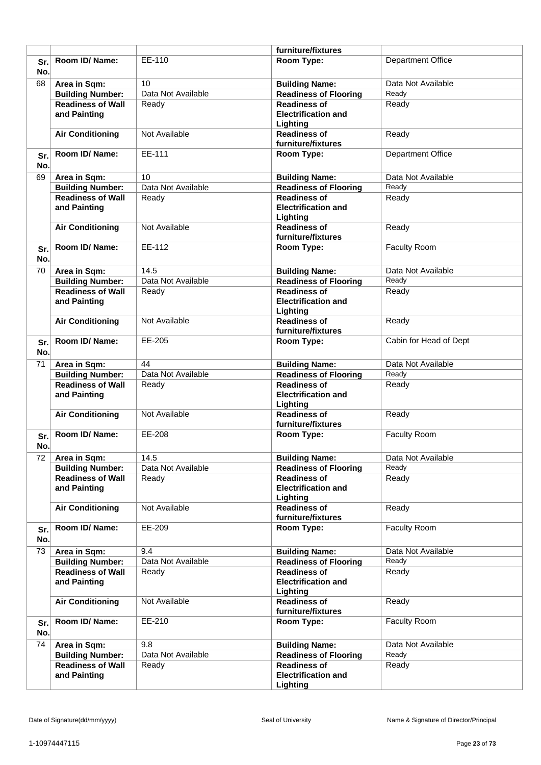|            |                                          |                    | furniture/fixtures                                            |                          |
|------------|------------------------------------------|--------------------|---------------------------------------------------------------|--------------------------|
| Sr.        | Room ID/Name:                            | EE-110             | Room Type:                                                    | <b>Department Office</b> |
| No.        |                                          |                    |                                                               |                          |
| 68         | Area in Sqm:                             | 10                 | <b>Building Name:</b>                                         | Data Not Available       |
|            | <b>Building Number:</b>                  | Data Not Available | <b>Readiness of Flooring</b>                                  | Ready                    |
|            | <b>Readiness of Wall</b>                 | Ready              | <b>Readiness of</b>                                           | Ready                    |
|            | and Painting                             |                    | <b>Electrification and</b><br>Lighting                        |                          |
|            | <b>Air Conditioning</b>                  | Not Available      | <b>Readiness of</b><br>furniture/fixtures                     | Ready                    |
| Sr.<br>No. | Room ID/Name:                            | EE-111             | Room Type:                                                    | <b>Department Office</b> |
| 69         | Area in Sqm:                             | 10                 | <b>Building Name:</b>                                         | Data Not Available       |
|            | <b>Building Number:</b>                  | Data Not Available | <b>Readiness of Flooring</b>                                  | Ready                    |
|            | <b>Readiness of Wall</b>                 | Ready              | <b>Readiness of</b>                                           | Ready                    |
|            | and Painting                             |                    | <b>Electrification and</b><br>Lighting                        |                          |
|            | <b>Air Conditioning</b>                  | Not Available      | <b>Readiness of</b><br>furniture/fixtures                     | Ready                    |
| Sr.        | Room ID/Name:                            | EE-112             | Room Type:                                                    | Faculty Room             |
| No.        |                                          |                    |                                                               |                          |
| 70         | Area in Sqm:                             | 14.5               | <b>Building Name:</b>                                         | Data Not Available       |
|            | <b>Building Number:</b>                  | Data Not Available | <b>Readiness of Flooring</b>                                  | Ready                    |
|            | <b>Readiness of Wall</b><br>and Painting | Ready              | <b>Readiness of</b><br><b>Electrification and</b><br>Lighting | Ready                    |
|            | <b>Air Conditioning</b>                  | Not Available      | <b>Readiness of</b><br>furniture/fixtures                     | Ready                    |
| Sr.<br>No. | Room ID/Name:                            | EE-205             | Room Type:                                                    | Cabin for Head of Dept   |
| 71         | Area in Sqm:                             | 44                 | <b>Building Name:</b>                                         | Data Not Available       |
|            | <b>Building Number:</b>                  | Data Not Available | <b>Readiness of Flooring</b>                                  | Ready                    |
|            | <b>Readiness of Wall</b><br>and Painting | Ready              | <b>Readiness of</b><br><b>Electrification and</b><br>Lighting | Ready                    |
|            | <b>Air Conditioning</b>                  | Not Available      | <b>Readiness of</b><br>furniture/fixtures                     | Ready                    |
| Sr.<br>No. | Room ID/Name:                            | EE-208             | Room Type:                                                    | <b>Faculty Room</b>      |
| 72         | Area in Sqm:                             | 14.5               | <b>Building Name:</b>                                         | Data Not Available       |
|            | <b>Building Number:</b>                  | Data Not Available | <b>Readiness of Flooring</b>                                  | Ready                    |
|            | <b>Readiness of Wall</b><br>and Painting | Ready              | <b>Readiness of</b><br><b>Electrification and</b><br>Lighting | Ready                    |
|            | <b>Air Conditioning</b>                  | Not Available      | <b>Readiness of</b>                                           | Ready                    |
|            | Room ID/ Name:                           | EE-209             | furniture/fixtures                                            | Faculty Room             |
| Sr.<br>No. |                                          |                    | Room Type:                                                    |                          |
| 73         | Area in Sqm:                             | 9.4                | <b>Building Name:</b>                                         | Data Not Available       |
|            | <b>Building Number:</b>                  | Data Not Available | <b>Readiness of Flooring</b>                                  | Ready                    |
|            | <b>Readiness of Wall</b><br>and Painting | Ready              | <b>Readiness of</b><br><b>Electrification and</b><br>Lighting | Ready                    |
|            | <b>Air Conditioning</b>                  | Not Available      | <b>Readiness of</b><br>furniture/fixtures                     | Ready                    |
| Sr.<br>No. | Room ID/ Name:                           | EE-210             | Room Type:                                                    | Faculty Room             |
| 74         | Area in Sqm:                             | 9.8                | <b>Building Name:</b>                                         | Data Not Available       |
|            | <b>Building Number:</b>                  | Data Not Available | <b>Readiness of Flooring</b>                                  | Ready                    |
|            | <b>Readiness of Wall</b><br>and Painting | Ready              | <b>Readiness of</b><br><b>Electrification and</b><br>Lighting | Ready                    |
|            |                                          |                    |                                                               |                          |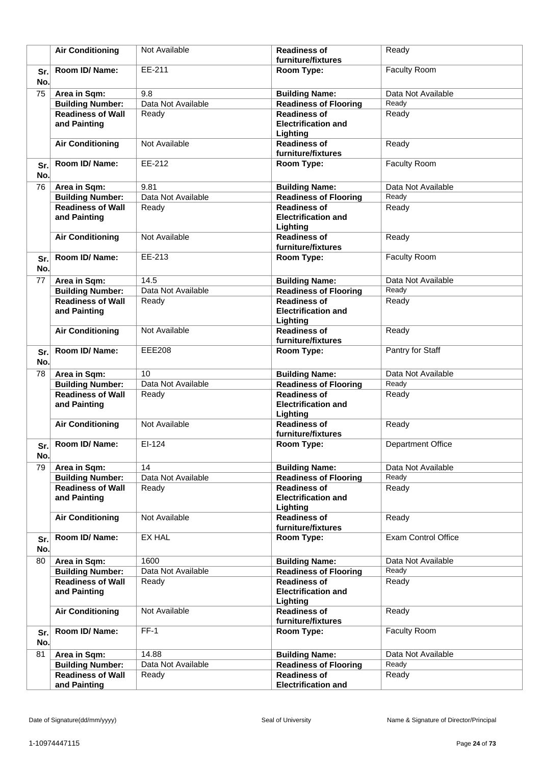|            | <b>Air Conditioning</b>                  | Not Available      | <b>Readiness of</b><br>furniture/fixtures                     | Ready                      |
|------------|------------------------------------------|--------------------|---------------------------------------------------------------|----------------------------|
|            | Room ID/ Name:                           | EE-211             | Room Type:                                                    | Faculty Room               |
| Sr.<br>No. |                                          |                    |                                                               |                            |
| 75         | Area in Sqm:                             | 9.8                | <b>Building Name:</b>                                         | Data Not Available         |
|            | <b>Building Number:</b>                  | Data Not Available | <b>Readiness of Flooring</b>                                  | Ready                      |
|            | <b>Readiness of Wall</b><br>and Painting | Ready              | <b>Readiness of</b><br><b>Electrification and</b><br>Lighting | Ready                      |
|            | <b>Air Conditioning</b>                  | Not Available      | <b>Readiness of</b><br>furniture/fixtures                     | Ready                      |
| Sr.<br>No. | Room ID/Name:                            | EE-212             | Room Type:                                                    | Faculty Room               |
| 76         | Area in Sqm:                             | 9.81               | <b>Building Name:</b>                                         | Data Not Available         |
|            | <b>Building Number:</b>                  | Data Not Available | <b>Readiness of Flooring</b>                                  | Ready                      |
|            | <b>Readiness of Wall</b><br>and Painting | Ready              | <b>Readiness of</b><br><b>Electrification and</b><br>Lighting | Ready                      |
|            | <b>Air Conditioning</b>                  | Not Available      | <b>Readiness of</b><br>furniture/fixtures                     | Ready                      |
| Sr.<br>No. | Room ID/Name:                            | EE-213             | Room Type:                                                    | Faculty Room               |
| 77         | Area in Sqm:                             | 14.5               | <b>Building Name:</b>                                         | Data Not Available         |
|            | <b>Building Number:</b>                  | Data Not Available | <b>Readiness of Flooring</b>                                  | Ready                      |
|            | <b>Readiness of Wall</b><br>and Painting | Ready              | <b>Readiness of</b><br><b>Electrification and</b><br>Lighting | Ready                      |
|            | <b>Air Conditioning</b>                  | Not Available      | <b>Readiness of</b><br>furniture/fixtures                     | Ready                      |
| Sr.<br>No. | Room ID/ Name:                           | <b>EEE208</b>      | Room Type:                                                    | Pantry for Staff           |
| 78         | Area in Sqm:                             | 10                 | <b>Building Name:</b>                                         | Data Not Available         |
|            | <b>Building Number:</b>                  | Data Not Available | <b>Readiness of Flooring</b>                                  | Ready                      |
|            | <b>Readiness of Wall</b><br>and Painting | Ready              | <b>Readiness of</b><br><b>Electrification and</b><br>Lighting | Ready                      |
|            | <b>Air Conditioning</b>                  | Not Available      | <b>Readiness of</b><br>furniture/fixtures                     | Ready                      |
| Sr.<br>No. | Room ID/ Name:                           | EI-124             | Room Type:                                                    | <b>Department Office</b>   |
| 79         | Area in Sqm:                             | 14                 | <b>Building Name:</b>                                         | Data Not Available         |
|            | <b>Building Number:</b>                  | Data Not Available | <b>Readiness of Flooring</b>                                  | Ready                      |
|            | <b>Readiness of Wall</b><br>and Painting | Ready              | <b>Readiness of</b><br><b>Electrification and</b><br>Lighting | Ready                      |
|            | <b>Air Conditioning</b>                  | Not Available      | <b>Readiness of</b><br>furniture/fixtures                     | Ready                      |
| Sr.<br>No. | Room ID/Name:                            | <b>EX HAL</b>      | Room Type:                                                    | <b>Exam Control Office</b> |
| 80         | Area in Sqm:                             | 1600               | <b>Building Name:</b>                                         | Data Not Available         |
|            | <b>Building Number:</b>                  | Data Not Available | <b>Readiness of Flooring</b>                                  | Ready                      |
|            | <b>Readiness of Wall</b><br>and Painting | Ready              | <b>Readiness of</b><br><b>Electrification and</b><br>Lighting | Ready                      |
|            | <b>Air Conditioning</b>                  | Not Available      | <b>Readiness of</b><br>furniture/fixtures                     | Ready                      |
| Sr.<br>No. | Room ID/ Name:                           | $FF-1$             | Room Type:                                                    | Faculty Room               |
| 81         | Area in Sqm:                             | 14.88              | <b>Building Name:</b>                                         | Data Not Available         |
|            | <b>Building Number:</b>                  | Data Not Available | <b>Readiness of Flooring</b>                                  | Ready                      |
|            | <b>Readiness of Wall</b>                 | Ready              | <b>Readiness of</b>                                           | Ready                      |
|            | and Painting                             |                    | <b>Electrification and</b>                                    |                            |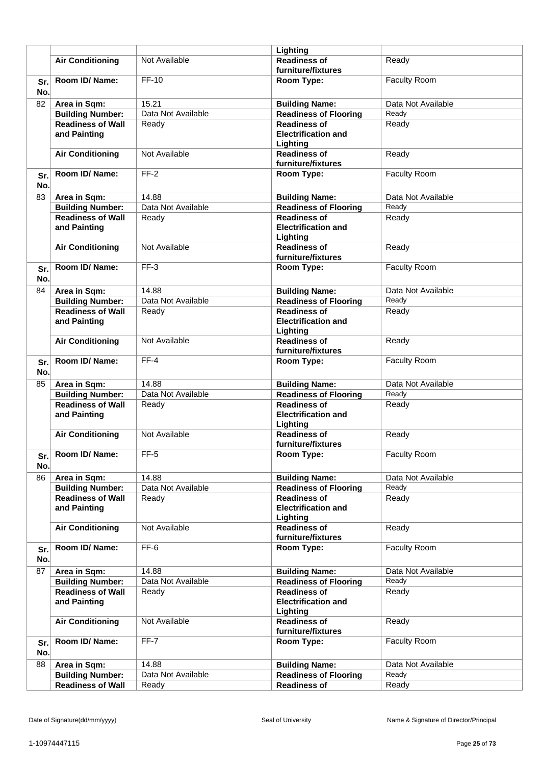|            |                                          |                    | Lighting                                                      |                     |
|------------|------------------------------------------|--------------------|---------------------------------------------------------------|---------------------|
|            | <b>Air Conditioning</b>                  | Not Available      | <b>Readiness of</b><br>furniture/fixtures                     | Ready               |
| Sr.<br>No. | Room ID/Name:                            | <b>FF-10</b>       | Room Type:                                                    | Faculty Room        |
| 82         | Area in Sqm:                             | 15.21              | <b>Building Name:</b>                                         | Data Not Available  |
|            | <b>Building Number:</b>                  | Data Not Available | <b>Readiness of Flooring</b>                                  | Ready               |
|            | <b>Readiness of Wall</b><br>and Painting | Ready              | <b>Readiness of</b><br><b>Electrification and</b><br>Lighting | Ready               |
|            | <b>Air Conditioning</b>                  | Not Available      | <b>Readiness of</b><br>furniture/fixtures                     | Ready               |
| Sr.<br>No. | Room ID/ Name:                           | $FF-2$             | Room Type:                                                    | Faculty Room        |
| 83         | Area in Sqm:                             | 14.88              | <b>Building Name:</b>                                         | Data Not Available  |
|            | <b>Building Number:</b>                  | Data Not Available | <b>Readiness of Flooring</b>                                  | Ready               |
|            | <b>Readiness of Wall</b><br>and Painting | Ready              | <b>Readiness of</b><br><b>Electrification and</b><br>Lighting | Ready               |
|            | <b>Air Conditioning</b>                  | Not Available      | <b>Readiness of</b><br>furniture/fixtures                     | Ready               |
| Sr.<br>No. | Room ID/ Name:                           | $FF-3$             | Room Type:                                                    | <b>Faculty Room</b> |
| 84         | Area in Sqm:                             | 14.88              | <b>Building Name:</b>                                         | Data Not Available  |
|            | <b>Building Number:</b>                  | Data Not Available | <b>Readiness of Flooring</b>                                  | Ready               |
|            | <b>Readiness of Wall</b>                 | Ready              | <b>Readiness of</b>                                           | Ready               |
|            | and Painting                             |                    | <b>Electrification and</b><br>Lighting                        |                     |
|            | <b>Air Conditioning</b>                  | Not Available      | <b>Readiness of</b><br>furniture/fixtures                     | Ready               |
| Sr.<br>No. | Room ID/Name:                            | $FF-4$             | Room Type:                                                    | Faculty Room        |
| 85         | Area in Sqm:                             | 14.88              | <b>Building Name:</b>                                         | Data Not Available  |
|            | <b>Building Number:</b>                  | Data Not Available | <b>Readiness of Flooring</b>                                  | Ready               |
|            | <b>Readiness of Wall</b><br>and Painting | Ready              | <b>Readiness of</b><br><b>Electrification and</b><br>Lighting | Ready               |
|            | <b>Air Conditioning</b>                  | Not Available      | <b>Readiness of</b><br>furniture/fixtures                     | Ready               |
| Sr.<br>No. | Room ID/ Name:                           | $FF-5$             | Room Type:                                                    | Faculty Room        |
| 86         | Area in Sqm:                             | 14.88              | <b>Building Name:</b>                                         | Data Not Available  |
|            | <b>Building Number:</b>                  | Data Not Available | <b>Readiness of Flooring</b>                                  | Ready               |
|            | <b>Readiness of Wall</b><br>and Painting | Ready              | <b>Readiness of</b><br><b>Electrification and</b><br>Lighting | Ready               |
|            | <b>Air Conditioning</b>                  | Not Available      | <b>Readiness of</b><br>furniture/fixtures                     | Ready               |
| Sr.<br>No. | Room ID/ Name:                           | FF-6               | Room Type:                                                    | Faculty Room        |
| 87         | Area in Sqm:                             | 14.88              | <b>Building Name:</b>                                         | Data Not Available  |
|            | <b>Building Number:</b>                  | Data Not Available | <b>Readiness of Flooring</b>                                  | Ready               |
|            | <b>Readiness of Wall</b>                 | Ready              | <b>Readiness of</b>                                           | Ready               |
|            | and Painting                             |                    | <b>Electrification and</b><br>Lighting                        |                     |
|            | <b>Air Conditioning</b>                  | Not Available      | <b>Readiness of</b><br>furniture/fixtures                     | Ready               |
| Sr.<br>No. | Room ID/ Name:                           | $FF-7$             | Room Type:                                                    | Faculty Room        |
| 88         | Area in Sqm:                             | 14.88              | <b>Building Name:</b>                                         | Data Not Available  |
|            | <b>Building Number:</b>                  | Data Not Available | <b>Readiness of Flooring</b>                                  | Ready               |
|            | <b>Readiness of Wall</b>                 | Ready              | <b>Readiness of</b>                                           | Ready               |
|            |                                          |                    |                                                               |                     |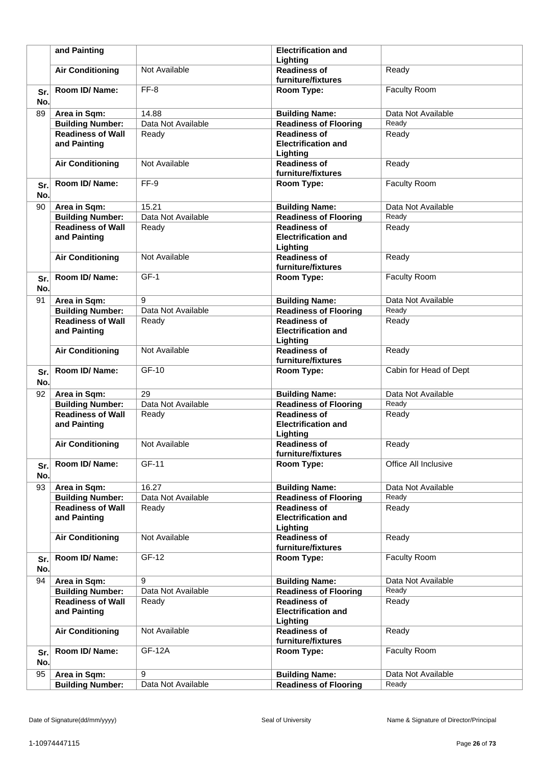|            | and Painting                                        |                             | <b>Electrification and</b>                            |                             |
|------------|-----------------------------------------------------|-----------------------------|-------------------------------------------------------|-----------------------------|
|            |                                                     |                             | Lighting                                              |                             |
|            | <b>Air Conditioning</b>                             | Not Available               | <b>Readiness of</b>                                   | Ready                       |
|            |                                                     |                             | furniture/fixtures                                    |                             |
| Sr.        | Room ID/ Name:                                      | FF-8                        | Room Type:                                            | <b>Faculty Room</b>         |
| No.        |                                                     |                             |                                                       |                             |
| 89         | Area in Sqm:                                        | 14.88                       | <b>Building Name:</b>                                 | Data Not Available          |
|            | <b>Building Number:</b>                             | Data Not Available          | <b>Readiness of Flooring</b>                          | Ready                       |
|            | <b>Readiness of Wall</b>                            | Ready                       | <b>Readiness of</b>                                   | Ready                       |
|            | and Painting                                        |                             | <b>Electrification and</b><br>Lighting                |                             |
|            | <b>Air Conditioning</b>                             | Not Available               | <b>Readiness of</b>                                   | Ready                       |
|            |                                                     |                             | furniture/fixtures                                    |                             |
| Sr.        | Room ID/ Name:                                      | FF-9                        | Room Type:                                            | Faculty Room                |
| No.        |                                                     |                             |                                                       |                             |
| 90         | Area in Sqm:                                        | 15.21                       | <b>Building Name:</b>                                 | Data Not Available          |
|            | <b>Building Number:</b>                             | Data Not Available          | <b>Readiness of Flooring</b>                          | Ready                       |
|            | <b>Readiness of Wall</b>                            | Ready                       | <b>Readiness of</b>                                   | Ready                       |
|            | and Painting                                        |                             | <b>Electrification and</b>                            |                             |
|            |                                                     |                             | Lighting                                              |                             |
|            | <b>Air Conditioning</b>                             | Not Available               | <b>Readiness of</b>                                   | Ready                       |
|            |                                                     |                             | furniture/fixtures                                    |                             |
| Sr.        | Room ID/ Name:                                      | $GF-1$                      | Room Type:                                            | <b>Faculty Room</b>         |
| No.        |                                                     |                             |                                                       |                             |
| 91         | Area in Sqm:                                        | 9                           | <b>Building Name:</b>                                 | Data Not Available          |
|            | <b>Building Number:</b>                             | Data Not Available          | <b>Readiness of Flooring</b>                          | Ready                       |
|            | <b>Readiness of Wall</b>                            | Ready                       | <b>Readiness of</b>                                   | Ready                       |
|            | and Painting                                        |                             | <b>Electrification and</b>                            |                             |
|            |                                                     |                             | Lighting                                              |                             |
|            | <b>Air Conditioning</b>                             | Not Available               | <b>Readiness of</b><br>furniture/fixtures             | Ready                       |
|            | Room ID/ Name:                                      | GF-10                       | Room Type:                                            | Cabin for Head of Dept      |
| Sr.<br>No. |                                                     |                             |                                                       |                             |
| 92         |                                                     | 29                          |                                                       | Data Not Available          |
|            | Area in Sqm:<br><b>Building Number:</b>             | Data Not Available          | <b>Building Name:</b><br><b>Readiness of Flooring</b> | Ready                       |
|            | <b>Readiness of Wall</b>                            | Ready                       | <b>Readiness of</b>                                   | Ready                       |
|            | and Painting                                        |                             | <b>Electrification and</b>                            |                             |
|            |                                                     |                             | Lighting                                              |                             |
|            | <b>Air Conditioning</b>                             | Not Available               | <b>Readiness of</b>                                   | Ready                       |
|            |                                                     |                             | furniture/fixtures                                    |                             |
| Sr.        | Room ID/ Name:                                      | GF-11                       | Room Type:                                            | Office All Inclusive        |
| No.        |                                                     |                             |                                                       |                             |
| 93         | Area in Sqm:                                        | 16.27                       | <b>Building Name:</b>                                 | Data Not Available          |
|            | <b>Building Number:</b>                             | Data Not Available          | <b>Readiness of Flooring</b>                          | Ready                       |
|            | <b>Readiness of Wall</b>                            | Ready                       | <b>Readiness of</b>                                   | Ready                       |
|            | and Painting                                        |                             | <b>Electrification and</b>                            |                             |
|            |                                                     |                             | Lighting                                              |                             |
|            | <b>Air Conditioning</b>                             | Not Available               | <b>Readiness of</b>                                   | Ready                       |
|            | Room ID/ Name:                                      | GF-12                       | furniture/fixtures<br>Room Type:                      | <b>Faculty Room</b>         |
| Sr.        |                                                     |                             |                                                       |                             |
| No.        |                                                     | 9                           |                                                       |                             |
| 94         | Area in Sqm:                                        |                             | <b>Building Name:</b>                                 | Data Not Available<br>Ready |
|            | <b>Building Number:</b><br><b>Readiness of Wall</b> | Data Not Available<br>Ready | <b>Readiness of Flooring</b><br><b>Readiness of</b>   | Ready                       |
|            | and Painting                                        |                             | <b>Electrification and</b>                            |                             |
|            |                                                     |                             | Lighting                                              |                             |
|            | <b>Air Conditioning</b>                             | Not Available               | <b>Readiness of</b>                                   | Ready                       |
|            |                                                     |                             | furniture/fixtures                                    |                             |
| Sr.        | Room ID/ Name:                                      | <b>GF-12A</b>               | Room Type:                                            | <b>Faculty Room</b>         |
| No.        |                                                     |                             |                                                       |                             |
| 95         | Area in Sqm:                                        | 9                           | <b>Building Name:</b>                                 | Data Not Available          |
|            | <b>Building Number:</b>                             | Data Not Available          | <b>Readiness of Flooring</b>                          | Ready                       |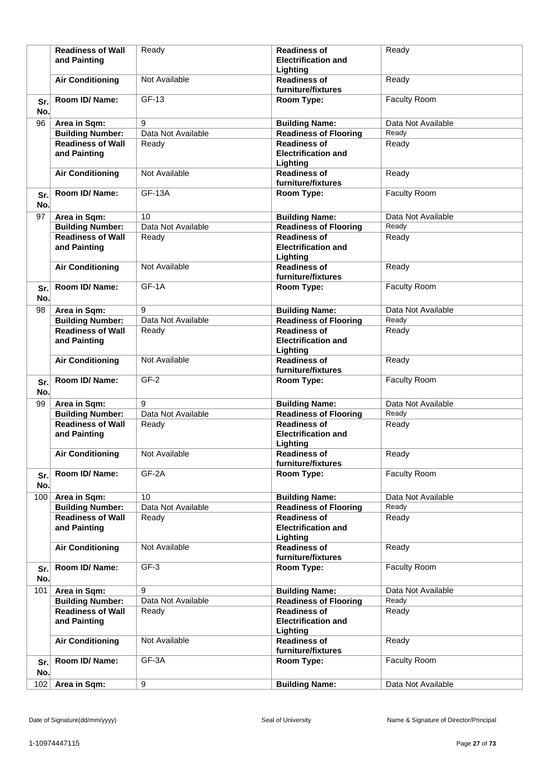|            | <b>Readiness of Wall</b><br>and Painting | Ready              | <b>Readiness of</b><br><b>Electrification and</b><br>Lighting | Ready               |
|------------|------------------------------------------|--------------------|---------------------------------------------------------------|---------------------|
|            | <b>Air Conditioning</b>                  | Not Available      | <b>Readiness of</b><br>furniture/fixtures                     | Ready               |
| Sr.<br>No. | Room ID/Name:                            | GF-13              | Room Type:                                                    | Faculty Room        |
| 96         | Area in Sqm:                             | 9                  | <b>Building Name:</b>                                         | Data Not Available  |
|            | <b>Building Number:</b>                  | Data Not Available | <b>Readiness of Flooring</b>                                  | Ready               |
|            | <b>Readiness of Wall</b><br>and Painting | Ready              | <b>Readiness of</b><br><b>Electrification and</b><br>Lighting | Ready               |
|            | <b>Air Conditioning</b>                  | Not Available      | <b>Readiness of</b><br>furniture/fixtures                     | Ready               |
| Sr.<br>No. | Room ID/Name:                            | <b>GF-13A</b>      | Room Type:                                                    | Faculty Room        |
| 97         | Area in Sqm:                             | 10                 | <b>Building Name:</b>                                         | Data Not Available  |
|            | <b>Building Number:</b>                  | Data Not Available | <b>Readiness of Flooring</b>                                  | Ready               |
|            | <b>Readiness of Wall</b><br>and Painting | Ready              | <b>Readiness of</b><br><b>Electrification and</b><br>Lighting | Ready               |
|            | <b>Air Conditioning</b>                  | Not Available      | <b>Readiness of</b><br>furniture/fixtures                     | Ready               |
| Sr.<br>No. | Room ID/Name:                            | GF-1A              | Room Type:                                                    | Faculty Room        |
| 98         | Area in Sqm:                             | 9                  | <b>Building Name:</b>                                         | Data Not Available  |
|            | <b>Building Number:</b>                  | Data Not Available | <b>Readiness of Flooring</b>                                  | Ready               |
|            | <b>Readiness of Wall</b><br>and Painting | Ready              | <b>Readiness of</b><br><b>Electrification and</b><br>Lighting | Ready               |
|            | <b>Air Conditioning</b>                  | Not Available      | <b>Readiness of</b><br>furniture/fixtures                     | Ready               |
| Sr.<br>No. | Room ID/ Name:                           | $GF-2$             | Room Type:                                                    | Faculty Room        |
| 99         | Area in Sqm:                             | 9                  | <b>Building Name:</b>                                         | Data Not Available  |
|            | <b>Building Number:</b>                  | Data Not Available | <b>Readiness of Flooring</b>                                  | Ready               |
|            | <b>Readiness of Wall</b><br>and Painting | Ready              | <b>Readiness of</b><br><b>Electrification and</b><br>Lighting | Ready               |
|            | <b>Air Conditioning</b>                  | Not Available      | <b>Readiness of</b><br>furniture/fixtures                     | Ready               |
| Sr.<br>No. | Room ID/Name:                            | GF-2A              | Room Type:                                                    | Faculty Room        |
| 100        | Area in Sqm:                             | 10                 | <b>Building Name:</b>                                         | Data Not Available  |
|            | <b>Building Number:</b>                  | Data Not Available | <b>Readiness of Flooring</b>                                  | Ready               |
|            | <b>Readiness of Wall</b><br>and Painting | Ready              | <b>Readiness of</b><br><b>Electrification and</b><br>Lighting | Ready               |
|            | <b>Air Conditioning</b>                  | Not Available      | <b>Readiness of</b><br>furniture/fixtures                     | Ready               |
| Sr.<br>No. | Room ID/Name:                            | $GF-3$             | Room Type:                                                    | <b>Faculty Room</b> |
| 101        | Area in Sqm:                             | 9                  | <b>Building Name:</b>                                         | Data Not Available  |
|            | <b>Building Number:</b>                  | Data Not Available | <b>Readiness of Flooring</b>                                  | Ready               |
|            | <b>Readiness of Wall</b><br>and Painting | Ready              | <b>Readiness of</b><br><b>Electrification and</b><br>Lighting | Ready               |
|            | <b>Air Conditioning</b>                  | Not Available      | <b>Readiness of</b><br>furniture/fixtures                     | Ready               |
| Sr.<br>No. | Room ID/ Name:                           | GF-3A              | Room Type:                                                    | Faculty Room        |
| 102        | Area in Sqm:                             | 9                  | <b>Building Name:</b>                                         | Data Not Available  |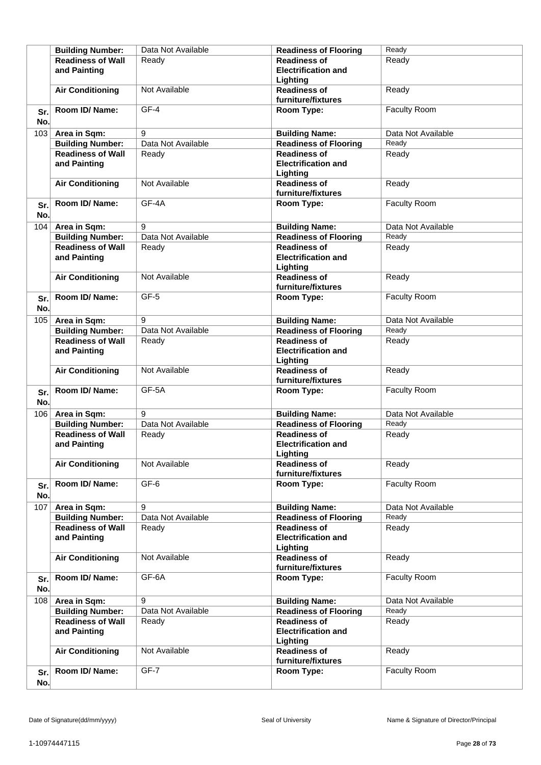|            | <b>Building Number:</b>                  | Data Not Available | <b>Readiness of Flooring</b>                                  | Ready               |
|------------|------------------------------------------|--------------------|---------------------------------------------------------------|---------------------|
|            | <b>Readiness of Wall</b><br>and Painting | Ready              | <b>Readiness of</b><br><b>Electrification and</b>             | Ready               |
|            |                                          |                    | Lighting                                                      |                     |
|            | <b>Air Conditioning</b>                  | Not Available      | <b>Readiness of</b><br>furniture/fixtures                     | Ready               |
| Sr.<br>No. | Room ID/Name:                            | GF-4               | Room Type:                                                    | Faculty Room        |
| 103        | Area in Sqm:                             | 9                  | <b>Building Name:</b>                                         | Data Not Available  |
|            | <b>Building Number:</b>                  | Data Not Available | <b>Readiness of Flooring</b>                                  | Ready               |
|            | <b>Readiness of Wall</b><br>and Painting | Ready              | <b>Readiness of</b><br><b>Electrification and</b><br>Lighting | Ready               |
|            | <b>Air Conditioning</b>                  | Not Available      | <b>Readiness of</b><br>furniture/fixtures                     | Ready               |
| Sr.<br>No. | Room ID/Name:                            | GF-4A              | Room Type:                                                    | <b>Faculty Room</b> |
| 104        | Area in Sqm:                             | 9                  | <b>Building Name:</b>                                         | Data Not Available  |
|            | <b>Building Number:</b>                  | Data Not Available | <b>Readiness of Flooring</b>                                  | Ready               |
|            | <b>Readiness of Wall</b><br>and Painting | Ready              | <b>Readiness of</b><br><b>Electrification and</b><br>Lighting | Ready               |
|            | <b>Air Conditioning</b>                  | Not Available      | <b>Readiness of</b><br>furniture/fixtures                     | Ready               |
| Sr.<br>No. | Room ID/Name:                            | GF-5               | Room Type:                                                    | <b>Faculty Room</b> |
| 105        | Area in Sqm:                             | 9                  | <b>Building Name:</b>                                         | Data Not Available  |
|            | <b>Building Number:</b>                  | Data Not Available | <b>Readiness of Flooring</b>                                  | Ready               |
|            | <b>Readiness of Wall</b><br>and Painting | Ready              | <b>Readiness of</b><br><b>Electrification and</b><br>Lighting | Ready               |
|            | <b>Air Conditioning</b>                  | Not Available      | <b>Readiness of</b><br>furniture/fixtures                     | Ready               |
| Sr.<br>No. | Room ID/Name:                            | GF-5A              | Room Type:                                                    | Faculty Room        |
| 106        | Area in Sqm:                             | 9                  | <b>Building Name:</b>                                         | Data Not Available  |
|            | <b>Building Number:</b>                  | Data Not Available | <b>Readiness of Flooring</b>                                  | Ready               |
|            | <b>Readiness of Wall</b><br>and Painting | Ready              | <b>Readiness of</b><br><b>Electrification and</b><br>Lighting | Ready               |
|            | <b>Air Conditioning</b>                  | Not Available      | <b>Readiness of</b><br>furniture/fixtures                     | Ready               |
| Sr.<br>No. | Room ID/ Name:                           | GF-6               | Room Type:                                                    | Faculty Room        |
| 107        | Area in Sqm:                             | 9                  | <b>Building Name:</b>                                         | Data Not Available  |
|            | <b>Building Number:</b>                  | Data Not Available | <b>Readiness of Flooring</b>                                  | Ready               |
|            | <b>Readiness of Wall</b><br>and Painting | Ready              | <b>Readiness of</b><br><b>Electrification and</b><br>Lighting | Ready               |
|            | <b>Air Conditioning</b>                  | Not Available      | <b>Readiness of</b><br>furniture/fixtures                     | Ready               |
| Sr.<br>No. | Room ID/ Name:                           | GF-6A              | Room Type:                                                    | Faculty Room        |
| 108        | Area in Sqm:                             | 9                  | <b>Building Name:</b>                                         | Data Not Available  |
|            | <b>Building Number:</b>                  | Data Not Available | <b>Readiness of Flooring</b>                                  | Ready               |
|            | <b>Readiness of Wall</b><br>and Painting | Ready              | <b>Readiness of</b><br><b>Electrification and</b><br>Lighting | Ready               |
|            | <b>Air Conditioning</b>                  | Not Available      | <b>Readiness of</b><br>furniture/fixtures                     | Ready               |
| Sr.<br>No. | Room ID/ Name:                           | GF-7               | Room Type:                                                    | Faculty Room        |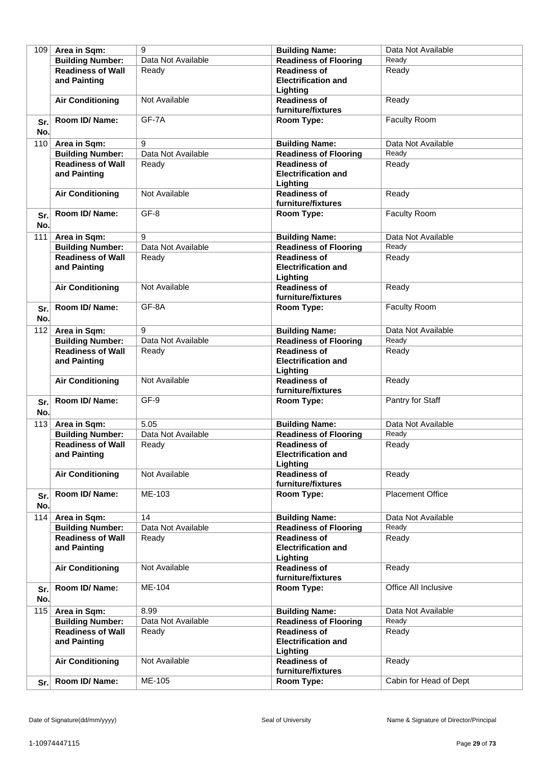| 109 | Area in Sqm:             | 9                  | <b>Building Name:</b>                     | Data Not Available      |
|-----|--------------------------|--------------------|-------------------------------------------|-------------------------|
|     | <b>Building Number:</b>  | Data Not Available | <b>Readiness of Flooring</b>              | Ready                   |
|     | <b>Readiness of Wall</b> | Ready              | <b>Readiness of</b>                       | Ready                   |
|     | and Painting             |                    | <b>Electrification and</b>                |                         |
|     |                          |                    | Lighting                                  |                         |
|     | <b>Air Conditioning</b>  | Not Available      | <b>Readiness of</b>                       | Ready                   |
|     |                          |                    | furniture/fixtures                        |                         |
| Sr. | Room ID/Name:            | GF-7A              | Room Type:                                | Faculty Room            |
| No. |                          |                    |                                           |                         |
|     |                          |                    |                                           |                         |
| 110 | Area in Sqm:             | 9                  | <b>Building Name:</b>                     | Data Not Available      |
|     | <b>Building Number:</b>  | Data Not Available | <b>Readiness of Flooring</b>              | Ready                   |
|     | <b>Readiness of Wall</b> | Ready              | <b>Readiness of</b>                       | Ready                   |
|     | and Painting             |                    | <b>Electrification and</b>                |                         |
|     |                          |                    | Lighting                                  |                         |
|     | <b>Air Conditioning</b>  | Not Available      | <b>Readiness of</b>                       | Ready                   |
|     |                          |                    | furniture/fixtures                        |                         |
| Sr. | Room ID/ Name:           | GF-8               | Room Type:                                | Faculty Room            |
| No. |                          |                    |                                           |                         |
| 111 | Area in Sqm:             | 9                  | <b>Building Name:</b>                     | Data Not Available      |
|     | <b>Building Number:</b>  | Data Not Available | <b>Readiness of Flooring</b>              | Ready                   |
|     | <b>Readiness of Wall</b> | Ready              | <b>Readiness of</b>                       | Ready                   |
|     | and Painting             |                    | <b>Electrification and</b>                |                         |
|     |                          |                    | Lighting                                  |                         |
|     | <b>Air Conditioning</b>  | Not Available      | <b>Readiness of</b>                       | Ready                   |
|     |                          |                    | furniture/fixtures                        |                         |
| Sr. | Room ID/ Name:           | GF-8A              | Room Type:                                | Faculty Room            |
| No. |                          |                    |                                           |                         |
|     |                          | 9                  |                                           | Data Not Available      |
| 112 | Area in Sqm:             | Data Not Available | <b>Building Name:</b>                     | Ready                   |
|     | <b>Building Number:</b>  |                    | <b>Readiness of Flooring</b>              |                         |
|     | <b>Readiness of Wall</b> | Ready              | <b>Readiness of</b>                       | Ready                   |
|     | and Painting             |                    | <b>Electrification and</b>                |                         |
|     |                          |                    | Lighting                                  |                         |
|     | <b>Air Conditioning</b>  | Not Available      | <b>Readiness of</b><br>furniture/fixtures | Ready                   |
|     | Room ID/ Name:           | GF-9               |                                           | Pantry for Staff        |
| Sr. |                          |                    | Room Type:                                |                         |
| No. |                          |                    |                                           |                         |
| 113 | Area in Sqm:             | 5.05               | <b>Building Name:</b>                     | Data Not Available      |
|     | <b>Building Number:</b>  | Data Not Available | <b>Readiness of Flooring</b>              | Ready                   |
|     | <b>Readiness of Wall</b> | Ready              | <b>Readiness of</b>                       | Ready                   |
|     | and Painting             |                    | <b>Electrification and</b>                |                         |
|     |                          |                    | Lighting                                  |                         |
|     | <b>Air Conditioning</b>  | Not Available      | <b>Readiness of</b>                       | Ready                   |
|     |                          |                    | furniture/fixtures                        |                         |
| Sr. | Room ID/Name:            | ME-103             | Room Type:                                | <b>Placement Office</b> |
| No. |                          |                    |                                           |                         |
| 114 | Area in Sqm:             | 14                 | <b>Building Name:</b>                     | Data Not Available      |
|     | <b>Building Number:</b>  | Data Not Available | <b>Readiness of Flooring</b>              | Ready                   |
|     | <b>Readiness of Wall</b> | Ready              | <b>Readiness of</b>                       | Ready                   |
|     | and Painting             |                    | <b>Electrification and</b>                |                         |
|     |                          |                    | Lighting                                  |                         |
|     | <b>Air Conditioning</b>  | Not Available      | <b>Readiness of</b>                       | Ready                   |
|     |                          |                    | furniture/fixtures                        |                         |
| Sr. | Room ID/Name:            | ME-104             | Room Type:                                | Office All Inclusive    |
| No. |                          |                    |                                           |                         |
| 115 | Area in Sqm:             | 8.99               | <b>Building Name:</b>                     | Data Not Available      |
|     | <b>Building Number:</b>  | Data Not Available | <b>Readiness of Flooring</b>              | Ready                   |
|     | <b>Readiness of Wall</b> | Ready              | <b>Readiness of</b>                       | Ready                   |
|     | and Painting             |                    | <b>Electrification and</b>                |                         |
|     |                          |                    | Lighting                                  |                         |
|     | <b>Air Conditioning</b>  | Not Available      | <b>Readiness of</b>                       | Ready                   |
|     |                          |                    | furniture/fixtures                        |                         |
| Sr. | Room ID/Name:            | ME-105             | Room Type:                                | Cabin for Head of Dept  |
|     |                          |                    |                                           |                         |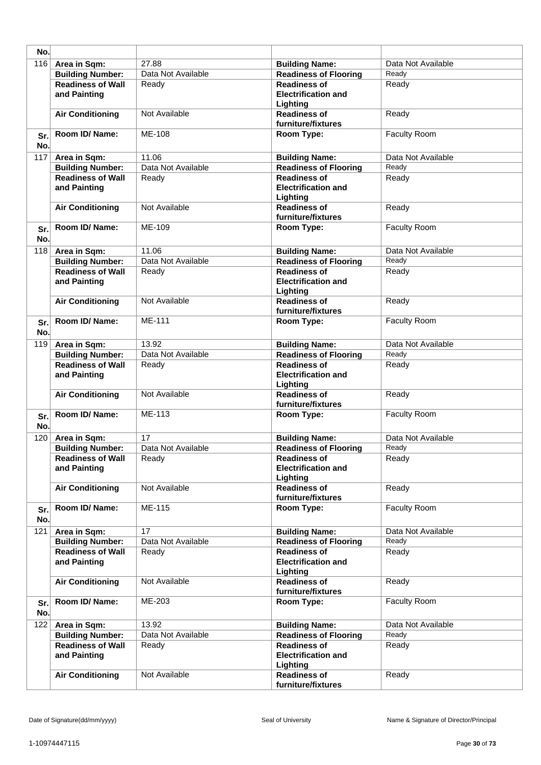| No.        |                                          |                    |                                                               |                     |
|------------|------------------------------------------|--------------------|---------------------------------------------------------------|---------------------|
| 116        | Area in Sqm:                             | 27.88              | <b>Building Name:</b>                                         | Data Not Available  |
|            | <b>Building Number:</b>                  | Data Not Available | <b>Readiness of Flooring</b>                                  | Ready               |
|            | Readiness of Wall<br>and Painting        | Ready              | <b>Readiness of</b><br><b>Electrification and</b><br>Lighting | Ready               |
|            | <b>Air Conditioning</b>                  | Not Available      | <b>Readiness of</b><br>furniture/fixtures                     | Ready               |
| Sr.<br>No. | Room ID/Name:                            | ME-108             | Room Type:                                                    | Faculty Room        |
| 117        | Area in Sqm:                             | 11.06              | <b>Building Name:</b>                                         | Data Not Available  |
|            | <b>Building Number:</b>                  | Data Not Available | <b>Readiness of Flooring</b>                                  | Ready               |
|            | <b>Readiness of Wall</b><br>and Painting | Ready              | <b>Readiness of</b><br><b>Electrification and</b><br>Lighting | Ready               |
|            | <b>Air Conditioning</b>                  | Not Available      | <b>Readiness of</b><br>furniture/fixtures                     | Ready               |
| Sr.<br>No. | Room ID/ Name:                           | ME-109             | Room Type:                                                    | Faculty Room        |
| 118        | Area in Sqm:                             | 11.06              | <b>Building Name:</b>                                         | Data Not Available  |
|            | <b>Building Number:</b>                  | Data Not Available | <b>Readiness of Flooring</b>                                  | Ready               |
|            | <b>Readiness of Wall</b><br>and Painting | Ready              | <b>Readiness of</b><br><b>Electrification and</b><br>Lighting | Ready               |
|            | <b>Air Conditioning</b>                  | Not Available      | <b>Readiness of</b><br>furniture/fixtures                     | Ready               |
| Sr.<br>No. | Room ID/Name:                            | ME-111             | Room Type:                                                    | Faculty Room        |
| 119        | Area in Sqm:                             | 13.92              | <b>Building Name:</b>                                         | Data Not Available  |
|            | <b>Building Number:</b>                  | Data Not Available | <b>Readiness of Flooring</b>                                  | Ready               |
|            | <b>Readiness of Wall</b><br>and Painting | Ready              | <b>Readiness of</b><br><b>Electrification and</b><br>Lighting | Ready               |
|            | <b>Air Conditioning</b>                  | Not Available      | <b>Readiness of</b><br>furniture/fixtures                     | Ready               |
| Sr.<br>No. | Room ID/Name:                            | ME-113             | Room Type:                                                    | Faculty Room        |
| 120        | Area in Sqm:                             | 17                 | <b>Building Name:</b>                                         | Data Not Available  |
|            | <b>Building Number:</b>                  | Data Not Available | <b>Readiness of Flooring</b>                                  | Ready               |
|            | <b>Readiness of Wall</b><br>and Painting | Ready              | <b>Readiness of</b><br><b>Electrification and</b><br>Lighting | Ready               |
|            | <b>Air Conditioning</b>                  | Not Available      | <b>Readiness of</b><br>furniture/fixtures                     | Ready               |
| Sr.<br>No. | Room ID/Name:                            | ME-115             | Room Type:                                                    | <b>Faculty Room</b> |
| 121        | Area in Sqm:                             | 17                 | <b>Building Name:</b>                                         | Data Not Available  |
|            | <b>Building Number:</b>                  | Data Not Available | <b>Readiness of Flooring</b>                                  | Ready               |
|            | <b>Readiness of Wall</b><br>and Painting | Ready              | <b>Readiness of</b><br><b>Electrification and</b><br>Lighting | Ready               |
|            | <b>Air Conditioning</b>                  | Not Available      | <b>Readiness of</b><br>furniture/fixtures                     | Ready               |
| Sr.<br>No. | Room ID/ Name:                           | ME-203             | Room Type:                                                    | Faculty Room        |
| 122        | Area in Sqm:                             | 13.92              | <b>Building Name:</b>                                         | Data Not Available  |
|            | <b>Building Number:</b>                  | Data Not Available | <b>Readiness of Flooring</b>                                  | Ready               |
|            | <b>Readiness of Wall</b><br>and Painting | Ready              | <b>Readiness of</b><br><b>Electrification and</b><br>Lighting | Ready               |
|            | <b>Air Conditioning</b>                  | Not Available      | <b>Readiness of</b><br>furniture/fixtures                     | Ready               |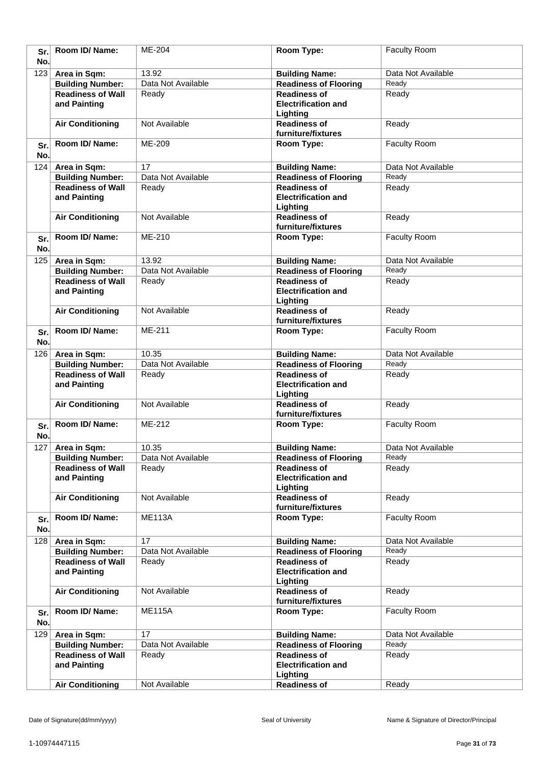| Sr.        | Room ID/Name:                                       | ME-204                      | Room Type:                                          | Faculty Room                |
|------------|-----------------------------------------------------|-----------------------------|-----------------------------------------------------|-----------------------------|
| No.        |                                                     |                             |                                                     |                             |
| 123        | Area in Sqm:                                        | 13.92                       | <b>Building Name:</b>                               | Data Not Available          |
|            | <b>Building Number:</b>                             | Data Not Available          | <b>Readiness of Flooring</b>                        | Ready                       |
|            | <b>Readiness of Wall</b>                            | Ready                       | <b>Readiness of</b>                                 | Ready                       |
|            | and Painting                                        |                             | <b>Electrification and</b>                          |                             |
|            |                                                     |                             | Lighting                                            |                             |
|            | <b>Air Conditioning</b>                             | Not Available               | <b>Readiness of</b>                                 | Ready                       |
|            |                                                     |                             | furniture/fixtures                                  |                             |
| Sr.        | Room ID/Name:                                       | ME-209                      | Room Type:                                          | Faculty Room                |
| No.        |                                                     |                             |                                                     |                             |
| 124        | Area in Sqm:                                        | $\overline{17}$             | <b>Building Name:</b>                               | Data Not Available          |
|            | <b>Building Number:</b>                             | Data Not Available          | <b>Readiness of Flooring</b>                        | Ready                       |
|            | <b>Readiness of Wall</b>                            | Ready                       | <b>Readiness of</b>                                 | Ready                       |
|            | and Painting                                        |                             | <b>Electrification and</b>                          |                             |
|            |                                                     |                             | Lighting                                            |                             |
|            | <b>Air Conditioning</b>                             | Not Available               | <b>Readiness of</b>                                 | Ready                       |
|            | Room ID/Name:                                       | ME-210                      | furniture/fixtures                                  | Faculty Room                |
| Sr.        |                                                     |                             | Room Type:                                          |                             |
| No.        |                                                     |                             |                                                     |                             |
| 125        | Area in Sqm:                                        | 13.92                       | <b>Building Name:</b>                               | Data Not Available          |
|            | <b>Building Number:</b>                             | Data Not Available          | <b>Readiness of Flooring</b>                        | Ready                       |
|            | <b>Readiness of Wall</b>                            | Ready                       | <b>Readiness of</b>                                 | Ready                       |
|            | and Painting                                        |                             | <b>Electrification and</b>                          |                             |
|            | <b>Air Conditioning</b>                             | Not Available               | Lighting<br><b>Readiness of</b>                     | Ready                       |
|            |                                                     |                             | furniture/fixtures                                  |                             |
|            | Room ID/Name:                                       | ME-211                      | Room Type:                                          | Faculty Room                |
| Sr.<br>No. |                                                     |                             |                                                     |                             |
|            |                                                     |                             |                                                     |                             |
| 126        | Area in Sqm:                                        | 10.35<br>Data Not Available | <b>Building Name:</b>                               | Data Not Available<br>Ready |
|            | <b>Building Number:</b><br><b>Readiness of Wall</b> | Ready                       | <b>Readiness of Flooring</b><br><b>Readiness of</b> | Ready                       |
|            | and Painting                                        |                             | <b>Electrification and</b>                          |                             |
|            |                                                     |                             | Lighting                                            |                             |
|            | <b>Air Conditioning</b>                             | Not Available               | <b>Readiness of</b>                                 | Ready                       |
|            |                                                     |                             | furniture/fixtures                                  |                             |
| Sr.        | Room ID/Name:                                       | ME-212                      | Room Type:                                          | Faculty Room                |
| No.        |                                                     |                             |                                                     |                             |
| 127        | Area in Sqm:                                        | 10.35                       | <b>Building Name:</b>                               | Data Not Available          |
|            | <b>Building Number:</b>                             | Data Not Available          | <b>Readiness of Flooring</b>                        | Ready                       |
|            | <b>Readiness of Wall</b>                            | Ready                       | <b>Readiness of</b>                                 | Ready                       |
|            | and Painting                                        |                             | <b>Electrification and</b>                          |                             |
|            |                                                     |                             | Lighting                                            |                             |
|            | <b>Air Conditioning</b>                             | Not Available               | <b>Readiness of</b>                                 | Ready                       |
|            |                                                     |                             | furniture/fixtures                                  |                             |
| Sr.        | Room ID/ Name:                                      | <b>ME113A</b>               | Room Type:                                          | Faculty Room                |
| No.        |                                                     |                             |                                                     |                             |
| 128        | Area in Sqm:                                        | 17                          | <b>Building Name:</b>                               | Data Not Available          |
|            | <b>Building Number:</b>                             | Data Not Available          | <b>Readiness of Flooring</b>                        | Ready                       |
|            | <b>Readiness of Wall</b>                            | Ready                       | <b>Readiness of</b>                                 | Ready                       |
|            | and Painting                                        |                             | <b>Electrification and</b>                          |                             |
|            |                                                     |                             | Lighting                                            |                             |
|            | <b>Air Conditioning</b>                             | Not Available               | <b>Readiness of</b>                                 | Ready                       |
|            |                                                     |                             | furniture/fixtures                                  |                             |
| Sr.        | Room ID/Name:                                       | <b>ME115A</b>               | Room Type:                                          | Faculty Room                |
| No.        |                                                     |                             |                                                     |                             |
| 129        | Area in Sqm:                                        | 17                          | <b>Building Name:</b>                               | Data Not Available          |
|            | <b>Building Number:</b>                             | Data Not Available          | <b>Readiness of Flooring</b>                        | Ready                       |
|            | <b>Readiness of Wall</b>                            | Ready                       | <b>Readiness of</b>                                 | Ready                       |
|            | and Painting                                        |                             | <b>Electrification and</b>                          |                             |
|            |                                                     |                             | Lighting                                            |                             |
|            | <b>Air Conditioning</b>                             | Not Available               | <b>Readiness of</b>                                 | Ready                       |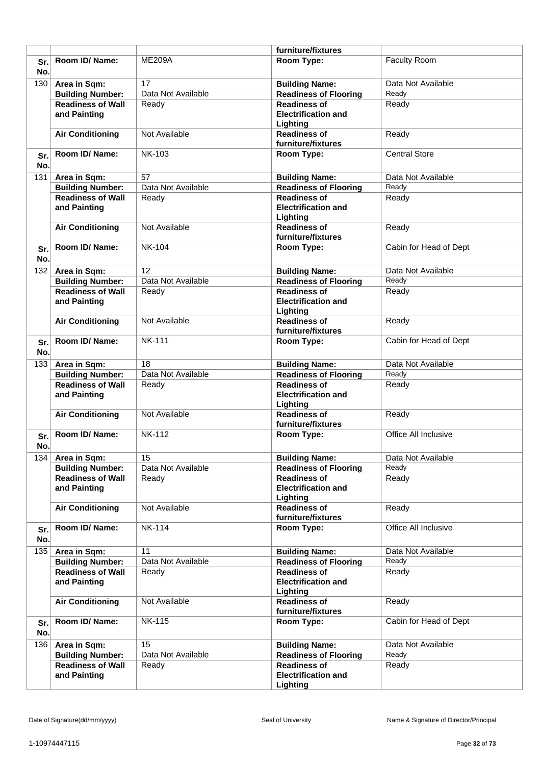|     |                          |                    | furniture/fixtures                     |                        |
|-----|--------------------------|--------------------|----------------------------------------|------------------------|
| Sr. | Room ID/Name:            | <b>ME209A</b>      | Room Type:                             | <b>Faculty Room</b>    |
| No. |                          |                    |                                        |                        |
|     |                          |                    |                                        |                        |
| 130 | Area in Sqm:             | 17                 | <b>Building Name:</b>                  | Data Not Available     |
|     | <b>Building Number:</b>  | Data Not Available | Readiness of Flooring                  | Ready                  |
|     | <b>Readiness of Wall</b> | Ready              | <b>Readiness of</b>                    | Ready                  |
|     | and Painting             |                    | <b>Electrification and</b>             |                        |
|     |                          |                    | Lighting                               |                        |
|     | <b>Air Conditioning</b>  | Not Available      | <b>Readiness of</b>                    | Ready                  |
|     |                          |                    | furniture/fixtures                     |                        |
| Sr. | Room ID/Name:            | NK-103             | Room Type:                             | <b>Central Store</b>   |
| No. |                          |                    |                                        |                        |
|     |                          | 57                 |                                        | Data Not Available     |
| 131 | Area in Sqm:             |                    | <b>Building Name:</b>                  |                        |
|     | <b>Building Number:</b>  | Data Not Available | <b>Readiness of Flooring</b>           | Ready                  |
|     | <b>Readiness of Wall</b> | Ready              | <b>Readiness of</b>                    | Ready                  |
|     | and Painting             |                    | <b>Electrification and</b>             |                        |
|     |                          |                    | Lighting                               |                        |
|     | <b>Air Conditioning</b>  | Not Available      | <b>Readiness of</b>                    | Ready                  |
|     |                          |                    | furniture/fixtures                     |                        |
| Sr. | Room ID/Name:            | <b>NK-104</b>      | Room Type:                             | Cabin for Head of Dept |
| No. |                          |                    |                                        |                        |
|     |                          | 12                 |                                        | Data Not Available     |
| 132 | Area in Sqm:             |                    | <b>Building Name:</b>                  |                        |
|     | <b>Building Number:</b>  | Data Not Available | <b>Readiness of Flooring</b>           | Ready                  |
|     | <b>Readiness of Wall</b> | Ready              | <b>Readiness of</b>                    | Ready                  |
|     | and Painting             |                    | <b>Electrification and</b>             |                        |
|     |                          |                    | Lighting                               |                        |
|     | <b>Air Conditioning</b>  | Not Available      | <b>Readiness of</b>                    | Ready                  |
|     |                          |                    | furniture/fixtures                     |                        |
| Sr. | Room ID/Name:            | <b>NK-111</b>      | Room Type:                             | Cabin for Head of Dept |
| No. |                          |                    |                                        |                        |
| 133 | Area in Sqm:             | 18                 | <b>Building Name:</b>                  | Data Not Available     |
|     | <b>Building Number:</b>  | Data Not Available | <b>Readiness of Flooring</b>           | Ready                  |
|     | <b>Readiness of Wall</b> | Ready              | <b>Readiness of</b>                    | Ready                  |
|     |                          |                    | <b>Electrification and</b>             |                        |
|     | and Painting             |                    |                                        |                        |
|     |                          |                    | Lighting                               |                        |
|     | <b>Air Conditioning</b>  | Not Available      | <b>Readiness of</b>                    | Ready                  |
|     |                          |                    | furniture/fixtures                     |                        |
| Sr. | Room ID/Name:            | <b>NK-112</b>      | Room Type:                             | Office All Inclusive   |
| No. |                          |                    |                                        |                        |
| 134 | Area in Sqm:             | 15                 | <b>Building Name:</b>                  | Data Not Available     |
|     | <b>Building Number:</b>  | Data Not Available | <b>Readiness of Flooring</b>           | Ready                  |
|     | <b>Readiness of Wall</b> | Ready              | <b>Readiness of</b>                    | Ready                  |
|     | and Painting             |                    | <b>Electrification and</b>             |                        |
|     |                          |                    | Lighting                               |                        |
|     | <b>Air Conditioning</b>  | Not Available      | <b>Readiness of</b>                    | Ready                  |
|     |                          |                    | furniture/fixtures                     |                        |
|     | Room ID/ Name:           | <b>NK-114</b>      | Room Type:                             | Office All Inclusive   |
| Sr. |                          |                    |                                        |                        |
| No. |                          |                    |                                        |                        |
|     | 135 Area in Sqm:         | 11                 | <b>Building Name:</b>                  | Data Not Available     |
|     | <b>Building Number:</b>  | Data Not Available | <b>Readiness of Flooring</b>           | Ready                  |
|     | <b>Readiness of Wall</b> | Ready              | <b>Readiness of</b>                    | Ready                  |
|     | and Painting             |                    | <b>Electrification and</b>             |                        |
|     |                          |                    | Lighting                               |                        |
|     | <b>Air Conditioning</b>  | Not Available      | <b>Readiness of</b>                    | Ready                  |
|     |                          |                    | furniture/fixtures                     |                        |
| Sr. | Room ID/ Name:           | <b>NK-115</b>      | Room Type:                             | Cabin for Head of Dept |
| No. |                          |                    |                                        |                        |
|     |                          |                    |                                        |                        |
| 136 | Area in Sqm:             | 15                 | <b>Building Name:</b>                  | Data Not Available     |
|     | <b>Building Number:</b>  | Data Not Available | <b>Readiness of Flooring</b>           | Ready                  |
|     |                          | Ready              | <b>Readiness of</b>                    | Ready                  |
|     | <b>Readiness of Wall</b> |                    |                                        |                        |
|     | and Painting             |                    | <b>Electrification and</b><br>Lighting |                        |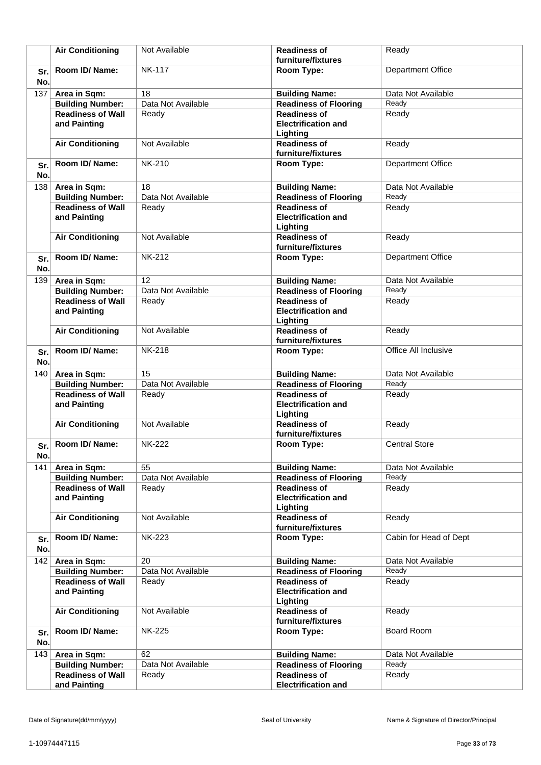|            | <b>Air Conditioning</b>                             | Not Available               | <b>Readiness of</b><br>furniture/fixtures                     | Ready                    |
|------------|-----------------------------------------------------|-----------------------------|---------------------------------------------------------------|--------------------------|
| Sr.        | Room ID/Name:                                       | <b>NK-117</b>               | Room Type:                                                    | <b>Department Office</b> |
| No.<br>137 |                                                     | 18                          |                                                               | Data Not Available       |
|            | Area in Sqm:<br><b>Building Number:</b>             | Data Not Available          | <b>Building Name:</b><br><b>Readiness of Flooring</b>         | Ready                    |
|            | <b>Readiness of Wall</b><br>and Painting            | Ready                       | <b>Readiness of</b><br><b>Electrification and</b><br>Lighting | Ready                    |
|            | <b>Air Conditioning</b>                             | Not Available               | <b>Readiness of</b><br>furniture/fixtures                     | Ready                    |
| Sr.<br>No. | Room ID/Name:                                       | <b>NK-210</b>               | Room Type:                                                    | <b>Department Office</b> |
| 138        | Area in Sqm:                                        | 18                          | <b>Building Name:</b>                                         | Data Not Available       |
|            | <b>Building Number:</b>                             | Data Not Available          | <b>Readiness of Flooring</b>                                  | Ready                    |
|            | <b>Readiness of Wall</b><br>and Painting            | Ready                       | <b>Readiness of</b><br><b>Electrification and</b><br>Lighting | Ready                    |
|            | <b>Air Conditioning</b>                             | Not Available               | <b>Readiness of</b><br>furniture/fixtures                     | Ready                    |
| Sr.<br>No. | Room ID/Name:                                       | <b>NK-212</b>               | Room Type:                                                    | <b>Department Office</b> |
| 139        | Area in Sqm:                                        | 12                          | <b>Building Name:</b>                                         | Data Not Available       |
|            | <b>Building Number:</b>                             | Data Not Available          | <b>Readiness of Flooring</b>                                  | Ready                    |
|            | <b>Readiness of Wall</b><br>and Painting            | Ready                       | <b>Readiness of</b><br><b>Electrification and</b><br>Lighting | Ready                    |
|            | <b>Air Conditioning</b>                             | Not Available               | <b>Readiness of</b><br>furniture/fixtures                     | Ready                    |
| Sr.<br>No. | Room ID/Name:                                       | <b>NK-218</b>               | Room Type:                                                    | Office All Inclusive     |
| 140        | Area in Sqm:                                        | 15                          | <b>Building Name:</b>                                         | Data Not Available       |
|            | <b>Building Number:</b>                             | Data Not Available          | <b>Readiness of Flooring</b>                                  | Ready                    |
|            | <b>Readiness of Wall</b>                            | Ready                       | <b>Readiness of</b><br><b>Electrification and</b>             | Ready                    |
|            | and Painting                                        |                             | Lighting                                                      |                          |
|            | <b>Air Conditioning</b>                             | Not Available               | <b>Readiness of</b><br>furniture/fixtures                     | Ready                    |
| Sr.<br>No. | Room ID/ Name:                                      | <b>NK-222</b>               | Room Type:                                                    | <b>Central Store</b>     |
| 141        | Area in Sqm:                                        | 55                          | <b>Building Name:</b>                                         | Data Not Available       |
|            | <b>Building Number:</b>                             | Data Not Available          | <b>Readiness of Flooring</b>                                  | Ready                    |
|            | <b>Readiness of Wall</b><br>and Painting            | Ready                       | <b>Readiness of</b><br><b>Electrification and</b><br>Lighting | Ready                    |
|            | <b>Air Conditioning</b>                             | Not Available               | <b>Readiness of</b><br>furniture/fixtures                     | Ready                    |
| Sr.<br>No. | Room ID/Name:                                       | <b>NK-223</b>               | Room Type:                                                    | Cabin for Head of Dept   |
| 142        | Area in Sqm:                                        | 20                          | <b>Building Name:</b>                                         | Data Not Available       |
|            | <b>Building Number:</b>                             | Data Not Available          | <b>Readiness of Flooring</b>                                  | Ready                    |
|            | <b>Readiness of Wall</b><br>and Painting            | Ready                       | <b>Readiness of</b><br><b>Electrification and</b><br>Lighting | Ready                    |
|            | <b>Air Conditioning</b>                             | Not Available               | <b>Readiness of</b><br>furniture/fixtures                     | Ready                    |
| Sr.        | Room ID/Name:                                       | <b>NK-225</b>               | Room Type:                                                    | <b>Board Room</b>        |
| No.        |                                                     |                             |                                                               |                          |
| 143        | Area in Sqm:                                        | 62                          | <b>Building Name:</b>                                         | Data Not Available       |
|            | <b>Building Number:</b><br><b>Readiness of Wall</b> | Data Not Available<br>Ready | <b>Readiness of Flooring</b><br><b>Readiness of</b>           | Ready<br>Ready           |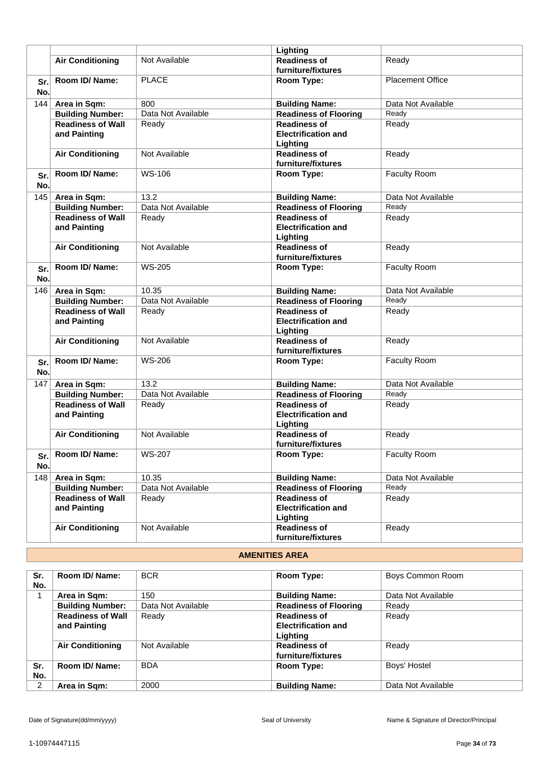|     |                          |                    | Lighting                     |                         |
|-----|--------------------------|--------------------|------------------------------|-------------------------|
|     | <b>Air Conditioning</b>  | Not Available      | <b>Readiness of</b>          |                         |
|     |                          |                    |                              | Ready                   |
|     |                          |                    | furniture/fixtures           |                         |
| Sr. | Room ID/Name:            | <b>PLACE</b>       | Room Type:                   | <b>Placement Office</b> |
| No. |                          |                    |                              |                         |
| 144 | Area in Sqm:             | 800                | <b>Building Name:</b>        | Data Not Available      |
|     | <b>Building Number:</b>  | Data Not Available | <b>Readiness of Flooring</b> | Ready                   |
|     | <b>Readiness of Wall</b> | Ready              | <b>Readiness of</b>          | Ready                   |
|     | and Painting             |                    | <b>Electrification and</b>   |                         |
|     |                          |                    | Lighting                     |                         |
|     | <b>Air Conditioning</b>  | Not Available      | <b>Readiness of</b>          | Ready                   |
|     |                          |                    | furniture/fixtures           |                         |
| Sr. | Room ID/ Name:           | WS-106             | Room Type:                   | Faculty Room            |
| No. |                          |                    |                              |                         |
|     |                          |                    |                              |                         |
| 145 | Area in Sqm:             | 13.2               | <b>Building Name:</b>        | Data Not Available      |
|     | <b>Building Number:</b>  | Data Not Available | <b>Readiness of Flooring</b> | Ready                   |
|     | <b>Readiness of Wall</b> | Ready              | <b>Readiness of</b>          | Ready                   |
|     | and Painting             |                    | <b>Electrification and</b>   |                         |
|     |                          |                    | Lighting                     |                         |
|     | <b>Air Conditioning</b>  | Not Available      | <b>Readiness of</b>          | Ready                   |
|     |                          |                    | furniture/fixtures           |                         |
| Sr. | Room ID/Name:            | <b>WS-205</b>      | Room Type:                   | Faculty Room            |
| No. |                          |                    |                              |                         |
| 146 | Area in Sqm:             | 10.35              | <b>Building Name:</b>        | Data Not Available      |
|     | <b>Building Number:</b>  | Data Not Available | <b>Readiness of Flooring</b> | Ready                   |
|     | <b>Readiness of Wall</b> | Ready              | <b>Readiness of</b>          | Ready                   |
|     | and Painting             |                    | <b>Electrification and</b>   |                         |
|     |                          |                    | Lighting                     |                         |
|     | <b>Air Conditioning</b>  | Not Available      | <b>Readiness of</b>          | Ready                   |
|     |                          |                    | furniture/fixtures           |                         |
|     | Room ID/Name:            | <b>WS-206</b>      | Room Type:                   | Faculty Room            |
| Sr. |                          |                    |                              |                         |
| No. |                          |                    |                              |                         |
| 147 | Area in Sqm:             | 13.2               | <b>Building Name:</b>        | Data Not Available      |
|     | <b>Building Number:</b>  | Data Not Available | <b>Readiness of Flooring</b> | Ready                   |
|     | <b>Readiness of Wall</b> | Ready              | <b>Readiness of</b>          | Ready                   |
|     | and Painting             |                    | <b>Electrification and</b>   |                         |
|     |                          |                    | Lighting                     |                         |
|     | <b>Air Conditioning</b>  | Not Available      | <b>Readiness of</b>          | Ready                   |
|     |                          |                    | furniture/fixtures           |                         |
| Sr. | Room ID/ Name:           | WS-207             | Room Type:                   | <b>Faculty Room</b>     |
| No. |                          |                    |                              |                         |
| 148 | Area in Sqm:             | 10.35              | <b>Building Name:</b>        | Data Not Available      |
|     | <b>Building Number:</b>  | Data Not Available | <b>Readiness of Flooring</b> | Ready                   |
|     |                          |                    | <b>Readiness of</b>          |                         |
|     | <b>Readiness of Wall</b> | Ready              | <b>Electrification and</b>   | Ready                   |
|     | and Painting             |                    |                              |                         |
|     |                          |                    | Lighting                     |                         |
|     | <b>Air Conditioning</b>  | Not Available      | <b>Readiness of</b>          | Ready                   |
|     |                          |                    | furniture/fixtures           |                         |

## **AMENITIES AREA**

| Sr. | Room ID/ Name:           | <b>BCR</b>         | Room Type:                   | Boys Common Room   |
|-----|--------------------------|--------------------|------------------------------|--------------------|
| No. |                          |                    |                              |                    |
|     | Area in Sqm:             | 150                | <b>Building Name:</b>        | Data Not Available |
|     | <b>Building Number:</b>  | Data Not Available | <b>Readiness of Flooring</b> | Ready              |
|     | <b>Readiness of Wall</b> | Ready              | <b>Readiness of</b>          | Ready              |
|     | and Painting             |                    | <b>Electrification and</b>   |                    |
|     |                          |                    | Lighting                     |                    |
|     | <b>Air Conditioning</b>  | Not Available      | <b>Readiness of</b>          | Ready              |
|     |                          |                    | furniture/fixtures           |                    |
| Sr. | Room ID/ Name:           | <b>BDA</b>         | Room Type:                   | Boys' Hostel       |
| No. |                          |                    |                              |                    |
| 2   | Area in Sqm:             | 2000               | <b>Building Name:</b>        | Data Not Available |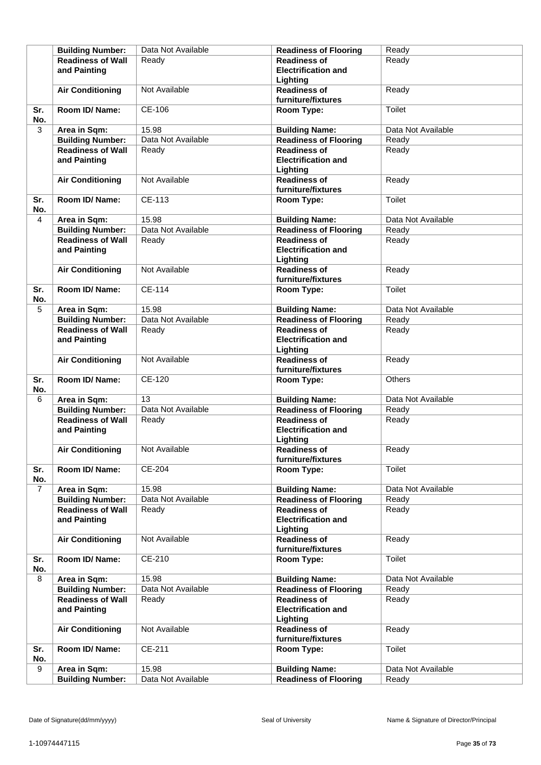|                | <b>Building Number:</b>                 | Data Not Available | <b>Readiness of Flooring</b>                          | Ready                       |
|----------------|-----------------------------------------|--------------------|-------------------------------------------------------|-----------------------------|
|                | <b>Readiness of Wall</b>                | Ready              | <b>Readiness of</b>                                   | Ready                       |
|                | and Painting                            |                    | <b>Electrification and</b>                            |                             |
|                |                                         |                    | Lighting                                              |                             |
|                | <b>Air Conditioning</b>                 | Not Available      | <b>Readiness of</b>                                   | Ready                       |
|                |                                         |                    | furniture/fixtures                                    |                             |
| Sr.<br>No.     | Room ID/ Name:                          | CE-106             | Room Type:                                            | Toilet                      |
| 3              | Area in Sqm:                            | 15.98              | <b>Building Name:</b>                                 | Data Not Available          |
|                | <b>Building Number:</b>                 | Data Not Available | <b>Readiness of Flooring</b>                          | Ready                       |
|                | <b>Readiness of Wall</b>                | Ready              | <b>Readiness of</b>                                   | Ready                       |
|                | and Painting                            |                    | <b>Electrification and</b>                            |                             |
|                |                                         |                    | Lighting                                              |                             |
|                | <b>Air Conditioning</b>                 | Not Available      | <b>Readiness of</b>                                   | Ready                       |
|                |                                         |                    | furniture/fixtures                                    |                             |
| Sr.            | Room ID/ Name:                          | CE-113             | Room Type:                                            | Toilet                      |
| No.            |                                         |                    |                                                       |                             |
| 4              | Area in Sqm:                            | 15.98              | <b>Building Name:</b>                                 | Data Not Available          |
|                | <b>Building Number:</b>                 | Data Not Available | <b>Readiness of Flooring</b>                          | Ready                       |
|                | <b>Readiness of Wall</b>                | Ready              | <b>Readiness of</b>                                   | Ready                       |
|                | and Painting                            |                    | <b>Electrification and</b>                            |                             |
|                |                                         |                    | Lighting                                              |                             |
|                | <b>Air Conditioning</b>                 | Not Available      | <b>Readiness of</b>                                   | Ready                       |
|                |                                         |                    | furniture/fixtures                                    |                             |
| Sr.            | Room ID/ Name:                          | <b>CE-114</b>      | Room Type:                                            | Toilet                      |
| No.            |                                         |                    |                                                       |                             |
| 5              | Area in Sqm:                            | 15.98              | <b>Building Name:</b>                                 | Data Not Available          |
|                | <b>Building Number:</b>                 | Data Not Available | <b>Readiness of Flooring</b>                          | Ready                       |
|                | <b>Readiness of Wall</b>                | Ready              | <b>Readiness of</b>                                   | Ready                       |
|                | and Painting                            |                    | <b>Electrification and</b>                            |                             |
|                |                                         |                    | Lighting                                              |                             |
|                | <b>Air Conditioning</b>                 | Not Available      | <b>Readiness of</b>                                   | Ready                       |
|                |                                         |                    | furniture/fixtures                                    |                             |
| Sr.            | Room ID/ Name:                          | <b>CE-120</b>      | Room Type:                                            | <b>Others</b>               |
| No.            |                                         | 13                 |                                                       |                             |
| 6              | Area in Sqm:<br><b>Building Number:</b> | Data Not Available | <b>Building Name:</b><br><b>Readiness of Flooring</b> | Data Not Available<br>Ready |
|                | <b>Readiness of Wall</b>                |                    | <b>Readiness of</b>                                   | Ready                       |
|                | and Painting                            | Ready              | <b>Electrification and</b>                            |                             |
|                |                                         |                    | Lighting                                              |                             |
|                | <b>Air Conditioning</b>                 | Not Available      | <b>Readiness of</b>                                   | Ready                       |
|                |                                         |                    | furniture/fixtures                                    |                             |
| Sr.            | Room ID/ Name:                          | CE-204             | Room Type:                                            | Toilet                      |
| No.            |                                         |                    |                                                       |                             |
| $\overline{7}$ | Area in Sqm:                            | 15.98              | <b>Building Name:</b>                                 | Data Not Available          |
|                | <b>Building Number:</b>                 | Data Not Available | <b>Readiness of Flooring</b>                          | Ready                       |
|                | <b>Readiness of Wall</b>                | Ready              | <b>Readiness of</b>                                   | Ready                       |
|                | and Painting                            |                    | <b>Electrification and</b>                            |                             |
|                |                                         |                    | Lighting                                              |                             |
|                | <b>Air Conditioning</b>                 | Not Available      | <b>Readiness of</b>                                   | Ready                       |
|                |                                         |                    | furniture/fixtures                                    |                             |
| Sr.            | Room ID/ Name:                          | CE-210             | Room Type:                                            | Toilet                      |
| No.            |                                         |                    |                                                       |                             |
| 8              | Area in Sqm:                            | 15.98              | <b>Building Name:</b>                                 | Data Not Available          |
|                | <b>Building Number:</b>                 | Data Not Available | <b>Readiness of Flooring</b>                          | Ready                       |
|                | <b>Readiness of Wall</b>                | Ready              | <b>Readiness of</b>                                   | Ready                       |
|                | and Painting                            |                    | <b>Electrification and</b>                            |                             |
|                | <b>Air Conditioning</b>                 | Not Available      | Lighting<br><b>Readiness of</b>                       | Ready                       |
|                |                                         |                    | furniture/fixtures                                    |                             |
| Sr.            | Room ID/ Name:                          | CE-211             | Room Type:                                            | Toilet                      |
| No.            |                                         |                    |                                                       |                             |
| 9              | Area in Sqm:                            | 15.98              | <b>Building Name:</b>                                 | Data Not Available          |
|                | <b>Building Number:</b>                 | Data Not Available | <b>Readiness of Flooring</b>                          | Ready                       |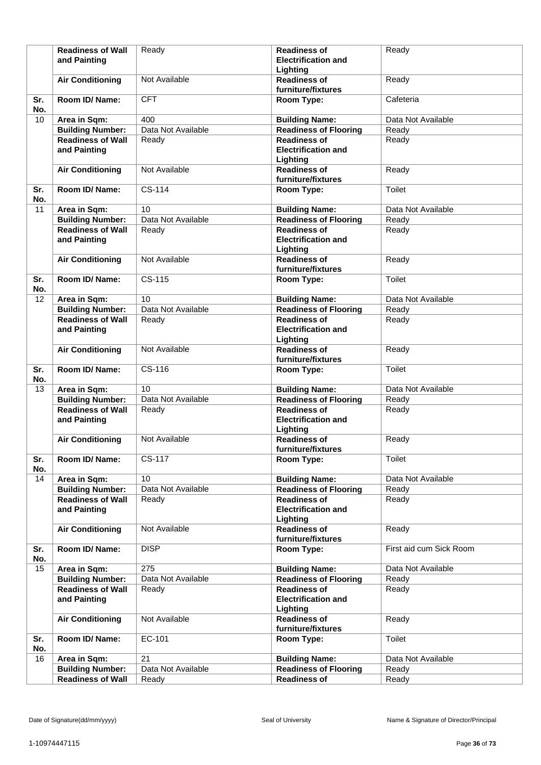|     | <b>Readiness of Wall</b> | Ready              | <b>Readiness of</b>          | Ready                   |
|-----|--------------------------|--------------------|------------------------------|-------------------------|
|     | and Painting             |                    | <b>Electrification and</b>   |                         |
|     |                          |                    |                              |                         |
|     |                          |                    | Lighting                     |                         |
|     | <b>Air Conditioning</b>  | Not Available      | <b>Readiness of</b>          | Ready                   |
|     |                          |                    | furniture/fixtures           |                         |
| Sr. | Room ID/Name:            | <b>CFT</b>         | Room Type:                   | Cafeteria               |
| No. |                          |                    |                              |                         |
| 10  | Area in Sqm:             | 400                | <b>Building Name:</b>        | Data Not Available      |
|     | <b>Building Number:</b>  | Data Not Available | <b>Readiness of Flooring</b> | Ready                   |
|     | <b>Readiness of Wall</b> | Ready              | <b>Readiness of</b>          | Ready                   |
|     | and Painting             |                    | <b>Electrification and</b>   |                         |
|     |                          |                    | Lighting                     |                         |
|     |                          |                    |                              |                         |
|     | <b>Air Conditioning</b>  | Not Available      | <b>Readiness of</b>          | Ready                   |
|     |                          |                    | furniture/fixtures           |                         |
| Sr. | Room ID/Name:            | CS-114             | Room Type:                   | Toilet                  |
| No. |                          |                    |                              |                         |
| 11  | Area in Sqm:             | 10                 | <b>Building Name:</b>        | Data Not Available      |
|     | <b>Building Number:</b>  | Data Not Available | <b>Readiness of Flooring</b> | Ready                   |
|     | <b>Readiness of Wall</b> | Ready              | <b>Readiness of</b>          | Ready                   |
|     | and Painting             |                    | <b>Electrification and</b>   |                         |
|     |                          |                    | Lighting                     |                         |
|     | <b>Air Conditioning</b>  | Not Available      | <b>Readiness of</b>          | Ready                   |
|     |                          |                    | furniture/fixtures           |                         |
|     |                          |                    |                              |                         |
| Sr. | Room ID/Name:            | CS-115             | Room Type:                   | Toilet                  |
| No. |                          |                    |                              |                         |
| 12  | Area in Sqm:             | 10                 | <b>Building Name:</b>        | Data Not Available      |
|     | <b>Building Number:</b>  | Data Not Available | <b>Readiness of Flooring</b> | Ready                   |
|     | <b>Readiness of Wall</b> | Ready              | <b>Readiness of</b>          | Ready                   |
|     | and Painting             |                    | <b>Electrification and</b>   |                         |
|     |                          |                    | Lighting                     |                         |
|     | <b>Air Conditioning</b>  | Not Available      | <b>Readiness of</b>          | Ready                   |
|     |                          |                    | furniture/fixtures           |                         |
| Sr. | Room ID/Name:            | $CS-116$           |                              | Toilet                  |
|     |                          |                    | Room Type:                   |                         |
| No. |                          |                    |                              |                         |
| 13  | Area in Sqm:             | 10                 | <b>Building Name:</b>        | Data Not Available      |
|     | <b>Building Number:</b>  | Data Not Available | Readiness of Flooring        | Ready                   |
|     | <b>Readiness of Wall</b> | Ready              | <b>Readiness of</b>          | Ready                   |
|     | and Painting             |                    | <b>Electrification and</b>   |                         |
|     |                          |                    | Lighting                     |                         |
|     | <b>Air Conditioning</b>  | Not Available      | <b>Readiness of</b>          | Ready                   |
|     |                          |                    | furniture/fixtures           |                         |
| Sr. | Room ID/Name:            | <b>CS-117</b>      | Room Type:                   | Toilet                  |
| No. |                          |                    |                              |                         |
| 14  | Area in Sqm:             | 10                 | <b>Building Name:</b>        | Data Not Available      |
|     | <b>Building Number:</b>  | Data Not Available | <b>Readiness of Flooring</b> | Ready                   |
|     | <b>Readiness of Wall</b> | Ready              | <b>Readiness of</b>          | Ready                   |
|     |                          |                    |                              |                         |
|     | and Painting             |                    | <b>Electrification and</b>   |                         |
|     |                          |                    | Lighting                     |                         |
|     | <b>Air Conditioning</b>  | Not Available      | <b>Readiness of</b>          | Ready                   |
|     |                          |                    | furniture/fixtures           |                         |
| Sr. | Room ID/ Name:           | <b>DISP</b>        | Room Type:                   | First aid cum Sick Room |
| No. |                          |                    |                              |                         |
| 15  | Area in Sqm:             | 275                | <b>Building Name:</b>        | Data Not Available      |
|     | <b>Building Number:</b>  | Data Not Available | <b>Readiness of Flooring</b> | Ready                   |
|     | <b>Readiness of Wall</b> | Ready              | <b>Readiness of</b>          | Ready                   |
|     | and Painting             |                    | <b>Electrification and</b>   |                         |
|     |                          |                    | Lighting                     |                         |
|     | <b>Air Conditioning</b>  | Not Available      | <b>Readiness of</b>          | Ready                   |
|     |                          |                    | furniture/fixtures           |                         |
|     |                          |                    |                              |                         |
| Sr. | Room ID/ Name:           | EC-101             | Room Type:                   | Toilet                  |
| No. |                          |                    |                              |                         |
| 16  | Area in Sqm:             | 21                 | <b>Building Name:</b>        | Data Not Available      |
|     | <b>Building Number:</b>  | Data Not Available | <b>Readiness of Flooring</b> | Ready                   |
|     | <b>Readiness of Wall</b> | Ready              | <b>Readiness of</b>          | Ready                   |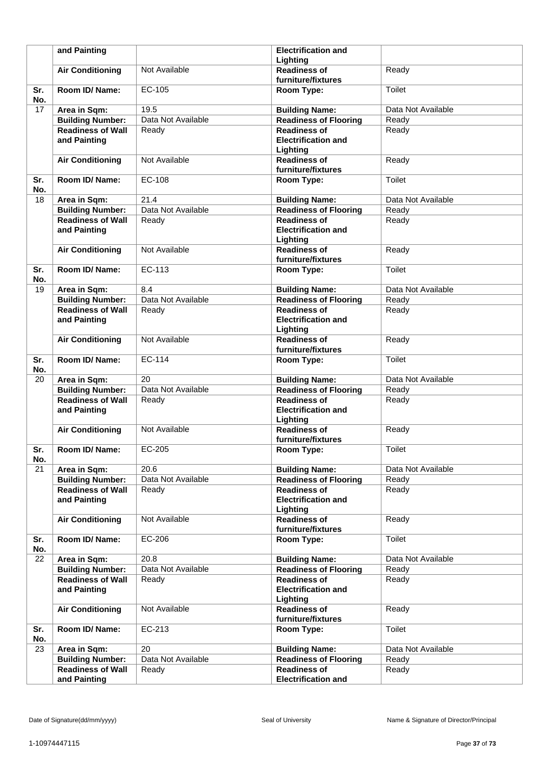|            | and Painting                             |                    | <b>Electrification and</b><br>Lighting                        |                    |
|------------|------------------------------------------|--------------------|---------------------------------------------------------------|--------------------|
|            | <b>Air Conditioning</b>                  | Not Available      | <b>Readiness of</b><br>furniture/fixtures                     | Ready              |
| Sr.<br>No. | Room ID/ Name:                           | EC-105             | Room Type:                                                    | <b>Toilet</b>      |
| 17         | Area in Sqm:                             | 19.5               | <b>Building Name:</b>                                         | Data Not Available |
|            | <b>Building Number:</b>                  | Data Not Available | <b>Readiness of Flooring</b>                                  | Ready              |
|            | <b>Readiness of Wall</b><br>and Painting | Ready              | <b>Readiness of</b><br><b>Electrification and</b><br>Lighting | Ready              |
|            | <b>Air Conditioning</b>                  | Not Available      | <b>Readiness of</b><br>furniture/fixtures                     | Ready              |
| Sr.<br>No. | Room ID/Name:                            | EC-108             | Room Type:                                                    | Toilet             |
| 18         | Area in Sqm:                             | 21.4               | <b>Building Name:</b>                                         | Data Not Available |
|            | <b>Building Number:</b>                  | Data Not Available | <b>Readiness of Flooring</b>                                  | Ready              |
|            | <b>Readiness of Wall</b><br>and Painting | Ready              | <b>Readiness of</b><br><b>Electrification and</b><br>Lighting | Ready              |
|            | <b>Air Conditioning</b>                  | Not Available      | <b>Readiness of</b><br>furniture/fixtures                     | Ready              |
| Sr.<br>No. | Room ID/ Name:                           | EC-113             | Room Type:                                                    | Toilet             |
| 19         | Area in Sqm:                             | 8.4                | <b>Building Name:</b>                                         | Data Not Available |
|            | <b>Building Number:</b>                  | Data Not Available | <b>Readiness of Flooring</b>                                  | Ready              |
|            | <b>Readiness of Wall</b><br>and Painting | Ready              | <b>Readiness of</b><br><b>Electrification and</b><br>Lighting | Ready              |
|            | <b>Air Conditioning</b>                  | Not Available      | <b>Readiness of</b><br>furniture/fixtures                     | Ready              |
| Sr.<br>No. | Room ID/Name:                            | EC-114             | Room Type:                                                    | Toilet             |
| 20         | Area in Sqm:                             | 20                 | <b>Building Name:</b>                                         | Data Not Available |
|            | <b>Building Number:</b>                  | Data Not Available | <b>Readiness of Flooring</b>                                  | Ready              |
|            | <b>Readiness of Wall</b><br>and Painting | Ready              | <b>Readiness of</b><br><b>Electrification and</b><br>Lighting | Ready              |
|            | <b>Air Conditioning</b>                  | Not Available      | <b>Readiness of</b><br>furniture/fixtures                     | Ready              |
| Sr.<br>No. | Room ID/ Name:                           | EC-205             | Room Type:                                                    | Toilet             |
| 21         | Area in Sqm:                             | 20.6               | <b>Building Name:</b>                                         | Data Not Available |
|            | <b>Building Number:</b>                  | Data Not Available | <b>Readiness of Flooring</b>                                  | Ready              |
|            | <b>Readiness of Wall</b><br>and Painting | Ready              | <b>Readiness of</b><br><b>Electrification and</b><br>Lighting | Ready              |
|            | <b>Air Conditioning</b>                  | Not Available      | <b>Readiness of</b><br>furniture/fixtures                     | Ready              |
| Sr.<br>No. | Room ID/ Name:                           | EC-206             | Room Type:                                                    | Toilet             |
| 22         | Area in Sqm:                             | 20.8               | <b>Building Name:</b>                                         | Data Not Available |
|            | <b>Building Number:</b>                  | Data Not Available | <b>Readiness of Flooring</b>                                  | Ready              |
|            | <b>Readiness of Wall</b><br>and Painting | Ready              | <b>Readiness of</b><br><b>Electrification and</b><br>Lighting | Ready              |
|            | <b>Air Conditioning</b>                  | Not Available      | <b>Readiness of</b><br>furniture/fixtures                     | Ready              |
| Sr.<br>No. | Room ID/ Name:                           | EC-213             | Room Type:                                                    | Toilet             |
| 23         | Area in Sqm:                             | 20                 | <b>Building Name:</b>                                         | Data Not Available |
|            | <b>Building Number:</b>                  | Data Not Available | <b>Readiness of Flooring</b>                                  | Ready              |
|            | <b>Readiness of Wall</b>                 | Ready              | <b>Readiness of</b>                                           | Ready              |
|            | and Painting                             |                    | <b>Electrification and</b>                                    |                    |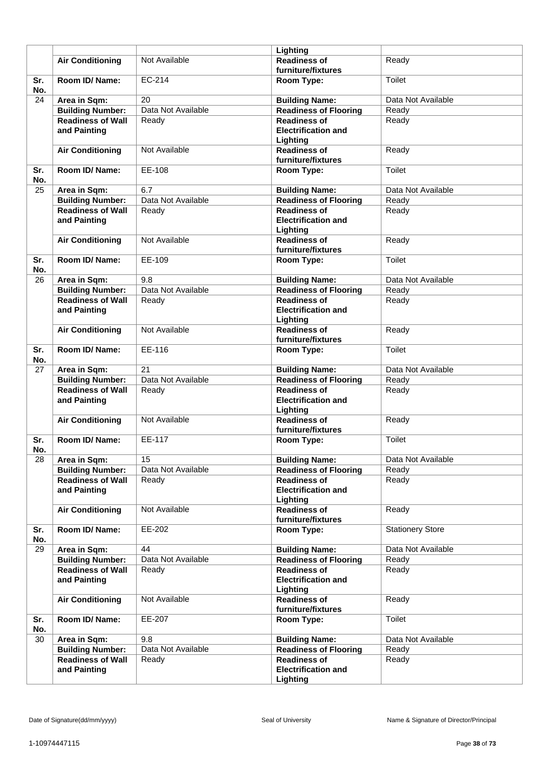|            |                                          |                    | Lighting                                                      |                         |
|------------|------------------------------------------|--------------------|---------------------------------------------------------------|-------------------------|
|            | <b>Air Conditioning</b>                  | Not Available      | <b>Readiness of</b><br>furniture/fixtures                     | Ready                   |
| Sr.<br>No. | Room ID/ Name:                           | EC-214             | Room Type:                                                    | Toilet                  |
| 24         | Area in Sqm:                             | 20                 | <b>Building Name:</b>                                         | Data Not Available      |
|            | <b>Building Number:</b>                  | Data Not Available | <b>Readiness of Flooring</b>                                  | Ready                   |
|            | <b>Readiness of Wall</b>                 | Ready              | <b>Readiness of</b>                                           | Ready                   |
|            | and Painting                             |                    | <b>Electrification and</b><br>Lighting                        |                         |
|            | <b>Air Conditioning</b>                  | Not Available      | <b>Readiness of</b><br>furniture/fixtures                     | Ready                   |
| Sr.<br>No. | Room ID/Name:                            | EE-108             | Room Type:                                                    | <b>Toilet</b>           |
| 25         | Area in Sqm:                             | 6.7                | <b>Building Name:</b>                                         | Data Not Available      |
|            | <b>Building Number:</b>                  | Data Not Available | <b>Readiness of Flooring</b>                                  | Ready                   |
|            | <b>Readiness of Wall</b><br>and Painting | Ready              | <b>Readiness of</b><br><b>Electrification and</b><br>Lighting | Ready                   |
|            | <b>Air Conditioning</b>                  | Not Available      | <b>Readiness of</b><br>furniture/fixtures                     | Ready                   |
| Sr.<br>No. | Room ID/Name:                            | EE-109             | Room Type:                                                    | <b>Toilet</b>           |
| 26         | Area in Sqm:                             | 9.8                | <b>Building Name:</b>                                         | Data Not Available      |
|            | <b>Building Number:</b>                  | Data Not Available | <b>Readiness of Flooring</b>                                  | Ready                   |
|            | <b>Readiness of Wall</b><br>and Painting | Ready              | <b>Readiness of</b><br><b>Electrification and</b><br>Lighting | Ready                   |
|            | <b>Air Conditioning</b>                  | Not Available      | <b>Readiness of</b><br>furniture/fixtures                     | Ready                   |
| Sr.<br>No. | Room ID/Name:                            | EE-116             | Room Type:                                                    | Toilet                  |
| 27         | Area in Sqm:                             | 21                 | <b>Building Name:</b>                                         | Data Not Available      |
|            | <b>Building Number:</b>                  | Data Not Available | <b>Readiness of Flooring</b>                                  | Ready                   |
|            | <b>Readiness of Wall</b><br>and Painting | Ready              | <b>Readiness of</b><br><b>Electrification and</b><br>Lighting | Ready                   |
|            | <b>Air Conditioning</b>                  | Not Available      | <b>Readiness of</b><br>furniture/fixtures                     | Ready                   |
| Sr.<br>No. | Room ID/Name:                            | EE-117             | Room Type:                                                    | <b>Toilet</b>           |
| 28         | Area in Sqm:                             | 15                 | <b>Building Name:</b>                                         | Data Not Available      |
|            | <b>Building Number:</b>                  | Data Not Available | Readiness of Flooring                                         | Ready                   |
|            | <b>Readiness of Wall</b><br>and Painting | Ready              | <b>Readiness of</b><br><b>Electrification and</b><br>Lighting | Ready                   |
|            | <b>Air Conditioning</b>                  | Not Available      | <b>Readiness of</b><br>furniture/fixtures                     | Ready                   |
| Sr.<br>No. | Room ID/ Name:                           | EE-202             | Room Type:                                                    | <b>Stationery Store</b> |
| 29         | Area in Sqm:                             | 44                 | <b>Building Name:</b>                                         | Data Not Available      |
|            | <b>Building Number:</b>                  | Data Not Available | <b>Readiness of Flooring</b>                                  | Ready                   |
|            | <b>Readiness of Wall</b><br>and Painting | Ready              | <b>Readiness of</b><br><b>Electrification and</b><br>Lighting | Ready                   |
|            | <b>Air Conditioning</b>                  | Not Available      | <b>Readiness of</b><br>furniture/fixtures                     | Ready                   |
| Sr.<br>No. | Room ID/ Name:                           | EE-207             | Room Type:                                                    | Toilet                  |
| 30         | Area in Sqm:                             | 9.8                | <b>Building Name:</b>                                         | Data Not Available      |
|            | <b>Building Number:</b>                  | Data Not Available | <b>Readiness of Flooring</b>                                  | Ready                   |
|            | <b>Readiness of Wall</b><br>and Painting | Ready              | <b>Readiness of</b><br><b>Electrification and</b><br>Lighting | Ready                   |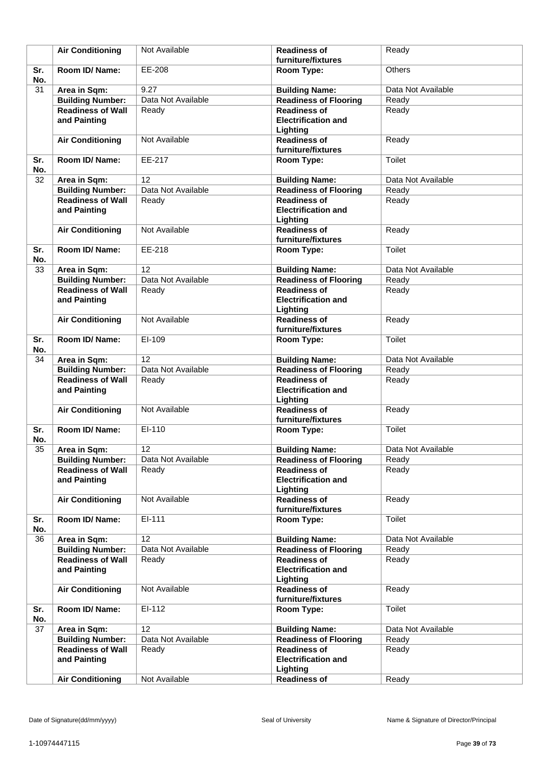|            | <b>Air Conditioning</b>                                             | Not Available               | <b>Readiness of</b><br>furniture/fixtures                                         | Ready              |
|------------|---------------------------------------------------------------------|-----------------------------|-----------------------------------------------------------------------------------|--------------------|
| Sr.        | Room ID/Name:                                                       | EE-208                      | Room Type:                                                                        | Others             |
| No.        |                                                                     |                             |                                                                                   |                    |
| 31         | Area in Sqm:                                                        | 9.27                        | <b>Building Name:</b>                                                             | Data Not Available |
|            | <b>Building Number:</b>                                             | Data Not Available          | <b>Readiness of Flooring</b>                                                      | Ready              |
|            | <b>Readiness of Wall</b><br>and Painting                            | Ready                       | <b>Readiness of</b><br><b>Electrification and</b><br>Lighting                     | Ready              |
|            | <b>Air Conditioning</b>                                             | Not Available               | <b>Readiness of</b><br>furniture/fixtures                                         | Ready              |
| Sr.<br>No. | Room ID/Name:                                                       | EE-217                      | Room Type:                                                                        | <b>Toilet</b>      |
| 32         | Area in Sqm:                                                        | 12                          | <b>Building Name:</b>                                                             | Data Not Available |
|            | <b>Building Number:</b>                                             | Data Not Available          | <b>Readiness of Flooring</b>                                                      | Ready              |
|            | <b>Readiness of Wall</b><br>and Painting                            | Ready                       | <b>Readiness of</b><br><b>Electrification and</b><br>Lighting                     | Ready              |
|            | <b>Air Conditioning</b>                                             | Not Available               | <b>Readiness of</b><br>furniture/fixtures                                         | Ready              |
| Sr.<br>No. | Room ID/Name:                                                       | EE-218                      | Room Type:                                                                        | <b>Toilet</b>      |
| 33         | Area in Sqm:                                                        | 12                          | <b>Building Name:</b>                                                             | Data Not Available |
|            | <b>Building Number:</b>                                             | Data Not Available          | <b>Readiness of Flooring</b>                                                      | Ready              |
|            | <b>Readiness of Wall</b><br>and Painting                            | Ready                       | <b>Readiness of</b><br><b>Electrification and</b><br>Lighting                     | Ready              |
|            | <b>Air Conditioning</b>                                             | Not Available               | <b>Readiness of</b><br>furniture/fixtures                                         | Ready              |
| Sr.<br>No. | Room ID/Name:                                                       | EI-109                      | Room Type:                                                                        | <b>Toilet</b>      |
| 34         | Area in Sqm:                                                        | 12                          | <b>Building Name:</b>                                                             | Data Not Available |
|            | <b>Building Number:</b>                                             | Data Not Available          | <b>Readiness of Flooring</b>                                                      | Ready              |
|            | <b>Readiness of Wall</b><br>and Painting                            | Ready                       | <b>Readiness of</b><br><b>Electrification and</b><br>Lighting                     | Ready              |
|            | <b>Air Conditioning</b>                                             | Not Available               | <b>Readiness of</b><br>furniture/fixtures                                         | Ready              |
| Sr.<br>No. | Room ID/Name:                                                       | EI-110                      | Room Type:                                                                        | Toilet             |
| 35         | Area in Sqm:                                                        | 12                          | <b>Building Name:</b>                                                             | Data Not Available |
|            | <b>Building Number:</b>                                             | Data Not Available          | <b>Readiness of Flooring</b>                                                      | Ready              |
|            | <b>Readiness of Wall</b><br>and Painting                            | Ready                       | <b>Readiness of</b><br><b>Electrification and</b><br>Lighting                     | Ready              |
|            | <b>Air Conditioning</b>                                             | Not Available               | <b>Readiness of</b><br>furniture/fixtures                                         | Ready              |
| Sr.<br>No. | Room ID/Name:                                                       | EI-111                      | Room Type:                                                                        | Toilet             |
| 36         | Area in Sqm:                                                        | 12                          | <b>Building Name:</b>                                                             | Data Not Available |
|            | <b>Building Number:</b>                                             | Data Not Available          | <b>Readiness of Flooring</b>                                                      | Ready              |
|            | <b>Readiness of Wall</b><br>and Painting                            | Ready                       | <b>Readiness of</b><br><b>Electrification and</b><br>Lighting                     | Ready              |
|            | <b>Air Conditioning</b>                                             | Not Available               | <b>Readiness of</b><br>furniture/fixtures                                         | Ready              |
| Sr.<br>No. | Room ID/ Name:                                                      | EI-112                      | Room Type:                                                                        | Toilet             |
| 37         | Area in Sqm:                                                        | 12                          | <b>Building Name:</b>                                                             | Data Not Available |
|            | <b>Building Number:</b><br><b>Readiness of Wall</b><br>and Painting | Data Not Available<br>Ready | <b>Readiness of Flooring</b><br><b>Readiness of</b><br><b>Electrification and</b> | Ready<br>Ready     |
|            | <b>Air Conditioning</b>                                             | Not Available               | Lighting<br><b>Readiness of</b>                                                   | Ready              |
|            |                                                                     |                             |                                                                                   |                    |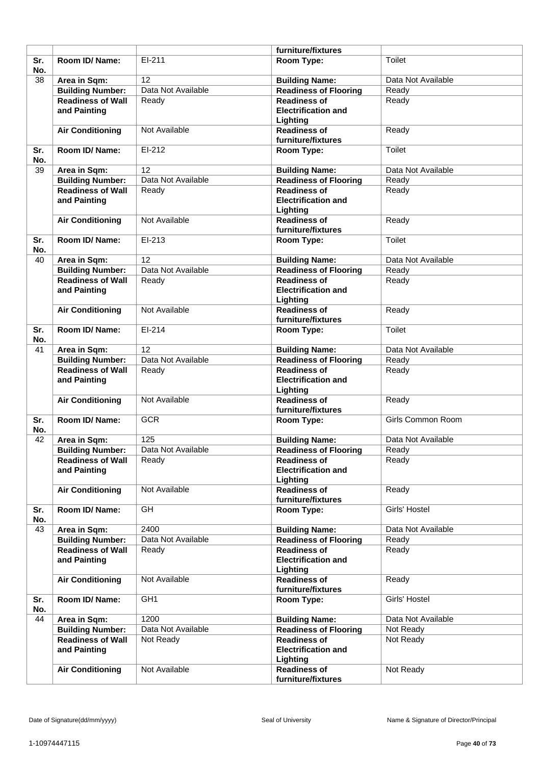|                 |                                          |                    | furniture/fixtures                                            |                          |
|-----------------|------------------------------------------|--------------------|---------------------------------------------------------------|--------------------------|
| Sr.<br>No.      | Room ID/Name:                            | $EI-211$           | Room Type:                                                    | <b>Toilet</b>            |
| $\overline{38}$ | Area in Sqm:                             | 12                 | <b>Building Name:</b>                                         | Data Not Available       |
|                 | <b>Building Number:</b>                  | Data Not Available | <b>Readiness of Flooring</b>                                  | Ready                    |
|                 | <b>Readiness of Wall</b><br>and Painting | Ready              | <b>Readiness of</b><br><b>Electrification and</b><br>Lighting | Ready                    |
|                 | <b>Air Conditioning</b>                  | Not Available      | <b>Readiness of</b><br>furniture/fixtures                     | Ready                    |
| Sr.<br>No.      | Room ID/Name:                            | $EI-212$           | Room Type:                                                    | Toilet                   |
| 39              | Area in Sqm:                             | 12                 | <b>Building Name:</b>                                         | Data Not Available       |
|                 | <b>Building Number:</b>                  | Data Not Available | <b>Readiness of Flooring</b>                                  | Ready                    |
|                 | <b>Readiness of Wall</b><br>and Painting | Ready              | <b>Readiness of</b><br><b>Electrification and</b><br>Lighting | Ready                    |
|                 | <b>Air Conditioning</b>                  | Not Available      | <b>Readiness of</b><br>furniture/fixtures                     | Ready                    |
| Sr.<br>No.      | Room ID/Name:                            | EI-213             | Room Type:                                                    | Toilet                   |
| 40              | Area in Sqm:                             | 12                 | <b>Building Name:</b>                                         | Data Not Available       |
|                 | <b>Building Number:</b>                  | Data Not Available | <b>Readiness of Flooring</b>                                  | Ready                    |
|                 | <b>Readiness of Wall</b><br>and Painting | Ready              | <b>Readiness of</b><br><b>Electrification and</b><br>Lighting | Ready                    |
|                 | <b>Air Conditioning</b>                  | Not Available      | <b>Readiness of</b><br>furniture/fixtures                     | Ready                    |
| Sr.<br>No.      | Room ID/Name:                            | EI-214             | Room Type:                                                    | Toilet                   |
| 41              | Area in Sqm:                             | 12                 | <b>Building Name:</b>                                         | Data Not Available       |
|                 | <b>Building Number:</b>                  | Data Not Available | <b>Readiness of Flooring</b>                                  | Ready                    |
|                 | <b>Readiness of Wall</b><br>and Painting | Ready              | <b>Readiness of</b><br><b>Electrification and</b><br>Lighting | Ready                    |
|                 | <b>Air Conditioning</b>                  | Not Available      | <b>Readiness of</b><br>furniture/fixtures                     | Ready                    |
| Sr.<br>No.      | Room ID/Name:                            | <b>GCR</b>         | Room Type:                                                    | <b>Girls Common Room</b> |
| 42              | Area in Sqm:                             | 125                | <b>Building Name:</b>                                         | Data Not Available       |
|                 | <b>Building Number:</b>                  | Data Not Available | Readiness of Flooring                                         | Ready                    |
|                 | <b>Readiness of Wall</b><br>and Painting | Ready              | <b>Readiness of</b><br><b>Electrification and</b><br>Lighting | Ready                    |
|                 | <b>Air Conditioning</b>                  | Not Available      | <b>Readiness of</b><br>furniture/fixtures                     | Ready                    |
| Sr.<br>No.      | Room ID/ Name:                           | GH                 | Room Type:                                                    | Girls' Hostel            |
| 43              | Area in Sqm:                             | 2400               | <b>Building Name:</b>                                         | Data Not Available       |
|                 | <b>Building Number:</b>                  | Data Not Available | <b>Readiness of Flooring</b>                                  | Ready                    |
|                 | <b>Readiness of Wall</b><br>and Painting | Ready              | <b>Readiness of</b><br><b>Electrification and</b><br>Lighting | Ready                    |
|                 | <b>Air Conditioning</b>                  | Not Available      | <b>Readiness of</b><br>furniture/fixtures                     | Ready                    |
| Sr.<br>No.      | Room ID/ Name:                           | GH <sub>1</sub>    | Room Type:                                                    | Girls' Hostel            |
| 44              | Area in Sqm:                             | 1200               | <b>Building Name:</b>                                         | Data Not Available       |
|                 | <b>Building Number:</b>                  | Data Not Available | <b>Readiness of Flooring</b>                                  | Not Ready                |
|                 | <b>Readiness of Wall</b><br>and Painting | Not Ready          | <b>Readiness of</b><br><b>Electrification and</b><br>Lighting | Not Ready                |
|                 | <b>Air Conditioning</b>                  | Not Available      | <b>Readiness of</b><br>furniture/fixtures                     | Not Ready                |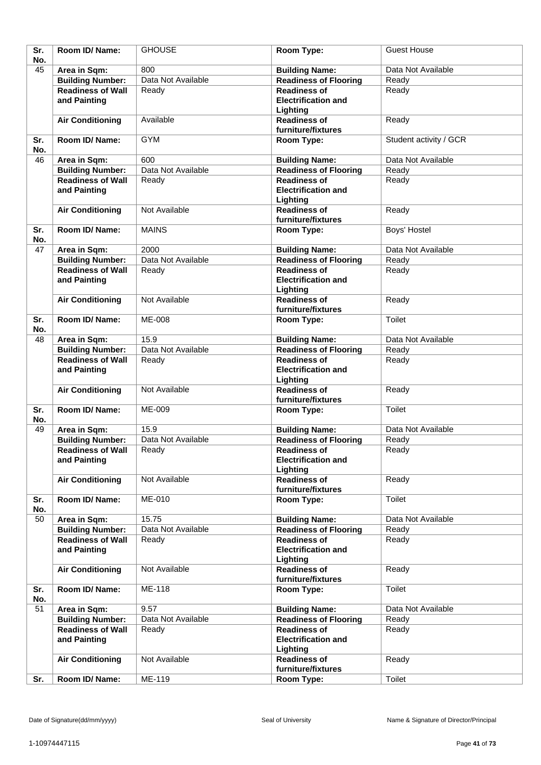| Sr.<br>No. | Room ID/Name:                            | <b>GHOUSE</b>      | Room Type:                                                    | <b>Guest House</b>     |
|------------|------------------------------------------|--------------------|---------------------------------------------------------------|------------------------|
| 45         | Area in Sqm:                             | 800                | <b>Building Name:</b>                                         | Data Not Available     |
|            | <b>Building Number:</b>                  | Data Not Available | <b>Readiness of Flooring</b>                                  | Ready                  |
|            | <b>Readiness of Wall</b>                 | Ready              | <b>Readiness of</b>                                           | Ready                  |
|            | and Painting                             |                    | <b>Electrification and</b>                                    |                        |
|            | <b>Air Conditioning</b>                  | Available          | Lighting<br><b>Readiness of</b>                               | Ready                  |
|            |                                          |                    | furniture/fixtures                                            |                        |
| Sr.<br>No. | Room ID/Name:                            | <b>GYM</b>         | Room Type:                                                    | Student activity / GCR |
| 46         | Area in Sqm:                             | 600                | <b>Building Name:</b>                                         | Data Not Available     |
|            | <b>Building Number:</b>                  | Data Not Available | <b>Readiness of Flooring</b>                                  | Ready                  |
|            | <b>Readiness of Wall</b><br>and Painting | Ready              | <b>Readiness of</b><br><b>Electrification and</b>             | Ready                  |
|            |                                          |                    | Lighting                                                      |                        |
|            | <b>Air Conditioning</b>                  | Not Available      | <b>Readiness of</b><br>furniture/fixtures                     | Ready                  |
| Sr.<br>No. | Room ID/Name:                            | <b>MAINS</b>       | Room Type:                                                    | Boys' Hostel           |
| 47         | Area in Sqm:                             | 2000               | <b>Building Name:</b>                                         | Data Not Available     |
|            | <b>Building Number:</b>                  | Data Not Available | <b>Readiness of Flooring</b>                                  | Ready                  |
|            | <b>Readiness of Wall</b>                 | Ready              | <b>Readiness of</b>                                           | Ready                  |
|            | and Painting                             |                    | <b>Electrification and</b><br>Lighting                        |                        |
|            | <b>Air Conditioning</b>                  | Not Available      | <b>Readiness of</b>                                           | Ready                  |
|            |                                          |                    | furniture/fixtures                                            |                        |
| Sr.<br>No. | Room ID/Name:                            | <b>ME-008</b>      | Room Type:                                                    | <b>Toilet</b>          |
| 48         | Area in Sqm:                             | 15.9               | <b>Building Name:</b>                                         | Data Not Available     |
|            | <b>Building Number:</b>                  | Data Not Available | <b>Readiness of Flooring</b>                                  | Ready                  |
|            | <b>Readiness of Wall</b>                 | Ready              | <b>Readiness of</b>                                           | Ready                  |
|            | and Painting                             |                    | <b>Electrification and</b><br>Lighting                        |                        |
|            | <b>Air Conditioning</b>                  | Not Available      | <b>Readiness of</b><br>furniture/fixtures                     | Ready                  |
| Sr.<br>No. | Room ID/Name:                            | ME-009             | Room Type:                                                    | Toilet                 |
| 49         | Area in Sqm:                             | 15.9               | <b>Building Name:</b>                                         | Data Not Available     |
|            | <b>Building Number:</b>                  | Data Not Available | <b>Readiness of Flooring</b>                                  | Ready                  |
|            | <b>Readiness of Wall</b>                 | Ready              | <b>Readiness of</b>                                           | Ready                  |
|            | and Painting                             |                    | <b>Electrification and</b><br>Lighting                        |                        |
|            | <b>Air Conditioning</b>                  | Not Available      | <b>Readiness of</b><br>furniture/fixtures                     | Ready                  |
| Sr.<br>No. | Room ID/ Name:                           | ME-010             | Room Type:                                                    | Toilet                 |
| 50         | Area in Sqm:                             | 15.75              | <b>Building Name:</b>                                         | Data Not Available     |
|            | <b>Building Number:</b>                  | Data Not Available | <b>Readiness of Flooring</b>                                  | Ready                  |
|            | <b>Readiness of Wall</b><br>and Painting | Ready              | <b>Readiness of</b><br><b>Electrification and</b><br>Lighting | Ready                  |
|            | <b>Air Conditioning</b>                  | Not Available      | <b>Readiness of</b>                                           | Ready                  |
| Sr.<br>No. | Room ID/ Name:                           | ME-118             | furniture/fixtures<br>Room Type:                              | Toilet                 |
| 51         | Area in Sqm:                             | 9.57               | <b>Building Name:</b>                                         | Data Not Available     |
|            | <b>Building Number:</b>                  | Data Not Available | <b>Readiness of Flooring</b>                                  | Ready                  |
|            | <b>Readiness of Wall</b>                 | Ready              | <b>Readiness of</b>                                           | Ready                  |
|            | and Painting                             |                    | <b>Electrification and</b><br>Lighting                        |                        |
|            | <b>Air Conditioning</b>                  | Not Available      | <b>Readiness of</b><br>furniture/fixtures                     | Ready                  |
| Sr.        | Room ID/ Name:                           | ME-119             | Room Type:                                                    | Toilet                 |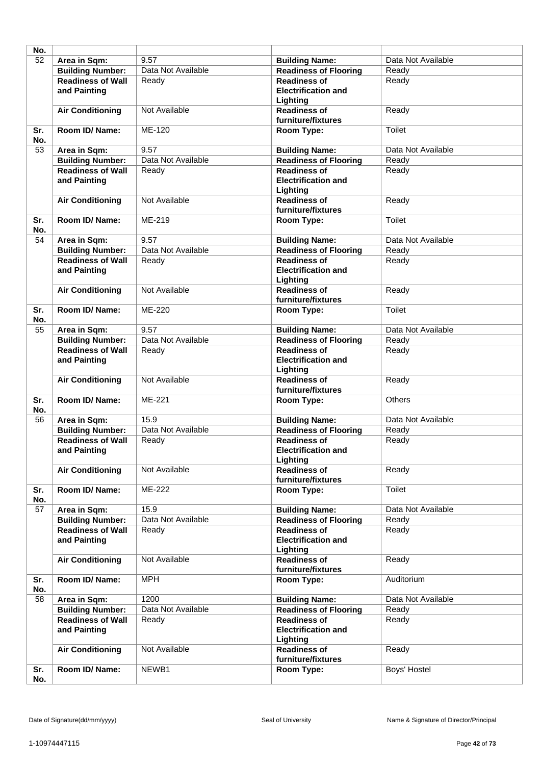| No. |                          |                    |                              |                    |
|-----|--------------------------|--------------------|------------------------------|--------------------|
| 52  | Area in Sqm:             | 9.57               | <b>Building Name:</b>        | Data Not Available |
|     | <b>Building Number:</b>  | Data Not Available | <b>Readiness of Flooring</b> | Ready              |
|     | <b>Readiness of Wall</b> |                    | <b>Readiness of</b>          |                    |
|     |                          | Ready              |                              | Ready              |
|     | and Painting             |                    | <b>Electrification and</b>   |                    |
|     |                          |                    | Lighting                     |                    |
|     | <b>Air Conditioning</b>  | Not Available      | <b>Readiness of</b>          | Ready              |
|     |                          |                    | furniture/fixtures           |                    |
| Sr. | <b>Room ID/ Name:</b>    | ME-120             | Room Type:                   | Toilet             |
| No. |                          |                    |                              |                    |
| 53  | Area in Sqm:             | 9.57               | <b>Building Name:</b>        | Data Not Available |
|     | <b>Building Number:</b>  | Data Not Available | <b>Readiness of Flooring</b> | Ready              |
|     | <b>Readiness of Wall</b> | Ready              | <b>Readiness of</b>          | Ready              |
|     | and Painting             |                    | <b>Electrification and</b>   |                    |
|     |                          |                    | Lighting                     |                    |
|     | <b>Air Conditioning</b>  | Not Available      | <b>Readiness of</b>          | Ready              |
|     |                          |                    | furniture/fixtures           |                    |
| Sr. | Room ID/Name:            | ME-219             | Room Type:                   | Toilet             |
| No. |                          |                    |                              |                    |
| 54  | Area in Sqm:             | 9.57               | <b>Building Name:</b>        | Data Not Available |
|     | <b>Building Number:</b>  | Data Not Available | <b>Readiness of Flooring</b> | Ready              |
|     | <b>Readiness of Wall</b> | Ready              | <b>Readiness of</b>          | Ready              |
|     | and Painting             |                    | <b>Electrification and</b>   |                    |
|     |                          |                    | Lighting                     |                    |
|     | <b>Air Conditioning</b>  | Not Available      | <b>Readiness of</b>          | Ready              |
|     |                          |                    | furniture/fixtures           |                    |
|     |                          | ME-220             |                              | <b>Toilet</b>      |
| Sr. | Room ID/Name:            |                    | Room Type:                   |                    |
| No. |                          |                    |                              |                    |
| 55  | Area in Sqm:             | 9.57               | <b>Building Name:</b>        | Data Not Available |
|     | <b>Building Number:</b>  | Data Not Available | <b>Readiness of Flooring</b> | Ready              |
|     | <b>Readiness of Wall</b> | Ready              | <b>Readiness of</b>          | Ready              |
|     | and Painting             |                    | <b>Electrification and</b>   |                    |
|     |                          |                    | Lighting                     |                    |
|     | <b>Air Conditioning</b>  | Not Available      | <b>Readiness of</b>          | Ready              |
|     |                          |                    | furniture/fixtures           |                    |
| Sr. | Room ID/Name:            | ME-221             | Room Type:                   | <b>Others</b>      |
| No. |                          |                    |                              |                    |
| 56  | Area in Sqm:             | 15.9               | <b>Building Name:</b>        | Data Not Available |
|     | <b>Building Number:</b>  | Data Not Available | <b>Readiness of Flooring</b> | Ready              |
|     | <b>Readiness of Wall</b> | Ready              | <b>Readiness of</b>          | Ready              |
|     | and Painting             |                    | <b>Electrification and</b>   |                    |
|     |                          |                    | Lighting                     |                    |
|     | <b>Air Conditioning</b>  | Not Available      | <b>Readiness of</b>          | Ready              |
|     |                          |                    | furniture/fixtures           |                    |
| Sr. | Room ID/Name:            | ME-222             | Room Type:                   | Toilet             |
| No. |                          |                    |                              |                    |
| 57  | Area in Sqm:             | 15.9               | <b>Building Name:</b>        | Data Not Available |
|     | <b>Building Number:</b>  | Data Not Available | <b>Readiness of Flooring</b> | Ready              |
|     | <b>Readiness of Wall</b> | Ready              | <b>Readiness of</b>          | Ready              |
|     | and Painting             |                    | <b>Electrification and</b>   |                    |
|     |                          |                    | Lighting                     |                    |
|     | <b>Air Conditioning</b>  | Not Available      | <b>Readiness of</b>          | Ready              |
|     |                          |                    | furniture/fixtures           |                    |
| Sr. | Room ID/ Name:           | <b>MPH</b>         | Room Type:                   | Auditorium         |
| No. |                          |                    |                              |                    |
| 58  | Area in Sqm:             | 1200               | <b>Building Name:</b>        | Data Not Available |
|     | <b>Building Number:</b>  | Data Not Available | <b>Readiness of Flooring</b> | Ready              |
|     | <b>Readiness of Wall</b> | Ready              | <b>Readiness of</b>          | Ready              |
|     | and Painting             |                    | <b>Electrification and</b>   |                    |
|     |                          |                    | Lighting                     |                    |
|     | <b>Air Conditioning</b>  | Not Available      | <b>Readiness of</b>          | Ready              |
|     |                          |                    | furniture/fixtures           |                    |
| Sr. | Room ID/ Name:           | NEWB1              | Room Type:                   | Boys' Hostel       |
| No. |                          |                    |                              |                    |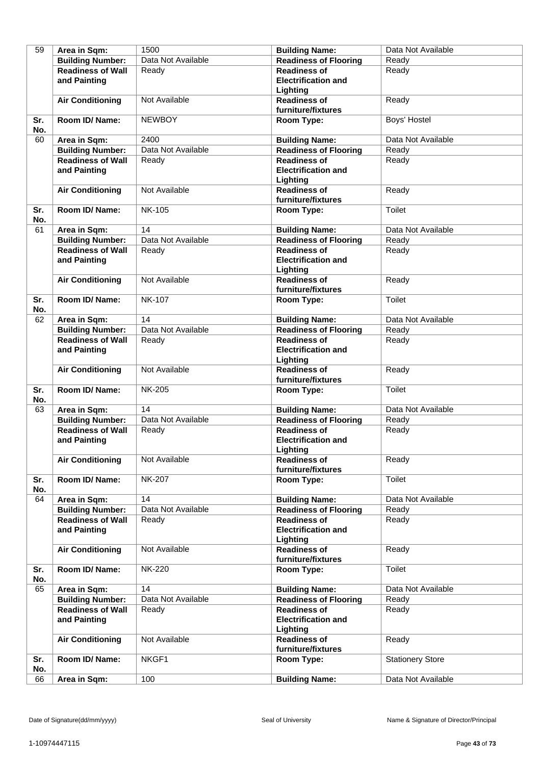| 59        | Area in Sqm:                                        | 1500               | <b>Building Name:</b>                               | Data Not Available      |
|-----------|-----------------------------------------------------|--------------------|-----------------------------------------------------|-------------------------|
|           | <b>Building Number:</b>                             | Data Not Available | <b>Readiness of Flooring</b>                        | Ready                   |
|           | <b>Readiness of Wall</b>                            | Ready              | <b>Readiness of</b>                                 | Ready                   |
|           | and Painting                                        |                    | <b>Electrification and</b>                          |                         |
|           |                                                     |                    | Lighting                                            |                         |
|           | <b>Air Conditioning</b>                             | Not Available      | <b>Readiness of</b>                                 | Ready                   |
|           |                                                     |                    | furniture/fixtures                                  |                         |
| Sr.       | Room ID/ Name:                                      | <b>NEWBOY</b>      | Room Type:                                          | Boys' Hostel            |
| No.       |                                                     |                    |                                                     |                         |
| 60        | Area in Sqm:                                        | 2400               | <b>Building Name:</b>                               | Data Not Available      |
|           | <b>Building Number:</b>                             | Data Not Available | <b>Readiness of Flooring</b>                        | Ready                   |
|           | <b>Readiness of Wall</b>                            | Ready              | <b>Readiness of</b>                                 | Ready                   |
|           | and Painting                                        |                    | <b>Electrification and</b>                          |                         |
|           |                                                     |                    | Lighting                                            |                         |
|           | <b>Air Conditioning</b>                             | Not Available      | <b>Readiness of</b>                                 | Ready                   |
|           |                                                     |                    | furniture/fixtures                                  |                         |
| Sr.       | Room ID/Name:                                       | <b>NK-105</b>      | Room Type:                                          | Toilet                  |
| No.       |                                                     |                    |                                                     |                         |
| 61        | Area in Sqm:                                        | 14                 | <b>Building Name:</b>                               | Data Not Available      |
|           | <b>Building Number:</b>                             | Data Not Available | <b>Readiness of Flooring</b>                        | Ready                   |
|           | <b>Readiness of Wall</b>                            | Ready              | <b>Readiness of</b>                                 | Ready                   |
|           | and Painting                                        |                    | <b>Electrification and</b>                          |                         |
|           |                                                     |                    | Lighting                                            |                         |
|           | <b>Air Conditioning</b>                             | Not Available      | <b>Readiness of</b>                                 | Ready                   |
|           |                                                     |                    | furniture/fixtures                                  |                         |
| Sr.       | Room ID/ Name:                                      | <b>NK-107</b>      | Room Type:                                          | Toilet                  |
| No.       |                                                     |                    |                                                     |                         |
| 62        | Area in Sqm:                                        | 14                 | <b>Building Name:</b>                               | Data Not Available      |
|           | <b>Building Number:</b>                             | Data Not Available | <b>Readiness of Flooring</b>                        | Ready                   |
|           | <b>Readiness of Wall</b>                            | Ready              | <b>Readiness of</b>                                 | Ready                   |
|           | and Painting                                        |                    | <b>Electrification and</b>                          |                         |
|           |                                                     |                    | Lighting                                            |                         |
|           | <b>Air Conditioning</b>                             | Not Available      | <b>Readiness of</b>                                 | Ready                   |
|           |                                                     |                    | furniture/fixtures                                  |                         |
| Sr.       | Room ID/ Name:                                      | <b>NK-205</b>      | Room Type:                                          | Toilet                  |
| No.       |                                                     |                    |                                                     |                         |
| 63        | Area in Sqm:                                        | 14                 | <b>Building Name:</b>                               | Data Not Available      |
|           | <b>Building Number:</b>                             | Data Not Available | <b>Readiness of Flooring</b>                        | Ready                   |
|           | <b>Readiness of Wall</b>                            | Ready              | <b>Readiness of</b>                                 | Ready                   |
|           | and Painting                                        |                    | <b>Electrification and</b>                          |                         |
|           |                                                     |                    | <b>Lighting</b>                                     |                         |
|           | <b>Air Conditioning</b>                             | Not Available      | <b>Readiness of</b>                                 | Ready                   |
|           |                                                     |                    | furniture/fixtures                                  |                         |
| Sr.       | Room ID/ Name:                                      | <b>NK-207</b>      | Room Type:                                          | Toilet                  |
| No.<br>64 |                                                     | 14                 |                                                     | Data Not Available      |
|           | Area in Sqm:                                        |                    | <b>Building Name:</b>                               |                         |
|           | <b>Building Number:</b><br><b>Readiness of Wall</b> | Data Not Available | <b>Readiness of Flooring</b><br><b>Readiness of</b> | Ready<br>Ready          |
|           |                                                     | Ready              | <b>Electrification and</b>                          |                         |
|           | and Painting                                        |                    |                                                     |                         |
|           | <b>Air Conditioning</b>                             | Not Available      | Lighting<br><b>Readiness of</b>                     | Ready                   |
|           |                                                     |                    | furniture/fixtures                                  |                         |
| Sr.       | Room ID/ Name:                                      | <b>NK-220</b>      | Room Type:                                          | Toilet                  |
| No.       |                                                     |                    |                                                     |                         |
| 65        | Area in Sqm:                                        | 14                 | <b>Building Name:</b>                               | Data Not Available      |
|           | <b>Building Number:</b>                             | Data Not Available | <b>Readiness of Flooring</b>                        | Ready                   |
|           | <b>Readiness of Wall</b>                            | Ready              | <b>Readiness of</b>                                 | Ready                   |
|           | and Painting                                        |                    | <b>Electrification and</b>                          |                         |
|           |                                                     |                    | Lighting                                            |                         |
|           | <b>Air Conditioning</b>                             | Not Available      | <b>Readiness of</b>                                 | Ready                   |
|           |                                                     |                    | furniture/fixtures                                  |                         |
| Sr.       | Room ID/ Name:                                      | NKGF1              | Room Type:                                          | <b>Stationery Store</b> |
| No.       |                                                     |                    |                                                     |                         |
| 66        | Area in Sqm:                                        | $\overline{100}$   | <b>Building Name:</b>                               | Data Not Available      |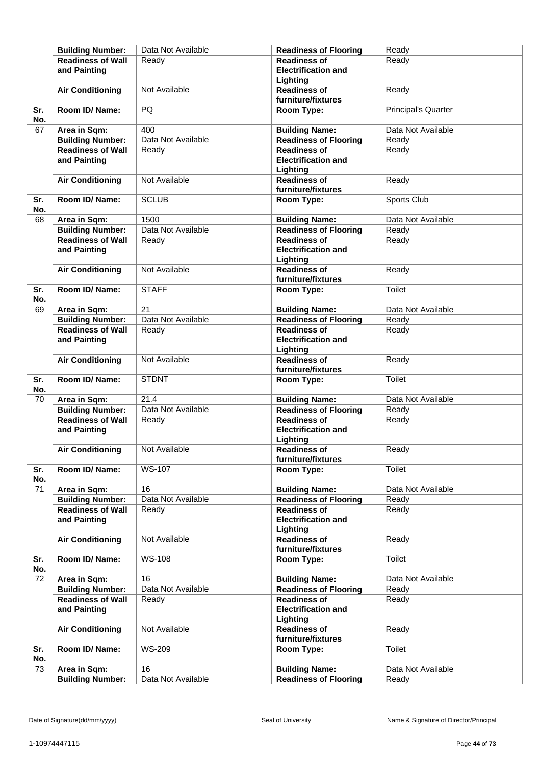|            | <b>Building Number:</b>                             | Data Not Available | <b>Readiness of Flooring</b>                        | Ready                      |
|------------|-----------------------------------------------------|--------------------|-----------------------------------------------------|----------------------------|
|            | <b>Readiness of Wall</b>                            | Ready              | <b>Readiness of</b>                                 | Ready                      |
|            | and Painting                                        |                    | <b>Electrification and</b>                          |                            |
|            |                                                     |                    | Lighting                                            |                            |
|            | <b>Air Conditioning</b>                             | Not Available      | <b>Readiness of</b>                                 | Ready                      |
|            |                                                     |                    | furniture/fixtures                                  |                            |
| Sr.<br>No. | Room ID/ Name:                                      | PQ                 | Room Type:                                          | <b>Principal's Quarter</b> |
| 67         | Area in Sqm:                                        | 400                | <b>Building Name:</b>                               | Data Not Available         |
|            | <b>Building Number:</b>                             | Data Not Available | <b>Readiness of Flooring</b>                        | Ready                      |
|            | <b>Readiness of Wall</b>                            | Ready              | <b>Readiness of</b>                                 | Ready                      |
|            | and Painting                                        |                    | <b>Electrification and</b>                          |                            |
|            |                                                     |                    | Lighting                                            |                            |
|            | <b>Air Conditioning</b>                             | Not Available      | <b>Readiness of</b>                                 | Ready                      |
|            |                                                     |                    | furniture/fixtures                                  |                            |
| Sr.        | Room ID/ Name:                                      | <b>SCLUB</b>       | Room Type:                                          | Sports Club                |
| No.        |                                                     |                    |                                                     |                            |
| 68         | Area in Sqm:                                        | 1500               | <b>Building Name:</b>                               | Data Not Available         |
|            | <b>Building Number:</b>                             | Data Not Available | <b>Readiness of Flooring</b>                        | Ready                      |
|            | <b>Readiness of Wall</b>                            | Ready              | <b>Readiness of</b>                                 | Ready                      |
|            | and Painting                                        |                    | <b>Electrification and</b>                          |                            |
|            |                                                     |                    | Lighting                                            |                            |
|            | <b>Air Conditioning</b>                             | Not Available      | <b>Readiness of</b>                                 | Ready                      |
|            |                                                     |                    | furniture/fixtures                                  |                            |
| Sr.        | Room ID/ Name:                                      | <b>STAFF</b>       | Room Type:                                          | Toilet                     |
| No.        |                                                     |                    |                                                     |                            |
| 69         | Area in Sqm:                                        | 21                 | <b>Building Name:</b>                               | Data Not Available         |
|            | <b>Building Number:</b>                             | Data Not Available | <b>Readiness of Flooring</b>                        | Ready                      |
|            | <b>Readiness of Wall</b>                            | Ready              | <b>Readiness of</b>                                 | Ready                      |
|            | and Painting                                        |                    | <b>Electrification and</b>                          |                            |
|            |                                                     |                    | Lighting                                            |                            |
|            | <b>Air Conditioning</b>                             | Not Available      | <b>Readiness of</b>                                 | Ready                      |
|            |                                                     |                    | furniture/fixtures                                  |                            |
| Sr.        | Room ID/ Name:                                      | <b>STDNT</b>       | Room Type:                                          | Toilet                     |
| No.        |                                                     |                    |                                                     |                            |
| 70         | Area in Sqm:                                        | 21.4               | <b>Building Name:</b>                               | Data Not Available         |
|            | <b>Building Number:</b><br><b>Readiness of Wall</b> | Data Not Available | <b>Readiness of Flooring</b><br><b>Readiness of</b> | Ready                      |
|            | and Painting                                        | Ready              | <b>Electrification and</b>                          | Ready                      |
|            |                                                     |                    | Lighting                                            |                            |
|            | <b>Air Conditioning</b>                             | Not Available      | <b>Readiness of</b>                                 | Ready                      |
|            |                                                     |                    | furniture/fixtures                                  |                            |
| Sr.        | Room ID/ Name:                                      | <b>WS-107</b>      | Room Type:                                          | Toilet                     |
| No.        |                                                     |                    |                                                     |                            |
| 71         | Area in Sqm:                                        | 16                 | <b>Building Name:</b>                               | Data Not Available         |
|            | <b>Building Number:</b>                             | Data Not Available | <b>Readiness of Flooring</b>                        | Ready                      |
|            | <b>Readiness of Wall</b>                            | Ready              | <b>Readiness of</b>                                 | Ready                      |
|            | and Painting                                        |                    | <b>Electrification and</b>                          |                            |
|            |                                                     |                    | Lighting                                            |                            |
|            | <b>Air Conditioning</b>                             | Not Available      | <b>Readiness of</b>                                 | Ready                      |
|            |                                                     |                    | furniture/fixtures                                  |                            |
| Sr.        | Room ID/ Name:                                      | <b>WS-108</b>      | Room Type:                                          | Toilet                     |
| No.        |                                                     |                    |                                                     |                            |
| 72         | Area in Sqm:                                        | 16                 | <b>Building Name:</b>                               | Data Not Available         |
|            | <b>Building Number:</b>                             | Data Not Available | <b>Readiness of Flooring</b>                        | Ready                      |
|            | <b>Readiness of Wall</b>                            | Ready              | <b>Readiness of</b>                                 | Ready                      |
|            | and Painting                                        |                    | <b>Electrification and</b>                          |                            |
|            | <b>Air Conditioning</b>                             | Not Available      | Lighting<br><b>Readiness of</b>                     | Ready                      |
|            |                                                     |                    | furniture/fixtures                                  |                            |
| Sr.        | Room ID/ Name:                                      | <b>WS-209</b>      | Room Type:                                          | Toilet                     |
| No.        |                                                     |                    |                                                     |                            |
| 73         | Area in Sqm:                                        | 16                 | <b>Building Name:</b>                               | Data Not Available         |
|            | <b>Building Number:</b>                             | Data Not Available | <b>Readiness of Flooring</b>                        | Ready                      |
|            |                                                     |                    |                                                     |                            |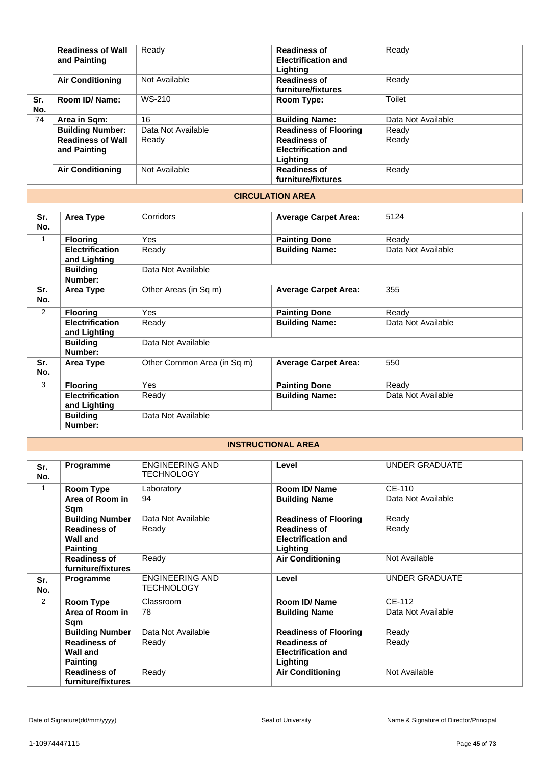|            | <b>Readiness of Wall</b><br>and Painting | Ready              | <b>Readiness of</b><br><b>Electrification and</b><br>Lighting | Ready              |
|------------|------------------------------------------|--------------------|---------------------------------------------------------------|--------------------|
|            | <b>Air Conditioning</b>                  | Not Available      | <b>Readiness of</b><br>furniture/fixtures                     | Ready              |
| Sr.<br>No. | Room ID/Name:                            | WS-210             | Room Type:                                                    | Toilet             |
| 74         | Area in Sqm:                             | 16                 | <b>Building Name:</b>                                         | Data Not Available |
|            | <b>Building Number:</b>                  | Data Not Available | <b>Readiness of Flooring</b>                                  | Ready              |
|            | <b>Readiness of Wall</b><br>and Painting | Ready              | <b>Readiness of</b><br><b>Electrification and</b><br>Lighting | Ready              |
|            | <b>Air Conditioning</b>                  | Not Available      | <b>Readiness of</b><br>furniture/fixtures                     | Ready              |

## **CIRCULATION AREA**

| Sr.        | Area Type                              | Corridors                   | <b>Average Carpet Area:</b> | 5124               |
|------------|----------------------------------------|-----------------------------|-----------------------------|--------------------|
| No.        |                                        |                             |                             |                    |
| 1          | <b>Flooring</b>                        | Yes                         | <b>Painting Done</b>        | Ready              |
|            | <b>Electrification</b><br>and Lighting | Ready                       | <b>Building Name:</b>       | Data Not Available |
|            | <b>Building</b><br>Number:             | Data Not Available          |                             |                    |
| Sr.<br>No. | Area Type                              | Other Areas (in Sq m)       | <b>Average Carpet Area:</b> | 355                |
| 2          | <b>Flooring</b>                        | <b>Yes</b>                  | <b>Painting Done</b>        | Ready              |
|            | <b>Electrification</b><br>and Lighting | Ready                       | <b>Building Name:</b>       | Data Not Available |
|            | <b>Building</b><br>Number:             | Data Not Available          |                             |                    |
| Sr.<br>No. | Area Type                              | Other Common Area (in Sq m) | <b>Average Carpet Area:</b> | 550                |
| 3          | <b>Flooring</b>                        | <b>Yes</b>                  | <b>Painting Done</b>        | Ready              |
|            | <b>Electrification</b><br>and Lighting | Ready                       | <b>Building Name:</b>       | Data Not Available |
|            | <b>Building</b><br>Number:             | Data Not Available          |                             |                    |

## **INSTRUCTIONAL AREA**

| Sr.<br>No.     | Programme                                                 | ENGINEERING AND<br><b>TECHNOLOGY</b>        | Level                                                         | <b>UNDER GRADUATE</b> |
|----------------|-----------------------------------------------------------|---------------------------------------------|---------------------------------------------------------------|-----------------------|
| 1              | Room Type                                                 | Laboratory                                  | Room ID/ Name                                                 | CE-110                |
|                | Area of Room in<br>Sqm                                    | 94                                          | <b>Building Name</b>                                          | Data Not Available    |
|                | <b>Building Number</b>                                    | Data Not Available                          | <b>Readiness of Flooring</b>                                  | Ready                 |
|                | <b>Readiness of</b><br><b>Wall and</b><br><b>Painting</b> | Ready                                       | <b>Readiness of</b><br><b>Electrification and</b><br>Lighting | Ready                 |
|                | <b>Readiness of</b><br>furniture/fixtures                 | Ready                                       | <b>Air Conditioning</b>                                       | Not Available         |
| Sr.<br>No.     | Programme                                                 | <b>ENGINEERING AND</b><br><b>TECHNOLOGY</b> | Level                                                         | UNDER GRADUATE        |
| $\overline{2}$ | Room Type                                                 | Classroom                                   | Room ID/Name                                                  | CE-112                |
|                | Area of Room in<br>Sqm                                    | 78                                          | <b>Building Name</b>                                          | Data Not Available    |
|                | <b>Building Number</b>                                    | Data Not Available                          | <b>Readiness of Flooring</b>                                  | Ready                 |
|                | <b>Readiness of</b><br>Wall and<br><b>Painting</b>        | Ready                                       | <b>Readiness of</b><br><b>Electrification and</b><br>Lighting | Ready                 |
|                | <b>Readiness of</b><br>furniture/fixtures                 | Ready                                       | <b>Air Conditioning</b>                                       | Not Available         |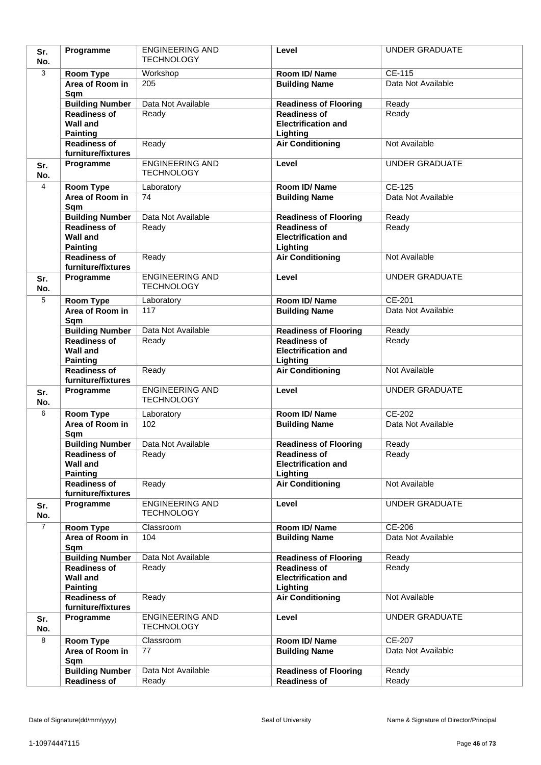| Sr.            | Programme                                                 | <b>ENGINEERING AND</b><br><b>TECHNOLOGY</b> | Level                                                         | <b>UNDER GRADUATE</b>        |
|----------------|-----------------------------------------------------------|---------------------------------------------|---------------------------------------------------------------|------------------------------|
| No.            |                                                           |                                             |                                                               |                              |
| 3              | Room Type<br>Area of Room in                              | Workshop<br>205                             | Room ID/Name                                                  | CE-115<br>Data Not Available |
|                | Sqm                                                       |                                             | <b>Building Name</b>                                          |                              |
|                | <b>Building Number</b>                                    | Data Not Available                          | <b>Readiness of Flooring</b>                                  | Ready                        |
|                | <b>Readiness of</b><br><b>Wall and</b><br><b>Painting</b> | Ready                                       | <b>Readiness of</b><br><b>Electrification and</b><br>Lighting | Ready                        |
|                | <b>Readiness of</b>                                       | Ready                                       | <b>Air Conditioning</b>                                       | Not Available                |
|                | furniture/fixtures                                        |                                             |                                                               |                              |
| Sr.<br>No.     | Programme                                                 | <b>ENGINEERING AND</b><br><b>TECHNOLOGY</b> | Level                                                         | <b>UNDER GRADUATE</b>        |
| $\overline{4}$ | Room Type                                                 | Laboratory                                  | Room ID/Name                                                  | <b>CE-125</b>                |
|                | Area of Room in<br>Sqm                                    | 74                                          | <b>Building Name</b>                                          | Data Not Available           |
|                | <b>Building Number</b>                                    | Data Not Available                          | <b>Readiness of Flooring</b>                                  | Ready                        |
|                | <b>Readiness of</b><br><b>Wall and</b><br><b>Painting</b> | Ready                                       | <b>Readiness of</b><br><b>Electrification and</b><br>Lighting | Ready                        |
|                | <b>Readiness of</b><br>furniture/fixtures                 | Ready                                       | <b>Air Conditioning</b>                                       | Not Available                |
| Sr.<br>No.     | Programme                                                 | <b>ENGINEERING AND</b><br><b>TECHNOLOGY</b> | Level                                                         | <b>UNDER GRADUATE</b>        |
| 5              | Room Type                                                 | Laboratory                                  | Room ID/Name                                                  | CE-201                       |
|                | Area of Room in<br>Sqm                                    | 117                                         | <b>Building Name</b>                                          | Data Not Available           |
|                | <b>Building Number</b>                                    | Data Not Available                          | <b>Readiness of Flooring</b>                                  | Ready                        |
|                | <b>Readiness of</b><br><b>Wall and</b><br><b>Painting</b> | Ready                                       | <b>Readiness of</b><br><b>Electrification and</b><br>Lighting | Ready                        |
|                | <b>Readiness of</b><br>furniture/fixtures                 | Ready                                       | <b>Air Conditioning</b>                                       | Not Available                |
| Sr.<br>No.     | Programme                                                 | <b>ENGINEERING AND</b><br><b>TECHNOLOGY</b> | Level                                                         | <b>UNDER GRADUATE</b>        |
| 6              | Room Type                                                 | Laboratory                                  | Room ID/Name                                                  | CE-202                       |
|                | Area of Room in<br>Sqm                                    | 102                                         | <b>Building Name</b>                                          | Data Not Available           |
|                | <b>Building Number</b>                                    | Data Not Available                          | <b>Readiness of Flooring</b>                                  | Ready                        |
|                | <b>Readiness of</b><br><b>Wall and</b><br><b>Painting</b> | Ready                                       | <b>Readiness of</b><br><b>Electrification and</b><br>Lighting | Ready                        |
|                | <b>Readiness of</b><br>furniture/fixtures                 | Ready                                       | <b>Air Conditioning</b>                                       | Not Available                |
| Sr.<br>No.     | Programme                                                 | <b>ENGINEERING AND</b><br><b>TECHNOLOGY</b> | Level                                                         | <b>UNDER GRADUATE</b>        |
| $\overline{7}$ | Room Type                                                 | Classroom                                   | Room ID/Name                                                  | CE-206                       |
|                | Area of Room in<br>Sqm                                    | 104                                         | <b>Building Name</b>                                          | Data Not Available           |
|                | <b>Building Number</b>                                    | Data Not Available                          | <b>Readiness of Flooring</b>                                  | Ready                        |
|                | <b>Readiness of</b><br><b>Wall and</b><br><b>Painting</b> | Ready                                       | <b>Readiness of</b><br><b>Electrification and</b><br>Lighting | Ready                        |
|                | <b>Readiness of</b><br>furniture/fixtures                 | Ready                                       | <b>Air Conditioning</b>                                       | Not Available                |
| Sr.<br>No.     | Programme                                                 | <b>ENGINEERING AND</b><br><b>TECHNOLOGY</b> | Level                                                         | <b>UNDER GRADUATE</b>        |
| 8              | Room Type                                                 | Classroom                                   | Room ID/Name                                                  | <b>CE-207</b>                |
|                | Area of Room in<br>Sqm                                    | 77                                          | <b>Building Name</b>                                          | Data Not Available           |
|                | <b>Building Number</b>                                    | Data Not Available                          | <b>Readiness of Flooring</b>                                  | Ready                        |
|                | Readiness of                                              | Ready                                       | <b>Readiness of</b>                                           | Ready                        |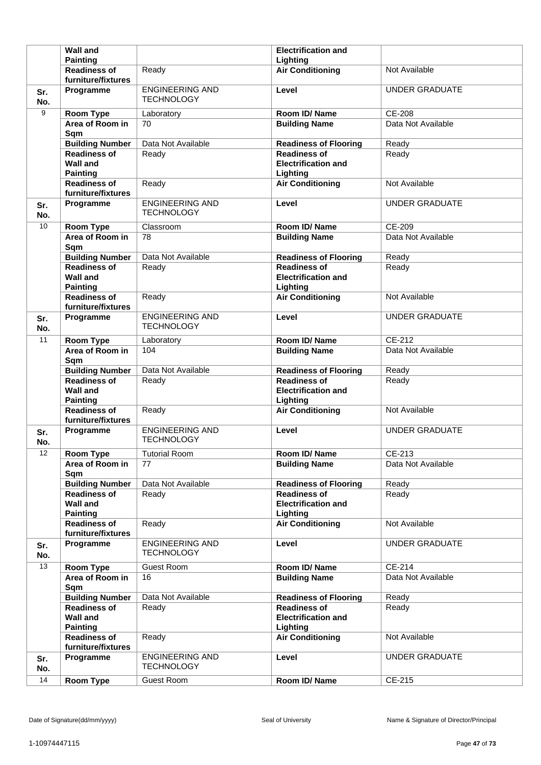|            | <b>Wall and</b>                                              |                                             | <b>Electrification and</b>                                    |                       |
|------------|--------------------------------------------------------------|---------------------------------------------|---------------------------------------------------------------|-----------------------|
|            | <b>Painting</b>                                              |                                             | Lighting                                                      |                       |
|            | <b>Readiness of</b><br>furniture/fixtures                    | Ready                                       | <b>Air Conditioning</b>                                       | Not Available         |
| Sr.<br>No. | Programme                                                    | <b>ENGINEERING AND</b><br><b>TECHNOLOGY</b> | Level                                                         | <b>UNDER GRADUATE</b> |
| 9          | Room Type                                                    | Laboratory                                  | Room ID/Name                                                  | CE-208                |
|            | Area of Room in<br>Sqm                                       | 70                                          | <b>Building Name</b>                                          | Data Not Available    |
|            | <b>Building Number</b>                                       | Data Not Available                          | <b>Readiness of Flooring</b>                                  | Ready                 |
|            | <b>Readiness of</b><br><b>Wall and</b><br><b>Painting</b>    | Ready                                       | <b>Readiness of</b><br><b>Electrification and</b><br>Lighting | Ready                 |
|            | <b>Readiness of</b><br>furniture/fixtures                    | Ready                                       | <b>Air Conditioning</b>                                       | Not Available         |
| Sr.<br>No. | Programme                                                    | <b>ENGINEERING AND</b><br><b>TECHNOLOGY</b> | Level                                                         | <b>UNDER GRADUATE</b> |
| 10         | Room Type                                                    | Classroom                                   | Room ID/Name                                                  | CE-209                |
|            | Area of Room in<br>Sqm                                       | 78                                          | <b>Building Name</b>                                          | Data Not Available    |
|            | <b>Building Number</b>                                       | Data Not Available                          | <b>Readiness of Flooring</b>                                  | Ready                 |
|            | <b>Readiness of</b><br><b>Wall and</b><br><b>Painting</b>    | Ready                                       | <b>Readiness of</b><br><b>Electrification and</b><br>Lighting | Ready                 |
|            | <b>Readiness of</b><br>furniture/fixtures                    | Ready                                       | <b>Air Conditioning</b>                                       | Not Available         |
| Sr.<br>No. | Programme                                                    | <b>ENGINEERING AND</b><br><b>TECHNOLOGY</b> | Level                                                         | <b>UNDER GRADUATE</b> |
| 11         | <b>Room Type</b>                                             | Laboratory                                  | Room ID/Name                                                  | CE-212                |
|            | Area of Room in<br>Sqm                                       | 104                                         | <b>Building Name</b>                                          | Data Not Available    |
|            | <b>Building Number</b>                                       | Data Not Available                          | <b>Readiness of Flooring</b>                                  | Ready                 |
|            | <b>Readiness of</b><br><b>Wall and</b><br><b>Painting</b>    | Ready                                       | <b>Readiness of</b><br><b>Electrification and</b><br>Lighting | Ready                 |
|            | <b>Readiness of</b><br>furniture/fixtures                    | Ready                                       | <b>Air Conditioning</b>                                       | Not Available         |
| Sr.<br>No. | Programme                                                    | <b>ENGINEERING AND</b><br><b>TECHNOLOGY</b> | Level                                                         | <b>UNDER GRADUATE</b> |
| 12         | <b>Room Type</b>                                             | <b>Tutorial Room</b>                        | Room ID/Name                                                  | $CE-213$              |
|            | Area of Room in<br>Sqm                                       | 77                                          | <b>Building Name</b>                                          | Data Not Available    |
|            | <b>Building Number</b>                                       | Data Not Available                          | <b>Readiness of Flooring</b>                                  | Ready                 |
|            | <b>Readiness of</b>                                          | Ready                                       |                                                               |                       |
|            | <b>Wall and</b><br><b>Painting</b>                           |                                             | <b>Readiness of</b><br><b>Electrification and</b><br>Lighting | Ready                 |
|            | <b>Readiness of</b><br>furniture/fixtures                    | Ready                                       | <b>Air Conditioning</b>                                       | Not Available         |
| Sr.<br>No. | Programme                                                    | <b>ENGINEERING AND</b><br><b>TECHNOLOGY</b> | Level                                                         | <b>UNDER GRADUATE</b> |
| 13         | <b>Room Type</b>                                             | <b>Guest Room</b>                           | Room ID/Name                                                  | CE-214                |
|            | Area of Room in<br>Sqm                                       | 16                                          | <b>Building Name</b>                                          | Data Not Available    |
|            | <b>Building Number</b>                                       | Data Not Available                          | <b>Readiness of Flooring</b>                                  | Ready                 |
|            | <b>Readiness of</b><br><b>Wall and</b>                       | Ready                                       | <b>Readiness of</b><br><b>Electrification and</b>             | Ready                 |
|            | <b>Painting</b><br><b>Readiness of</b><br>furniture/fixtures | Ready                                       | Lighting<br><b>Air Conditioning</b>                           | Not Available         |
| Sr.<br>No. | Programme                                                    | <b>ENGINEERING AND</b><br><b>TECHNOLOGY</b> | Level                                                         | <b>UNDER GRADUATE</b> |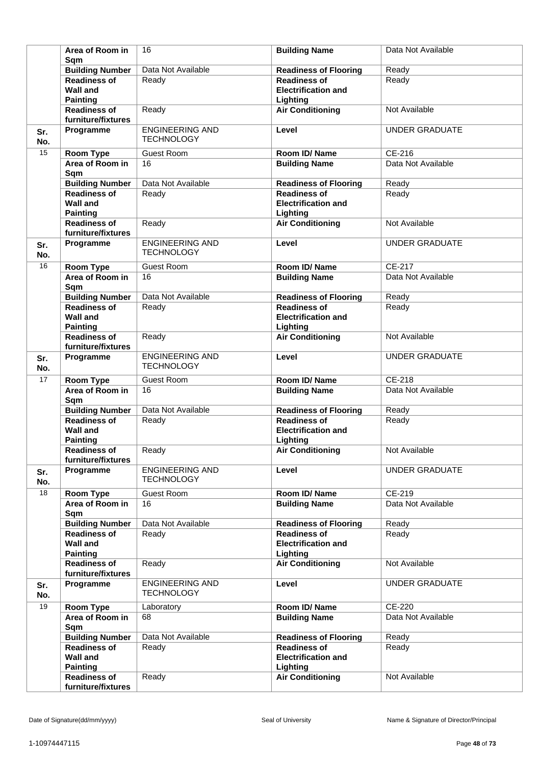|            | Area of Room in<br>Sam                                    | 16                                          | <b>Building Name</b>                                          | Data Not Available    |
|------------|-----------------------------------------------------------|---------------------------------------------|---------------------------------------------------------------|-----------------------|
|            | <b>Building Number</b>                                    | Data Not Available                          | <b>Readiness of Flooring</b>                                  | Ready                 |
|            | <b>Readiness of</b><br><b>Wall and</b><br><b>Painting</b> | Ready                                       | <b>Readiness of</b><br><b>Electrification and</b><br>Lighting | Ready                 |
|            | <b>Readiness of</b><br>furniture/fixtures                 | Ready                                       | <b>Air Conditioning</b>                                       | Not Available         |
| Sr.<br>No. | Programme                                                 | <b>ENGINEERING AND</b><br><b>TECHNOLOGY</b> | Level                                                         | <b>UNDER GRADUATE</b> |
| 15         | Room Type                                                 | <b>Guest Room</b>                           | Room ID/Name                                                  | CE-216                |
|            | Area of Room in<br>Sqm                                    | 16                                          | <b>Building Name</b>                                          | Data Not Available    |
|            | <b>Building Number</b>                                    | Data Not Available                          | <b>Readiness of Flooring</b>                                  | Ready                 |
|            | <b>Readiness of</b><br><b>Wall and</b><br><b>Painting</b> | Ready                                       | <b>Readiness of</b><br><b>Electrification and</b><br>Lighting | Ready                 |
|            | <b>Readiness of</b><br>furniture/fixtures                 | Ready                                       | <b>Air Conditioning</b>                                       | Not Available         |
| Sr.<br>No. | Programme                                                 | <b>ENGINEERING AND</b><br><b>TECHNOLOGY</b> | Level                                                         | <b>UNDER GRADUATE</b> |
| 16         | Room Type                                                 | <b>Guest Room</b>                           | Room ID/Name                                                  | CE-217                |
|            | Area of Room in<br>Sqm                                    | 16                                          | <b>Building Name</b>                                          | Data Not Available    |
|            | <b>Building Number</b>                                    | Data Not Available                          | <b>Readiness of Flooring</b>                                  | Ready                 |
|            | <b>Readiness of</b><br><b>Wall and</b><br><b>Painting</b> | Ready                                       | <b>Readiness of</b><br><b>Electrification and</b><br>Lighting | Ready                 |
|            | <b>Readiness of</b><br>furniture/fixtures                 | Ready                                       | <b>Air Conditioning</b>                                       | Not Available         |
| Sr.<br>No. | Programme                                                 | <b>ENGINEERING AND</b><br><b>TECHNOLOGY</b> | Level                                                         | <b>UNDER GRADUATE</b> |
| 17         | Room Type                                                 | <b>Guest Room</b>                           | Room ID/Name                                                  | CE-218                |
|            | Area of Room in<br>Sqm                                    | 16                                          | <b>Building Name</b>                                          | Data Not Available    |
|            | <b>Building Number</b>                                    | Data Not Available                          | <b>Readiness of Flooring</b>                                  | Ready                 |
|            | <b>Readiness of</b><br><b>Wall and</b><br><b>Painting</b> | Ready                                       | <b>Readiness of</b><br><b>Electrification and</b><br>Lighting | Ready                 |
|            | <b>Readiness of</b><br>furniture/fixtures                 | Ready                                       | <b>Air Conditioning</b>                                       | Not Available         |
| Sr.<br>No. | Programme                                                 | <b>ENGINEERING AND</b><br><b>TECHNOLOGY</b> | Level                                                         | <b>UNDER GRADUATE</b> |
| 18         | Room Type                                                 | <b>Guest Room</b>                           | Room ID/Name                                                  | CE-219                |
|            | Area of Room in<br>Sqm                                    | 16                                          | <b>Building Name</b>                                          | Data Not Available    |
|            | <b>Building Number</b>                                    | Data Not Available                          | <b>Readiness of Flooring</b>                                  | Ready                 |
|            | <b>Readiness of</b><br><b>Wall and</b><br><b>Painting</b> | Ready                                       | <b>Readiness of</b><br><b>Electrification and</b><br>Lighting | Ready                 |
|            | <b>Readiness of</b><br>furniture/fixtures                 | Ready                                       | <b>Air Conditioning</b>                                       | Not Available         |
| Sr.<br>No. | Programme                                                 | <b>ENGINEERING AND</b><br><b>TECHNOLOGY</b> | Level                                                         | <b>UNDER GRADUATE</b> |
| 19         | <b>Room Type</b>                                          | Laboratory                                  | Room ID/Name                                                  | <b>CE-220</b>         |
|            | Area of Room in<br>Sqm                                    | 68                                          | <b>Building Name</b>                                          | Data Not Available    |
|            | <b>Building Number</b>                                    | Data Not Available                          | <b>Readiness of Flooring</b>                                  | Ready                 |
|            | <b>Readiness of</b><br><b>Wall and</b><br><b>Painting</b> | Ready                                       | <b>Readiness of</b><br><b>Electrification and</b><br>Lighting | Ready                 |
|            | <b>Readiness of</b><br>furniture/fixtures                 | Ready                                       | <b>Air Conditioning</b>                                       | Not Available         |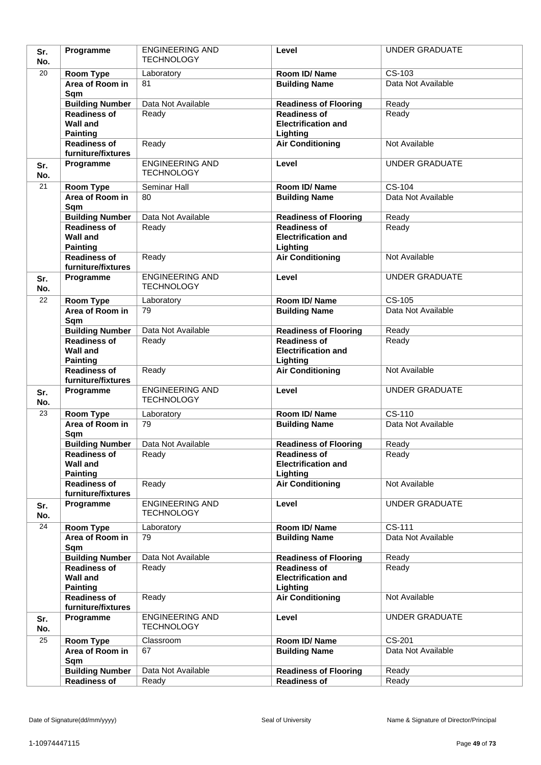| Sr.<br>No. | Programme                                                 | <b>ENGINEERING AND</b><br><b>TECHNOLOGY</b> | Level                                                         | <b>UNDER GRADUATE</b>        |
|------------|-----------------------------------------------------------|---------------------------------------------|---------------------------------------------------------------|------------------------------|
| 20         |                                                           |                                             |                                                               |                              |
|            | Room Type<br>Area of Room in                              | Laboratory<br>81                            | Room ID/Name<br><b>Building Name</b>                          | CS-103<br>Data Not Available |
|            | Sqm                                                       |                                             |                                                               |                              |
|            | <b>Building Number</b>                                    | Data Not Available                          | <b>Readiness of Flooring</b>                                  | Ready                        |
|            | <b>Readiness of</b><br><b>Wall and</b><br><b>Painting</b> | Ready                                       | <b>Readiness of</b><br><b>Electrification and</b><br>Lighting | Ready                        |
|            | <b>Readiness of</b>                                       | Ready                                       | <b>Air Conditioning</b>                                       | Not Available                |
|            | furniture/fixtures                                        |                                             |                                                               |                              |
| Sr.<br>No. | Programme                                                 | <b>ENGINEERING AND</b><br><b>TECHNOLOGY</b> | Level                                                         | <b>UNDER GRADUATE</b>        |
| 21         | Room Type                                                 | Seminar Hall                                | Room ID/Name                                                  | CS-104                       |
|            | Area of Room in<br>Sqm                                    | 80                                          | <b>Building Name</b>                                          | Data Not Available           |
|            | <b>Building Number</b>                                    | Data Not Available                          | <b>Readiness of Flooring</b>                                  | Ready                        |
|            | <b>Readiness of</b><br><b>Wall and</b><br><b>Painting</b> | Ready                                       | <b>Readiness of</b><br><b>Electrification and</b><br>Lighting | Ready                        |
|            | <b>Readiness of</b><br>furniture/fixtures                 | Ready                                       | <b>Air Conditioning</b>                                       | Not Available                |
| Sr.<br>No. | Programme                                                 | <b>ENGINEERING AND</b><br><b>TECHNOLOGY</b> | Level                                                         | <b>UNDER GRADUATE</b>        |
| 22         | Room Type                                                 | Laboratory                                  | Room ID/ Name                                                 | $CS-105$                     |
|            | Area of Room in<br>Sqm                                    | 79                                          | <b>Building Name</b>                                          | Data Not Available           |
|            | <b>Building Number</b>                                    | Data Not Available                          | <b>Readiness of Flooring</b>                                  | Ready                        |
|            | <b>Readiness of</b><br><b>Wall and</b><br><b>Painting</b> | Ready                                       | <b>Readiness of</b><br><b>Electrification and</b><br>Lighting | Ready                        |
|            | <b>Readiness of</b><br>furniture/fixtures                 | Ready                                       | <b>Air Conditioning</b>                                       | Not Available                |
| Sr.<br>No. | Programme                                                 | <b>ENGINEERING AND</b><br><b>TECHNOLOGY</b> | Level                                                         | <b>UNDER GRADUATE</b>        |
| 23         | Room Type                                                 | Laboratory                                  | Room ID/Name                                                  | $CS-110$                     |
|            | Area of Room in<br>Sqm                                    | 79                                          | <b>Building Name</b>                                          | Data Not Available           |
|            | <b>Building Number</b>                                    | Data Not Available                          | <b>Readiness of Flooring</b>                                  | Ready                        |
|            | <b>Readiness of</b><br><b>Wall and</b><br><b>Painting</b> | Ready                                       | <b>Readiness of</b><br><b>Electrification and</b><br>Lighting | Ready                        |
|            | <b>Readiness of</b><br>furniture/fixtures                 | Ready                                       | <b>Air Conditioning</b>                                       | Not Available                |
| Sr.<br>No. | Programme                                                 | <b>ENGINEERING AND</b><br><b>TECHNOLOGY</b> | Level                                                         | <b>UNDER GRADUATE</b>        |
| 24         | Room Type                                                 | Laboratory                                  | Room ID/Name                                                  | CS-111                       |
|            | Area of Room in<br>Sqm                                    | 79                                          | <b>Building Name</b>                                          | Data Not Available           |
|            | <b>Building Number</b>                                    | Data Not Available                          | <b>Readiness of Flooring</b>                                  | Ready                        |
|            | <b>Readiness of</b><br><b>Wall and</b><br><b>Painting</b> | Ready                                       | <b>Readiness of</b><br><b>Electrification and</b><br>Lighting | Ready                        |
|            | <b>Readiness of</b><br>furniture/fixtures                 | Ready                                       | <b>Air Conditioning</b>                                       | Not Available                |
| Sr.<br>No. | Programme                                                 | <b>ENGINEERING AND</b><br><b>TECHNOLOGY</b> | Level                                                         | <b>UNDER GRADUATE</b>        |
| 25         | Room Type                                                 | Classroom                                   | Room ID/Name                                                  | CS-201                       |
|            | Area of Room in<br>Sqm                                    | 67                                          | <b>Building Name</b>                                          | Data Not Available           |
|            | <b>Building Number</b>                                    | Data Not Available                          | <b>Readiness of Flooring</b>                                  | Ready                        |
|            | Readiness of                                              | Ready                                       | <b>Readiness of</b>                                           | Ready                        |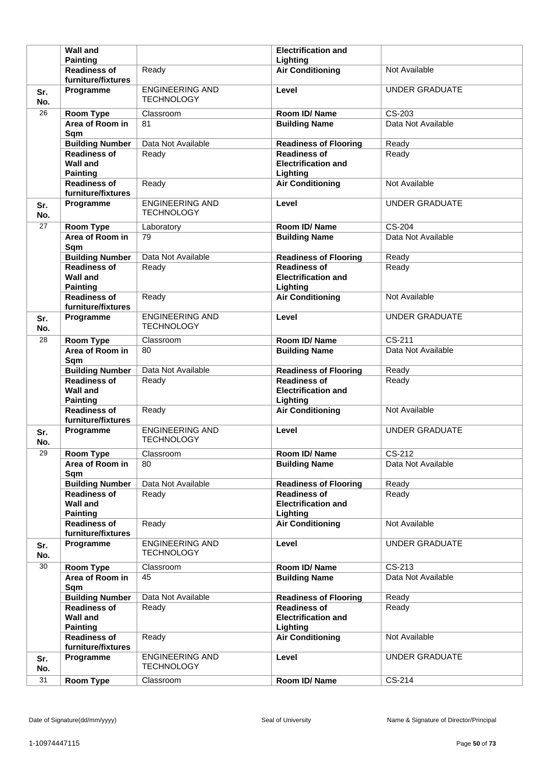|            | <b>Wall and</b>                                              |                                             | <b>Electrification and</b>                                    |                       |
|------------|--------------------------------------------------------------|---------------------------------------------|---------------------------------------------------------------|-----------------------|
|            | <b>Painting</b>                                              |                                             | Lighting                                                      |                       |
|            | <b>Readiness of</b><br>furniture/fixtures                    | Ready                                       | <b>Air Conditioning</b>                                       | Not Available         |
| Sr.<br>No. | Programme                                                    | <b>ENGINEERING AND</b><br><b>TECHNOLOGY</b> | Level                                                         | <b>UNDER GRADUATE</b> |
| 26         | Room Type                                                    | Classroom                                   | Room ID/Name                                                  | CS-203                |
|            | Area of Room in<br>Sqm                                       | 81                                          | <b>Building Name</b>                                          | Data Not Available    |
|            | <b>Building Number</b>                                       | Data Not Available                          | <b>Readiness of Flooring</b>                                  | Ready                 |
|            | <b>Readiness of</b><br><b>Wall and</b><br><b>Painting</b>    | Ready                                       | <b>Readiness of</b><br><b>Electrification and</b><br>Lighting | Ready                 |
|            | <b>Readiness of</b><br>furniture/fixtures                    | Ready                                       | <b>Air Conditioning</b>                                       | Not Available         |
| Sr.<br>No. | Programme                                                    | <b>ENGINEERING AND</b><br><b>TECHNOLOGY</b> | Level                                                         | <b>UNDER GRADUATE</b> |
| 27         | <b>Room Type</b>                                             | Laboratory                                  | Room ID/Name                                                  | $CS-204$              |
|            | Area of Room in<br>Sqm                                       | 79                                          | <b>Building Name</b>                                          | Data Not Available    |
|            | <b>Building Number</b>                                       | Data Not Available                          | <b>Readiness of Flooring</b>                                  | Ready                 |
|            | <b>Readiness of</b><br><b>Wall and</b><br><b>Painting</b>    | Ready                                       | <b>Readiness of</b><br><b>Electrification and</b><br>Lighting | Ready                 |
|            | <b>Readiness of</b><br>furniture/fixtures                    | Ready                                       | <b>Air Conditioning</b>                                       | Not Available         |
| Sr.<br>No. | Programme                                                    | <b>ENGINEERING AND</b><br><b>TECHNOLOGY</b> | Level                                                         | <b>UNDER GRADUATE</b> |
| 28         | <b>Room Type</b>                                             | Classroom                                   | Room ID/Name                                                  | CS-211                |
|            | Area of Room in<br>Sqm                                       | 80                                          | <b>Building Name</b>                                          | Data Not Available    |
|            | <b>Building Number</b>                                       | Data Not Available                          | <b>Readiness of Flooring</b>                                  | Ready                 |
|            |                                                              |                                             |                                                               |                       |
|            | <b>Readiness of</b><br><b>Wall and</b>                       | Ready                                       | <b>Readiness of</b><br><b>Electrification and</b>             | Ready                 |
|            | <b>Painting</b><br><b>Readiness of</b><br>furniture/fixtures | Ready                                       | Lighting<br><b>Air Conditioning</b>                           | Not Available         |
| Sr.<br>No. | Programme                                                    | <b>ENGINEERING AND</b><br><b>TECHNOLOGY</b> | Level                                                         | <b>UNDER GRADUATE</b> |
| 29         | <b>Room Type</b>                                             | Classroom                                   | Room ID/Name                                                  | $\overline{CS-212}$   |
|            | Area of Room in<br>Sqm                                       | 80                                          | <b>Building Name</b>                                          | Data Not Available    |
|            | <b>Building Number</b>                                       | Data Not Available                          | <b>Readiness of Flooring</b>                                  | Ready                 |
|            | <b>Readiness of</b><br><b>Wall and</b><br><b>Painting</b>    | Ready                                       | <b>Readiness of</b><br><b>Electrification and</b><br>Lighting | Ready                 |
|            | <b>Readiness of</b><br>furniture/fixtures                    | Ready                                       | <b>Air Conditioning</b>                                       | Not Available         |
| Sr.<br>No. | Programme                                                    | <b>ENGINEERING AND</b><br><b>TECHNOLOGY</b> | Level                                                         | <b>UNDER GRADUATE</b> |
| 30         | <b>Room Type</b>                                             | Classroom                                   | Room ID/Name                                                  | $CS-213$              |
|            | Area of Room in<br>Sqm                                       | 45                                          | <b>Building Name</b>                                          | Data Not Available    |
|            | <b>Building Number</b>                                       | Data Not Available                          | <b>Readiness of Flooring</b>                                  | Ready                 |
|            | <b>Readiness of</b><br><b>Wall and</b>                       | Ready                                       | <b>Readiness of</b><br><b>Electrification and</b>             | Ready                 |
|            | <b>Painting</b><br><b>Readiness of</b><br>furniture/fixtures | Ready                                       | Lighting<br><b>Air Conditioning</b>                           | Not Available         |
| Sr.<br>No. | Programme                                                    | <b>ENGINEERING AND</b><br><b>TECHNOLOGY</b> | Level                                                         | <b>UNDER GRADUATE</b> |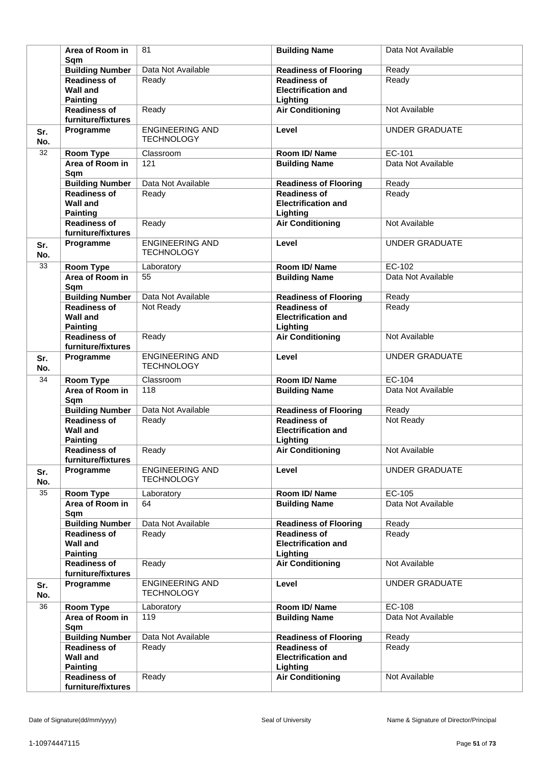|            | Area of Room in<br>Sam                                    | 81                                          | <b>Building Name</b>                                          | Data Not Available    |
|------------|-----------------------------------------------------------|---------------------------------------------|---------------------------------------------------------------|-----------------------|
|            | <b>Building Number</b>                                    | Data Not Available                          | <b>Readiness of Flooring</b>                                  | Ready                 |
|            | <b>Readiness of</b><br><b>Wall and</b><br><b>Painting</b> | Ready                                       | <b>Readiness of</b><br><b>Electrification and</b><br>Lighting | Ready                 |
|            | <b>Readiness of</b><br>furniture/fixtures                 | Ready                                       | <b>Air Conditioning</b>                                       | Not Available         |
| Sr.<br>No. | Programme                                                 | <b>ENGINEERING AND</b><br><b>TECHNOLOGY</b> | Level                                                         | <b>UNDER GRADUATE</b> |
| 32         | <b>Room Type</b>                                          | Classroom                                   | Room ID/Name                                                  | EC-101                |
|            | Area of Room in<br>Sqm                                    | 121                                         | <b>Building Name</b>                                          | Data Not Available    |
|            | <b>Building Number</b>                                    | Data Not Available                          | <b>Readiness of Flooring</b>                                  | Ready                 |
|            | <b>Readiness of</b><br><b>Wall and</b><br><b>Painting</b> | Ready                                       | <b>Readiness of</b><br><b>Electrification and</b><br>Lighting | Ready                 |
|            | <b>Readiness of</b><br>furniture/fixtures                 | Ready                                       | <b>Air Conditioning</b>                                       | Not Available         |
| Sr.<br>No. | Programme                                                 | <b>ENGINEERING AND</b><br><b>TECHNOLOGY</b> | Level                                                         | <b>UNDER GRADUATE</b> |
| 33         | <b>Room Type</b>                                          | Laboratory                                  | Room ID/Name                                                  | EC-102                |
|            | Area of Room in<br>Sqm                                    | 55                                          | <b>Building Name</b>                                          | Data Not Available    |
|            | <b>Building Number</b>                                    | Data Not Available                          | <b>Readiness of Flooring</b>                                  | Ready                 |
|            | <b>Readiness of</b><br><b>Wall and</b><br><b>Painting</b> | Not Ready                                   | <b>Readiness of</b><br><b>Electrification and</b><br>Lighting | Ready                 |
|            | <b>Readiness of</b><br>furniture/fixtures                 | Ready                                       | <b>Air Conditioning</b>                                       | Not Available         |
| Sr.<br>No. | Programme                                                 | <b>ENGINEERING AND</b><br><b>TECHNOLOGY</b> | Level                                                         | <b>UNDER GRADUATE</b> |
| 34         | <b>Room Type</b>                                          | Classroom                                   | Room ID/Name                                                  | $EC-104$              |
|            | Area of Room in<br>Sqm                                    | 118                                         | <b>Building Name</b>                                          | Data Not Available    |
|            | <b>Building Number</b>                                    | Data Not Available                          | <b>Readiness of Flooring</b>                                  | Ready                 |
|            | <b>Readiness of</b><br><b>Wall and</b><br><b>Painting</b> | Ready                                       | <b>Readiness of</b><br><b>Electrification and</b><br>Lighting | Not Ready             |
|            | <b>Readiness of</b><br>furniture/fixtures                 | Ready                                       | <b>Air Conditioning</b>                                       | Not Available         |
| Sr.<br>No. | Programme                                                 | <b>ENGINEERING AND</b><br><b>TECHNOLOGY</b> | Level                                                         | <b>UNDER GRADUATE</b> |
| 35         | <b>Room Type</b>                                          | Laboratory                                  | Room ID/Name                                                  | EC-105                |
|            | Area of Room in<br>Sqm                                    | 64                                          | <b>Building Name</b>                                          | Data Not Available    |
|            | <b>Building Number</b>                                    | Data Not Available                          | <b>Readiness of Flooring</b>                                  | Ready                 |
|            | <b>Readiness of</b><br><b>Wall and</b><br><b>Painting</b> | Ready                                       | <b>Readiness of</b><br><b>Electrification and</b><br>Lighting | Ready                 |
|            | <b>Readiness of</b><br>furniture/fixtures                 | Ready                                       | <b>Air Conditioning</b>                                       | Not Available         |
| Sr.<br>No. | Programme                                                 | <b>ENGINEERING AND</b><br><b>TECHNOLOGY</b> | Level                                                         | UNDER GRADUATE        |
| 36         | <b>Room Type</b>                                          | Laboratory                                  | Room ID/Name                                                  | EC-108                |
|            | Area of Room in<br>Sqm                                    | 119                                         | <b>Building Name</b>                                          | Data Not Available    |
|            | <b>Building Number</b>                                    | Data Not Available                          | <b>Readiness of Flooring</b>                                  | Ready                 |
|            | <b>Readiness of</b><br><b>Wall and</b><br><b>Painting</b> | Ready                                       | <b>Readiness of</b><br><b>Electrification and</b><br>Lighting | Ready                 |
|            | <b>Readiness of</b><br>furniture/fixtures                 | Ready                                       | <b>Air Conditioning</b>                                       | Not Available         |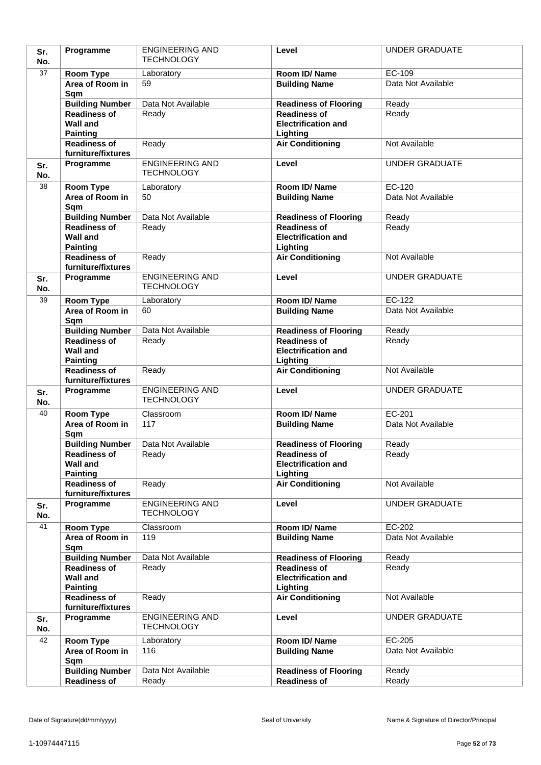| Sr.<br>No. | Programme                                 | <b>ENGINEERING AND</b><br><b>TECHNOLOGY</b> | Level                                               | <b>UNDER GRADUATE</b>        |
|------------|-------------------------------------------|---------------------------------------------|-----------------------------------------------------|------------------------------|
| 37         | Room Type                                 | Laboratory                                  | Room ID/Name                                        | EC-109                       |
|            | Area of Room in                           | 59                                          | <b>Building Name</b>                                | Data Not Available           |
|            | Sqm                                       |                                             |                                                     |                              |
|            | <b>Building Number</b>                    | Data Not Available                          | <b>Readiness of Flooring</b>                        | Ready                        |
|            | <b>Readiness of</b>                       | Ready                                       | <b>Readiness of</b>                                 | Ready                        |
|            | <b>Wall and</b>                           |                                             | <b>Electrification and</b>                          |                              |
|            | <b>Painting</b>                           |                                             | Lighting                                            |                              |
|            | <b>Readiness of</b><br>furniture/fixtures | Ready                                       | <b>Air Conditioning</b>                             | Not Available                |
| Sr.        | Programme                                 | <b>ENGINEERING AND</b>                      | Level                                               | <b>UNDER GRADUATE</b>        |
| No.        |                                           | <b>TECHNOLOGY</b>                           |                                                     |                              |
| 38         | Room Type                                 | Laboratory                                  | Room ID/Name                                        | EC-120                       |
|            | Area of Room in                           | 50                                          | <b>Building Name</b>                                | Data Not Available           |
|            | Sqm                                       |                                             |                                                     |                              |
|            | <b>Building Number</b>                    | Data Not Available                          | <b>Readiness of Flooring</b>                        | Ready                        |
|            | <b>Readiness of</b>                       | Ready                                       | <b>Readiness of</b>                                 | Ready                        |
|            | <b>Wall and</b>                           |                                             | <b>Electrification and</b>                          |                              |
|            | <b>Painting</b><br><b>Readiness of</b>    | Ready                                       | Lighting<br><b>Air Conditioning</b>                 | Not Available                |
|            | furniture/fixtures                        |                                             |                                                     |                              |
| Sr.        | Programme                                 | <b>ENGINEERING AND</b>                      | Level                                               | <b>UNDER GRADUATE</b>        |
| No.        |                                           | <b>TECHNOLOGY</b>                           |                                                     |                              |
| 39         | Room Type                                 | Laboratory                                  | Room ID/Name                                        | EC-122                       |
|            | Area of Room in                           | 60                                          | <b>Building Name</b>                                | Data Not Available           |
|            | Sqm                                       |                                             |                                                     |                              |
|            | <b>Building Number</b>                    | Data Not Available                          | <b>Readiness of Flooring</b>                        | Ready                        |
|            | <b>Readiness of</b><br><b>Wall and</b>    | Ready                                       | <b>Readiness of</b><br><b>Electrification and</b>   | Ready                        |
|            | <b>Painting</b>                           |                                             | Lighting                                            |                              |
|            | <b>Readiness of</b>                       | Ready                                       | <b>Air Conditioning</b>                             | Not Available                |
|            | furniture/fixtures                        |                                             |                                                     |                              |
| Sr.        | Programme                                 | <b>ENGINEERING AND</b><br><b>TECHNOLOGY</b> | Level                                               | <b>UNDER GRADUATE</b>        |
| No.        |                                           |                                             |                                                     |                              |
| 40         | Room Type<br>Area of Room in              | Classroom<br>117                            | Room ID/Name<br><b>Building Name</b>                | EC-201<br>Data Not Available |
|            | Sqm                                       |                                             |                                                     |                              |
|            | <b>Building Number</b>                    | Data Not Available                          | <b>Readiness of Flooring</b>                        | Ready                        |
|            | <b>Readiness of</b>                       | Ready                                       | <b>Readiness of</b>                                 | Ready                        |
|            | <b>Wall and</b>                           |                                             | <b>Electrification and</b>                          |                              |
|            | <b>Painting</b>                           |                                             | Lighting                                            |                              |
|            | <b>Readiness of</b><br>furniture/fixtures | Ready                                       | <b>Air Conditioning</b>                             | Not Available                |
| Sr.        | Programme                                 | <b>ENGINEERING AND</b>                      | Level                                               | <b>UNDER GRADUATE</b>        |
| No.        |                                           | <b>TECHNOLOGY</b>                           |                                                     |                              |
| 41         | Room Type                                 | Classroom                                   | Room ID/Name                                        | EC-202                       |
|            | Area of Room in                           | 119                                         | <b>Building Name</b>                                | Data Not Available           |
|            | Sqm                                       |                                             |                                                     |                              |
|            | <b>Building Number</b>                    | Data Not Available                          | <b>Readiness of Flooring</b>                        | Ready                        |
|            | <b>Readiness of</b><br><b>Wall and</b>    | Ready                                       | <b>Readiness of</b>                                 | Ready                        |
|            | <b>Painting</b>                           |                                             | <b>Electrification and</b><br>Lighting              |                              |
|            | <b>Readiness of</b>                       | Ready                                       | <b>Air Conditioning</b>                             | Not Available                |
|            | furniture/fixtures                        |                                             |                                                     |                              |
| Sr.        | Programme                                 | <b>ENGINEERING AND</b>                      | Level                                               | <b>UNDER GRADUATE</b>        |
| No.        |                                           | <b>TECHNOLOGY</b>                           |                                                     |                              |
| 42         | Room Type                                 | Laboratory                                  | Room ID/Name                                        | EC-205                       |
|            | Area of Room in                           | 116                                         | <b>Building Name</b>                                | Data Not Available           |
|            | Sqm                                       |                                             |                                                     |                              |
|            | <b>Building Number</b><br>Readiness of    | Data Not Available<br>Ready                 | <b>Readiness of Flooring</b><br><b>Readiness of</b> | Ready<br>Ready               |
|            |                                           |                                             |                                                     |                              |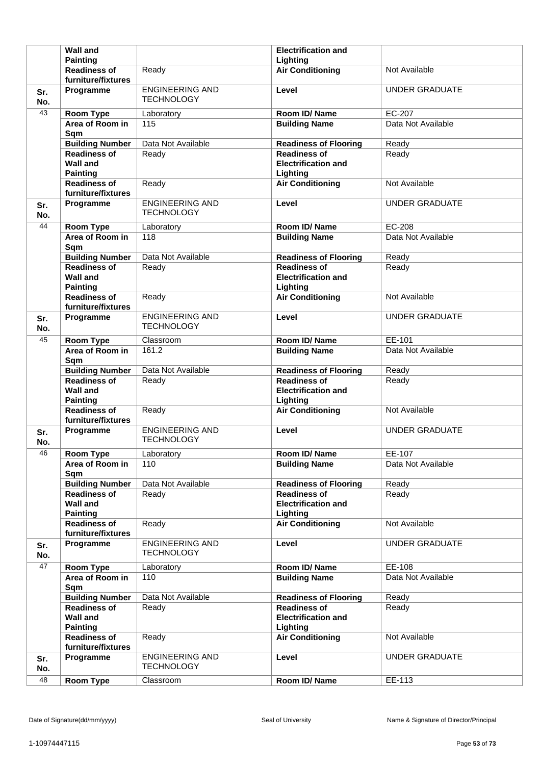|            | <b>Wall and</b>                                              |                                             | <b>Electrification and</b>                                    |                       |
|------------|--------------------------------------------------------------|---------------------------------------------|---------------------------------------------------------------|-----------------------|
|            | <b>Painting</b>                                              |                                             | Lighting                                                      |                       |
|            | <b>Readiness of</b><br>furniture/fixtures                    | Ready                                       | <b>Air Conditioning</b>                                       | Not Available         |
| Sr.<br>No. | Programme                                                    | <b>ENGINEERING AND</b><br><b>TECHNOLOGY</b> | Level                                                         | <b>UNDER GRADUATE</b> |
| 43         | <b>Room Type</b>                                             | Laboratory                                  | Room ID/Name                                                  | EC-207                |
|            | Area of Room in<br>Sqm                                       | 115                                         | <b>Building Name</b>                                          | Data Not Available    |
|            | <b>Building Number</b>                                       | Data Not Available                          | <b>Readiness of Flooring</b>                                  | Ready                 |
|            | <b>Readiness of</b><br><b>Wall and</b><br><b>Painting</b>    | Ready                                       | <b>Readiness of</b><br><b>Electrification and</b><br>Lighting | Ready                 |
|            | <b>Readiness of</b><br>furniture/fixtures                    | Ready                                       | <b>Air Conditioning</b>                                       | Not Available         |
| Sr.<br>No. | Programme                                                    | <b>ENGINEERING AND</b><br><b>TECHNOLOGY</b> | Level                                                         | <b>UNDER GRADUATE</b> |
| 44         | <b>Room Type</b>                                             | Laboratory                                  | Room ID/Name                                                  | EC-208                |
|            | Area of Room in<br>Sqm                                       | 118                                         | <b>Building Name</b>                                          | Data Not Available    |
|            | <b>Building Number</b>                                       | Data Not Available                          | <b>Readiness of Flooring</b>                                  | Ready                 |
|            | <b>Readiness of</b><br><b>Wall and</b><br><b>Painting</b>    | Ready                                       | <b>Readiness of</b><br><b>Electrification and</b><br>Lighting | Ready                 |
|            | <b>Readiness of</b><br>furniture/fixtures                    | Ready                                       | <b>Air Conditioning</b>                                       | Not Available         |
| Sr.<br>No. | Programme                                                    | <b>ENGINEERING AND</b><br><b>TECHNOLOGY</b> | Level                                                         | <b>UNDER GRADUATE</b> |
| 45         | Room Type                                                    | Classroom                                   | Room ID/Name                                                  | EE-101                |
|            | Area of Room in<br>Sqm                                       | 161.2                                       | <b>Building Name</b>                                          | Data Not Available    |
|            | <b>Building Number</b>                                       | Data Not Available                          | <b>Readiness of Flooring</b>                                  | Ready                 |
|            | <b>Readiness of</b>                                          | Ready                                       | <b>Readiness of</b><br><b>Electrification and</b>             | Ready                 |
|            | <b>Wall and</b>                                              |                                             |                                                               |                       |
|            | <b>Painting</b><br><b>Readiness of</b><br>furniture/fixtures | Ready                                       | Lighting<br><b>Air Conditioning</b>                           | Not Available         |
| Sr.<br>No. | Programme                                                    | <b>ENGINEERING AND</b><br><b>TECHNOLOGY</b> | Level                                                         | <b>UNDER GRADUATE</b> |
| 46         | <b>Room Type</b>                                             | Laboratory                                  | Room ID/Name                                                  | EE-107                |
|            | Area of Room in<br>Sqm                                       | 110                                         | <b>Building Name</b>                                          | Data Not Available    |
|            | <b>Building Number</b>                                       | Data Not Available                          | <b>Readiness of Flooring</b>                                  | Ready                 |
|            | <b>Readiness of</b><br><b>Wall and</b><br><b>Painting</b>    | Ready                                       | <b>Readiness of</b><br><b>Electrification and</b><br>Lighting | Ready                 |
|            | <b>Readiness of</b><br>furniture/fixtures                    | Ready                                       | <b>Air Conditioning</b>                                       | Not Available         |
| Sr.<br>No. | Programme                                                    | <b>ENGINEERING AND</b><br><b>TECHNOLOGY</b> | Level                                                         | <b>UNDER GRADUATE</b> |
| 47         | <b>Room Type</b>                                             | Laboratory                                  | Room ID/Name                                                  | EE-108                |
|            | Area of Room in<br>Sqm                                       | 110                                         | <b>Building Name</b>                                          | Data Not Available    |
|            | <b>Building Number</b>                                       | Data Not Available                          | <b>Readiness of Flooring</b>                                  | Ready                 |
|            | <b>Readiness of</b><br><b>Wall and</b>                       | Ready                                       | <b>Readiness of</b><br><b>Electrification and</b>             | Ready                 |
|            | <b>Painting</b><br><b>Readiness of</b><br>furniture/fixtures | Ready                                       | Lighting<br><b>Air Conditioning</b>                           | Not Available         |
| Sr.<br>No. | Programme                                                    | <b>ENGINEERING AND</b><br><b>TECHNOLOGY</b> | Level                                                         | <b>UNDER GRADUATE</b> |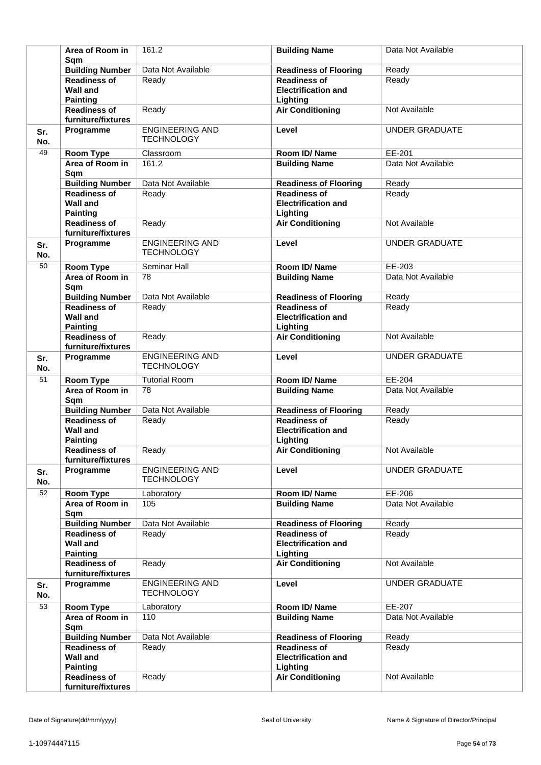|            | Area of Room in<br>Sam                                    | 161.2                                       | <b>Building Name</b>                                          | Data Not Available    |
|------------|-----------------------------------------------------------|---------------------------------------------|---------------------------------------------------------------|-----------------------|
|            | <b>Building Number</b>                                    | Data Not Available                          | <b>Readiness of Flooring</b>                                  | Ready                 |
|            | <b>Readiness of</b><br><b>Wall and</b><br><b>Painting</b> | Ready                                       | <b>Readiness of</b><br><b>Electrification and</b><br>Lighting | Ready                 |
|            | <b>Readiness of</b><br>furniture/fixtures                 | Ready                                       | <b>Air Conditioning</b>                                       | Not Available         |
| Sr.<br>No. | Programme                                                 | <b>ENGINEERING AND</b><br><b>TECHNOLOGY</b> | Level                                                         | <b>UNDER GRADUATE</b> |
| 49         | <b>Room Type</b>                                          | Classroom                                   | Room ID/Name                                                  | EE-201                |
|            | Area of Room in<br>Sqm                                    | 161.2                                       | <b>Building Name</b>                                          | Data Not Available    |
|            | <b>Building Number</b>                                    | Data Not Available                          | <b>Readiness of Flooring</b>                                  | Ready                 |
|            | <b>Readiness of</b><br><b>Wall and</b><br><b>Painting</b> | Ready                                       | <b>Readiness of</b><br><b>Electrification and</b><br>Lighting | Ready                 |
|            | <b>Readiness of</b><br>furniture/fixtures                 | Ready                                       | <b>Air Conditioning</b>                                       | Not Available         |
| Sr.<br>No. | Programme                                                 | <b>ENGINEERING AND</b><br><b>TECHNOLOGY</b> | Level                                                         | <b>UNDER GRADUATE</b> |
| 50         | Room Type                                                 | Seminar Hall                                | Room ID/Name                                                  | EE-203                |
|            | Area of Room in<br>Sqm                                    | 78                                          | <b>Building Name</b>                                          | Data Not Available    |
|            | <b>Building Number</b>                                    | Data Not Available                          | <b>Readiness of Flooring</b>                                  | Ready                 |
|            | <b>Readiness of</b><br><b>Wall and</b><br><b>Painting</b> | Ready                                       | <b>Readiness of</b><br><b>Electrification and</b><br>Lighting | Ready                 |
|            | <b>Readiness of</b><br>furniture/fixtures                 | Ready                                       | <b>Air Conditioning</b>                                       | Not Available         |
| Sr.<br>No. | Programme                                                 | <b>ENGINEERING AND</b><br><b>TECHNOLOGY</b> | Level                                                         | <b>UNDER GRADUATE</b> |
| 51         | <b>Room Type</b>                                          | <b>Tutorial Room</b>                        | Room ID/Name                                                  | EE-204                |
|            | Area of Room in<br>Sqm                                    | 78                                          | <b>Building Name</b>                                          | Data Not Available    |
|            | <b>Building Number</b>                                    | Data Not Available                          | <b>Readiness of Flooring</b>                                  | Ready                 |
|            | <b>Readiness of</b><br><b>Wall and</b><br><b>Painting</b> | Ready                                       | <b>Readiness of</b><br><b>Electrification and</b><br>Lighting | Ready                 |
|            | <b>Readiness of</b><br>furniture/fixtures                 | Ready                                       | <b>Air Conditioning</b>                                       | Not Available         |
| Sr.<br>No. | Programme                                                 | <b>ENGINEERING AND</b><br><b>TECHNOLOGY</b> | Level                                                         | <b>UNDER GRADUATE</b> |
| 52         | Room Type                                                 | Laboratory                                  | Room ID/Name                                                  | EE-206                |
|            | Area of Room in<br>Sqm                                    | 105                                         | <b>Building Name</b>                                          | Data Not Available    |
|            | <b>Building Number</b>                                    | Data Not Available                          | <b>Readiness of Flooring</b>                                  | Ready                 |
|            | <b>Readiness of</b><br><b>Wall and</b><br><b>Painting</b> | Ready                                       | <b>Readiness of</b><br><b>Electrification and</b><br>Lighting | Ready                 |
|            | <b>Readiness of</b><br>furniture/fixtures                 | Ready                                       | <b>Air Conditioning</b>                                       | Not Available         |
| Sr.<br>No. | Programme                                                 | <b>ENGINEERING AND</b><br><b>TECHNOLOGY</b> | Level                                                         | <b>UNDER GRADUATE</b> |
| 53         | <b>Room Type</b>                                          | Laboratory                                  | Room ID/Name                                                  | EE-207                |
|            | Area of Room in<br>Sqm                                    | 110                                         | <b>Building Name</b>                                          | Data Not Available    |
|            | <b>Building Number</b>                                    | Data Not Available                          | <b>Readiness of Flooring</b>                                  | Ready                 |
|            | <b>Readiness of</b><br><b>Wall and</b><br><b>Painting</b> | Ready                                       | <b>Readiness of</b><br><b>Electrification and</b><br>Lighting | Ready                 |
|            | <b>Readiness of</b><br>furniture/fixtures                 | Ready                                       | <b>Air Conditioning</b>                                       | Not Available         |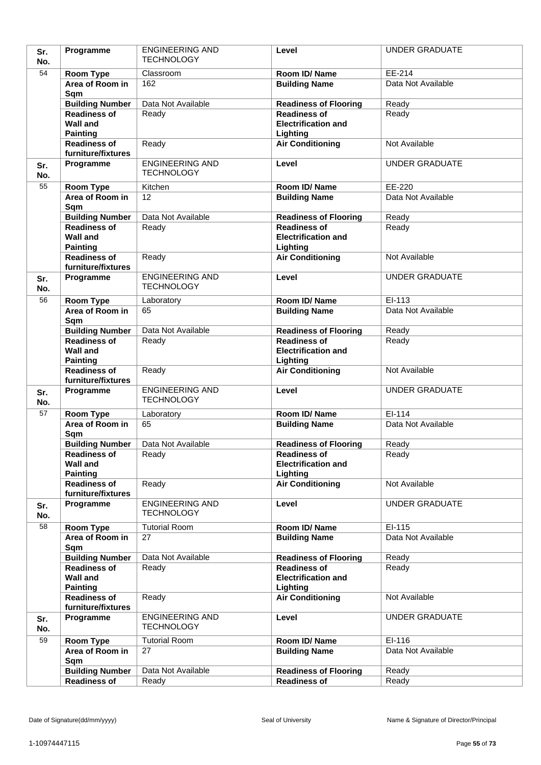| Sr.<br>No. | Programme                                 | <b>ENGINEERING AND</b><br><b>TECHNOLOGY</b> | Level                                             | <b>UNDER GRADUATE</b> |
|------------|-------------------------------------------|---------------------------------------------|---------------------------------------------------|-----------------------|
| 54         | Room Type                                 | Classroom                                   | Room ID/Name                                      | EE-214                |
|            | Area of Room in                           | 162                                         | <b>Building Name</b>                              | Data Not Available    |
|            | Sqm                                       |                                             |                                                   |                       |
|            | <b>Building Number</b>                    | Data Not Available                          | <b>Readiness of Flooring</b>                      | Ready                 |
|            | <b>Readiness of</b>                       | Ready                                       | <b>Readiness of</b>                               | Ready                 |
|            | <b>Wall and</b>                           |                                             | <b>Electrification and</b>                        |                       |
|            | <b>Painting</b>                           |                                             | Lighting                                          |                       |
|            | <b>Readiness of</b><br>furniture/fixtures | Ready                                       | <b>Air Conditioning</b>                           | Not Available         |
| Sr.        | Programme                                 | <b>ENGINEERING AND</b>                      | Level                                             | <b>UNDER GRADUATE</b> |
| No.        |                                           | <b>TECHNOLOGY</b>                           |                                                   |                       |
| 55         | Room Type                                 | Kitchen                                     | Room ID/Name                                      | EE-220                |
|            | Area of Room in                           | 12                                          | <b>Building Name</b>                              | Data Not Available    |
|            | Sqm                                       |                                             |                                                   |                       |
|            | <b>Building Number</b>                    | Data Not Available                          | <b>Readiness of Flooring</b>                      | Ready                 |
|            | <b>Readiness of</b>                       | Ready                                       | <b>Readiness of</b>                               | Ready                 |
|            | <b>Wall and</b>                           |                                             | <b>Electrification and</b>                        |                       |
|            | <b>Painting</b><br><b>Readiness of</b>    | Ready                                       | Lighting<br><b>Air Conditioning</b>               | Not Available         |
|            | furniture/fixtures                        |                                             |                                                   |                       |
| Sr.        | Programme                                 | <b>ENGINEERING AND</b>                      | Level                                             | <b>UNDER GRADUATE</b> |
| No.        |                                           | <b>TECHNOLOGY</b>                           |                                                   |                       |
| 56         | Room Type                                 | Laboratory                                  | Room ID/Name                                      | EI-113                |
|            | Area of Room in                           | 65                                          | <b>Building Name</b>                              | Data Not Available    |
|            | Sqm                                       |                                             |                                                   |                       |
|            | <b>Building Number</b>                    | Data Not Available                          | <b>Readiness of Flooring</b>                      | Ready                 |
|            | <b>Readiness of</b><br><b>Wall and</b>    | Ready                                       | <b>Readiness of</b><br><b>Electrification and</b> | Ready                 |
|            | <b>Painting</b>                           |                                             | Lighting                                          |                       |
|            | <b>Readiness of</b>                       | Ready                                       | <b>Air Conditioning</b>                           | Not Available         |
|            | furniture/fixtures                        |                                             |                                                   |                       |
| Sr.        | Programme                                 | <b>ENGINEERING AND</b><br><b>TECHNOLOGY</b> | Level                                             | <b>UNDER GRADUATE</b> |
| No.<br>57  |                                           |                                             | Room ID/Name                                      | EI-114                |
|            | Room Type<br>Area of Room in              | Laboratory<br>65                            | <b>Building Name</b>                              | Data Not Available    |
|            | Sqm                                       |                                             |                                                   |                       |
|            | <b>Building Number</b>                    | Data Not Available                          | <b>Readiness of Flooring</b>                      | Ready                 |
|            | <b>Readiness of</b>                       | Ready                                       | <b>Readiness of</b>                               | Ready                 |
|            | <b>Wall and</b>                           |                                             | <b>Electrification and</b>                        |                       |
|            | <b>Painting</b>                           |                                             | Lighting                                          | Not Available         |
|            | <b>Readiness of</b><br>furniture/fixtures | Ready                                       | <b>Air Conditioning</b>                           |                       |
| Sr.        | Programme                                 | <b>ENGINEERING AND</b>                      | Level                                             | <b>UNDER GRADUATE</b> |
| No.        |                                           | <b>TECHNOLOGY</b>                           |                                                   |                       |
| 58         | Room Type                                 | <b>Tutorial Room</b>                        | Room ID/Name                                      | EI-115                |
|            | Area of Room in                           | 27                                          | <b>Building Name</b>                              | Data Not Available    |
|            | Sqm                                       |                                             |                                                   |                       |
|            | <b>Building Number</b>                    | Data Not Available                          | <b>Readiness of Flooring</b>                      | Ready                 |
|            | <b>Readiness of</b><br><b>Wall and</b>    | Ready                                       | <b>Readiness of</b><br><b>Electrification and</b> | Ready                 |
|            | <b>Painting</b>                           |                                             | Lighting                                          |                       |
|            | <b>Readiness of</b>                       | Ready                                       | <b>Air Conditioning</b>                           | Not Available         |
|            | furniture/fixtures                        |                                             |                                                   |                       |
| Sr.        | Programme                                 | <b>ENGINEERING AND</b>                      | Level                                             | <b>UNDER GRADUATE</b> |
| No.        |                                           | <b>TECHNOLOGY</b>                           |                                                   |                       |
| 59         | Room Type                                 | <b>Tutorial Room</b>                        | Room ID/Name                                      | EI-116                |
|            | Area of Room in                           | 27                                          | <b>Building Name</b>                              | Data Not Available    |
|            | Sqm<br><b>Building Number</b>             | Data Not Available                          |                                                   | Ready                 |
|            |                                           |                                             | <b>Readiness of Flooring</b>                      |                       |
|            | Readiness of                              | Ready                                       | <b>Readiness of</b>                               | Ready                 |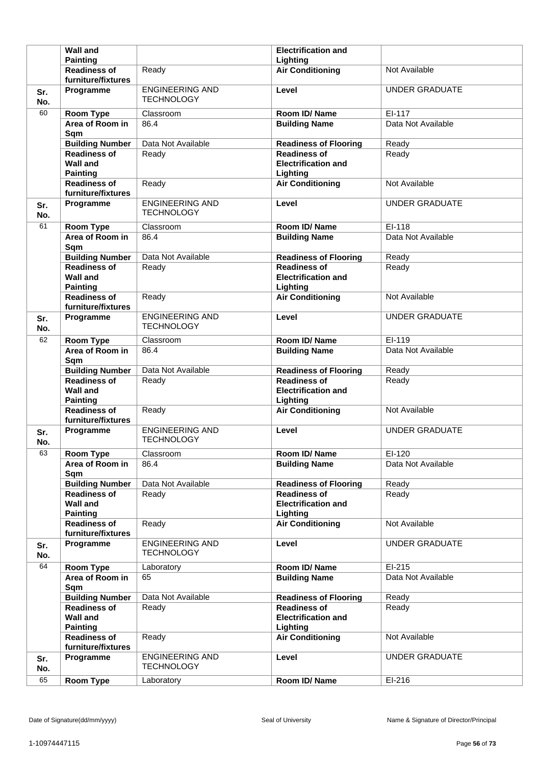|            | <b>Wall and</b><br><b>Painting</b>                        |                                             | <b>Electrification and</b><br>Lighting                        |                       |
|------------|-----------------------------------------------------------|---------------------------------------------|---------------------------------------------------------------|-----------------------|
|            | <b>Readiness of</b><br>furniture/fixtures                 | Ready                                       | <b>Air Conditioning</b>                                       | Not Available         |
| Sr.        | Programme                                                 | <b>ENGINEERING AND</b>                      | Level                                                         | <b>UNDER GRADUATE</b> |
| No.        |                                                           | <b>TECHNOLOGY</b>                           |                                                               |                       |
| 60         | Room Type                                                 | Classroom                                   | Room ID/Name                                                  | EI-117                |
|            | Area of Room in<br>Sqm                                    | 86.4                                        | <b>Building Name</b>                                          | Data Not Available    |
|            | <b>Building Number</b>                                    | Data Not Available                          | <b>Readiness of Flooring</b>                                  | Ready                 |
|            | <b>Readiness of</b><br><b>Wall and</b><br><b>Painting</b> | Ready                                       | <b>Readiness of</b><br><b>Electrification and</b><br>Lighting | Ready                 |
|            | <b>Readiness of</b><br>furniture/fixtures                 | Ready                                       | <b>Air Conditioning</b>                                       | Not Available         |
| Sr.<br>No. | Programme                                                 | <b>ENGINEERING AND</b><br><b>TECHNOLOGY</b> | Level                                                         | <b>UNDER GRADUATE</b> |
| 61         | <b>Room Type</b>                                          | Classroom                                   | Room ID/Name                                                  | EI-118                |
|            | Area of Room in<br>Sqm                                    | 86.4                                        | <b>Building Name</b>                                          | Data Not Available    |
|            | <b>Building Number</b>                                    | Data Not Available                          | <b>Readiness of Flooring</b>                                  | Ready                 |
|            | <b>Readiness of</b><br><b>Wall and</b><br><b>Painting</b> | Ready                                       | <b>Readiness of</b><br><b>Electrification and</b><br>Lighting | Ready                 |
|            | <b>Readiness of</b><br>furniture/fixtures                 | Ready                                       | <b>Air Conditioning</b>                                       | Not Available         |
| Sr.<br>No. | Programme                                                 | <b>ENGINEERING AND</b><br><b>TECHNOLOGY</b> | Level                                                         | <b>UNDER GRADUATE</b> |
| 62         | <b>Room Type</b>                                          | Classroom                                   | Room ID/Name                                                  | EI-119                |
|            | Area of Room in<br>Sqm                                    | 86.4                                        | <b>Building Name</b>                                          | Data Not Available    |
|            | <b>Building Number</b>                                    | Data Not Available                          | <b>Readiness of Flooring</b>                                  | Ready                 |
|            |                                                           |                                             |                                                               |                       |
|            | <b>Readiness of</b><br><b>Wall and</b><br><b>Painting</b> | Ready                                       | <b>Readiness of</b><br><b>Electrification and</b><br>Lighting | Ready                 |
|            | <b>Readiness of</b><br>furniture/fixtures                 | Ready                                       | <b>Air Conditioning</b>                                       | Not Available         |
| Sr.<br>No. | Programme                                                 | <b>ENGINEERING AND</b><br><b>TECHNOLOGY</b> | Level                                                         | <b>UNDER GRADUATE</b> |
| 63         | <b>Room Type</b>                                          | Classroom                                   | Room ID/Name                                                  | EI-120                |
|            | Area of Room in<br>Sqm                                    | 86.4                                        | <b>Building Name</b>                                          | Data Not Available    |
|            | <b>Building Number</b>                                    | Data Not Available                          | <b>Readiness of Flooring</b>                                  | Ready                 |
|            | <b>Readiness of</b><br><b>Wall and</b><br><b>Painting</b> | Ready                                       | <b>Readiness of</b><br><b>Electrification and</b><br>Lighting | Ready                 |
|            | <b>Readiness of</b><br>furniture/fixtures                 | Ready                                       | <b>Air Conditioning</b>                                       | Not Available         |
| Sr.<br>No. | Programme                                                 | <b>ENGINEERING AND</b><br><b>TECHNOLOGY</b> | Level                                                         | <b>UNDER GRADUATE</b> |
| 64         | Room Type                                                 | Laboratory                                  | Room ID/Name                                                  | EI-215                |
|            | Area of Room in<br>Sqm                                    | 65                                          | <b>Building Name</b>                                          | Data Not Available    |
|            | <b>Building Number</b>                                    | Data Not Available                          | <b>Readiness of Flooring</b>                                  | Ready                 |
|            | <b>Readiness of</b><br><b>Wall and</b>                    | Ready                                       | <b>Readiness of</b><br><b>Electrification and</b>             | Ready                 |
|            | <b>Painting</b><br><b>Readiness of</b>                    | Ready                                       | Lighting<br><b>Air Conditioning</b>                           | Not Available         |
| Sr.<br>No. | furniture/fixtures<br>Programme                           | <b>ENGINEERING AND</b><br><b>TECHNOLOGY</b> | Level                                                         | <b>UNDER GRADUATE</b> |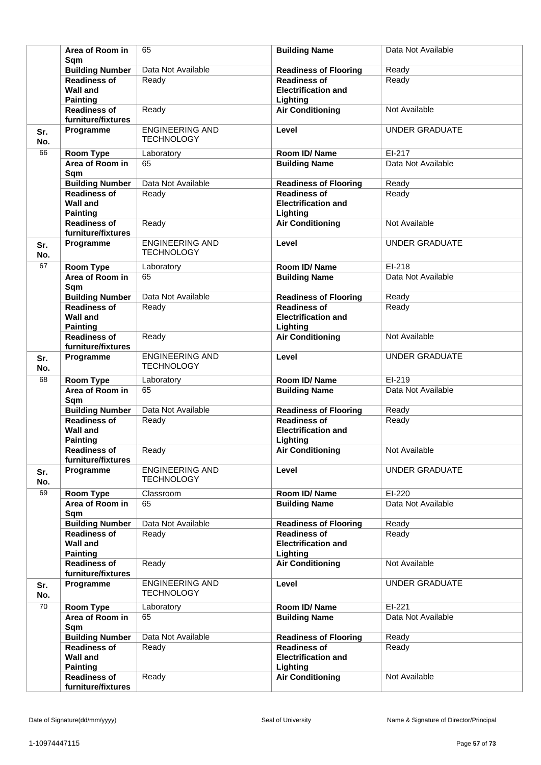|            | Area of Room in<br>Sam                                    | 65                                          | <b>Building Name</b>                                          | Data Not Available    |
|------------|-----------------------------------------------------------|---------------------------------------------|---------------------------------------------------------------|-----------------------|
|            | <b>Building Number</b>                                    | Data Not Available                          | <b>Readiness of Flooring</b>                                  | Ready                 |
|            | <b>Readiness of</b><br><b>Wall and</b><br><b>Painting</b> | Ready                                       | <b>Readiness of</b><br><b>Electrification and</b><br>Lighting | Ready                 |
|            | <b>Readiness of</b><br>furniture/fixtures                 | Ready                                       | <b>Air Conditioning</b>                                       | Not Available         |
| Sr.<br>No. | Programme                                                 | <b>ENGINEERING AND</b><br><b>TECHNOLOGY</b> | Level                                                         | <b>UNDER GRADUATE</b> |
| 66         | <b>Room Type</b>                                          | Laboratory                                  | Room ID/Name                                                  | EI-217                |
|            | Area of Room in<br>Sqm                                    | 65                                          | <b>Building Name</b>                                          | Data Not Available    |
|            | <b>Building Number</b>                                    | Data Not Available                          | <b>Readiness of Flooring</b>                                  | Ready                 |
|            | <b>Readiness of</b><br><b>Wall and</b><br><b>Painting</b> | Ready                                       | <b>Readiness of</b><br><b>Electrification and</b><br>Lighting | Ready                 |
|            | <b>Readiness of</b><br>furniture/fixtures                 | Ready                                       | <b>Air Conditioning</b>                                       | Not Available         |
| Sr.<br>No. | Programme                                                 | <b>ENGINEERING AND</b><br><b>TECHNOLOGY</b> | Level                                                         | <b>UNDER GRADUATE</b> |
| 67         | Room Type                                                 | Laboratory                                  | Room ID/Name                                                  | EI-218                |
|            | Area of Room in<br>Sqm                                    | 65                                          | <b>Building Name</b>                                          | Data Not Available    |
|            | <b>Building Number</b>                                    | Data Not Available                          | <b>Readiness of Flooring</b>                                  | Ready                 |
|            | <b>Readiness of</b><br><b>Wall and</b><br><b>Painting</b> | Ready                                       | <b>Readiness of</b><br><b>Electrification and</b><br>Lighting | Ready                 |
|            | <b>Readiness of</b><br>furniture/fixtures                 | Ready                                       | <b>Air Conditioning</b>                                       | Not Available         |
| Sr.<br>No. | Programme                                                 | <b>ENGINEERING AND</b><br><b>TECHNOLOGY</b> | Level                                                         | <b>UNDER GRADUATE</b> |
| 68         | <b>Room Type</b>                                          | Laboratory                                  | Room ID/Name                                                  | EI-219                |
|            | Area of Room in<br>Sqm                                    | 65                                          | <b>Building Name</b>                                          | Data Not Available    |
|            | <b>Building Number</b>                                    | Data Not Available                          | <b>Readiness of Flooring</b>                                  | Ready                 |
|            | <b>Readiness of</b><br><b>Wall and</b><br><b>Painting</b> | Ready                                       | <b>Readiness of</b><br><b>Electrification and</b><br>Lighting | Ready                 |
|            | <b>Readiness of</b><br>furniture/fixtures                 | Ready                                       | <b>Air Conditioning</b>                                       | Not Available         |
| Sr.<br>No. | Programme                                                 | <b>ENGINEERING AND</b><br><b>TECHNOLOGY</b> | Level                                                         | <b>UNDER GRADUATE</b> |
| 69         | Room Type                                                 | Classroom                                   | Room ID/Name                                                  | EI-220                |
|            | Area of Room in<br>Sqm                                    | 65                                          | <b>Building Name</b>                                          | Data Not Available    |
|            | <b>Building Number</b>                                    | Data Not Available                          | <b>Readiness of Flooring</b>                                  | Ready                 |
|            | <b>Readiness of</b><br><b>Wall and</b><br><b>Painting</b> | Ready                                       | <b>Readiness of</b><br><b>Electrification and</b><br>Lighting | Ready                 |
|            | <b>Readiness of</b><br>furniture/fixtures                 | Ready                                       | <b>Air Conditioning</b>                                       | Not Available         |
| Sr.<br>No. | Programme                                                 | <b>ENGINEERING AND</b><br><b>TECHNOLOGY</b> | Level                                                         | <b>UNDER GRADUATE</b> |
| 70         | <b>Room Type</b>                                          | Laboratory                                  | Room ID/Name                                                  | EI-221                |
|            | Area of Room in<br>Sqm                                    | 65                                          | <b>Building Name</b>                                          | Data Not Available    |
|            | <b>Building Number</b>                                    | Data Not Available                          | <b>Readiness of Flooring</b>                                  | Ready                 |
|            | <b>Readiness of</b><br><b>Wall and</b><br><b>Painting</b> | Ready                                       | <b>Readiness of</b><br><b>Electrification and</b><br>Lighting | Ready                 |
|            | <b>Readiness of</b><br>furniture/fixtures                 | Ready                                       | <b>Air Conditioning</b>                                       | Not Available         |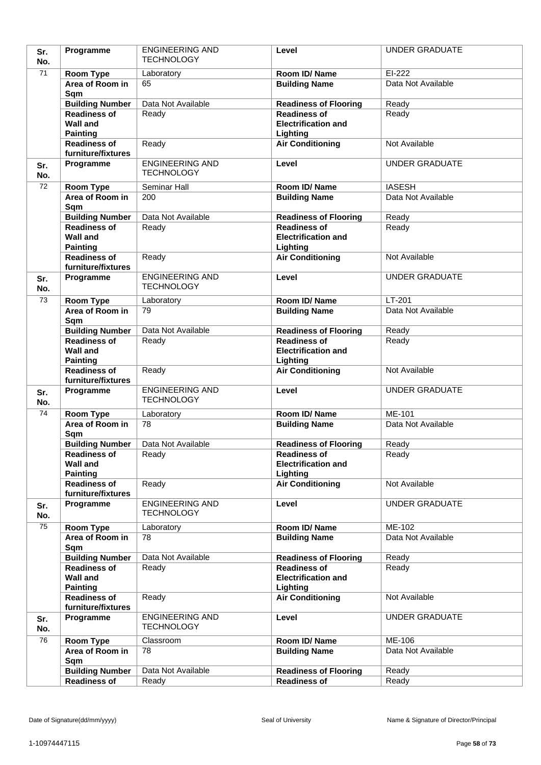| Sr.<br>No. | Programme                                 | <b>ENGINEERING AND</b><br><b>TECHNOLOGY</b> | Level                                  | <b>UNDER GRADUATE</b> |
|------------|-------------------------------------------|---------------------------------------------|----------------------------------------|-----------------------|
| 71         | Room Type                                 | Laboratory                                  | Room ID/Name                           | EI-222                |
|            | Area of Room in                           | 65                                          | <b>Building Name</b>                   | Data Not Available    |
|            | Sqm                                       |                                             |                                        |                       |
|            | <b>Building Number</b>                    | Data Not Available                          | <b>Readiness of Flooring</b>           | Ready                 |
|            | <b>Readiness of</b>                       | Ready                                       | <b>Readiness of</b>                    | Ready                 |
|            | <b>Wall and</b>                           |                                             | <b>Electrification and</b>             |                       |
|            | <b>Painting</b>                           |                                             | Lighting                               |                       |
|            | <b>Readiness of</b><br>furniture/fixtures | Ready                                       | <b>Air Conditioning</b>                | Not Available         |
| Sr.        | Programme                                 | <b>ENGINEERING AND</b>                      | Level                                  | <b>UNDER GRADUATE</b> |
| No.        |                                           | <b>TECHNOLOGY</b>                           |                                        |                       |
| 72         | Room Type                                 | Seminar Hall                                | Room ID/Name                           | <b>IASESH</b>         |
|            | Area of Room in                           | 200                                         | <b>Building Name</b>                   | Data Not Available    |
|            | Sqm<br><b>Building Number</b>             | Data Not Available                          | <b>Readiness of Flooring</b>           | Ready                 |
|            | <b>Readiness of</b>                       | Ready                                       | <b>Readiness of</b>                    | Ready                 |
|            | <b>Wall and</b>                           |                                             | <b>Electrification and</b>             |                       |
|            | <b>Painting</b>                           |                                             | Lighting                               |                       |
|            | <b>Readiness of</b>                       | Ready                                       | <b>Air Conditioning</b>                | Not Available         |
|            | furniture/fixtures                        |                                             |                                        |                       |
| Sr.<br>No. | Programme                                 | <b>ENGINEERING AND</b><br><b>TECHNOLOGY</b> | Level                                  | <b>UNDER GRADUATE</b> |
| 73         | Room Type                                 | Laboratory                                  | Room ID/ Name                          | $LT-201$              |
|            | Area of Room in<br>Sqm                    | 79                                          | <b>Building Name</b>                   | Data Not Available    |
|            | <b>Building Number</b>                    | Data Not Available                          | <b>Readiness of Flooring</b>           | Ready                 |
|            | <b>Readiness of</b>                       | Ready                                       | <b>Readiness of</b>                    | Ready                 |
|            | <b>Wall and</b><br><b>Painting</b>        |                                             | <b>Electrification and</b><br>Lighting |                       |
|            | <b>Readiness of</b><br>furniture/fixtures | Ready                                       | <b>Air Conditioning</b>                | Not Available         |
| Sr.<br>No. | Programme                                 | <b>ENGINEERING AND</b><br><b>TECHNOLOGY</b> | Level                                  | <b>UNDER GRADUATE</b> |
| 74         | Room Type                                 | Laboratory                                  | Room ID/Name                           | $ME-101$              |
|            | Area of Room in<br>Sqm                    | 78                                          | <b>Building Name</b>                   | Data Not Available    |
|            | <b>Building Number</b>                    | Data Not Available                          | <b>Readiness of Flooring</b>           | Ready                 |
|            | <b>Readiness of</b>                       | Ready                                       | <b>Readiness of</b>                    | Ready                 |
|            | <b>Wall and</b>                           |                                             | <b>Electrification and</b>             |                       |
|            | <b>Painting</b><br><b>Readiness of</b>    | Ready                                       | Lighting<br><b>Air Conditioning</b>    | Not Available         |
|            | furniture/fixtures                        |                                             |                                        |                       |
| Sr.<br>No. | Programme                                 | <b>ENGINEERING AND</b><br><b>TECHNOLOGY</b> | Level                                  | <b>UNDER GRADUATE</b> |
| 75         | Room Type                                 | Laboratory                                  | Room ID/Name                           | ME-102                |
|            | Area of Room in                           | 78                                          | <b>Building Name</b>                   | Data Not Available    |
|            | Sqm                                       |                                             |                                        |                       |
|            | <b>Building Number</b>                    | Data Not Available                          | <b>Readiness of Flooring</b>           | Ready                 |
|            | <b>Readiness of</b>                       | Ready                                       | <b>Readiness of</b>                    | Ready                 |
|            | <b>Wall and</b>                           |                                             | <b>Electrification and</b>             |                       |
|            | <b>Painting</b><br><b>Readiness of</b>    | Ready                                       | Lighting<br><b>Air Conditioning</b>    | Not Available         |
|            | furniture/fixtures                        |                                             |                                        |                       |
| Sr.<br>No. | Programme                                 | <b>ENGINEERING AND</b><br><b>TECHNOLOGY</b> | Level                                  | <b>UNDER GRADUATE</b> |
| 76         | Room Type                                 | Classroom                                   | Room ID/Name                           | ME-106                |
|            | Area of Room in<br>Sqm                    | 78                                          | <b>Building Name</b>                   | Data Not Available    |
|            | <b>Building Number</b>                    | Data Not Available                          | <b>Readiness of Flooring</b>           | Ready                 |
|            | Readiness of                              | Ready                                       |                                        | Ready                 |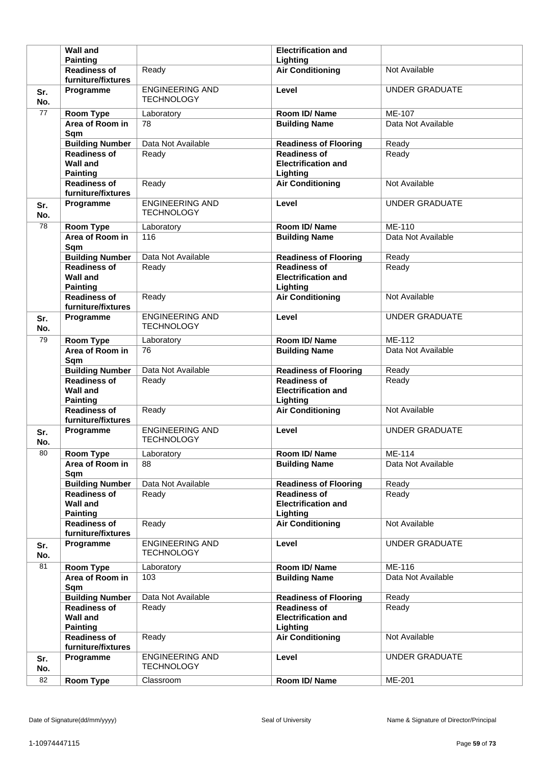|            | <b>Wall and</b><br><b>Painting</b>                           |                                             | <b>Electrification and</b><br>Lighting                        |                       |
|------------|--------------------------------------------------------------|---------------------------------------------|---------------------------------------------------------------|-----------------------|
|            | <b>Readiness of</b>                                          | Ready                                       | <b>Air Conditioning</b>                                       | Not Available         |
|            | furniture/fixtures<br>Programme                              | <b>ENGINEERING AND</b>                      | Level                                                         | <b>UNDER GRADUATE</b> |
| Sr.<br>No. |                                                              | <b>TECHNOLOGY</b>                           |                                                               |                       |
| 77         | Room Type                                                    | Laboratory                                  | Room ID/Name                                                  | ME-107                |
|            | Area of Room in<br>Sqm                                       | 78                                          | <b>Building Name</b>                                          | Data Not Available    |
|            | <b>Building Number</b>                                       | Data Not Available                          | <b>Readiness of Flooring</b>                                  | Ready                 |
|            | <b>Readiness of</b><br><b>Wall and</b><br><b>Painting</b>    | Ready                                       | <b>Readiness of</b><br><b>Electrification and</b><br>Lighting | Ready                 |
|            | <b>Readiness of</b><br>furniture/fixtures                    | Ready                                       | <b>Air Conditioning</b>                                       | Not Available         |
| Sr.<br>No. | Programme                                                    | <b>ENGINEERING AND</b><br><b>TECHNOLOGY</b> | Level                                                         | <b>UNDER GRADUATE</b> |
| 78         | <b>Room Type</b>                                             | Laboratory                                  | Room ID/Name                                                  | <b>ME-110</b>         |
|            | Area of Room in<br>Sqm                                       | 116                                         | <b>Building Name</b>                                          | Data Not Available    |
|            | <b>Building Number</b>                                       | Data Not Available                          | <b>Readiness of Flooring</b>                                  | Ready                 |
|            | <b>Readiness of</b><br><b>Wall and</b><br><b>Painting</b>    | Ready                                       | <b>Readiness of</b><br><b>Electrification and</b><br>Lighting | Ready                 |
|            | <b>Readiness of</b><br>furniture/fixtures                    | Ready                                       | <b>Air Conditioning</b>                                       | Not Available         |
| Sr.<br>No. | Programme                                                    | <b>ENGINEERING AND</b><br><b>TECHNOLOGY</b> | Level                                                         | <b>UNDER GRADUATE</b> |
| 79         | <b>Room Type</b>                                             | Laboratory                                  | Room ID/Name                                                  | ME-112                |
|            | Area of Room in<br>Sqm                                       | 76                                          | <b>Building Name</b>                                          | Data Not Available    |
|            | <b>Building Number</b>                                       | Data Not Available                          | <b>Readiness of Flooring</b>                                  | Ready                 |
|            |                                                              |                                             |                                                               |                       |
|            | <b>Readiness of</b><br><b>Wall and</b>                       | Ready                                       | <b>Readiness of</b><br><b>Electrification and</b>             | Ready                 |
|            | <b>Painting</b><br><b>Readiness of</b><br>furniture/fixtures | Ready                                       | Lighting<br><b>Air Conditioning</b>                           | Not Available         |
| Sr.<br>No. | Programme                                                    | <b>ENGINEERING AND</b><br><b>TECHNOLOGY</b> | Level                                                         | <b>UNDER GRADUATE</b> |
| 80         | <b>Room Type</b>                                             | Laboratory                                  | Room ID/Name                                                  | ME-114                |
|            | Area of Room in<br>Sqm                                       | 88                                          | <b>Building Name</b>                                          | Data Not Available    |
|            | <b>Building Number</b>                                       | Data Not Available                          | <b>Readiness of Flooring</b>                                  | Ready                 |
|            | <b>Readiness of</b><br><b>Wall and</b><br><b>Painting</b>    | Ready                                       | <b>Readiness of</b><br><b>Electrification and</b><br>Lighting | Ready                 |
|            | <b>Readiness of</b><br>furniture/fixtures                    | Ready                                       | <b>Air Conditioning</b>                                       | Not Available         |
| Sr.<br>No. | Programme                                                    | <b>ENGINEERING AND</b><br><b>TECHNOLOGY</b> | Level                                                         | <b>UNDER GRADUATE</b> |
| 81         | Room Type                                                    | Laboratory                                  | Room ID/Name                                                  | ME-116                |
|            | Area of Room in<br>Sqm                                       | 103                                         | <b>Building Name</b>                                          | Data Not Available    |
|            | <b>Building Number</b>                                       | Data Not Available                          | <b>Readiness of Flooring</b>                                  | Ready                 |
|            | <b>Readiness of</b><br><b>Wall and</b>                       | Ready                                       | <b>Readiness of</b><br><b>Electrification and</b>             | Ready                 |
|            | <b>Painting</b><br><b>Readiness of</b>                       | Ready                                       | Lighting<br><b>Air Conditioning</b>                           | Not Available         |
| Sr.<br>No. | furniture/fixtures<br>Programme                              | <b>ENGINEERING AND</b><br><b>TECHNOLOGY</b> | Level                                                         | <b>UNDER GRADUATE</b> |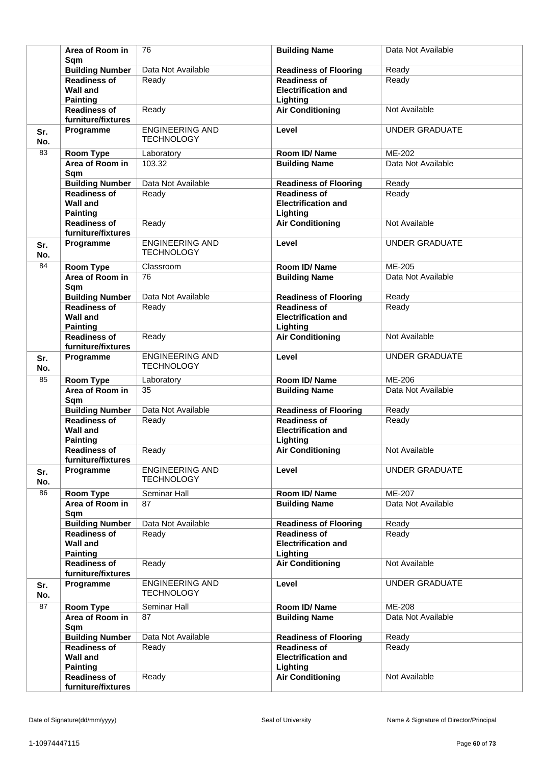|            | Area of Room in                                           | 76                                          | <b>Building Name</b>                                          | Data Not Available    |
|------------|-----------------------------------------------------------|---------------------------------------------|---------------------------------------------------------------|-----------------------|
|            | Sam<br><b>Building Number</b>                             | Data Not Available                          | <b>Readiness of Flooring</b>                                  | Ready                 |
|            | <b>Readiness of</b><br><b>Wall and</b><br><b>Painting</b> | Ready                                       | <b>Readiness of</b><br><b>Electrification and</b><br>Lighting | Ready                 |
|            | <b>Readiness of</b><br>furniture/fixtures                 | Ready                                       | <b>Air Conditioning</b>                                       | Not Available         |
| Sr.<br>No. | Programme                                                 | <b>ENGINEERING AND</b><br><b>TECHNOLOGY</b> | Level                                                         | <b>UNDER GRADUATE</b> |
| 83         | Room Type                                                 | Laboratory                                  | Room ID/Name                                                  | ME-202                |
|            | Area of Room in<br>Sqm                                    | 103.32                                      | <b>Building Name</b>                                          | Data Not Available    |
|            | <b>Building Number</b>                                    | Data Not Available                          | <b>Readiness of Flooring</b>                                  | Ready                 |
|            | <b>Readiness of</b><br><b>Wall and</b><br><b>Painting</b> | Ready                                       | <b>Readiness of</b><br><b>Electrification and</b><br>Lighting | Ready                 |
|            | <b>Readiness of</b><br>furniture/fixtures                 | Ready                                       | <b>Air Conditioning</b>                                       | Not Available         |
| Sr.<br>No. | Programme                                                 | <b>ENGINEERING AND</b><br><b>TECHNOLOGY</b> | Level                                                         | <b>UNDER GRADUATE</b> |
| 84         | Room Type                                                 | Classroom                                   | Room ID/Name                                                  | ME-205                |
|            | Area of Room in<br>Sqm                                    | 76                                          | <b>Building Name</b>                                          | Data Not Available    |
|            | <b>Building Number</b>                                    | Data Not Available                          | <b>Readiness of Flooring</b>                                  | Ready                 |
|            | <b>Readiness of</b><br><b>Wall and</b><br><b>Painting</b> | Ready                                       | <b>Readiness of</b><br><b>Electrification and</b><br>Lighting | Ready                 |
|            | <b>Readiness of</b><br>furniture/fixtures                 | Ready                                       | <b>Air Conditioning</b>                                       | Not Available         |
| Sr.<br>No. | Programme                                                 | <b>ENGINEERING AND</b><br><b>TECHNOLOGY</b> | Level                                                         | <b>UNDER GRADUATE</b> |
| 85         | Room Type                                                 | Laboratory                                  | Room ID/Name                                                  | ME-206                |
|            | Area of Room in<br>Sqm                                    | $\overline{35}$                             | <b>Building Name</b>                                          | Data Not Available    |
|            | <b>Building Number</b>                                    | Data Not Available                          | <b>Readiness of Flooring</b>                                  | Ready                 |
|            | <b>Readiness of</b><br><b>Wall and</b><br><b>Painting</b> | Ready                                       | <b>Readiness of</b><br><b>Electrification and</b><br>Lighting | Ready                 |
|            | <b>Readiness of</b><br>furniture/fixtures                 | Ready                                       | <b>Air Conditioning</b>                                       | Not Available         |
| Sr.<br>No. | Programme                                                 | <b>ENGINEERING AND</b><br><b>TECHNOLOGY</b> | Level                                                         | <b>UNDER GRADUATE</b> |
| 86         | Room Type                                                 | Seminar Hall                                | Room ID/Name                                                  | ME-207                |
|            | Area of Room in<br>Sqm                                    | 87                                          | <b>Building Name</b>                                          | Data Not Available    |
|            | <b>Building Number</b>                                    | Data Not Available                          | <b>Readiness of Flooring</b>                                  | Ready                 |
|            | <b>Readiness of</b><br><b>Wall and</b><br><b>Painting</b> | Ready                                       | <b>Readiness of</b><br><b>Electrification and</b><br>Lighting | Ready                 |
|            | <b>Readiness of</b><br>furniture/fixtures                 | Ready                                       | <b>Air Conditioning</b>                                       | Not Available         |
| Sr.<br>No. | Programme                                                 | <b>ENGINEERING AND</b><br><b>TECHNOLOGY</b> | Level                                                         | <b>UNDER GRADUATE</b> |
| 87         | <b>Room Type</b>                                          | Seminar Hall                                | Room ID/Name                                                  | ME-208                |
|            | Area of Room in<br>Sqm                                    | 87                                          | <b>Building Name</b>                                          | Data Not Available    |
|            | <b>Building Number</b>                                    | Data Not Available                          | <b>Readiness of Flooring</b>                                  | Ready                 |
|            | <b>Readiness of</b><br><b>Wall and</b><br><b>Painting</b> | Ready                                       | <b>Readiness of</b><br><b>Electrification and</b><br>Lighting | Ready                 |
|            | <b>Readiness of</b><br>furniture/fixtures                 | Ready                                       | <b>Air Conditioning</b>                                       | Not Available         |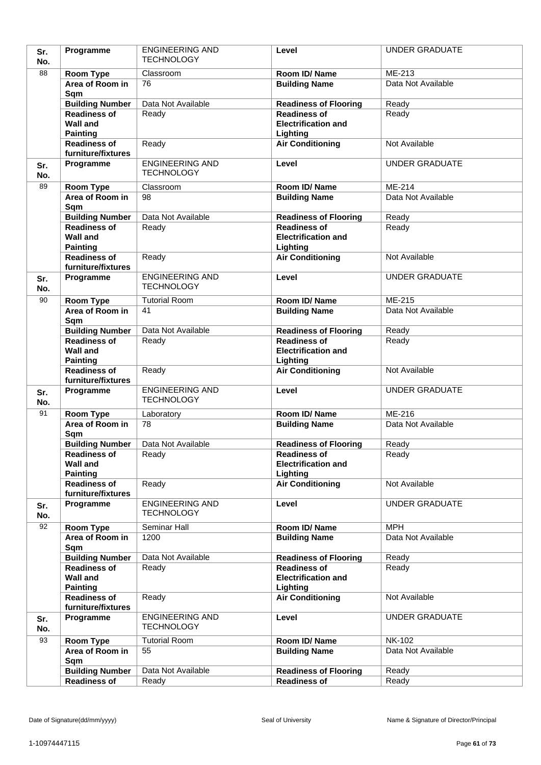| Sr.<br>No. | Programme                                 | <b>ENGINEERING AND</b><br><b>TECHNOLOGY</b> | Level                                               | <b>UNDER GRADUATE</b>        |
|------------|-------------------------------------------|---------------------------------------------|-----------------------------------------------------|------------------------------|
| 88         | Room Type                                 | Classroom                                   | Room ID/Name                                        | ME-213                       |
|            | Area of Room in                           | 76                                          | <b>Building Name</b>                                | Data Not Available           |
|            | Sqm                                       |                                             |                                                     |                              |
|            | <b>Building Number</b>                    | Data Not Available                          | <b>Readiness of Flooring</b>                        | Ready                        |
|            | <b>Readiness of</b>                       | Ready                                       | <b>Readiness of</b>                                 | Ready                        |
|            | <b>Wall and</b>                           |                                             | <b>Electrification and</b>                          |                              |
|            | <b>Painting</b>                           |                                             | Lighting                                            |                              |
|            | <b>Readiness of</b><br>furniture/fixtures | Ready                                       | <b>Air Conditioning</b>                             | Not Available                |
| Sr.        | Programme                                 | <b>ENGINEERING AND</b>                      | Level                                               | <b>UNDER GRADUATE</b>        |
| No.        |                                           | <b>TECHNOLOGY</b>                           |                                                     |                              |
| 89         | Room Type                                 | Classroom                                   | Room ID/Name                                        | ME-214                       |
|            | Area of Room in                           | 98                                          | <b>Building Name</b>                                | Data Not Available           |
|            | Sqm                                       |                                             |                                                     |                              |
|            | <b>Building Number</b>                    | Data Not Available                          | <b>Readiness of Flooring</b>                        | Ready                        |
|            | <b>Readiness of</b>                       | Ready                                       | <b>Readiness of</b>                                 | Ready                        |
|            | <b>Wall and</b>                           |                                             | <b>Electrification and</b>                          |                              |
|            | <b>Painting</b><br><b>Readiness of</b>    | Ready                                       | Lighting<br><b>Air Conditioning</b>                 | Not Available                |
|            | furniture/fixtures                        |                                             |                                                     |                              |
| Sr.        | Programme                                 | <b>ENGINEERING AND</b>                      | Level                                               | <b>UNDER GRADUATE</b>        |
| No.        |                                           | <b>TECHNOLOGY</b>                           |                                                     |                              |
| 90         | Room Type                                 | <b>Tutorial Room</b>                        | Room ID/Name                                        | ME-215                       |
|            | Area of Room in                           | 41                                          | <b>Building Name</b>                                | Data Not Available           |
|            | Sqm                                       |                                             |                                                     |                              |
|            | <b>Building Number</b>                    | Data Not Available                          | <b>Readiness of Flooring</b>                        | Ready                        |
|            | <b>Readiness of</b><br><b>Wall and</b>    | Ready                                       | <b>Readiness of</b><br><b>Electrification and</b>   | Ready                        |
|            | <b>Painting</b>                           |                                             | Lighting                                            |                              |
|            | <b>Readiness of</b>                       | Ready                                       | <b>Air Conditioning</b>                             | Not Available                |
|            | furniture/fixtures                        |                                             |                                                     |                              |
| Sr.        | Programme                                 | <b>ENGINEERING AND</b><br><b>TECHNOLOGY</b> | Level                                               | <b>UNDER GRADUATE</b>        |
| No.<br>91  |                                           |                                             |                                                     |                              |
|            | Room Type<br>Area of Room in              | Laboratory<br>78                            | Room ID/Name<br><b>Building Name</b>                | ME-216<br>Data Not Available |
|            | Sqm                                       |                                             |                                                     |                              |
|            | <b>Building Number</b>                    | Data Not Available                          | <b>Readiness of Flooring</b>                        | Ready                        |
|            | <b>Readiness of</b>                       | Ready                                       | <b>Readiness of</b>                                 | Ready                        |
|            | <b>Wall and</b>                           |                                             | <b>Electrification and</b>                          |                              |
|            | <b>Painting</b>                           |                                             | Lighting                                            | Not Available                |
|            | <b>Readiness of</b><br>furniture/fixtures | Ready                                       | <b>Air Conditioning</b>                             |                              |
| Sr.        | Programme                                 | <b>ENGINEERING AND</b>                      | Level                                               | <b>UNDER GRADUATE</b>        |
| No.        |                                           | <b>TECHNOLOGY</b>                           |                                                     |                              |
| 92         | Room Type                                 | Seminar Hall                                | Room ID/Name                                        | <b>MPH</b>                   |
|            | Area of Room in                           | 1200                                        | <b>Building Name</b>                                | Data Not Available           |
|            | Sqm                                       |                                             |                                                     |                              |
|            | <b>Building Number</b>                    | Data Not Available                          | <b>Readiness of Flooring</b>                        | Ready                        |
|            | <b>Readiness of</b><br><b>Wall and</b>    | Ready                                       | <b>Readiness of</b><br><b>Electrification and</b>   | Ready                        |
|            | <b>Painting</b>                           |                                             | Lighting                                            |                              |
|            | <b>Readiness of</b>                       | Ready                                       | <b>Air Conditioning</b>                             | Not Available                |
|            | furniture/fixtures                        |                                             |                                                     |                              |
| Sr.        | Programme                                 | <b>ENGINEERING AND</b>                      | Level                                               | <b>UNDER GRADUATE</b>        |
| No.        |                                           | <b>TECHNOLOGY</b>                           |                                                     |                              |
| 93         | Room Type                                 | <b>Tutorial Room</b>                        | Room ID/Name                                        | <b>NK-102</b>                |
|            | Area of Room in                           | 55                                          | <b>Building Name</b>                                | Data Not Available           |
|            |                                           |                                             |                                                     |                              |
|            | Sqm                                       |                                             |                                                     |                              |
|            | <b>Building Number</b><br>Readiness of    | Data Not Available<br>Ready                 | <b>Readiness of Flooring</b><br><b>Readiness of</b> | Ready<br>Ready               |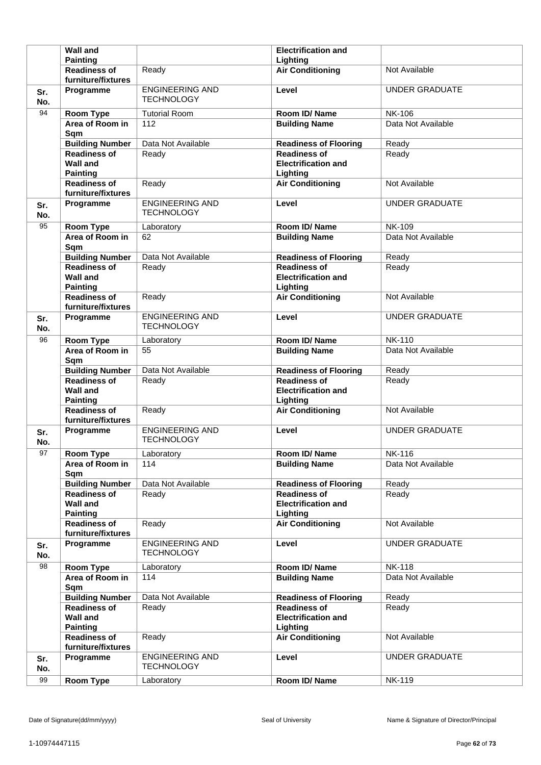|            | <b>Wall and</b>                                              |                                             | <b>Electrification and</b>                                    |                       |
|------------|--------------------------------------------------------------|---------------------------------------------|---------------------------------------------------------------|-----------------------|
|            | <b>Painting</b>                                              |                                             | Lighting                                                      |                       |
|            | <b>Readiness of</b><br>furniture/fixtures                    | Ready                                       | <b>Air Conditioning</b>                                       | Not Available         |
| Sr.<br>No. | Programme                                                    | <b>ENGINEERING AND</b><br><b>TECHNOLOGY</b> | Level                                                         | <b>UNDER GRADUATE</b> |
| 94         | <b>Room Type</b>                                             | <b>Tutorial Room</b>                        | Room ID/Name                                                  | <b>NK-106</b>         |
|            | Area of Room in<br>Sqm                                       | 112                                         | <b>Building Name</b>                                          | Data Not Available    |
|            | <b>Building Number</b>                                       | Data Not Available                          | <b>Readiness of Flooring</b>                                  | Ready                 |
|            | <b>Readiness of</b><br><b>Wall and</b><br><b>Painting</b>    | Ready                                       | <b>Readiness of</b><br><b>Electrification and</b><br>Lighting | Ready                 |
|            | <b>Readiness of</b><br>furniture/fixtures                    | Ready                                       | <b>Air Conditioning</b>                                       | Not Available         |
| Sr.<br>No. | Programme                                                    | <b>ENGINEERING AND</b><br><b>TECHNOLOGY</b> | Level                                                         | <b>UNDER GRADUATE</b> |
| 95         | <b>Room Type</b>                                             | Laboratory                                  | Room ID/Name                                                  | <b>NK-109</b>         |
|            | Area of Room in<br>Sqm                                       | 62                                          | <b>Building Name</b>                                          | Data Not Available    |
|            | <b>Building Number</b>                                       | Data Not Available                          | <b>Readiness of Flooring</b>                                  | Ready                 |
|            | <b>Readiness of</b><br><b>Wall and</b><br><b>Painting</b>    | Ready                                       | <b>Readiness of</b><br><b>Electrification and</b><br>Lighting | Ready                 |
|            | <b>Readiness of</b><br>furniture/fixtures                    | Ready                                       | <b>Air Conditioning</b>                                       | Not Available         |
| Sr.<br>No. | Programme                                                    | <b>ENGINEERING AND</b><br><b>TECHNOLOGY</b> | Level                                                         | <b>UNDER GRADUATE</b> |
| 96         | <b>Room Type</b>                                             | Laboratory                                  | Room ID/Name                                                  | <b>NK-110</b>         |
|            | Area of Room in<br>Sqm                                       | 55                                          | <b>Building Name</b>                                          | Data Not Available    |
|            | <b>Building Number</b>                                       | Data Not Available                          | <b>Readiness of Flooring</b>                                  | Ready                 |
|            |                                                              |                                             |                                                               |                       |
|            | <b>Readiness of</b><br><b>Wall and</b>                       | Ready                                       | <b>Readiness of</b><br><b>Electrification and</b>             | Ready                 |
|            | <b>Painting</b><br><b>Readiness of</b><br>furniture/fixtures | Ready                                       | Lighting<br><b>Air Conditioning</b>                           | Not Available         |
| Sr.<br>No. | Programme                                                    | <b>ENGINEERING AND</b><br><b>TECHNOLOGY</b> | Level                                                         | <b>UNDER GRADUATE</b> |
| 97         | <b>Room Type</b>                                             | Laboratory                                  | Room ID/Name                                                  | <b>NK-116</b>         |
|            | Area of Room in<br>Sqm                                       | 114                                         | <b>Building Name</b>                                          | Data Not Available    |
|            | <b>Building Number</b>                                       | Data Not Available                          | <b>Readiness of Flooring</b>                                  | Ready                 |
|            | <b>Readiness of</b><br><b>Wall and</b><br><b>Painting</b>    | Ready                                       | <b>Readiness of</b><br><b>Electrification and</b><br>Lighting | Ready                 |
|            | <b>Readiness of</b><br>furniture/fixtures                    | Ready                                       | <b>Air Conditioning</b>                                       | Not Available         |
| Sr.<br>No. | Programme                                                    | <b>ENGINEERING AND</b><br><b>TECHNOLOGY</b> | Level                                                         | <b>UNDER GRADUATE</b> |
| 98         | <b>Room Type</b>                                             | Laboratory                                  | Room ID/Name                                                  | <b>NK-118</b>         |
|            | Area of Room in<br>Sqm                                       | 114                                         | <b>Building Name</b>                                          | Data Not Available    |
|            | <b>Building Number</b>                                       | Data Not Available                          | <b>Readiness of Flooring</b>                                  | Ready                 |
|            | <b>Readiness of</b><br><b>Wall and</b>                       | Ready                                       | <b>Readiness of</b><br><b>Electrification and</b>             | Ready                 |
|            | <b>Painting</b><br><b>Readiness of</b><br>furniture/fixtures | Ready                                       | Lighting<br><b>Air Conditioning</b>                           | Not Available         |
| Sr.<br>No. | Programme                                                    | <b>ENGINEERING AND</b><br><b>TECHNOLOGY</b> | Level                                                         | <b>UNDER GRADUATE</b> |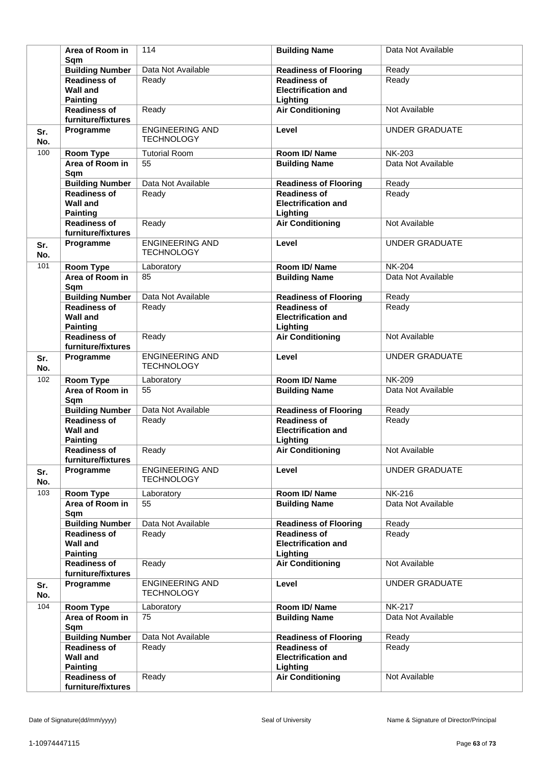|            | Area of Room in<br>Sam                                    | 114                                         | <b>Building Name</b>                                          | Data Not Available    |
|------------|-----------------------------------------------------------|---------------------------------------------|---------------------------------------------------------------|-----------------------|
|            | <b>Building Number</b>                                    | Data Not Available                          | <b>Readiness of Flooring</b>                                  | Ready                 |
|            | <b>Readiness of</b><br><b>Wall and</b><br><b>Painting</b> | Ready                                       | <b>Readiness of</b><br><b>Electrification and</b><br>Lighting | Ready                 |
|            | <b>Readiness of</b><br>furniture/fixtures                 | Ready                                       | <b>Air Conditioning</b>                                       | Not Available         |
| Sr.<br>No. | Programme                                                 | <b>ENGINEERING AND</b><br><b>TECHNOLOGY</b> | Level                                                         | <b>UNDER GRADUATE</b> |
| 100        | <b>Room Type</b>                                          | <b>Tutorial Room</b>                        | Room ID/Name                                                  | <b>NK-203</b>         |
|            | Area of Room in<br>Sqm                                    | 55                                          | <b>Building Name</b>                                          | Data Not Available    |
|            | <b>Building Number</b>                                    | Data Not Available                          | <b>Readiness of Flooring</b>                                  | Ready                 |
|            | <b>Readiness of</b><br><b>Wall and</b><br><b>Painting</b> | Ready                                       | <b>Readiness of</b><br><b>Electrification and</b><br>Lighting | Ready                 |
|            | <b>Readiness of</b><br>furniture/fixtures                 | Ready                                       | <b>Air Conditioning</b>                                       | Not Available         |
| Sr.<br>No. | Programme                                                 | <b>ENGINEERING AND</b><br><b>TECHNOLOGY</b> | Level                                                         | <b>UNDER GRADUATE</b> |
| 101        | Room Type                                                 | Laboratory                                  | Room ID/Name                                                  | <b>NK-204</b>         |
|            | Area of Room in<br>Sqm                                    | 85                                          | <b>Building Name</b>                                          | Data Not Available    |
|            | <b>Building Number</b>                                    | Data Not Available                          | <b>Readiness of Flooring</b>                                  | Ready                 |
|            | <b>Readiness of</b><br><b>Wall and</b><br><b>Painting</b> | Ready                                       | <b>Readiness of</b><br><b>Electrification and</b><br>Lighting | Ready                 |
|            | <b>Readiness of</b><br>furniture/fixtures                 | Ready                                       | <b>Air Conditioning</b>                                       | Not Available         |
| Sr.<br>No. | Programme                                                 | <b>ENGINEERING AND</b><br><b>TECHNOLOGY</b> | Level                                                         | <b>UNDER GRADUATE</b> |
| 102        | <b>Room Type</b>                                          | Laboratory                                  | Room ID/Name                                                  | <b>NK-209</b>         |
|            | Area of Room in<br>Sqm                                    | 55                                          | <b>Building Name</b>                                          | Data Not Available    |
|            | <b>Building Number</b>                                    | Data Not Available                          | <b>Readiness of Flooring</b>                                  | Ready                 |
|            | <b>Readiness of</b><br><b>Wall and</b><br><b>Painting</b> | Ready                                       | <b>Readiness of</b><br><b>Electrification and</b><br>Lighting | Ready                 |
|            | <b>Readiness of</b><br>furniture/fixtures                 | Ready                                       | <b>Air Conditioning</b>                                       | Not Available         |
| Sr.<br>No. | Programme                                                 | <b>ENGINEERING AND</b><br><b>TECHNOLOGY</b> | Level                                                         | <b>UNDER GRADUATE</b> |
| 103        | Room Type                                                 | Laboratory                                  | Room ID/Name                                                  | <b>NK-216</b>         |
|            | Area of Room in<br>Sqm                                    | 55                                          | <b>Building Name</b>                                          | Data Not Available    |
|            | <b>Building Number</b>                                    | Data Not Available                          | <b>Readiness of Flooring</b>                                  | Ready                 |
|            | <b>Readiness of</b><br><b>Wall and</b><br><b>Painting</b> | Ready                                       | <b>Readiness of</b><br><b>Electrification and</b><br>Lighting | Ready                 |
|            | <b>Readiness of</b><br>furniture/fixtures                 | Ready                                       | <b>Air Conditioning</b>                                       | Not Available         |
| Sr.<br>No. | Programme                                                 | <b>ENGINEERING AND</b><br><b>TECHNOLOGY</b> | Level                                                         | <b>UNDER GRADUATE</b> |
| 104        | <b>Room Type</b>                                          | Laboratory                                  | Room ID/Name                                                  | <b>NK-217</b>         |
|            | Area of Room in<br>Sqm                                    | 75                                          | <b>Building Name</b>                                          | Data Not Available    |
|            | <b>Building Number</b>                                    | Data Not Available                          | <b>Readiness of Flooring</b>                                  | Ready                 |
|            | <b>Readiness of</b><br><b>Wall and</b><br><b>Painting</b> | Ready                                       | <b>Readiness of</b><br><b>Electrification and</b><br>Lighting | Ready                 |
|            | <b>Readiness of</b><br>furniture/fixtures                 | Ready                                       | <b>Air Conditioning</b>                                       | Not Available         |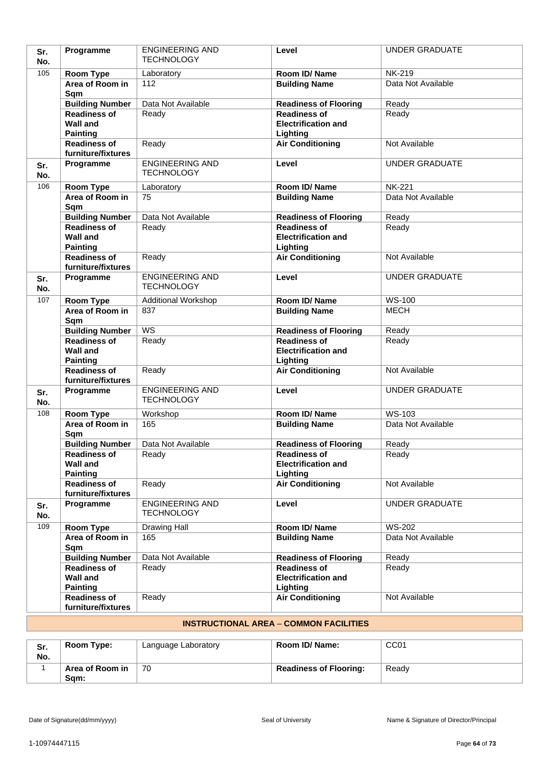| Sr.<br>No. | Programme                                                 | <b>ENGINEERING AND</b><br><b>TECHNOLOGY</b> | Level                                                         | <b>UNDER GRADUATE</b> |
|------------|-----------------------------------------------------------|---------------------------------------------|---------------------------------------------------------------|-----------------------|
| 105        | <b>Room Type</b>                                          | Laboratory                                  | Room ID/Name                                                  | <b>NK-219</b>         |
|            | Area of Room in<br>Sqm                                    | 112                                         | <b>Building Name</b>                                          | Data Not Available    |
|            | <b>Building Number</b>                                    | Data Not Available                          | <b>Readiness of Flooring</b>                                  | Ready                 |
|            | <b>Readiness of</b><br><b>Wall and</b><br><b>Painting</b> | Ready                                       | <b>Readiness of</b><br><b>Electrification and</b><br>Lighting | Ready                 |
|            | <b>Readiness of</b><br>furniture/fixtures                 | Ready                                       | <b>Air Conditioning</b>                                       | Not Available         |
| Sr.<br>No. | Programme                                                 | <b>ENGINEERING AND</b><br><b>TECHNOLOGY</b> | Level                                                         | <b>UNDER GRADUATE</b> |
| 106        | <b>Room Type</b>                                          | Laboratory                                  | Room ID/Name                                                  | <b>NK-221</b>         |
|            | Area of Room in<br>Sqm                                    | 75                                          | <b>Building Name</b>                                          | Data Not Available    |
|            | <b>Building Number</b>                                    | Data Not Available                          | <b>Readiness of Flooring</b>                                  | Ready                 |
|            | Readiness of<br><b>Wall and</b><br><b>Painting</b>        | Ready                                       | <b>Readiness of</b><br><b>Electrification and</b><br>Lighting | Ready                 |
|            | <b>Readiness of</b><br>furniture/fixtures                 | Ready                                       | <b>Air Conditioning</b>                                       | Not Available         |
| Sr.<br>No. | Programme                                                 | <b>ENGINEERING AND</b><br><b>TECHNOLOGY</b> | Level                                                         | <b>UNDER GRADUATE</b> |
| 107        | <b>Room Type</b>                                          | <b>Additional Workshop</b>                  | Room ID/Name                                                  | <b>WS-100</b>         |
|            | Area of Room in<br>Sqm                                    | 837                                         | <b>Building Name</b>                                          | <b>MECH</b>           |
|            | <b>Building Number</b>                                    | $\overline{\text{WS}}$                      | <b>Readiness of Flooring</b>                                  | Ready                 |
|            | <b>Readiness of</b><br><b>Wall and</b><br><b>Painting</b> | Ready                                       | <b>Readiness of</b><br><b>Electrification and</b><br>Lighting | Ready                 |
|            | <b>Readiness of</b><br>furniture/fixtures                 | Ready                                       | <b>Air Conditioning</b>                                       | Not Available         |
| Sr.<br>No. | Programme                                                 | <b>ENGINEERING AND</b><br><b>TECHNOLOGY</b> | Level                                                         | <b>UNDER GRADUATE</b> |
| 108        | Room Type                                                 | Workshop                                    | Room ID/Name                                                  | WS-103                |
|            | Area of Room in<br>Sqm                                    | 165                                         | <b>Building Name</b>                                          | Data Not Available    |
|            | <b>Building Number</b>                                    | Data Not Available                          | <b>Readiness of Flooring</b>                                  | Ready                 |
|            | <b>Readiness of</b><br><b>Wall and</b><br><b>Painting</b> | Ready                                       | <b>Readiness of</b><br><b>Electrification and</b><br>Lighting | Ready                 |
|            | <b>Readiness of</b><br>furniture/fixtures                 | Ready                                       | <b>Air Conditioning</b>                                       | Not Available         |
| Sr.<br>No. | Programme                                                 | <b>ENGINEERING AND</b><br><b>TECHNOLOGY</b> | Level                                                         | <b>UNDER GRADUATE</b> |
| 109        | Room Type                                                 | Drawing Hall                                | Room ID/Name                                                  | <b>WS-202</b>         |
|            | Area of Room in<br>Sqm                                    | 165                                         | <b>Building Name</b>                                          | Data Not Available    |
|            | <b>Building Number</b>                                    | Data Not Available                          | <b>Readiness of Flooring</b>                                  | Ready                 |
|            | <b>Readiness of</b><br><b>Wall and</b><br><b>Painting</b> | Ready                                       | <b>Readiness of</b><br><b>Electrification and</b><br>Lighting | Ready                 |
|            | <b>Readiness of</b><br>furniture/fixtures                 | Ready                                       | <b>Air Conditioning</b>                                       | Not Available         |

# **INSTRUCTIONAL AREA** – **COMMON FACILITIES**

| Sr.<br>No. | Room Type:              | Language Laboratory | Room ID/ Name:                | CC <sub>01</sub> |
|------------|-------------------------|---------------------|-------------------------------|------------------|
|            | Area of Room in<br>Sam: | 70                  | <b>Readiness of Flooring:</b> | Ready            |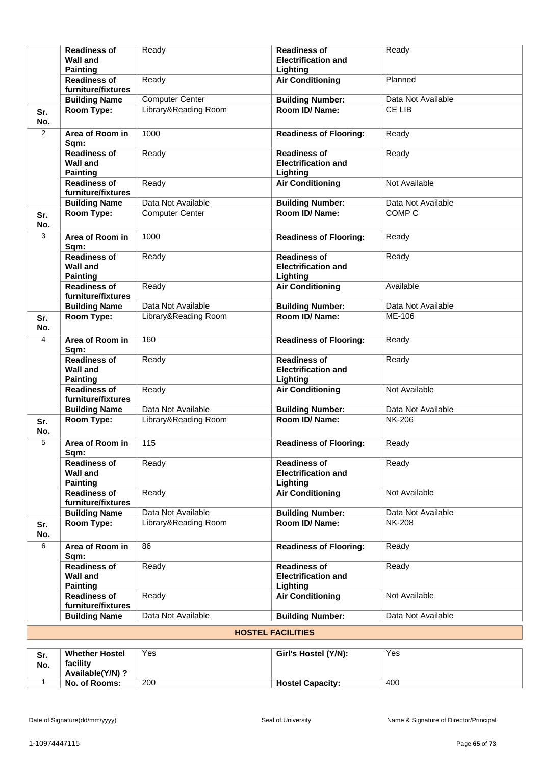|                | <b>Readiness of</b><br><b>Wall and</b><br><b>Painting</b> | Ready                  | <b>Readiness of</b><br><b>Electrification and</b><br>Lighting | Ready              |
|----------------|-----------------------------------------------------------|------------------------|---------------------------------------------------------------|--------------------|
|                | <b>Readiness of</b><br>furniture/fixtures                 | Ready                  | <b>Air Conditioning</b>                                       | Planned            |
|                | <b>Building Name</b>                                      | <b>Computer Center</b> | <b>Building Number:</b>                                       | Data Not Available |
| Sr.<br>No.     | Room Type:                                                | Library&Reading Room   | Room ID/Name:                                                 | CE LIB             |
| $\overline{2}$ | Area of Room in<br>Sqm:                                   | 1000                   | <b>Readiness of Flooring:</b>                                 | Ready              |
|                | <b>Readiness of</b><br><b>Wall and</b><br><b>Painting</b> | Ready                  | <b>Readiness of</b><br><b>Electrification and</b><br>Lighting | Ready              |
|                | <b>Readiness of</b><br>furniture/fixtures                 | Ready                  | <b>Air Conditioning</b>                                       | Not Available      |
|                | <b>Building Name</b>                                      | Data Not Available     | <b>Building Number:</b>                                       | Data Not Available |
| Sr.<br>No.     | Room Type:                                                | <b>Computer Center</b> | Room ID/Name:                                                 | COMP <sub>C</sub>  |
| 3              | Area of Room in<br>Sqm:                                   | 1000                   | <b>Readiness of Flooring:</b>                                 | Ready              |
|                | <b>Readiness of</b><br><b>Wall and</b><br><b>Painting</b> | Ready                  | <b>Readiness of</b><br><b>Electrification and</b><br>Lighting | Ready              |
|                | <b>Readiness of</b><br>furniture/fixtures                 | Ready                  | <b>Air Conditioning</b>                                       | Available          |
|                | <b>Building Name</b>                                      | Data Not Available     | <b>Building Number:</b>                                       | Data Not Available |
| Sr.<br>No.     | Room Type:                                                | Library&Reading Room   | Room ID/ Name:                                                | ME-106             |
| $\overline{4}$ | Area of Room in<br>Sqm:                                   | 160                    | <b>Readiness of Flooring:</b>                                 | Ready              |
|                | <b>Readiness of</b><br><b>Wall and</b><br><b>Painting</b> | Ready                  | <b>Readiness of</b><br><b>Electrification and</b><br>Lighting | Ready              |
|                | <b>Readiness of</b><br>furniture/fixtures                 | Ready                  | <b>Air Conditioning</b>                                       | Not Available      |
|                | <b>Building Name</b>                                      | Data Not Available     | <b>Building Number:</b>                                       | Data Not Available |
| Sr.<br>No.     | Room Type:                                                | Library&Reading Room   | Room ID/Name:                                                 | <b>NK-206</b>      |
| 5              | Area of Room in<br>Sqm:                                   | 115                    | <b>Readiness of Flooring:</b>                                 | Ready              |
|                | <b>Readiness of</b><br><b>Wall and</b><br><b>Painting</b> | Ready                  | <b>Readiness of</b><br><b>Electrification and</b><br>Lighting | Ready              |
|                | <b>Readiness of</b><br>furniture/fixtures                 | Ready                  | <b>Air Conditioning</b>                                       | Not Available      |
|                | <b>Building Name</b>                                      | Data Not Available     | <b>Building Number:</b>                                       | Data Not Available |
| Sr.<br>No.     | Room Type:                                                | Library&Reading Room   | Room ID/Name:                                                 | <b>NK-208</b>      |
| 6              | Area of Room in<br>Sqm:                                   | 86                     | <b>Readiness of Flooring:</b>                                 | Ready              |
|                | <b>Readiness of</b><br><b>Wall and</b><br><b>Painting</b> | Ready                  | <b>Readiness of</b><br><b>Electrification and</b><br>Lighting | Ready              |
|                | <b>Readiness of</b><br>furniture/fixtures                 | Ready                  | <b>Air Conditioning</b>                                       | Not Available      |
|                | <b>Building Name</b>                                      | Data Not Available     | <b>Building Number:</b>                                       | Data Not Available |

# **HOSTEL FACILITIES**

| Sr.<br>No. | <b>Whether Hostel</b><br>facility<br>Available(Y/N)? | Yes | Girl's Hostel (Y/N):    | Yes |
|------------|------------------------------------------------------|-----|-------------------------|-----|
|            | No. of Rooms:                                        | 200 | <b>Hostel Capacity:</b> | 400 |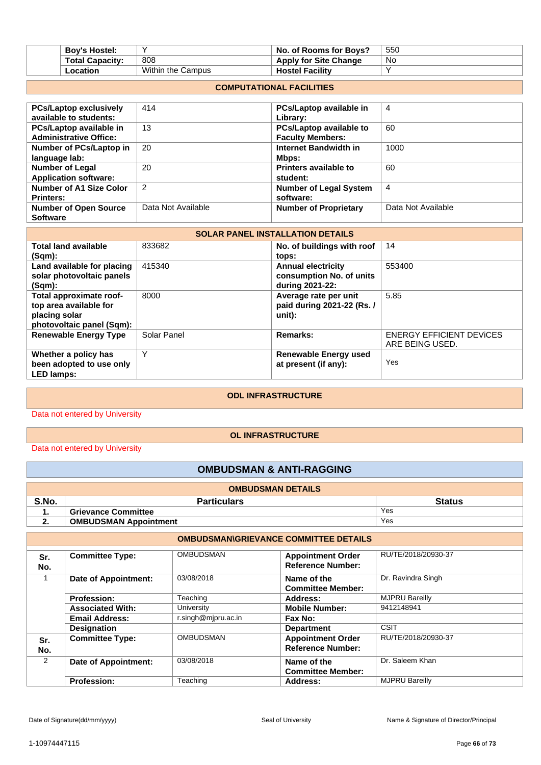| <b>Boy's Hostel:</b>   |                   | $\blacksquare$ No. of Rooms for Bovs? | 550       |
|------------------------|-------------------|---------------------------------------|-----------|
| <b>Total Capacity:</b> | 808               | <b>Apply for Site Change</b>          | <b>No</b> |
| ∟ocation               | Within the Campus | <b>Hostel Facility</b>                |           |

#### **COMPUTATIONAL FACILITIES**

| <b>PCs/Laptop exclusively</b>  | 414                | PCs/Laptop available in        | 4                  |
|--------------------------------|--------------------|--------------------------------|--------------------|
| available to students:         |                    | Library:                       |                    |
| PCs/Laptop available in        | 13                 | <b>PCs/Laptop available to</b> | 60                 |
| <b>Administrative Office:</b>  |                    | <b>Faculty Members:</b>        |                    |
| Number of PCs/Laptop in        | 20                 | Internet Bandwidth in          | 1000               |
| language lab:                  |                    | Mbps:                          |                    |
| <b>Number of Legal</b>         | 20                 | Printers available to          | 60                 |
| <b>Application software:</b>   |                    | student:                       |                    |
| <b>Number of A1 Size Color</b> | $\overline{2}$     | <b>Number of Legal System</b>  | 4                  |
| <b>Printers:</b>               |                    | software:                      |                    |
| <b>Number of Open Source</b>   | Data Not Available | <b>Number of Proprietary</b>   | Data Not Available |
| <b>Software</b>                |                    |                                |                    |

| <b>SOLAR PANEL INSTALLATION DETAILS</b> |             |                              |                                 |
|-----------------------------------------|-------------|------------------------------|---------------------------------|
| <b>Total land available</b>             | 833682      | No. of buildings with roof   | 14                              |
| (Sqm):                                  |             | tops:                        |                                 |
| Land available for placing              | 415340      | <b>Annual electricity</b>    | 553400                          |
| solar photovoltaic panels               |             | consumption No. of units     |                                 |
| (Sqm):                                  |             | during 2021-22:              |                                 |
| Total approximate roof-                 | 8000        | Average rate per unit        | 5.85                            |
| top area available for                  |             | paid during 2021-22 (Rs. /   |                                 |
| placing solar                           |             | unit):                       |                                 |
| photovoltaic panel (Sqm):               |             |                              |                                 |
| <b>Renewable Energy Type</b>            | Solar Panel | Remarks:                     | <b>ENERGY EFFICIENT DEVICES</b> |
|                                         |             |                              | ARE BEING USED.                 |
| Whether a policy has                    | Υ           | <b>Renewable Energy used</b> |                                 |
| been adopted to use only                |             | at present (if any):         | Yes                             |
| <b>LED lamps:</b>                       |             |                              |                                 |

#### **ODL INFRASTRUCTURE**

Data not entered by University

### **OL INFRASTRUCTURE**

Data not entered by University

### **OMBUDSMAN & ANTI-RAGGING**

| <b>OMBUDSMAN DETAILS</b>                     |                              |     |  |  |
|----------------------------------------------|------------------------------|-----|--|--|
| S.No.<br><b>Particulars</b><br><b>Status</b> |                              |     |  |  |
|                                              | <b>Grievance Committee</b>   | Yes |  |  |
|                                              | <b>OMBUDSMAN Appointment</b> | Yes |  |  |

|            | <b>OMBUDSMAN\GRIEVANCE COMMITTEE DETAILS</b> |                     |                                                      |                       |  |  |
|------------|----------------------------------------------|---------------------|------------------------------------------------------|-----------------------|--|--|
| Sr.<br>No. | <b>Committee Type:</b>                       | <b>OMBUDSMAN</b>    | <b>Appointment Order</b><br><b>Reference Number:</b> | RU/TE/2018/20930-37   |  |  |
|            | Date of Appointment:                         | 03/08/2018          | Name of the<br><b>Committee Member:</b>              | Dr. Ravindra Singh    |  |  |
|            | <b>Profession:</b>                           | Teaching            | Address:                                             | <b>MJPRU Bareilly</b> |  |  |
|            | <b>Associated With:</b>                      | University          | <b>Mobile Number:</b>                                | 9412148941            |  |  |
|            | <b>Email Address:</b>                        | r.singh@mjpru.ac.in | Fax No:                                              |                       |  |  |
|            | <b>Designation</b>                           |                     | <b>Department</b>                                    | <b>CSIT</b>           |  |  |
| Sr.<br>No. | <b>Committee Type:</b>                       | <b>OMBUDSMAN</b>    | <b>Appointment Order</b><br><b>Reference Number:</b> | RU/TE/2018/20930-37   |  |  |
| 2          | Date of Appointment:                         | 03/08/2018          | Name of the<br><b>Committee Member:</b>              | Dr. Saleem Khan       |  |  |
|            | <b>Profession:</b>                           | Teaching            | <b>Address:</b>                                      | <b>MJPRU Bareilly</b> |  |  |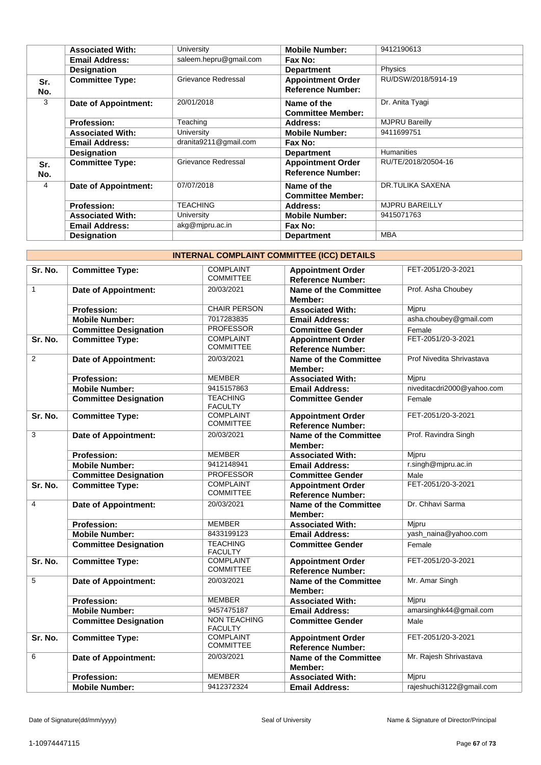|            | <b>Associated With:</b>     | University             | <b>Mobile Number:</b>                                | 9412190613            |
|------------|-----------------------------|------------------------|------------------------------------------------------|-----------------------|
|            | <b>Email Address:</b>       | saleem.hepru@gmail.com | Fax No:                                              |                       |
|            | <b>Designation</b>          |                        | <b>Department</b>                                    | Physics               |
| Sr.<br>No. | <b>Committee Type:</b>      | Grievance Redressal    | <b>Appointment Order</b><br><b>Reference Number:</b> | RU/DSW/2018/5914-19   |
| 3          | Date of Appointment:        | 20/01/2018             | Name of the<br><b>Committee Member:</b>              | Dr. Anita Tyagi       |
|            | <b>Profession:</b>          | Teaching               | Address:                                             | <b>MJPRU Bareilly</b> |
|            | <b>Associated With:</b>     | University             | <b>Mobile Number:</b>                                | 9411699751            |
|            | <b>Email Address:</b>       | dranita9211@gmail.com  | Fax No:                                              |                       |
|            | <b>Designation</b>          |                        | <b>Department</b>                                    | <b>Humanities</b>     |
| Sr.<br>No. | <b>Committee Type:</b>      | Grievance Redressal    | <b>Appointment Order</b><br><b>Reference Number:</b> | RU/TE/2018/20504-16   |
| 4          | <b>Date of Appointment:</b> | 07/07/2018             | Name of the<br><b>Committee Member:</b>              | DR.TULIKA SAXENA      |
|            | <b>Profession:</b>          | <b>TEACHING</b>        | Address:                                             | <b>MJPRU BAREILLY</b> |
|            | <b>Associated With:</b>     | University             | <b>Mobile Number:</b>                                | 9415071763            |
|            | <b>Email Address:</b>       | akg@mjpru.ac.in        | Fax No:                                              |                       |
|            | <b>Designation</b>          |                        | <b>Department</b>                                    | <b>MBA</b>            |

| <b>INTERNAL COMPLAINT COMMITTEE (ICC) DETAILS</b> |  |  |
|---------------------------------------------------|--|--|
|                                                   |  |  |

| Sr. No.        | <b>Committee Type:</b>       | <b>COMPLAINT</b><br><b>COMMITTEE</b>  | <b>Appointment Order</b><br><b>Reference Number:</b> | FET-2051/20-3-2021         |
|----------------|------------------------------|---------------------------------------|------------------------------------------------------|----------------------------|
| $\mathbf{1}$   | <b>Date of Appointment:</b>  | 20/03/2021                            | Name of the Committee<br>Member:                     | Prof. Asha Choubey         |
|                | <b>Profession:</b>           | <b>CHAIR PERSON</b>                   | <b>Associated With:</b>                              | Mjpru                      |
|                | <b>Mobile Number:</b>        | 7017283835                            | <b>Email Address:</b>                                | asha.choubey@gmail.com     |
|                | <b>Committee Designation</b> | <b>PROFESSOR</b>                      | <b>Committee Gender</b>                              | Female                     |
| Sr. No.        | <b>Committee Type:</b>       | <b>COMPLAINT</b><br><b>COMMITTEE</b>  | <b>Appointment Order</b><br><b>Reference Number:</b> | FET-2051/20-3-2021         |
| $\overline{2}$ | <b>Date of Appointment:</b>  | 20/03/2021                            | <b>Name of the Committee</b><br>Member:              | Prof Nivedita Shrivastava  |
|                | <b>Profession:</b>           | <b>MEMBER</b>                         | <b>Associated With:</b>                              | Mjpru                      |
|                | <b>Mobile Number:</b>        | 9415157863                            | <b>Email Address:</b>                                | niveditacdri2000@yahoo.com |
|                | <b>Committee Designation</b> | <b>TEACHING</b><br><b>FACULTY</b>     | <b>Committee Gender</b>                              | Female                     |
| Sr. No.        | <b>Committee Type:</b>       | <b>COMPLAINT</b><br><b>COMMITTEE</b>  | <b>Appointment Order</b><br><b>Reference Number:</b> | FET-2051/20-3-2021         |
| 3              | Date of Appointment:         | 20/03/2021                            | <b>Name of the Committee</b><br>Member:              | Prof. Ravindra Singh       |
|                | <b>Profession:</b>           | <b>MEMBER</b>                         | <b>Associated With:</b>                              | Mipru                      |
|                | <b>Mobile Number:</b>        | 9412148941                            | <b>Email Address:</b>                                | r.singh@mjpru.ac.in        |
|                | <b>Committee Designation</b> | <b>PROFESSOR</b>                      | <b>Committee Gender</b>                              | Male                       |
| Sr. No.        | <b>Committee Type:</b>       | <b>COMPLAINT</b><br><b>COMMITTEE</b>  | <b>Appointment Order</b><br><b>Reference Number:</b> | FET-2051/20-3-2021         |
| 4              | <b>Date of Appointment:</b>  | 20/03/2021                            | <b>Name of the Committee</b><br>Member:              | Dr. Chhavi Sarma           |
|                | <b>Profession:</b>           | <b>MEMBER</b>                         | <b>Associated With:</b>                              | Mipru                      |
|                | <b>Mobile Number:</b>        | 8433199123                            | <b>Email Address:</b>                                | yash_naina@yahoo.com       |
|                | <b>Committee Designation</b> | <b>TEACHING</b><br><b>FACULTY</b>     | <b>Committee Gender</b>                              | Female                     |
| Sr. No.        | <b>Committee Type:</b>       | <b>COMPLAINT</b><br><b>COMMITTEE</b>  | <b>Appointment Order</b><br><b>Reference Number:</b> | FET-2051/20-3-2021         |
| 5              | Date of Appointment:         | 20/03/2021                            | <b>Name of the Committee</b><br>Member:              | Mr. Amar Singh             |
|                | <b>Profession:</b>           | <b>MEMBER</b>                         | <b>Associated With:</b>                              | Mipru                      |
|                | <b>Mobile Number:</b>        | 9457475187                            | <b>Email Address:</b>                                | amarsinghk44@gmail.com     |
|                | <b>Committee Designation</b> | <b>NON TEACHING</b><br><b>FACULTY</b> | <b>Committee Gender</b>                              | Male                       |
| Sr. No.        | <b>Committee Type:</b>       | <b>COMPLAINT</b><br><b>COMMITTEE</b>  | <b>Appointment Order</b><br><b>Reference Number:</b> | FET-2051/20-3-2021         |
| 6              | <b>Date of Appointment:</b>  | 20/03/2021                            | Name of the Committee<br>Member:                     | Mr. Rajesh Shrivastava     |
|                | <b>Profession:</b>           | <b>MEMBER</b>                         | <b>Associated With:</b>                              | Mjpru                      |
|                | <b>Mobile Number:</b>        | 9412372324                            | <b>Email Address:</b>                                | rajeshuchi3122@gmail.com   |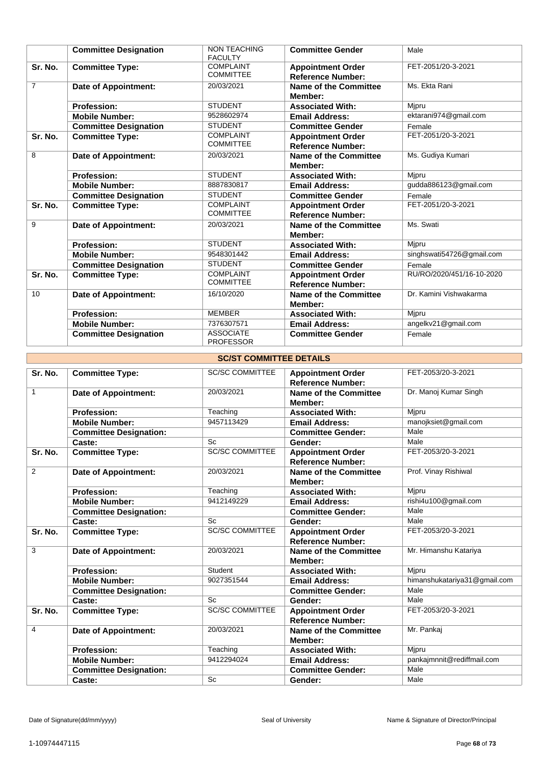|                | <b>Committee Designation</b> | <b>NON TEACHING</b><br><b>FACULTY</b> | <b>Committee Gender</b>                              | Male                      |
|----------------|------------------------------|---------------------------------------|------------------------------------------------------|---------------------------|
| Sr. No.        | <b>Committee Type:</b>       | <b>COMPLAINT</b><br><b>COMMITTEE</b>  | <b>Appointment Order</b><br><b>Reference Number:</b> | FET-2051/20-3-2021        |
| $\overline{7}$ | Date of Appointment:         | 20/03/2021                            | Name of the Committee<br>Member:                     | Ms. Ekta Rani             |
|                | <b>Profession:</b>           | <b>STUDENT</b>                        | <b>Associated With:</b>                              | Mjpru                     |
|                | <b>Mobile Number:</b>        | 9528602974                            | <b>Email Address:</b>                                | ektarani974@gmail.com     |
|                | <b>Committee Designation</b> | <b>STUDENT</b>                        | <b>Committee Gender</b>                              | Female                    |
| Sr. No.        | <b>Committee Type:</b>       | <b>COMPLAINT</b><br><b>COMMITTEE</b>  | <b>Appointment Order</b><br><b>Reference Number:</b> | FET-2051/20-3-2021        |
| 8              | Date of Appointment:         | 20/03/2021                            | Name of the Committee<br>Member:                     | Ms. Gudiya Kumari         |
|                | <b>Profession:</b>           | <b>STUDENT</b>                        | <b>Associated With:</b>                              | Mipru                     |
|                | <b>Mobile Number:</b>        | 8887830817                            | <b>Email Address:</b>                                | gudda886123@gmail.com     |
|                | <b>Committee Designation</b> | <b>STUDENT</b>                        | <b>Committee Gender</b>                              | Female                    |
| Sr. No.        | <b>Committee Type:</b>       | <b>COMPLAINT</b><br><b>COMMITTEE</b>  | <b>Appointment Order</b><br><b>Reference Number:</b> | FET-2051/20-3-2021        |
| 9              | Date of Appointment:         | 20/03/2021                            | Name of the Committee<br>Member:                     | Ms. Swati                 |
|                | <b>Profession:</b>           | <b>STUDENT</b>                        | <b>Associated With:</b>                              | Mipru                     |
|                | <b>Mobile Number:</b>        | 9548301442                            | <b>Email Address:</b>                                | singhswati54726@gmail.com |
|                | <b>Committee Designation</b> | <b>STUDENT</b>                        | <b>Committee Gender</b>                              | Female                    |
| Sr. No.        | <b>Committee Type:</b>       | <b>COMPLAINT</b><br><b>COMMITTEE</b>  | <b>Appointment Order</b><br><b>Reference Number:</b> | RU/RO/2020/451/16-10-2020 |
| 10             | <b>Date of Appointment:</b>  | 16/10/2020                            | Name of the Committee<br>Member:                     | Dr. Kamini Vishwakarma    |
|                | <b>Profession:</b>           | <b>MEMBER</b>                         | <b>Associated With:</b>                              | Mipru                     |
|                | <b>Mobile Number:</b>        | 7376307571                            | <b>Email Address:</b>                                | angelkv21@gmail.com       |
|                | <b>Committee Designation</b> | <b>ASSOCIATE</b><br><b>PROFESSOR</b>  | <b>Committee Gender</b>                              | Female                    |

|  | <b>SC/ST COMMITTEE DETAILS</b> |  |
|--|--------------------------------|--|
|--|--------------------------------|--|

| Sr. No.        | <b>Committee Type:</b>        | <b>SC/SC COMMITTEE</b> | <b>Appointment Order</b><br><b>Reference Number:</b> | FET-2053/20-3-2021           |
|----------------|-------------------------------|------------------------|------------------------------------------------------|------------------------------|
| $\mathbf{1}$   |                               |                        |                                                      |                              |
|                | <b>Date of Appointment:</b>   | 20/03/2021             | Name of the Committee<br>Member:                     | Dr. Manoj Kumar Singh        |
|                | <b>Profession:</b>            | Teaching               | <b>Associated With:</b>                              | Mjpru                        |
|                | <b>Mobile Number:</b>         | 9457113429             | <b>Email Address:</b>                                | manojksiet@gmail.com         |
|                | <b>Committee Designation:</b> |                        | <b>Committee Gender:</b>                             | Male                         |
|                | Caste:                        | <b>Sc</b>              | Gender:                                              | Male                         |
| Sr. No.        | <b>Committee Type:</b>        | <b>SC/SC COMMITTEE</b> | <b>Appointment Order</b><br><b>Reference Number:</b> | FET-2053/20-3-2021           |
| $\overline{2}$ | <b>Date of Appointment:</b>   | 20/03/2021             | Name of the Committee<br>Member:                     | Prof. Vinay Rishiwal         |
|                | <b>Profession:</b>            | Teaching               | <b>Associated With:</b>                              | Mjpru                        |
|                | <b>Mobile Number:</b>         | 9412149229             | <b>Email Address:</b>                                | rishi4u100@gmail.com         |
|                | <b>Committee Designation:</b> |                        | <b>Committee Gender:</b>                             | Male                         |
|                | Caste:                        | <b>Sc</b>              | Gender:                                              | Male                         |
| Sr. No.        | <b>Committee Type:</b>        | <b>SC/SC COMMITTEE</b> | <b>Appointment Order</b><br><b>Reference Number:</b> | FET-2053/20-3-2021           |
| 3              | <b>Date of Appointment:</b>   | 20/03/2021             | <b>Name of the Committee</b><br>Member:              | Mr. Himanshu Katariya        |
|                | <b>Profession:</b>            | Student                | <b>Associated With:</b>                              | Mjpru                        |
|                | <b>Mobile Number:</b>         | 9027351544             | <b>Email Address:</b>                                | himanshukatariya31@gmail.com |
|                | <b>Committee Designation:</b> |                        | <b>Committee Gender:</b>                             | Male                         |
|                | Caste:                        | <b>Sc</b>              | Gender:                                              | Male                         |
| Sr. No.        | <b>Committee Type:</b>        | <b>SC/SC COMMITTEE</b> | <b>Appointment Order</b><br><b>Reference Number:</b> | FET-2053/20-3-2021           |
| 4              | <b>Date of Appointment:</b>   | 20/03/2021             | Name of the Committee<br>Member:                     | Mr. Pankaj                   |
|                | <b>Profession:</b>            | Teaching               | <b>Associated With:</b>                              | Mjpru                        |
|                | <b>Mobile Number:</b>         | 9412294024             | <b>Email Address:</b>                                | pankajmnnit@rediffmail.com   |
|                | <b>Committee Designation:</b> |                        | <b>Committee Gender:</b>                             | Male                         |
|                | Caste:                        | Sc                     | Gender:                                              | Male                         |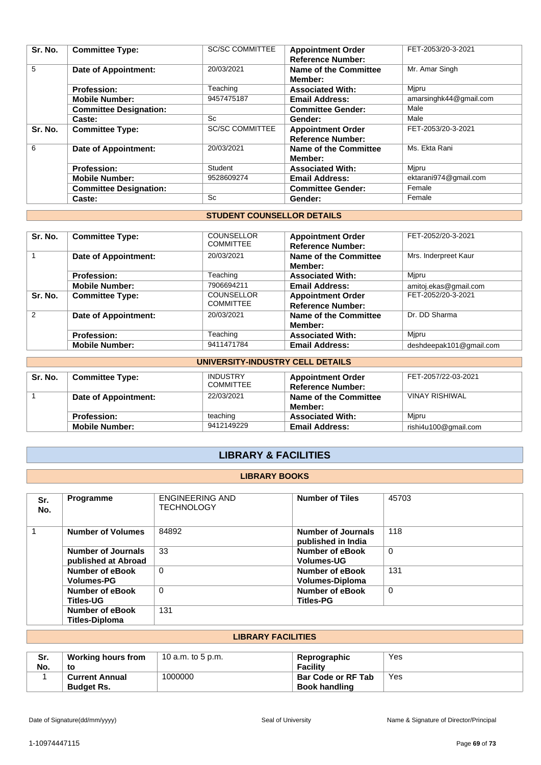| Sr. No. | <b>Committee Type:</b>        | <b>SC/SC COMMITTEE</b> | <b>Appointment Order</b><br><b>Reference Number:</b> | FET-2053/20-3-2021     |
|---------|-------------------------------|------------------------|------------------------------------------------------|------------------------|
| 5       | <b>Date of Appointment:</b>   | 20/03/2021             | Name of the Committee<br>Member:                     | Mr. Amar Singh         |
|         | <b>Profession:</b>            | Teaching               | <b>Associated With:</b>                              | Mjpru                  |
|         | <b>Mobile Number:</b>         | 9457475187             | <b>Email Address:</b>                                | amarsinghk44@gmail.com |
|         | <b>Committee Designation:</b> |                        | <b>Committee Gender:</b>                             | Male                   |
|         | Caste:                        | Sc                     | Gender:                                              | Male                   |
| Sr. No. | <b>Committee Type:</b>        | <b>SC/SC COMMITTEE</b> | <b>Appointment Order</b>                             | FET-2053/20-3-2021     |
|         |                               |                        | <b>Reference Number:</b>                             |                        |
| 6       | Date of Appointment:          | 20/03/2021             | Name of the Committee                                | Ms. Ekta Rani          |
|         |                               |                        | Member:                                              |                        |
|         | <b>Profession:</b>            | Student                | <b>Associated With:</b>                              | Mjpru                  |
|         | <b>Mobile Number:</b>         | 9528609274             | <b>Email Address:</b>                                | ektarani974@gmail.com  |
|         | <b>Committee Designation:</b> |                        | <b>Committee Gender:</b>                             | Female                 |
|         | Caste:                        | Sc                     | Gender:                                              | Female                 |

### **STUDENT COUNSELLOR DETAILS**

| Sr. No.       | <b>Committee Type:</b>      | <b>COUNSELLOR</b><br><b>COMMITTEE</b> | <b>Appointment Order</b><br><b>Reference Number:</b> | FET-2052/20-3-2021      |
|---------------|-----------------------------|---------------------------------------|------------------------------------------------------|-------------------------|
|               | <b>Date of Appointment:</b> | 20/03/2021                            | Name of the Committee<br>Member:                     | Mrs. Inderpreet Kaur    |
|               | <b>Profession:</b>          | Teaching                              | <b>Associated With:</b>                              | Mipru                   |
|               | <b>Mobile Number:</b>       | 7906694211                            | <b>Email Address:</b>                                | amitoj.ekas@gmail.com   |
| Sr. No.       | <b>Committee Type:</b>      | <b>COUNSELLOR</b><br><b>COMMITTEE</b> | <b>Appointment Order</b><br><b>Reference Number:</b> | FET-2052/20-3-2021      |
| $\mathcal{P}$ | <b>Date of Appointment:</b> | 20/03/2021                            | Name of the Committee<br><b>Member:</b>              | Dr. DD Sharma           |
|               | <b>Profession:</b>          | Teaching                              | <b>Associated With:</b>                              | Mipru                   |
|               | <b>Mobile Number:</b>       | 9411471784                            | <b>Email Address:</b>                                | deshdeepak101@gmail.com |

|         | UNIVERSITY-INDUSTRY CELL DETAILS |                                     |                                                      |                      |  |
|---------|----------------------------------|-------------------------------------|------------------------------------------------------|----------------------|--|
| Sr. No. | <b>Committee Type:</b>           | <b>INDUSTRY</b><br><b>COMMITTEE</b> | <b>Appointment Order</b><br><b>Reference Number:</b> | FET-2057/22-03-2021  |  |
|         | Date of Appointment:             | 22/03/2021                          | Name of the Committee<br>Member:                     | VINAY RISHIWAL       |  |
|         | <b>Profession:</b>               | teaching                            | <b>Associated With:</b>                              | Mipru                |  |
|         | <b>Mobile Number:</b>            | 9412149229                          | <b>Email Address:</b>                                | rishi4u100@gmail.com |  |

# **LIBRARY & FACILITIES**

#### **LIBRARY BOOKS**

| Sr.<br>No.     | <b>Programme</b>                          | <b>ENGINEERING AND</b><br><b>TECHNOLOGY</b> | <b>Number of Tiles</b>                          | 45703    |
|----------------|-------------------------------------------|---------------------------------------------|-------------------------------------------------|----------|
| $\overline{1}$ | <b>Number of Volumes</b>                  | 84892                                       | <b>Number of Journals</b><br>published in India | 118      |
|                | Number of Journals<br>published at Abroad | 33                                          | Number of eBook<br><b>Volumes-UG</b>            | $\Omega$ |
|                | Number of eBook<br><b>Volumes-PG</b>      | $\Omega$                                    | Number of eBook<br>Volumes-Diploma              | 131      |
|                | Number of eBook<br><b>Titles-UG</b>       | 0                                           | Number of eBook<br><b>Titles-PG</b>             | 0        |
|                | Number of eBook<br>Titles-Diploma         | 131                                         |                                                 |          |

### **LIBRARY FACILITIES**

| Sr.<br>No. | <b>Working hours from</b><br>to            | 10 a.m. to 5 p.m. | Reprographic<br><b>Facility</b>                   | Yes |
|------------|--------------------------------------------|-------------------|---------------------------------------------------|-----|
|            | <b>Current Annual</b><br><b>Budget Rs.</b> | 1000000           | <b>Bar Code or RF Tab</b><br><b>Book handling</b> | Yes |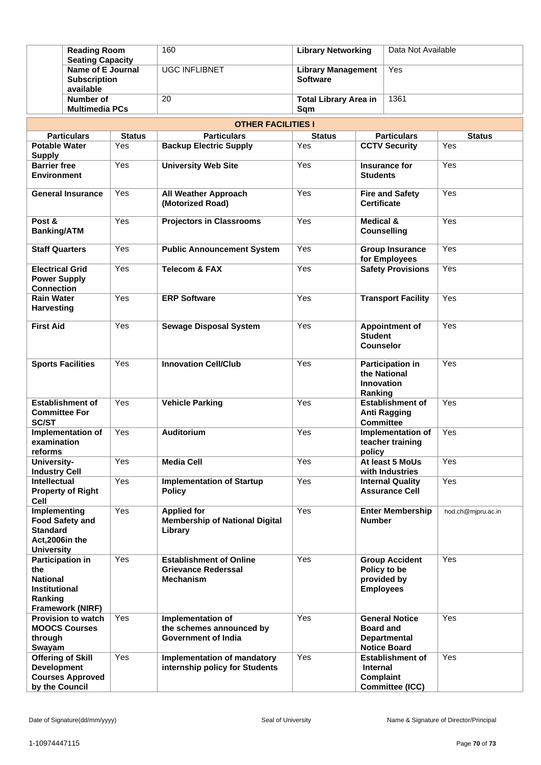| <b>Reading Room</b><br><b>Seating Capacity</b>                                |                                                       |               | 160                                                                              | <b>Library Networking</b>                    |                                              | Data Not Available                                                  |                    |
|-------------------------------------------------------------------------------|-------------------------------------------------------|---------------|----------------------------------------------------------------------------------|----------------------------------------------|----------------------------------------------|---------------------------------------------------------------------|--------------------|
|                                                                               | Name of E Journal<br><b>Subscription</b><br>available |               | <b>UGC INFLIBNET</b>                                                             | <b>Library Management</b><br><b>Software</b> |                                              | Yes                                                                 |                    |
|                                                                               | Number of<br><b>Multimedia PCs</b>                    |               | 20                                                                               | <b>Total Library Area in</b><br>Sqm          |                                              | 1361                                                                |                    |
|                                                                               |                                                       |               | <b>OTHER FACILITIES I</b>                                                        |                                              |                                              |                                                                     |                    |
|                                                                               | <b>Particulars</b>                                    | <b>Status</b> | <b>Particulars</b>                                                               | <b>Status</b>                                |                                              | <b>Particulars</b>                                                  | <b>Status</b>      |
| <b>Potable Water</b><br><b>Supply</b>                                         |                                                       | Yes           | <b>Backup Electric Supply</b>                                                    | Yes                                          |                                              | <b>CCTV Security</b>                                                | Yes                |
| <b>Barrier free</b><br>Environment                                            |                                                       | Yes           | <b>University Web Site</b>                                                       | Yes                                          | <b>Students</b>                              | Insurance for                                                       | Yes                |
|                                                                               | <b>General Insurance</b>                              | Yes           | <b>All Weather Approach</b><br>(Motorized Road)                                  | Yes                                          | <b>Fire and Safety</b><br><b>Certificate</b> |                                                                     | Yes                |
| Post &<br><b>Banking/ATM</b>                                                  |                                                       | Yes           | <b>Projectors in Classrooms</b>                                                  | Yes                                          | <b>Medical &amp;</b>                         | <b>Counselling</b>                                                  | Yes                |
| <b>Staff Quarters</b>                                                         |                                                       | Yes           | <b>Public Announcement System</b>                                                | Yes                                          | <b>Group Insurance</b><br>for Employees      |                                                                     | Yes                |
| <b>Electrical Grid</b><br><b>Power Supply</b><br><b>Connection</b>            |                                                       | Yes           | <b>Telecom &amp; FAX</b>                                                         | Yes                                          |                                              | <b>Safety Provisions</b>                                            | Yes                |
| <b>Rain Water</b><br><b>Harvesting</b>                                        |                                                       | Yes           | <b>ERP Software</b>                                                              | Yes                                          |                                              | <b>Transport Facility</b>                                           | Yes                |
| <b>First Aid</b>                                                              |                                                       | Yes           | <b>Sewage Disposal System</b>                                                    | Yes                                          | <b>Student</b><br><b>Counselor</b>           | <b>Appointment of</b>                                               | Yes                |
|                                                                               | <b>Sports Facilities</b>                              | Yes           | <b>Innovation Cell/Club</b>                                                      | Yes                                          | <b>Innovation</b><br>Ranking                 | <b>Participation in</b><br>the National                             | Yes                |
| <b>Committee For</b><br><b>SC/ST</b>                                          | <b>Establishment of</b>                               | Yes           | <b>Vehicle Parking</b>                                                           | Yes                                          | <b>Committee</b>                             | <b>Establishment of</b><br><b>Anti Ragging</b>                      | Yes                |
| examination<br>reforms                                                        | Implementation of                                     | Yes           | Auditorium                                                                       | Yes                                          | policy                                       | Implementation of<br>teacher training                               | Yes                |
| University-<br><b>Industry Cell</b>                                           |                                                       | Yes           | <b>Media Cell</b>                                                                | Yes                                          |                                              | At least 5 MoUs<br>with Industries                                  | Yes                |
| <b>Intellectual</b><br>Cell                                                   | <b>Property of Right</b>                              | Yes           | <b>Implementation of Startup</b><br><b>Policy</b>                                | Yes                                          |                                              | <b>Internal Quality</b><br><b>Assurance Cell</b>                    | Yes                |
| Implementing<br><b>Standard</b><br>Act, 2006in the<br><b>University</b>       | <b>Food Safety and</b>                                | Yes           | <b>Applied for</b><br><b>Membership of National Digital</b><br>Library           | Yes                                          | <b>Number</b>                                | <b>Enter Membership</b>                                             | hod.ch@mjpru.ac.in |
| <b>Participation in</b><br>the<br><b>National</b><br>Institutional<br>Ranking | Framework (NIRF)                                      | Yes           | <b>Establishment of Online</b><br><b>Grievance Rederssal</b><br><b>Mechanism</b> | Yes                                          | <b>Employees</b>                             | <b>Group Accident</b><br>Policy to be<br>provided by                | Yes                |
| through<br>Swayam                                                             | Provision to watch<br><b>MOOCS Courses</b>            | Yes           | Implementation of<br>the schemes announced by<br><b>Government of India</b>      | Yes                                          | <b>Board and</b>                             | <b>General Notice</b><br><b>Departmental</b><br><b>Notice Board</b> | Yes                |
| <b>Development</b><br>by the Council                                          | <b>Offering of Skill</b><br><b>Courses Approved</b>   | Yes           | Implementation of mandatory<br>internship policy for Students                    | Yes                                          | <b>Internal</b><br>Complaint                 | <b>Establishment of</b><br><b>Committee (ICC)</b>                   | Yes                |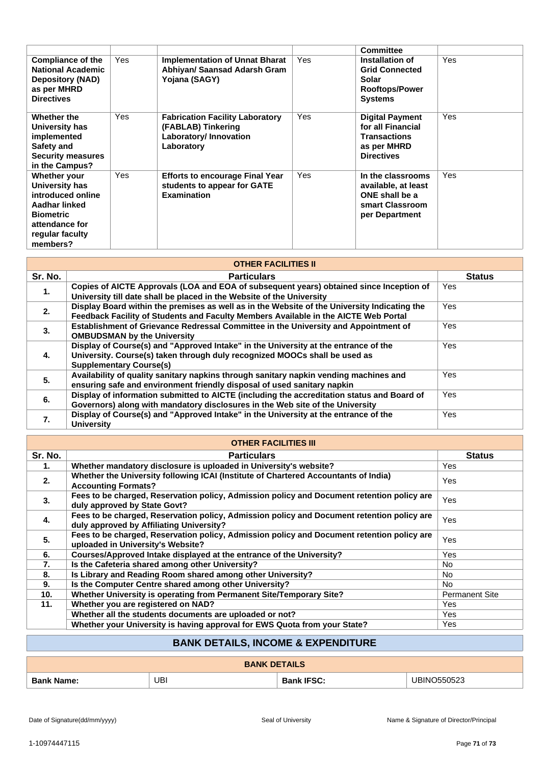|                                                                                                                                           |     |                                                                                                      |     | <b>Committee</b>                                                                                       |     |
|-------------------------------------------------------------------------------------------------------------------------------------------|-----|------------------------------------------------------------------------------------------------------|-----|--------------------------------------------------------------------------------------------------------|-----|
| <b>Compliance of the</b><br><b>National Academic</b><br><b>Depository (NAD)</b><br>as per MHRD<br><b>Directives</b>                       | Yes | <b>Implementation of Unnat Bharat</b><br>Abhiyan/ Saansad Adarsh Gram<br>Yojana (SAGY)               | Yes | Installation of<br><b>Grid Connected</b><br>Solar<br><b>Rooftops/Power</b><br><b>Systems</b>           | Yes |
| Whether the<br>University has<br>implemented<br>Safety and<br><b>Security measures</b><br>in the Campus?                                  | Yes | <b>Fabrication Facility Laboratory</b><br>(FABLAB) Tinkering<br>Laboratory/ Innovation<br>Laboratory | Yes | <b>Digital Payment</b><br>for all Financial<br><b>Transactions</b><br>as per MHRD<br><b>Directives</b> | Yes |
| Whether your<br>University has<br>introduced online<br>Aadhar linked<br><b>Biometric</b><br>attendance for<br>regular faculty<br>members? | Yes | <b>Efforts to encourage Final Year</b><br>students to appear for GATE<br><b>Examination</b>          | Yes | In the classrooms<br>available, at least<br>ONE shall be a<br>smart Classroom<br>per Department        | Yes |

| <b>OTHER FACILITIES II</b> |                                                                                                                                                                                                     |               |  |  |
|----------------------------|-----------------------------------------------------------------------------------------------------------------------------------------------------------------------------------------------------|---------------|--|--|
| Sr. No.                    | <b>Particulars</b>                                                                                                                                                                                  | <b>Status</b> |  |  |
| 1.                         | Copies of AICTE Approvals (LOA and EOA of subsequent years) obtained since Inception of<br>University till date shall be placed in the Website of the University                                    | Yes.          |  |  |
| 2.                         | Display Board within the premises as well as in the Website of the University Indicating the<br>Feedback Facility of Students and Faculty Members Available in the AICTE Web Portal                 | Yes           |  |  |
| 3.                         | Establishment of Grievance Redressal Committee in the University and Appointment of<br><b>OMBUDSMAN by the University</b>                                                                           | Yes           |  |  |
| 4.                         | Display of Course(s) and "Approved Intake" in the University at the entrance of the<br>University. Course(s) taken through duly recognized MOOCs shall be used as<br><b>Supplementary Course(s)</b> | Yes           |  |  |
| 5.                         | Availability of quality sanitary napkins through sanitary napkin vending machines and<br>ensuring safe and environment friendly disposal of used sanitary napkin                                    | Yes.          |  |  |
| 6.                         | Display of information submitted to AICTE (including the accreditation status and Board of<br>Governors) along with mandatory disclosures in the Web site of the University                         | Yes           |  |  |
| 7.                         | Display of Course(s) and "Approved Intake" in the University at the entrance of the<br><b>University</b>                                                                                            | Yes           |  |  |

|  | <b>OTHER FACILITIES III</b> |  |
|--|-----------------------------|--|
|  |                             |  |

| 9 H I FINT AVIET HEY III |                                                                                                                                        |                       |  |  |  |
|--------------------------|----------------------------------------------------------------------------------------------------------------------------------------|-----------------------|--|--|--|
| Sr. No.                  | <b>Particulars</b>                                                                                                                     | <b>Status</b>         |  |  |  |
| 1.                       | Whether mandatory disclosure is uploaded in University's website?                                                                      | Yes                   |  |  |  |
| 2.                       | Whether the University following ICAI (Institute of Chartered Accountants of India)<br><b>Accounting Formats?</b>                      | Yes                   |  |  |  |
| 3.                       | Fees to be charged, Reservation policy, Admission policy and Document retention policy are<br>duly approved by State Govt?             | Yes                   |  |  |  |
| 4.                       | Fees to be charged, Reservation policy, Admission policy and Document retention policy are<br>duly approved by Affiliating University? | Yes                   |  |  |  |
| 5.                       | Fees to be charged, Reservation policy, Admission policy and Document retention policy are<br>uploaded in University's Website?        | Yes                   |  |  |  |
| 6.                       | Courses/Approved Intake displayed at the entrance of the University?                                                                   | Yes                   |  |  |  |
| 7.                       | Is the Cafeteria shared among other University?                                                                                        | No.                   |  |  |  |
| 8.                       | Is Library and Reading Room shared among other University?                                                                             | No.                   |  |  |  |
| 9.                       | Is the Computer Centre shared among other University?                                                                                  | No.                   |  |  |  |
| 10 <sub>1</sub>          | Whether University is operating from Permanent Site/Temporary Site?                                                                    | <b>Permanent Site</b> |  |  |  |
| 11.                      | Whether you are registered on NAD?                                                                                                     | Yes                   |  |  |  |
|                          | Whether all the students documents are uploaded or not?                                                                                | Yes                   |  |  |  |
|                          | Whether your University is having approval for EWS Quota from your State?                                                              | Yes                   |  |  |  |

# **BANK DETAILS, INCOME & EXPENDITURE**

| <b>TAILS</b><br>DF   |     |                  |                               |  |
|----------------------|-----|------------------|-------------------------------|--|
| <b>Bank</b><br>Name: | UBI | ^^<br>50.<br>- - | - ^ ^<br>` או<br>.INIC<br>uzu |  |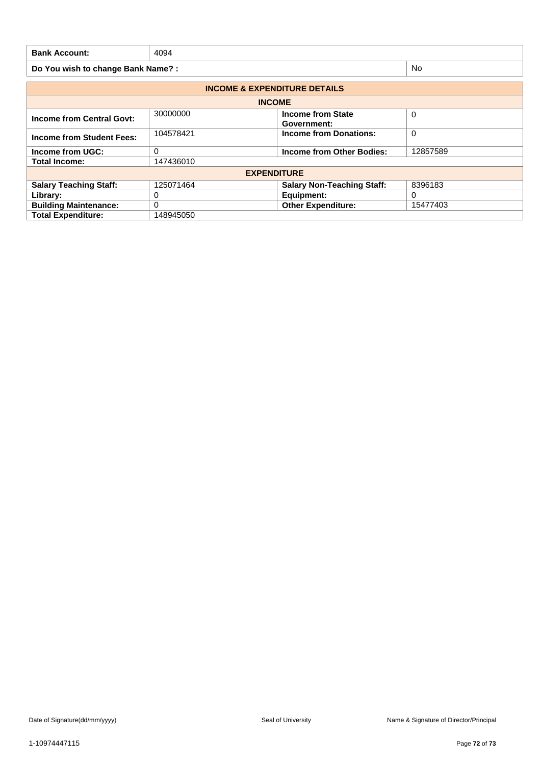| <b>Bank Account:</b>              | 4094 |           |
|-----------------------------------|------|-----------|
| Do You wish to change Bank Name?: |      | <b>No</b> |

| <b>INCOME &amp; EXPENDITURE DETAILS</b> |                                                           |                                         |          |  |  |
|-----------------------------------------|-----------------------------------------------------------|-----------------------------------------|----------|--|--|
| <b>INCOME</b>                           |                                                           |                                         |          |  |  |
| <b>Income from Central Govt:</b>        | 30000000                                                  | <b>Income from State</b><br>Government: | 0        |  |  |
| Income from Student Fees:               | 104578421                                                 | <b>Income from Donations:</b>           | 0        |  |  |
| Income from UGC:                        | $\Omega$                                                  | Income from Other Bodies:               | 12857589 |  |  |
| <b>Total Income:</b>                    | 147436010                                                 |                                         |          |  |  |
|                                         |                                                           | <b>EXPENDITURE</b>                      |          |  |  |
| <b>Salary Teaching Staff:</b>           | <b>Salary Non-Teaching Staff:</b><br>8396183<br>125071464 |                                         |          |  |  |
| Library:                                | 0                                                         | Equipment:                              | 0        |  |  |
| <b>Building Maintenance:</b>            | 0                                                         | <b>Other Expenditure:</b>               | 15477403 |  |  |
| <b>Total Expenditure:</b><br>148945050  |                                                           |                                         |          |  |  |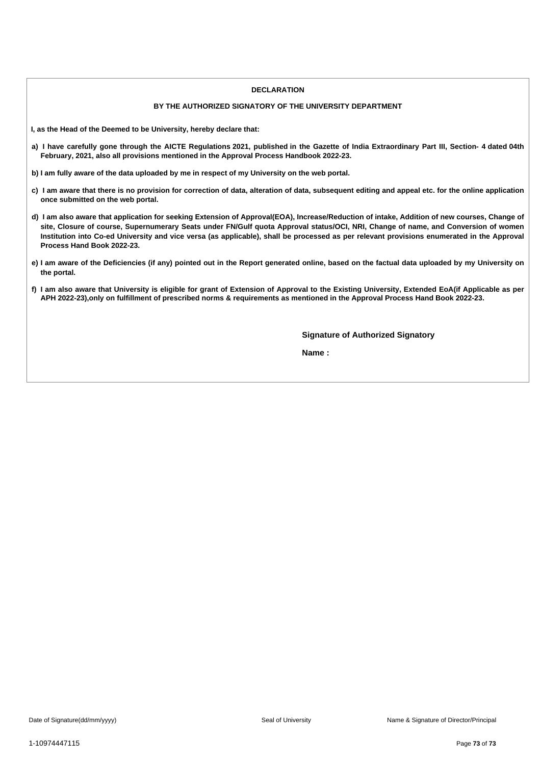### **DECLARATION**

# **BY THE AUTHORIZED SIGNATORY OF THE UNIVERSITY DEPARTMENT**

**I, as the Head of the Deemed to be University, hereby declare that:**

- a) I have carefully gone through the AICTE Regulations 2021, published in the Gazette of India Extraordinary Part III, Section- 4 dated 04th **February, 2021, also all provisions mentioned in the Approval Process Handbook 2022-23.**
- b) I am fully aware of the data uploaded by me in respect of my University on the web portal.
- c) I am aware that there is no provision for correction of data, alteration of data, subsequent editing and appeal etc. for the online application **once submitted on the web portal.**
- d) I am also aware that application for seeking Extension of Approval(EOA), Increase/Reduction of intake, Addition of new courses, Change of site, Closure of course, Supernumerary Seats under FN/Gulf quota Approval status/OCI, NRI, Change of name, and Conversion of women Institution into Co-ed University and vice versa (as applicable), shall be processed as per relevant provisions enumerated in the Approval **Process Hand Book 2022-23.**
- e) I am aware of the Deficiencies (if any) pointed out in the Report generated online, based on the factual data uploaded by my University on **the portal.**
- f) I am also aware that University is eligible for grant of Extension of Approval to the Existing University, Extended EoA(if Applicable as per APH 2022-23), only on fulfillment of prescribed norms & requirements as mentioned in the Approval Process Hand Book 2022-23.

**Signature of Authorized Signatory**

**Name :**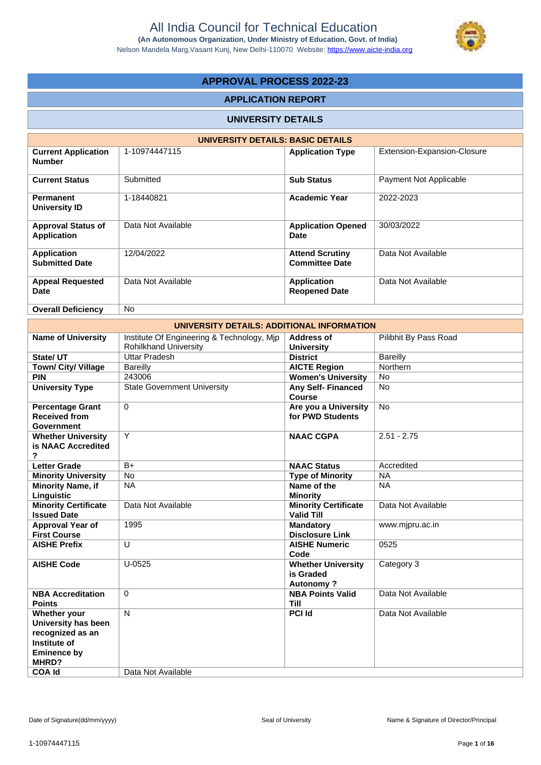

# **APPROVAL PROCESS 2022-23**

# **APPLICATION REPORT**

### **UNIVERSITY DETAILS**

|                                                 | UNIVERSITY DETAILS: BASIC DETAILS |                                                 |                             |
|-------------------------------------------------|-----------------------------------|-------------------------------------------------|-----------------------------|
| <b>Current Application</b><br><b>Number</b>     | 1-10974447115                     | <b>Application Type</b>                         | Extension-Expansion-Closure |
| <b>Current Status</b>                           | Submitted                         | <b>Sub Status</b>                               | Payment Not Applicable      |
| <b>Permanent</b><br>University ID               | 1-18440821                        | <b>Academic Year</b>                            | 2022-2023                   |
| <b>Approval Status of</b><br><b>Application</b> | Data Not Available                | <b>Application Opened</b><br>Date               | 30/03/2022                  |
| <b>Application</b><br><b>Submitted Date</b>     | 12/04/2022                        | <b>Attend Scrutiny</b><br><b>Committee Date</b> | Data Not Available          |
| <b>Appeal Requested</b><br>Date                 | Data Not Available                | <b>Application</b><br><b>Reopened Date</b>      | Data Not Available          |
| <b>Overall Deficiency</b>                       | No.                               |                                                 |                             |

|                                                                                                                         | UNIVERSITY DETAILS: ADDITIONAL INFORMATION                                 |                                                            |                       |
|-------------------------------------------------------------------------------------------------------------------------|----------------------------------------------------------------------------|------------------------------------------------------------|-----------------------|
| <b>Name of University</b>                                                                                               | Institute Of Engineering & Technology, Mjp<br><b>Rohilkhand University</b> | <b>Address of</b><br><b>University</b>                     | Pilibhit By Pass Road |
| State/ UT                                                                                                               | <b>Uttar Pradesh</b>                                                       | <b>District</b>                                            | Bareilly              |
| Town/ City/ Village                                                                                                     | <b>Bareilly</b>                                                            | <b>AICTE Region</b>                                        | Northern              |
| <b>PIN</b>                                                                                                              | 243006                                                                     | <b>Women's University</b>                                  | <b>No</b>             |
| <b>University Type</b>                                                                                                  | <b>State Government University</b>                                         | <b>Any Self- Financed</b><br>Course                        | <b>No</b>             |
| <b>Percentage Grant</b><br><b>Received from</b><br>Government                                                           | $\mathbf 0$                                                                | Are you a University<br>for PWD Students                   | No                    |
| <b>Whether University</b><br>is NAAC Accredited<br>?                                                                    | Y                                                                          | <b>NAAC CGPA</b>                                           | $2.51 - 2.75$         |
| <b>Letter Grade</b>                                                                                                     | $B+$                                                                       | <b>NAAC Status</b>                                         | Accredited            |
| <b>Minority University</b>                                                                                              | No                                                                         | <b>Type of Minority</b>                                    | <b>NA</b>             |
| <b>Minority Name, if</b><br>Linguistic                                                                                  | <b>NA</b>                                                                  | Name of the<br><b>Minority</b>                             | <b>NA</b>             |
| <b>Minority Certificate</b><br><b>Issued Date</b>                                                                       | Data Not Available                                                         | <b>Minority Certificate</b><br><b>Valid Till</b>           | Data Not Available    |
| <b>Approval Year of</b><br><b>First Course</b>                                                                          | 1995                                                                       | <b>Mandatory</b><br><b>Disclosure Link</b>                 | www.mjpru.ac.in       |
| <b>AISHE Prefix</b>                                                                                                     | U                                                                          | <b>AISHE Numeric</b><br>Code                               | 0525                  |
| <b>AISHE Code</b>                                                                                                       | $U-0525$                                                                   | <b>Whether University</b><br>is Graded<br><b>Autonomy?</b> | Category 3            |
| <b>NBA Accreditation</b><br><b>Points</b>                                                                               | $\Omega$                                                                   | <b>NBA Points Valid</b><br><b>Till</b>                     | Data Not Available    |
| Whether your<br>University has been<br>recognized as an<br>Institute of<br><b>Eminence by</b><br>MHRD?<br><b>COA Id</b> | $\mathsf{N}$<br>Data Not Available                                         | <b>PCI Id</b>                                              | Data Not Available    |
|                                                                                                                         |                                                                            |                                                            |                       |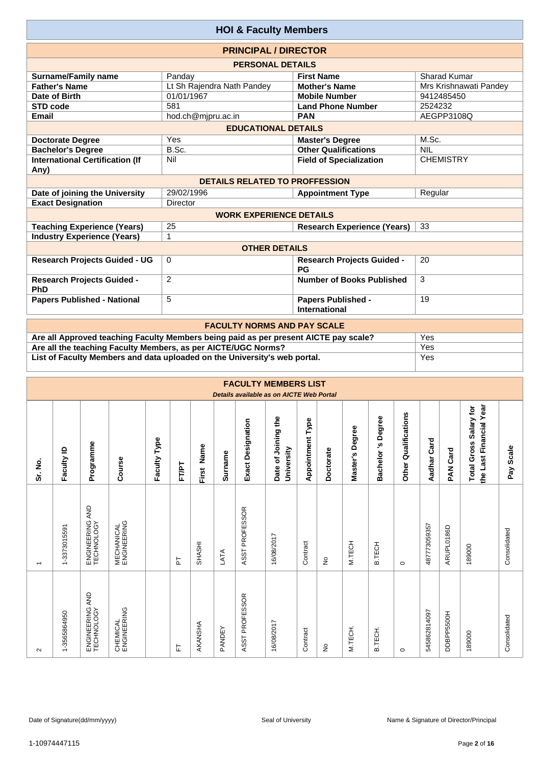|                                                | <b>HOI &amp; Faculty Members</b>      |                                                   |                        |
|------------------------------------------------|---------------------------------------|---------------------------------------------------|------------------------|
|                                                | <b>PRINCIPAL / DIRECTOR</b>           |                                                   |                        |
|                                                | <b>PERSONAL DETAILS</b>               |                                                   |                        |
| <b>Surname/Family name</b>                     | Panday                                | <b>First Name</b>                                 | Sharad Kumar           |
| <b>Father's Name</b>                           | Lt Sh Rajendra Nath Pandey            | <b>Mother's Name</b>                              | Mrs Krishnawati Pandey |
| Date of Birth                                  | 01/01/1967                            | <b>Mobile Number</b>                              | 9412485450             |
| STD code                                       | 581                                   | <b>Land Phone Number</b>                          | 2524232                |
| Email                                          | hod.ch@mjpru.ac.in                    | <b>PAN</b>                                        | AEGPP3108Q             |
|                                                | <b>EDUCATIONAL DETAILS</b>            |                                                   |                        |
| <b>Doctorate Degree</b>                        | Yes                                   | <b>Master's Degree</b>                            | M.Sc.                  |
| <b>Bachelor's Degree</b>                       | B.Sc.                                 | <b>Other Qualifications</b>                       | <b>NIL</b>             |
| <b>International Certification (If</b><br>Any) | Nil                                   | <b>Field of Specialization</b>                    | <b>CHEMISTRY</b>       |
|                                                | <b>DETAILS RELATED TO PROFFESSION</b> |                                                   |                        |
| Date of joining the University                 | 29/02/1996                            | <b>Appointment Type</b>                           | Regular                |
| <b>Exact Designation</b>                       | Director                              |                                                   |                        |
|                                                | <b>WORK EXPERIENCE DETAILS</b>        |                                                   |                        |
| <b>Teaching Experience (Years)</b>             | 25                                    | <b>Research Experience (Years)</b>                | 33                     |
| <b>Industry Experience (Years)</b>             | 1                                     |                                                   |                        |
|                                                | <b>OTHER DETAILS</b>                  |                                                   |                        |
| <b>Research Projects Guided - UG</b>           | $\Omega$                              | <b>Research Projects Guided -</b><br>PG           | 20                     |
| <b>Research Projects Guided -</b><br>PhD       | 2                                     | <b>Number of Books Published</b>                  | 3                      |
| <b>Papers Published - National</b>             | 5                                     | <b>Papers Published -</b><br><b>International</b> | 19                     |
|                                                | <b>EACHLITY NODMO AND DAV COALE</b>   |                                                   |                        |

| <b>FACULTY NORMS AND PAY SCALE</b>                                                   |     |
|--------------------------------------------------------------------------------------|-----|
| Are all Approved teaching Faculty Members being paid as per present AICTE pay scale? | Yes |
| Are all the teaching Faculty Members, as per AICTE/UGC Norms?                        | Yes |
| List of Faculty Members and data uploaded on the University's web portal.            | Yes |

|                          |                  |                                  |                                  |              |       |               |               |                          | <b>FACULTY MEMBERS LIST</b><br>Details available as on AICTE Web Portal |                         |               |                 |                   |                         |              |             |                                                   |              |
|--------------------------|------------------|----------------------------------|----------------------------------|--------------|-------|---------------|---------------|--------------------------|-------------------------------------------------------------------------|-------------------------|---------------|-----------------|-------------------|-------------------------|--------------|-------------|---------------------------------------------------|--------------|
| Sr. No.                  | Faculty ID       | Programme                        | Course                           | Faculty Type | FT/PT | First Name    | Surname       | <b>Exact Designation</b> | Date of Joining the<br>University                                       | <b>Appointment Type</b> | Doctorate     | Master's Degree | Bachelor's Degree | Qualifications<br>Other | Aadhar Card  | Card<br>MAR | the Last Financial Year<br>Total Gross Salary for | Scale<br>Pay |
| $\overline{\phantom{0}}$ | 1-3373015591     | AND<br>ENGINEERING<br>TECHNOLOGY | <b>MECHANICAL</b><br>ENGINEERING |              | 눈     | <b>SHASHI</b> | LATA          | ASST PROFESSOR           | 16/08/2017                                                              | Contract                | ş             | M.TECH          | <b>B.TECH</b>     | $\circ$                 | 487773059357 | ARUPL0186D  | 189000                                            | Consolidated |
| $\sim$                   | -3565864950<br>÷ | AND<br>ENGINEERING<br>TECHNOLOGY | CHEMICAL<br>ENGINEERING          |              | 뉸     | AKANSHA       | <b>PANDEY</b> | ASST PROFESSOR           | 16/08/2017                                                              | Contract                | $\frac{1}{2}$ | M.TECH.         | B.TECH            | $\circ$                 | 545862814097 | DDBPP5500H  | 189000                                            | Consolidated |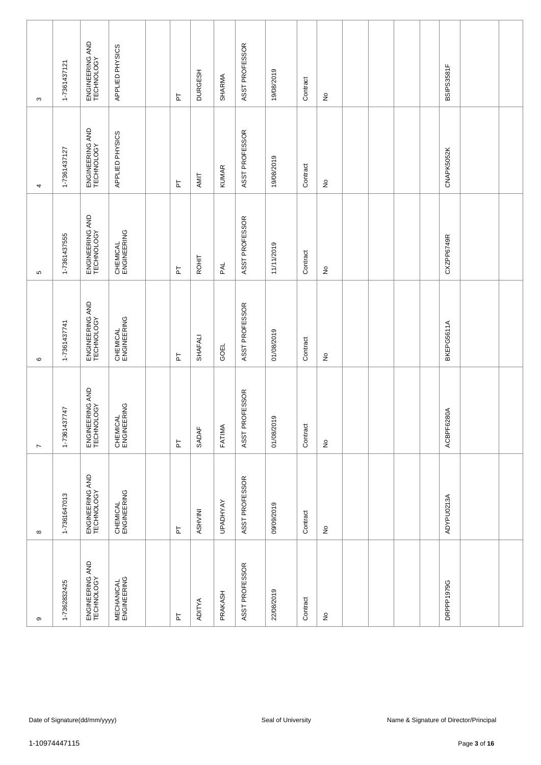|                   | 1-7361437121 | ENGINEERING AND<br>TECHNOLOGY | APPLIED PHYSICS                  |          |                |                 | ASST PROFESSOR |            |          |                            |  |  | BSIPS3581F |  |
|-------------------|--------------|-------------------------------|----------------------------------|----------|----------------|-----------------|----------------|------------|----------|----------------------------|--|--|------------|--|
| S                 |              |                               |                                  | 눈        | <b>DURGESH</b> | SHARMA          |                | 19/08/2019 | Contract | $\hat{\mathsf{z}}$         |  |  |            |  |
| 4                 | 1-7361437127 | ENGINEERING AND<br>TECHNOLOGY | APPLIED PHYSICS                  | 눈        | AMIT           | <b>KUMAR</b>    | ASST PROFESSOR | 19/08/2019 | Contract | $\stackrel{\mathtt{o}}{z}$ |  |  | CNAPK5052K |  |
| Ю                 | 1-7361437555 | ENGINEERING AND<br>TECHNOLOGY | CHEMICAL<br>ENGINEERING          | 눕        | ROHIT          | PAL             | ASST PROFESSOR | 11/11/2019 | Contract | $\stackrel{\mathtt{o}}{z}$ |  |  | CXZPP6749R |  |
| $\mathbf  \omega$ | 1-7361437741 | ENGINEERING AND<br>TECHNOLOGY | CHEMICAL<br>ENGINEERING          | 눈        | SHAFALI        | GOEL            | ASST PROFESSOR | 01/08/2019 | Contract | $\hat{z}$                  |  |  | BKEPG5611A |  |
| $\overline{ }$    | 1-7361437747 | ENGINEERING AND<br>TECHNOLOGY | CHEMICAL<br>ENGINEERING          | 눈        | SADAF          | FATIMA          | ASST PROFESSOR | 01/08/2019 | Contract | $\stackrel{\mathtt{o}}{z}$ |  |  | ACBPF6280A |  |
| $\infty$          | 1-7361647013 | ENGINEERING AND<br>TECHNOLOGY | CHEMICAL<br>ENGINEERING          | 눈        | ASHVINI        | <b>UPADHYAY</b> | ASST PROFESSOR | 09/09/2019 | Contract | $\hat{z}$                  |  |  | ADYPU0213A |  |
| თ                 | 1-7362832425 | ENGINEERING AND<br>TECHNOLOGY | <b>MECHANICAL</b><br>ENGINEERING | <b>F</b> | <b>ADITYA</b>  | PRAKASH         | ASST PROFESSOR | 22/08/2019 | Contract | $\hat{z}$                  |  |  | DRPPP1979G |  |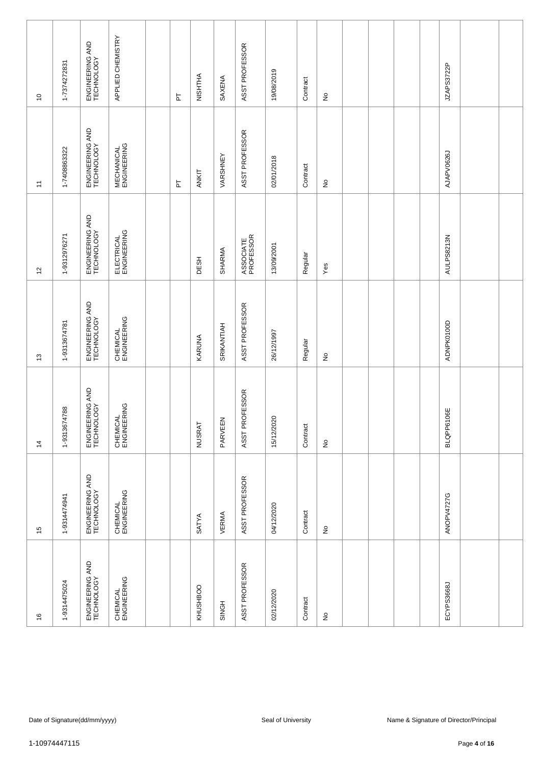| $\frac{6}{5}$                 | 15                            | $\frac{4}{3}$                 | $\tilde{c}$                   | $\overline{c}$                | $\overline{a}$                   | $\overline{\phantom{0}}$      |
|-------------------------------|-------------------------------|-------------------------------|-------------------------------|-------------------------------|----------------------------------|-------------------------------|
| 1-9314475024                  | 1-9314474941                  | 1-9313674788                  | 1-9313674781                  | 1-9312976271                  | 1-7408863322                     | 1-7374272831                  |
| ENGINEERING AND<br>TECHNOLOGY | ENGINEERING AND<br>TECHNOLOGY | ENGINEERING AND<br>TECHNOLOGY | ENGINEERING AND<br>TECHNOLOGY | ENGINEERING AND<br>TECHNOLOGY | ENGINEERING AND<br>TECHNOLOGY    | ENGINEERING AND<br>TECHNOLOGY |
| CHEMICAL<br>ENGINEERING       | CHEMICAL<br>ENGINEERING       | CHEMICAL<br>ENGINEERING       | CHEMICAL<br>ENGINEERING       | ELECTRICAL<br>ENGINEERING     | <b>MECHANICAL</b><br>ENGINEERING | APPLIED CHEMISTRY             |
|                               |                               |                               |                               |                               |                                  |                               |
|                               |                               |                               |                               |                               | 눈                                | 눈                             |
| <b>KHUSHBOO</b>               | SATYA                         | <b>NUSRAT</b>                 | KARUNA                        | DESH                          | ANKIT                            | NISHTHA                       |
| SINGH                         | VERMA                         | PARVEEN                       | SRIKANTIAH                    | SHARMA                        | VARSHNEY                         | SAXENA                        |
| ASST PROFESSOR                | ASST PROFESSOR                | ASST PROFESSOR                | ASST PROFESSOR                | ASSOCIATE<br>PROFESSOR        | ASST PROFESSOR                   | ASST PROFESSOR                |
| 02/12/2020                    | 04/12/2020                    | 15/12/2020                    | 26/12/1997                    | 13/09/2001                    | 02/01/2018                       | 19/08/2019                    |
| Contract                      | Contract                      | Contract                      | Regular                       | Regular                       | Contract                         | Contract                      |
| $\frac{\circ}{\sim}$          | $\frac{\circ}{\sim}$          | $\stackrel{\mathtt{o}}{z}$    | $\frac{\circ}{\sim}$          | Yes                           | $\stackrel{\mathtt{o}}{z}$       | $\frac{\circ}{\sim}$          |
|                               |                               |                               |                               |                               |                                  |                               |
|                               |                               |                               |                               |                               |                                  |                               |
|                               |                               |                               |                               |                               |                                  |                               |
|                               |                               |                               |                               |                               |                                  |                               |
| ECYPS3668J                    | ANOPV4727G                    | BLQPP6106E                    | ADNPK0100D                    | AULPS8213N                    | AJAPV0626J                       | JZAPS3722P                    |
|                               |                               |                               |                               |                               |                                  |                               |
|                               |                               |                               |                               |                               |                                  |                               |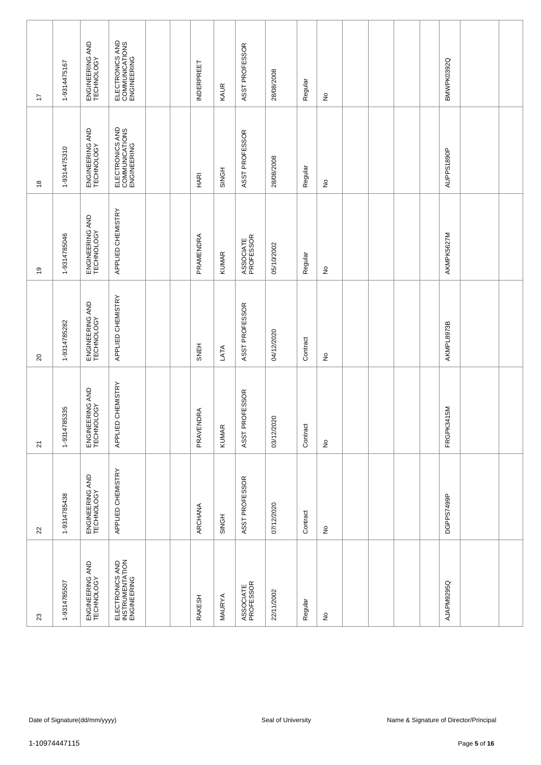| $22\,$                        | $\overline{\mathsf{S}}$       | $\overline{c}$                | $\overline{6}$                | $\overset{\circ}{\phantom{a}}$                   | 17                                               |
|-------------------------------|-------------------------------|-------------------------------|-------------------------------|--------------------------------------------------|--------------------------------------------------|
| 1-9314785438                  | 1-9314785335                  | 1-9314785282                  | 1-9314785046                  | 1-9314475310                                     | 1-9314475167                                     |
| ENGINEERING AND<br>TECHNOLOGY | ENGINEERING AND<br>TECHNOLOGY | ENGINEERING AND<br>TECHNOLOGY | ENGINEERING AND<br>TECHNOLOGY | ENGINEERING AND<br>TECHNOLOGY                    | ENGINEERING AND<br>TECHNOLOGY                    |
| APPLIED CHEMISTRY             | APPLIED CHEMISTRY             | APPLIED CHEMISTRY             | APPLIED CHEMISTRY             | ELECTRONICS AND<br>COMMUNICATIONS<br>ENGINEERING | ELECTRONICS AND<br>COMMUNICATIONS<br>ENGINEERING |
|                               |                               |                               |                               |                                                  |                                                  |
|                               |                               |                               |                               |                                                  |                                                  |
| ARCHANA                       | PRAVENDRA                     | SNEH                          | PRAMENDRA                     | <b>HARI</b>                                      | <b>INDERPREET</b>                                |
| SINGH                         | <b>KUMAR</b>                  | LATA                          | <b>KUMAR</b>                  | <b>SINGH</b>                                     | KAUR                                             |
| ASST PROFESSOR                | ASST PROFESSOR                | ASST PROFESSOR                | ASSOCIATE<br>PROFESSOR        | ASST PROFESSOR                                   | ASST PROFESSOR                                   |
| 07/12/2020                    | 03/12/2020                    | 04/12/2020                    | 05/10/2002                    | 28/08/2008                                       | 28/08/2008                                       |
| Contract                      | Contract                      | Contract                      | Regular                       | Regular                                          | Regular                                          |
| $\frac{\circ}{\sim}$          | $\stackrel{\mathtt{o}}{z}$    | $\frac{1}{2}$                 | $\stackrel{\mathtt{o}}{z}$    | $\stackrel{\mathtt{o}}{z}$                       | $\frac{\circ}{\sim}$                             |
|                               |                               |                               |                               |                                                  |                                                  |
|                               |                               |                               |                               |                                                  |                                                  |
|                               |                               |                               |                               |                                                  |                                                  |
|                               |                               |                               |                               |                                                  |                                                  |
| DGPPS7499P                    | FRGPK3415M                    | AKMPL8973B                    | AKMPK5627M                    | AUPPS1890P                                       | BMWPK0392Q                                       |
|                               |                               |                               |                               |                                                  |                                                  |
|                               |                               |                               |                               |                                                  |                                                  |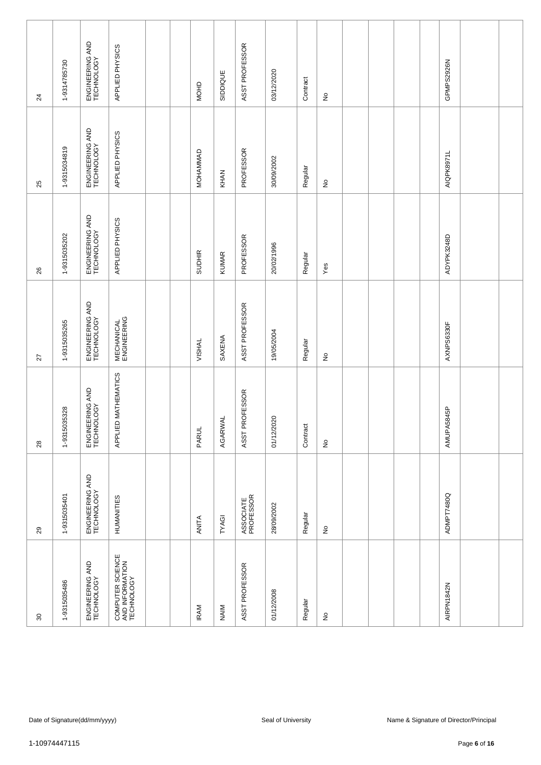| 80                                                | 29                            | 28                            | $\overline{27}$                  | 26                            | 25                            | 24                            |
|---------------------------------------------------|-------------------------------|-------------------------------|----------------------------------|-------------------------------|-------------------------------|-------------------------------|
| 1-9315035486                                      | 1-9315035401                  | 1-9315035328                  | 1-9315035265                     | 1-9315035202                  | 1-9315034819                  | 1-9314785730                  |
| ENGINEERING AND<br>TECHNOLOGY                     | ENGINEERING AND<br>TECHNOLOGY | ENGINEERING AND<br>TECHNOLOGY | ENGINEERING AND<br>TECHNOLOGY    | ENGINEERING AND<br>TECHNOLOGY | ENGINEERING AND<br>TECHNOLOGY | ENGINEERING AND<br>TECHNOLOGY |
| COMPUTER SCIENCE<br>AND INFORMATION<br>TECHNOLOGY | HUMANITIES                    | APPLIED MATHEMATICS           | <b>MECHANICAL</b><br>ENGINEERING | APPLIED PHYSICS               | APPLIED PHYSICS               | APPLIED PHYSICS               |
|                                                   |                               |                               |                                  |                               |                               |                               |
|                                                   |                               |                               |                                  |                               |                               |                               |
| <b>IRAM</b>                                       | ANITA                         | <b>PARUL</b>                  | VISHAL                           | <b>SUDHIR</b>                 | MOHAMMAD                      | MOHD                          |
| NAIM                                              | TYAGI                         | AGARWAL                       | SAXENA                           | <b>KUMAR</b>                  | KHAN                          | SIDDIQUE                      |
| ASST PROFESSOR                                    | ASSOCIATE<br>PROFESSOR        | ASST PROFESSOR                | ASST PROFESSOR                   | PROFESSOR                     | PROFESSOR                     | ASST PROFESSOR                |
| 01/12/2008                                        | 28/09/2002                    | 01/12/2020                    | 19/05/2004                       | 20/02/1996                    | 30/09/2002                    | 03/12/2020                    |
| Regular                                           | Regular                       | Contract                      | Regular                          | Regular                       | Regular                       | Contract                      |
| $\hat{\mathsf{z}}$                                | $\hat{z}$                     | $\frac{1}{2}$                 | $\hat{z}$                        | Yes                           | $\stackrel{\mathtt{o}}{z}$    | $\hat{z}$                     |
|                                                   |                               |                               |                                  |                               |                               |                               |
|                                                   |                               |                               |                                  |                               |                               |                               |
|                                                   |                               |                               |                                  |                               |                               |                               |
|                                                   |                               |                               |                                  |                               |                               |                               |
| AIRPN1842N                                        | ADMPT7480Q                    | AMUPA5845P                    | AXNPS6330F                       | ADYPK3248D                    | AIQPK8971L                    | GPMPS2926N                    |
|                                                   |                               |                               |                                  |                               |                               |                               |
|                                                   |                               |                               |                                  |                               |                               |                               |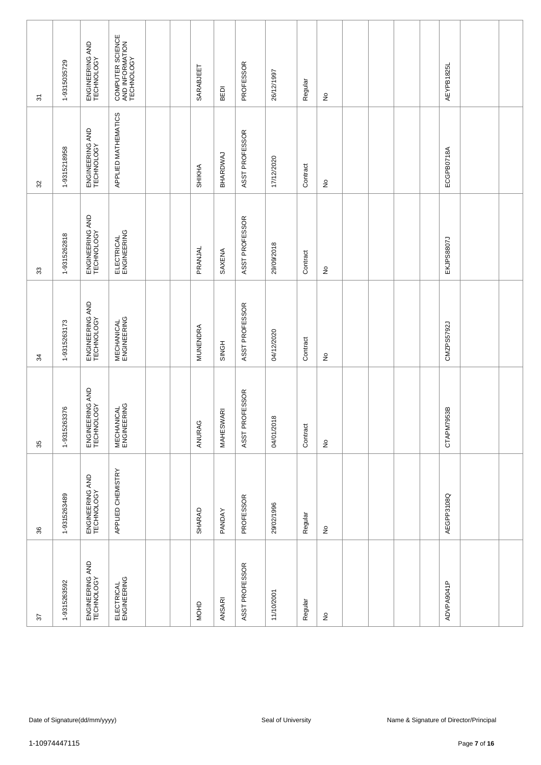| 57                            | 36                            | 35                               | 34                               | $33\,$                        | 32                            | $\overline{\mathcal{E}}$                          |
|-------------------------------|-------------------------------|----------------------------------|----------------------------------|-------------------------------|-------------------------------|---------------------------------------------------|
| 1-9315263592                  | 1-9315263489                  | 1-9315263376                     | 1-9315263173                     | 1-9315262818                  | 1-9315218958                  | 1-9315035729                                      |
| ENGINEERING AND<br>TECHNOLOGY | ENGINEERING AND<br>TECHNOLOGY | ENGINEERING AND<br>TECHNOLOGY    | ENGINEERING AND<br>TECHNOLOGY    | ENGINEERING AND<br>TECHNOLOGY | ENGINEERING AND<br>TECHNOLOGY | ENGINEERING AND<br>TECHNOLOGY                     |
| ELECTRICAL<br>ENGINEERING     | APPLIED CHEMISTRY             | <b>MECHANICAL</b><br>ENGINEERING | <b>MECHANICAL</b><br>ENGINEERING | ELECTRICAL<br>ENGINEERING     | APPLIED MATHEMATICS           | COMPUTER SCIENCE<br>AND INFORMATION<br>TECHNOLOGY |
|                               |                               |                                  |                                  |                               |                               |                                                   |
|                               |                               |                                  |                                  |                               |                               |                                                   |
| <b>MOHD</b>                   | <b>SHARAD</b>                 | ANURAG                           | MUNENDRA                         | PRANJAL                       | SHIKHA                        | SARABJEET                                         |
| ANSARI                        | PANDAY                        | MAHESWARI                        | SINGH                            | SAXENA                        | BHARDWAJ                      | BEDI                                              |
| ASST PROFESSOR                | PROFESSOR                     | ASST PROFESSOR                   | ASST PROFESSOR                   | ASST PROFESSOR                | ASST PROFESSOR                | PROFESSOR                                         |
| 11/10/2001                    | 29/02/1996                    | 04/01/2018                       | 04/12/2020                       | 29/09/2018                    | 17/12/2020                    | 26/12/1997                                        |
| Regular                       | Regular                       | Contract                         | Contract                         | Contract                      | Contract                      | Regular                                           |
| $\hat{\mathsf{z}}$            | $\hat{\mathsf{z}}$            | $\stackrel{\mathtt{o}}{z}$       | ş                                | $\stackrel{\circ}{\simeq}$    | $\stackrel{\mathtt{o}}{z}$    | $\frac{\circ}{\sim}$                              |
|                               |                               |                                  |                                  |                               |                               |                                                   |
|                               |                               |                                  |                                  |                               |                               |                                                   |
|                               |                               |                                  |                                  |                               |                               |                                                   |
|                               |                               |                                  |                                  |                               |                               |                                                   |
| ADVPA9041P                    | AEGPP3108Q                    | CTAPM7953B                       | CMZPS5792J                       | <b>EKJPS8807J</b>             | ECGPB0718A                    | AEYPB1825L                                        |
|                               |                               |                                  |                                  |                               |                               |                                                   |
|                               |                               |                                  |                                  |                               |                               |                                                   |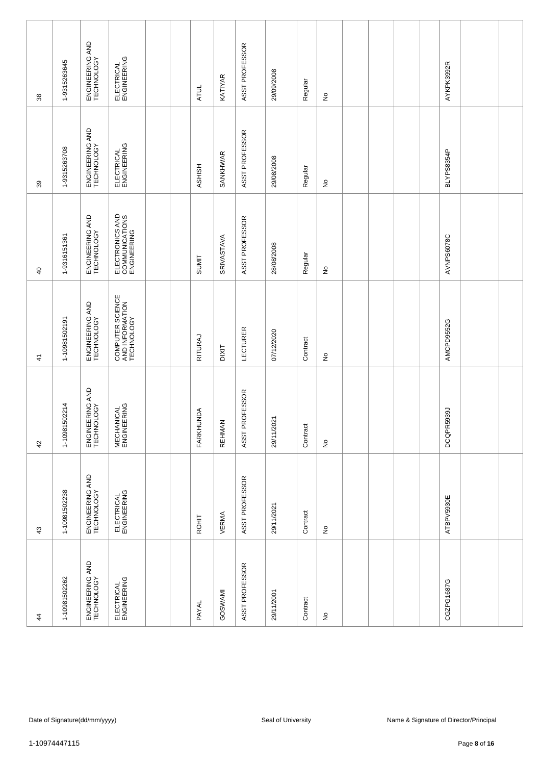| $\frac{4}{3}$                 | $\boldsymbol{\mathcal{L}}$    | 42                               | $\frac{4}{3}$                                     | $\overline{4}$                                   | 39                            | 38                            |
|-------------------------------|-------------------------------|----------------------------------|---------------------------------------------------|--------------------------------------------------|-------------------------------|-------------------------------|
| 1-10981502262                 | 1-10981502238                 | 1-10981502214                    | 1-10981502191                                     | 1-9316151361                                     | 1-9315263708                  | 1-9315263645                  |
| ENGINEERING AND<br>TECHNOLOGY | ENGINEERING AND<br>TECHNOLOGY | ENGINEERING AND<br>TECHNOLOGY    | ENGINEERING AND<br>TECHNOLOGY                     | ENGINEERING AND<br>TECHNOLOGY                    | ENGINEERING AND<br>TECHNOLOGY | ENGINEERING AND<br>TECHNOLOGY |
| ELECTRICAL<br>ENGINEERING     | ELECTRICAL<br>ENGINEERING     | <b>MECHANICAL</b><br>ENGINEERING | COMPUTER SCIENCE<br>AND INFORMATION<br>TECHNOLOGY | ELECTRONICS AND<br>COMMUNICATIONS<br>ENGINEERING | ELECTRICAL<br>ENGINEERING     | ELECTRICAL<br>ENGINEERING     |
|                               |                               |                                  |                                                   |                                                  |                               |                               |
| PAYAL                         | ROHIT                         | FARKHUNDA                        | RITURAJ                                           | SUMIT                                            | <b>ASHISH</b>                 | <b>ATUL</b>                   |
| GOSWAMI                       | VERMA                         | <b>REHMAN</b>                    | <b>TIXID</b>                                      | SRIVASTAVA                                       | SANKHWAR                      | KATIYAR                       |
| ASST PROFESSOR                | ASST PROFESSOR                | ASST PROFESSOR                   | LECTURER                                          | ASST PROFESSOR                                   | ASST PROFESSOR                | ASST PROFESSOR                |
| 29/11/2001                    | 29/11/2021                    | 29/11/2021                       | 07/12/2020                                        | 28/08/2008                                       | 29/08/2008                    | 29/09/2008                    |
| Contract                      | Contract                      | Contract                         | Contract                                          | Regular                                          | Regular                       | Regular                       |
| $\frac{\circ}{\sim}$          | $\frac{\circ}{\sim}$          | $\stackrel{\mathtt{o}}{z}$       | ş                                                 | $\stackrel{\mathtt{o}}{z}$                       | $\stackrel{\mathtt{o}}{z}$    | $\frac{\circ}{\sim}$          |
|                               |                               |                                  |                                                   |                                                  |                               |                               |
|                               |                               |                                  |                                                   |                                                  |                               |                               |
|                               |                               |                                  |                                                   |                                                  |                               |                               |
|                               |                               |                                  |                                                   |                                                  |                               |                               |
| CGZPG1687G                    | ATBPV5930E                    | DCQPR5939J                       | AMCPD9552G                                        | AVNPS6078C                                       | BLYPS8354P                    | AYKPK3992R                    |
|                               |                               |                                  |                                                   |                                                  |                               |                               |
|                               |                               |                                  |                                                   |                                                  |                               |                               |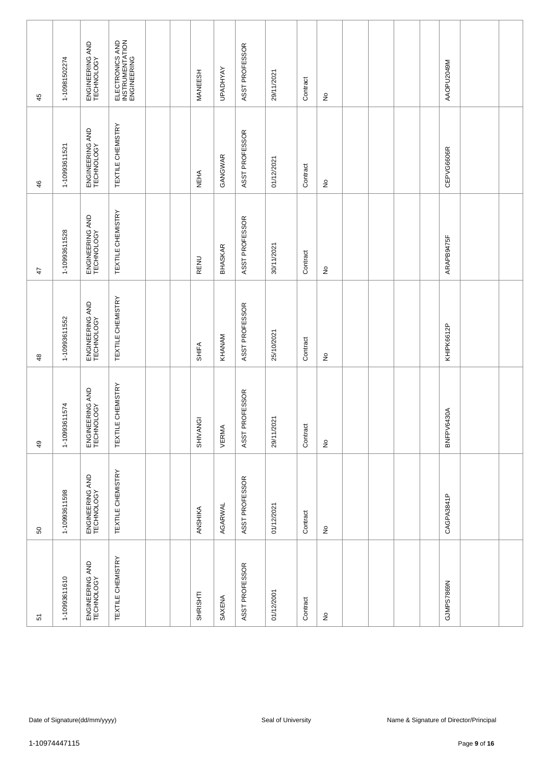| 51                            | ${\tt S0}$                    | 49                            | $\frac{48}{5}$                | $\ddot{4}$                    | 46                            | 45                                                |
|-------------------------------|-------------------------------|-------------------------------|-------------------------------|-------------------------------|-------------------------------|---------------------------------------------------|
| 1-10993611610                 | 1-10993611598                 | 1-10993611574                 | 1-10993611552                 | 1-10993611528                 | 1-10993611521                 | 1-10981502274                                     |
| ENGINEERING AND<br>TECHNOLOGY | ENGINEERING AND<br>TECHNOLOGY | ENGINEERING AND<br>TECHNOLOGY | ENGINEERING AND<br>TECHNOLOGY | ENGINEERING AND<br>TECHNOLOGY | ENGINEERING AND<br>TECHNOLOGY | ENGINEERING AND<br>TECHNOLOGY                     |
| TEXTILE CHEMISTRY             | TEXTILE CHEMISTRY             | TEXTILE CHEMISTRY             | <b>TEXTILE CHEMISTRY</b>      | TEXTILE CHEMISTRY             | TEXTILE CHEMISTRY             | ELECTRONICS AND<br>INSTRUMENTATION<br>ENGINEERING |
|                               |                               |                               |                               |                               |                               |                                                   |
|                               |                               |                               |                               |                               |                               |                                                   |
| SHRISHTI                      | ANSHIKA                       | SHIVANGI                      | SHIFA                         | RENU                          | <b>NEHA</b>                   | MANEESH                                           |
| SAXENA                        | AGARWAL                       | VERMA                         | KHANAM                        | <b>BHASKAR</b>                | GANGWAR                       | <b>UPADHYAY</b>                                   |
| ASST PROFESSOR                | ASST PROFESSOR                | ASST PROFESSOR                | ASST PROFESSOR                | ASST PROFESSOR                | ASST PROFESSOR                | ASST PROFESSOR                                    |
| 01/12/2001                    | 01/12/2021                    | 29/11/2021                    | 25/10/2021                    | 30/11/2021                    | 01/12/2021                    | 29/11/2021                                        |
| Contract                      | Contract                      | Contract                      | Contract                      | Contract                      | Contract                      | Contract                                          |
| $\hat{\mathsf{z}}$            | $\hat{\mathsf{z}}$            | $\stackrel{\mathtt{o}}{z}$    | $\frac{1}{2}$                 | $\stackrel{\mathtt{o}}{z}$    | $\stackrel{\mathtt{o}}{z}$    | $\frac{\circ}{\sim}$                              |
|                               |                               |                               |                               |                               |                               |                                                   |
|                               |                               |                               |                               |                               |                               |                                                   |
|                               |                               |                               |                               |                               |                               |                                                   |
|                               |                               |                               |                               |                               |                               |                                                   |
| GJMPS7869N                    | CAGPA3841P                    | BNFPV6430A                    | KHIPK6612P                    | ARAPB9475F                    | CEPVG6606R                    | MOPU2049M                                         |
|                               |                               |                               |                               |                               |                               |                                                   |
|                               |                               |                               |                               |                               |                               |                                                   |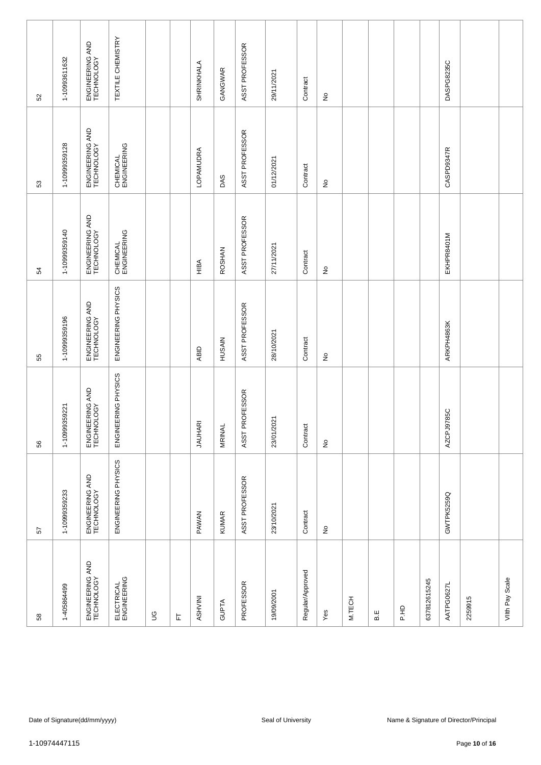| 52     | 1-10993611632 | ENGINEERING AND<br>TECHNOLOGY | TEXTILE CHEMISTRY         |             |   | SHRINKHALA     | GANGWAR       | ASST PROFESSOR | 29/11/2021         | Contract         | $\hat{\mathsf{z}}$                  |        |     |             |              | DASPG8235C |                                                         |                 |
|--------|---------------|-------------------------------|---------------------------|-------------|---|----------------|---------------|----------------|--------------------|------------------|-------------------------------------|--------|-----|-------------|--------------|------------|---------------------------------------------------------|-----------------|
| 53     | 1-10999359128 | ENGINEERING AND<br>TECHNOLOGY | CHEMICAL<br>ENGINEERING   |             |   | LOPAMUDRA      | DAS           | ASST PROFESSOR | 01/12/2021         | Contract         | $\stackrel{\mathtt{o}}{z}$          |        |     |             |              | CASPD9347R |                                                         |                 |
| 54     | 1-10999359140 | ENGINEERING AND<br>TECHNOLOGY | CHEMICAL<br>ENGINEERING   |             |   | HIBA           | <b>ROSHAN</b> | ASST PROFESSOR | 27/11/2021         | Contract         | $\stackrel{\mathtt{o}}{\mathsf{z}}$ |        |     |             |              | EKHPR8401M |                                                         |                 |
| 55     | 1-10999359196 | ENGINEERING AND<br>TECHNOLOGY | ENGINEERING PHYSICS       |             |   | ABID           | HUSAIN        | ASST PROFESSOR | 28/10/2021         | Contract         | $\hat{z}$                           |        |     |             |              | ARKPH4863K |                                                         |                 |
| 56     | 1-10999359221 | ENGINEERING AND<br>TECHNOLOGY | ENGINEERING PHYSICS       |             |   | <b>JAUHARI</b> | <b>MRINAL</b> | ASST PROFESSOR | 23/01/2021         | Contract         | $\stackrel{\mathtt{o}}{z}$          |        |     |             |              | AZCPJ9785C |                                                         |                 |
| 57     | 1-10999359233 | ENGINEERING AND<br>TECHNOLOGY | ENGINEERING PHYSICS       |             |   | <b>PAWAN</b>   | <b>KUMAR</b>  | ASST PROFESSOR | 23/10/2021         | Contract         | $\frac{\circ}{\sim}$                |        |     |             |              | GWTPK5259Q |                                                         |                 |
| $58\,$ | 1-405864499   | ENGINEERING AND<br>TECHNOLOGY | ELECTRICAL<br>ENGINEERING | $\mathbb S$ | L | NIVHSA         | <b>GUPTA</b>  | PROFESSOR      | 19/09/2001         | Regular/Approved | Yes                                 | M.TECH | B.E | <b>P.HD</b> | 637812615245 | AATPG0627L | 2259915                                                 | Viith Pay Scale |
|        |               |                               |                           |             |   |                |               |                |                    |                  |                                     |        |     |             |              |            |                                                         |                 |
|        | 1-10974447115 | Date of Signature(dd/mm/yyyy) |                           |             |   |                |               |                | Seal of University |                  |                                     |        |     |             |              |            | Name & Signature of Director/Principal<br>Page 10 of 16 |                 |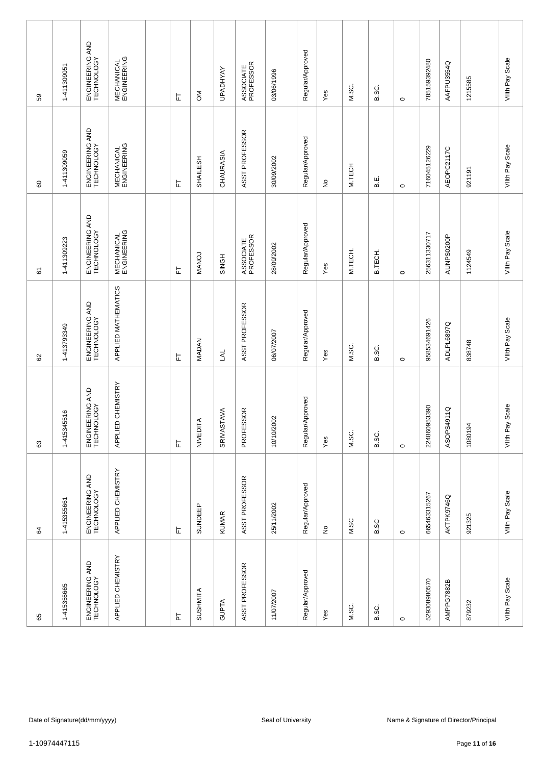| 59            | 1-411309051                                                                                                    | ENGINEERING AND<br>TECHNOLOGY | <b>MECHANICAL</b><br>ENGINEERING |  | 匸                          | $\mathsf{M}$    | <b>UPADHYAY</b> | ASSOCIATE<br>PROFESSOR | 03/06/1996 | Regular/Approved | Yes                        | M.SC.   | B.SC.   | $\circ$ | 785159392480 | AAFPU3554Q | 1215585 | VIIth Pay Scale    |
|---------------|----------------------------------------------------------------------------------------------------------------|-------------------------------|----------------------------------|--|----------------------------|-----------------|-----------------|------------------------|------------|------------------|----------------------------|---------|---------|---------|--------------|------------|---------|--------------------|
| 60            | 1-411309059                                                                                                    | ENGINEERING AND<br>TECHNOLOGY | <b>MECHANICAL</b><br>ENGINEERING |  | 눈                          | SHAILESH        | CHAURASIA       | ASST PROFESSOR         | 30/09/2002 | Regular/Approved | $\stackrel{\mathtt{o}}{z}$ | M.TECH  | В.      | $\circ$ | 716045126229 | AEOPC2117C | 921191  | VIIth Pay Scale    |
| 61            | 1-411309223                                                                                                    | ENGINEERING AND<br>TECHNOLOGY | <b>MECHANICAL</b><br>ENGINEERING |  | 匸                          | MANOJ           | SINGH           | ASSOCIATE<br>PROFESSOR | 28/09/2002 | Regular/Approved | Yes                        | M.TECH. | B.TECH. | $\circ$ | 256311330717 | AUNPS0200P | 1124549 | VIIth Pay Scale    |
| 8             | 1-413793349                                                                                                    | ENGINEERING AND<br>TECHNOLOGY | APPLIED MATHEMATICS              |  | 匸                          | <b>MADAN</b>    | <b>JAL</b>      | ASST PROFESSOR         | 06/07/2007 | Regular/Approved | Yes                        | M.SC.   | B.SC.   | $\circ$ | 958534691426 | ADLPL6897Q | 838748  | VIIth Pay Scale    |
| $\mathbb{G}3$ | 1-415345516                                                                                                    | ENGINEERING AND<br>TECHNOLOGY | APPLIED CHEMISTRY                |  | $\overleftarrow{\text{L}}$ | NIVEDITA        | SRIVASTAVA      | PROFESSOR              | 10/10/2002 | Regular/Approved | Yes                        | M.SC.   | B.SC.   | $\circ$ | 224860953390 | ASOPS4911Q | 1080194 | Scale<br>VIIth Pay |
| 64            | 1-415355661                                                                                                    | ENGINEERING AND<br>TECHNOLOGY | APPLIED CHEMISTRY                |  | $\overline{\mathbb{F}}$    | SUNDEEP         | <b>KUMAR</b>    | ASST PROFESSOR         | 25/11/2002 | Regular/Approved | $\frac{\circ}{\sim}$       | M.SC    | B.SC    | $\circ$ | 665463315267 | AKTPK9746Q | 921325  | VIIth Pay Scale    |
| 65            | 1-415355665                                                                                                    | ENGINEERING AND<br>TECHNOLOGY | APPLIED CHEMISTRY                |  | $\overline{\mathtt{h}}$    | <b>SUSHMITA</b> | <b>GUPTA</b>    | ASST PROFESSOR         | 11/07/2007 | Regular/Approved | Yes                        | M.SC.   | B.SC.   | $\circ$ | 529308980570 | AMPPG7882B | 879232  | Viith Pay Scale    |
|               |                                                                                                                |                               |                                  |  |                            |                 |                 |                        |            |                  |                            |         |         |         |              |            |         |                    |
| 1-10974447115 | Date of Signature(dd/mm/yyyy)<br>Seal of University<br>Name & Signature of Director/Principal<br>Page 11 of 16 |                               |                                  |  |                            |                 |                 |                        |            |                  |                            |         |         |         |              |            |         |                    |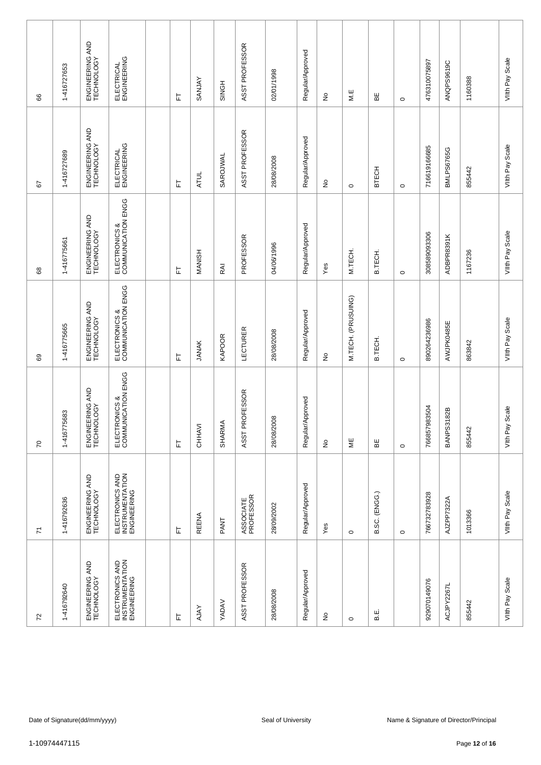| 8                        | 1-416727653   | ENGINEERING AND<br>TECHNOLOGY | ELECTRICAL<br>ENGINEERING                         | 匸 | SANJAY        | SINGH        | ASST PROFESSOR         | 02/01/1998         | Regular/Approved | $\frac{\circ}{\sim}$       | $M.E$                 | 띪             | $\circ$ | 476310075897 | ANQPS9619C        | 1160388                                                 | VIIth Pay Scale   |
|--------------------------|---------------|-------------------------------|---------------------------------------------------|---|---------------|--------------|------------------------|--------------------|------------------|----------------------------|-----------------------|---------------|---------|--------------|-------------------|---------------------------------------------------------|-------------------|
| 57                       | 1-416727689   | ENGINEERING AND<br>TECHNOLOGY | ELECTRICAL<br>ENGINEERING                         | 는 | <b>ATUL</b>   | SAROJWAL     | ASST PROFESSOR         | 28/08/2008         | Regular/Approved | $\stackrel{\mathtt{o}}{z}$ | $\circ$               | <b>BTECH</b>  | $\circ$ | 716619166685 | <b>BMLPS6765G</b> | 855442                                                  | VIIth Pay Scale   |
| 89                       | 1-416775661   | ENGINEERING AND<br>TECHNOLOGY | ELECTRONICS &<br>COMMUNICATION ENGG               | 匸 | <b>MANISH</b> | RAI          | PROFESSOR              | 04/06/1996         | Regular/Approved | Yes                        | M.TECH.               | B.TECH.       | $\circ$ | 308589093306 | ADBPR8391K        | 1167236                                                 | VIIth Pay Scale   |
| 69                       | 1-416775665   | ENGINEERING AND<br>TECHNOLOGY | ELECTRONICS &<br>COMMUNICATION ENGG               | 匸 | <b>JANAK</b>  | KAPOOR       | LECTURER               | 28/08/2008         | Regular/Approved | $\stackrel{\circ}{\simeq}$ | M.TECH. (PRUSUING)    | B.TECH        | $\circ$ | 890264236986 | AWJPK0485E        | 863842                                                  | VIIth Pay Scale   |
| $\sqrt{2}$               | 1-416775683   | ENGINEERING AND<br>TECHNOLOGY | ELECTRONICS &<br>COMMUNICATION ENGG               | 눈 | CHHAVI        | SHARMA       | ASST PROFESSOR         | 28/08/2008         | Regular/Approved | $\stackrel{\mathtt{o}}{z}$ | $\mathrel{\mathop:}=$ | ΒE            | $\circ$ | 766857983504 | <b>BANPS3182B</b> | 855442                                                  | Scale<br>Vith Pay |
| $\overline{\mathcal{L}}$ | 1-416792636   | ENGINEERING AND<br>TECHNOLOGY | ELECTRONICS AND<br>INSTRUMENTATION<br>ENGINEERING | 匸 | <b>REENA</b>  | PANT         | ASSOCIATE<br>PROFESSOR | 28/09/2002         | Regular/Approved | Yes                        | $\circ$               | B.SC. (ENGG.) | $\circ$ | 766732783928 | AJZPP7322A        | 1013366                                                 | VIIth Pay Scale   |
| $72\,$                   | 1-416792640   | ENGINEERING AND<br>TECHNOLOGY | ELECTRONICS AND<br>INSTRUMENTATION<br>ENGINEERING | 匸 | <b>AJAY</b>   | <b>YADAV</b> | ASST PROFESSOR         | 28/08/2008         | Regular/Approved | $\frac{\circ}{\sim}$       | $\circ$               | щ<br>ഥ        |         | 929070149076 | ACJPY2267L        | 855442                                                  | Viith Pay Scale   |
|                          |               |                               |                                                   |   |               |              |                        |                    |                  |                            |                       |               |         |              |                   |                                                         |                   |
|                          | 1-10974447115 | Date of Signature(dd/mm/yyyy) |                                                   |   |               |              |                        | Seal of University |                  |                            |                       |               |         |              |                   | Name & Signature of Director/Principal<br>Page 12 of 16 |                   |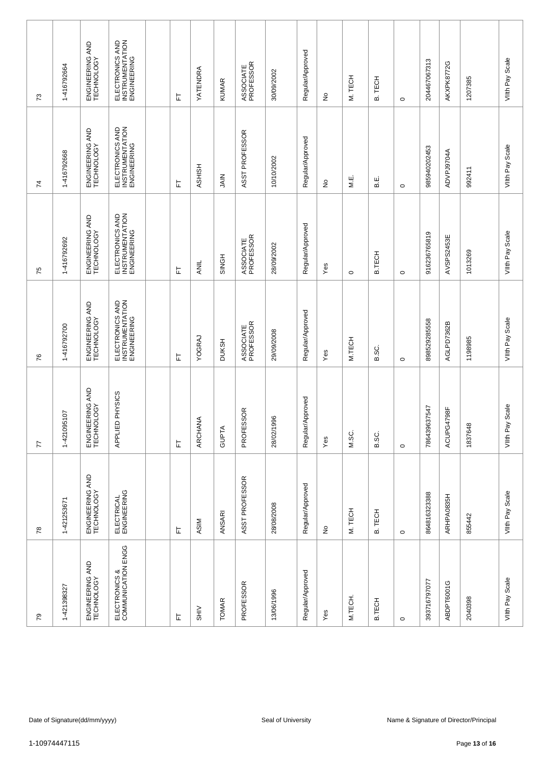| 73             | 1-416792664                                                                                   | ENGINEERING AND<br>TECHNOLOGY | ELECTRONICS AND<br>INSTRUMENTATION<br>ENGINEERING |  | 匸 | YATENDRA                    | <b>KUMAR</b> | ASSOCIATE<br>PROFESSOR | 30/09/2002 | Regular/Approved | ş                    | M. TECH | TECH<br>ക്    | $\circ$ | 204467067313 | AKXPK8772G | 1207385       | VIIth Pay Scale    |
|----------------|-----------------------------------------------------------------------------------------------|-------------------------------|---------------------------------------------------|--|---|-----------------------------|--------------|------------------------|------------|------------------|----------------------|---------|---------------|---------|--------------|------------|---------------|--------------------|
| $\overline{7}$ | 1-416792668                                                                                   | ENGINEERING AND<br>TECHNOLOGY | ELECTRONICS AND<br>INSTRUMENTATION<br>ENGINEERING |  | 는 | <b>ASHISH</b>               | <b>NIAL</b>  | ASST PROFESSOR         | 10/10/2002 | Regular/Approved | ş                    | M.E.    | نه<br>ه       | $\circ$ | 985940202453 | ADVPJ9704A | 992411        | VIIth Pay Scale    |
| 75             | 1-416792692                                                                                   | ENGINEERING AND<br>TECHNOLOGY | ELECTRONICS AND<br>INSTRUMENTATION<br>ENGINEERING |  | ᄂ | <b>ANIL</b>                 | SINGH        | ASSOCIATE<br>PROFESSOR | 28/09/2002 | Regular/Approved | Yes                  | $\circ$ | B.TECH        | $\circ$ | 916236765819 | AVSPS2453E | 1013269       | VIIth Pay Scale    |
| 76             | 1-416792700                                                                                   | ENGINEERING AND<br>TECHNOLOGY | ELECTRONICS AND<br>INSTRUMENTATION<br>ENGINEERING |  | 匸 | YOGRAJ                      | <b>DUKSH</b> | ASSOCIATE<br>PROFESSOR | 29/09/2008 | Regular/Approved | Yes                  | M.TECH  | B.SC.         | $\circ$ | 898529285558 | AGLPD7362B | 1198985       | VIIth Pay Scale    |
| 77             | 1-421095107                                                                                   | ENGINEERING AND<br>TECHNOLOGY | PHYSICS<br>APPLIED                                |  | 岀 | ARCHANA                     | <b>GUPTA</b> | SOR<br>PROFES          | 28/02/1996 | Regular/Approved | Yes                  | M.SC.   | B.SC.         | $\circ$ | 786439637547 | ACUPG4798F | 1837648       | Scale<br>VIIth Pay |
| $78$           | 1-421253671                                                                                   | ENGINEERING AND<br>TECHNOLOGY | ELECTRICAL<br>ENGINEERING                         |  | 上 | ASIM                        | ANSARI       | ASST PROFESSOR         | 28/08/2008 | Regular/Approved | $\frac{\circ}{\sim}$ | M. TECH | B. TECH       | $\circ$ | 864816323388 | ARHPA0835H | 855442        | Viith Pay Scale    |
| $\mathcal{S}$  | 1-421398327                                                                                   | ENGINEERING AND<br>TECHNOLOGY | ELECTRONICS &<br>COMMUNICATION ENGG               |  | 上 | $rac{1}{\sqrt{1+\epsilon}}$ | <b>TOMAR</b> | PROFESSOR              | 13/06/1996 | Regular/Approved | Yes                  | M.TECH. | <b>B.TECH</b> | $\circ$ | 393716797077 | ABDPT6001G | 2040398       | Viith Pay Scale    |
|                |                                                                                               |                               |                                                   |  |   |                             |              |                        |            |                  |                      |         |               |         |              |            |               |                    |
|                | Name & Signature of Director/Principal<br>Date of Signature(dd/mm/yyyy)<br>Seal of University |                               |                                                   |  |   |                             |              |                        |            |                  |                      |         |               |         |              |            |               |                    |
|                | 1-10974447115                                                                                 |                               |                                                   |  |   |                             |              |                        |            |                  |                      |         |               |         |              |            | Page 13 of 16 |                    |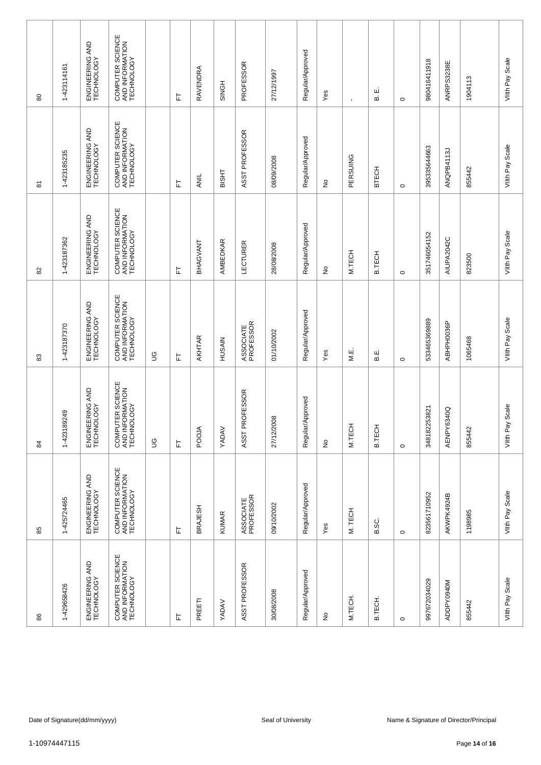| $\pmb{\mathbb{S}}$      | 1-423114161                                                                                   | ENGINEERING AND<br>TECHNOLOGY | COMPUTER SCIENCE<br>AND INFORMATION<br>TECHNOLOGY |               | 匸 | RAVENDRA       | SINGH        | PROFESSOR              | 27/12/1997 | Regular/Approved | Yes                        | $\blacksquare$ | ші<br>ഥാ      | $\circ$ | 980416411918 | ANRPS3238E | 1904113       | VIIth Pay Scale    |
|-------------------------|-----------------------------------------------------------------------------------------------|-------------------------------|---------------------------------------------------|---------------|---|----------------|--------------|------------------------|------------|------------------|----------------------------|----------------|---------------|---------|--------------|------------|---------------|--------------------|
| $\overline{\mathbf{8}}$ | 1-423185235                                                                                   | ENGINEERING AND<br>TECHNOLOGY | COMPUTER SCIENCE<br>AND INFORMATION<br>TECHNOLOGY |               | 는 | ANIL           | <b>BISHT</b> | ASST PROFESSOR         | 08/09/2008 | Regular/Approved | $\stackrel{\circ}{\simeq}$ | PERSUING       | BTECH         | $\circ$ | 395335644663 | ANQPB4113J | 855442        | VIIth Pay Scale    |
| 82                      | 1-423187362                                                                                   | ENGINEERING AND<br>TECHNOLOGY | COMPUTER SCIENCE<br>AND INFORMATION<br>TECHNOLOGY |               | ᄂ | BHAGVANT       | AMBEDKAR     | LECTURER               | 28/08/2008 | Regular/Approved | $\stackrel{\circ}{\simeq}$ | M.TECH         | <b>B.TECH</b> | $\circ$ | 351746054152 | AIUPA2042C | 823500        | VIIth Pay Scale    |
| 83                      | 1-423187370                                                                                   | ENGINEERING AND<br>TECHNOLOGY | COMPUTER SCIENCE<br>AND INFORMATION<br>TECHNOLOGY | $\mathbb S$   | 匸 | AKHTAR         | HUSAIN       | ASSOCIATE<br>PROFESSOR | 01/10/2002 | Regular/Approved | Yes                        | МË.            | نه<br>ه       | $\circ$ | 533465369889 | ABHPH0036P | 1065468       | VIIth Pay Scale    |
| 84                      | 1-423189249                                                                                   | ENGINEERING AND<br>TECHNOLOGY | COMPUTER SCIENCE<br>AND INFORMATION<br>TECHNOLOGY | $\mathcal{S}$ | 눈 | POOJA          | YADAV        | ASST PROFESSOR         | 27/12/2008 | Regular/Approved | $\stackrel{\mathtt{o}}{z}$ | M.TECH         | <b>B.TECH</b> | $\circ$ | 348182253821 | AENPY6340Q | 855442        | Scale<br>VIIth Pay |
| 85                      | 1-425724465                                                                                   | ENGINEERING AND<br>TECHNOLOGY | COMPUTER SCIENCE<br>AND INFORMATION<br>TECHNOLOGY |               | 匸 | <b>BRAJESH</b> | <b>KUMAR</b> | ASSOCIATE<br>PROFESSOR | 09/10/2002 | Regular/Approved | Yes                        | M. TECH        | B.SC.         | $\circ$ | 823561710952 | AKWPK4924B | 1198985       | VIIth Pay Scale    |
| 86                      | 1-429658426                                                                                   | ENGINEERING AND<br>TECHNOLOGY | COMPUTER SCIENCE<br>AND INFORMATION<br>TECHNOLOGY |               | 눈 | PREETI         | <b>YADAV</b> | ASST PROFESSOR         | 30/08/2008 | Regular/Approved | ş                          | M.TECH.        | B.TECH.       | $\circ$ | 997672034029 | ADDPY0940M | 855442        | Viith Pay Scale    |
|                         |                                                                                               |                               |                                                   |               |   |                |              |                        |            |                  |                            |                |               |         |              |            |               |                    |
|                         | Date of Signature(dd/mm/yyyy)<br>Seal of University<br>Name & Signature of Director/Principal |                               |                                                   |               |   |                |              |                        |            |                  |                            |                |               |         |              |            |               |                    |
|                         | 1-10974447115                                                                                 |                               |                                                   |               |   |                |              |                        |            |                  |                            |                |               |         |              |            | Page 14 of 16 |                    |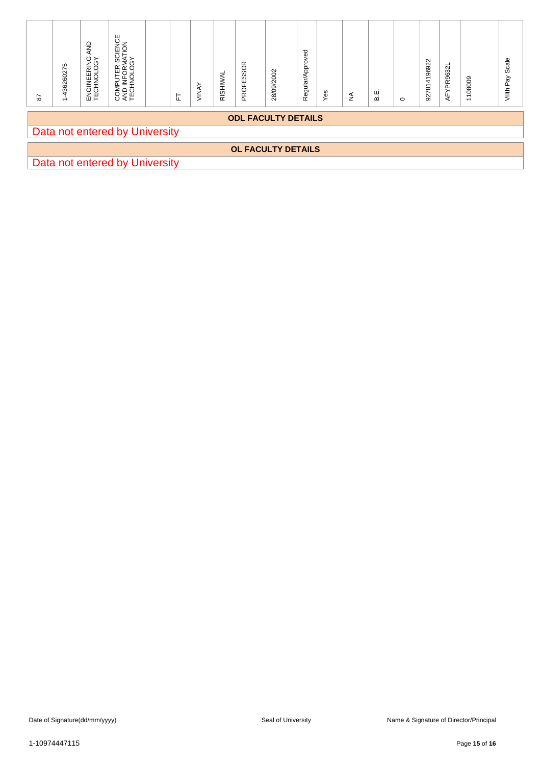| $\sqrt{8}$ | 1-436260275                                                  | ENGINEERING AND<br>TECHNOLOGY | COMPUTER SCIENCE<br>AND INFORMATION<br>TECHNOLOGY |  | $\mathbbmss{}$ | VINAY | RISHIWAL | PROFESSOR | 28/09/2002         | Regular/Approved | Yes | $\lessgtr$ | B.E. | $\circ$ | 927814196922 | AFYPR9632L | 1108009                                | Vilth Pay Scale |
|------------|--------------------------------------------------------------|-------------------------------|---------------------------------------------------|--|----------------|-------|----------|-----------|--------------------|------------------|-----|------------|------|---------|--------------|------------|----------------------------------------|-----------------|
|            | <b>ODL FACULTY DETAILS</b><br>Data not entered by University |                               |                                                   |  |                |       |          |           |                    |                  |     |            |      |         |              |            |                                        |                 |
|            |                                                              |                               |                                                   |  |                |       |          |           | OL FACULTY DETAILS |                  |     |            |      |         |              |            |                                        |                 |
|            |                                                              |                               | Data not entered by University                    |  |                |       |          |           |                    |                  |     |            |      |         |              |            |                                        |                 |
|            |                                                              |                               |                                                   |  |                |       |          |           |                    |                  |     |            |      |         |              |            |                                        |                 |
|            |                                                              |                               |                                                   |  |                |       |          |           |                    |                  |     |            |      |         |              |            |                                        |                 |
|            |                                                              |                               |                                                   |  |                |       |          |           |                    |                  |     |            |      |         |              |            |                                        |                 |
|            |                                                              |                               |                                                   |  |                |       |          |           |                    |                  |     |            |      |         |              |            |                                        |                 |
|            |                                                              |                               |                                                   |  |                |       |          |           |                    |                  |     |            |      |         |              |            |                                        |                 |
|            |                                                              |                               |                                                   |  |                |       |          |           |                    |                  |     |            |      |         |              |            |                                        |                 |
|            |                                                              |                               |                                                   |  |                |       |          |           |                    |                  |     |            |      |         |              |            |                                        |                 |
|            |                                                              |                               |                                                   |  |                |       |          |           |                    |                  |     |            |      |         |              |            |                                        |                 |
|            |                                                              |                               |                                                   |  |                |       |          |           |                    |                  |     |            |      |         |              |            |                                        |                 |
|            |                                                              |                               |                                                   |  |                |       |          |           |                    |                  |     |            |      |         |              |            |                                        |                 |
|            |                                                              |                               |                                                   |  |                |       |          |           |                    |                  |     |            |      |         |              |            |                                        |                 |
|            |                                                              |                               |                                                   |  |                |       |          |           |                    |                  |     |            |      |         |              |            |                                        |                 |
|            |                                                              |                               |                                                   |  |                |       |          |           |                    |                  |     |            |      |         |              |            |                                        |                 |
|            |                                                              |                               |                                                   |  |                |       |          |           |                    |                  |     |            |      |         |              |            |                                        |                 |
|            |                                                              |                               |                                                   |  |                |       |          |           |                    |                  |     |            |      |         |              |            |                                        |                 |
|            |                                                              |                               |                                                   |  |                |       |          |           |                    |                  |     |            |      |         |              |            |                                        |                 |
|            |                                                              |                               |                                                   |  |                |       |          |           |                    |                  |     |            |      |         |              |            |                                        |                 |
|            |                                                              |                               |                                                   |  |                |       |          |           |                    |                  |     |            |      |         |              |            |                                        |                 |
|            |                                                              |                               |                                                   |  |                |       |          |           |                    |                  |     |            |      |         |              |            |                                        |                 |
|            |                                                              |                               |                                                   |  |                |       |          |           |                    |                  |     |            |      |         |              |            |                                        |                 |
|            |                                                              |                               |                                                   |  |                |       |          |           |                    |                  |     |            |      |         |              |            |                                        |                 |
|            | Date of Signature(dd/mm/yyyy)                                |                               |                                                   |  |                |       |          |           | Seal of University |                  |     |            |      |         |              |            | Name & Signature of Director/Principal |                 |
|            | 1-10974447115                                                |                               |                                                   |  |                |       |          |           |                    |                  |     |            |      |         |              |            | Page 15 of 16                          |                 |